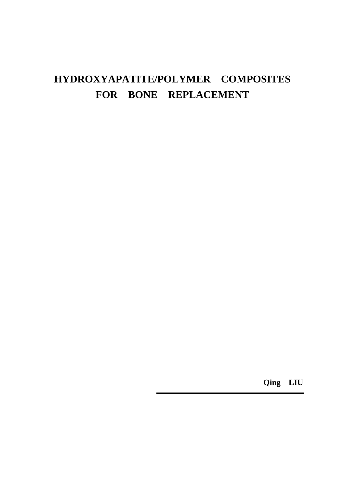# **HYDROXYAPATITE/POLYMER COMPOSITES FOR BONE REPLACEMENT**

**Qing LIU**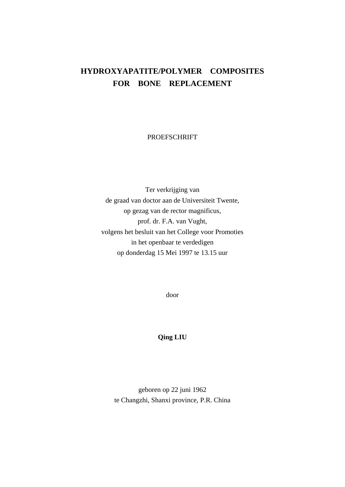# **HYDROXYAPATITE/POLYMER COMPOSITES FOR BONE REPLACEMENT**

PROEFSCHRIFT

Ter verkrijging van de graad van doctor aan de Universiteit Twente, op gezag van de rector magnificus, prof. dr. F.A. van Vught, volgens het besluit van het College voor Promoties in het openbaar te verdedigen op donderdag 15 Mei 1997 te 13.15 uur

door

#### **Qing LIU**

geboren op 22 juni 1962 te Changzhi, Shanxi province, P.R. China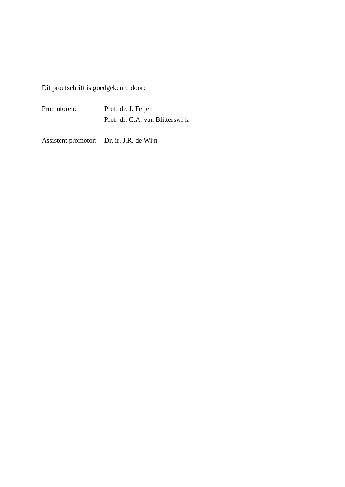Dit proefschrift is goedgekeurd door:

Promotoren: Prof. dr. J. Feijen Prof. dr. C.A. van Blitterswijk

Assistent promotor: Dr. ir. J.R. de Wijn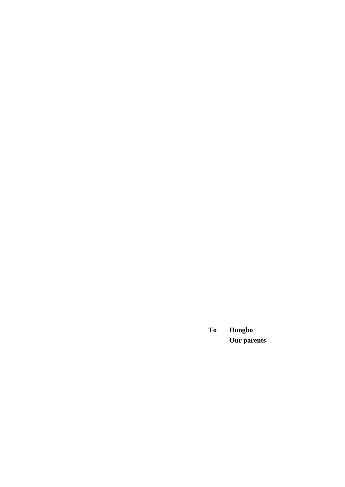**To Hongbo Our parents**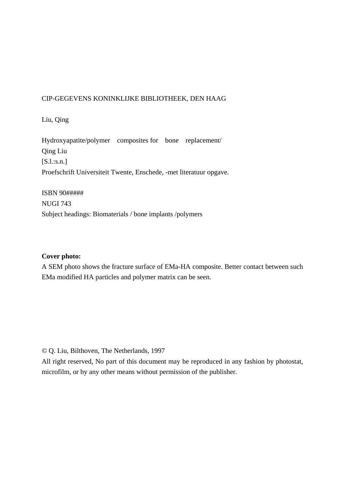#### CIP-GEGEVENS KONINKLIJKE BIBLIOTHEEK, DEN HAAG

Liu, Qing

Hydroxyapatite/polymer composites for bone replacement/ Qing Liu  $[S.l.:s.n.]$ Proefschrift Universiteit Twente, Enschede, -met literatuur opgave.

ISBN 90##### NUGI 743 Subject headings: Biomaterials / bone implants /polymers

#### **Cover photo:**

A SEM photo shows the fracture surface of EMa-HA composite. Better contact between such EMa modified HA particles and polymer matrix can be seen.

© Q. Liu, Bilthoven, The Netherlands, 1997

All right reserved, No part of this document may be reproduced in any fashion by photostat, microfilm, or by any other means without permission of the publisher.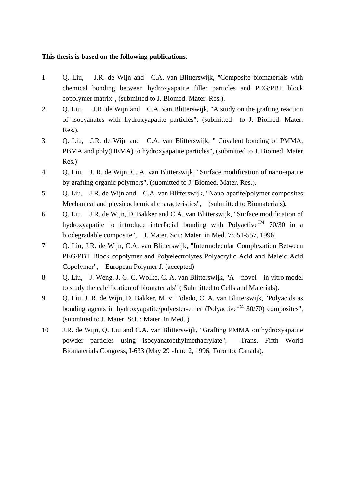#### **This thesis is based on the following publications**:

- 1 Q. Liu, J.R. de Wijn and C.A. van Blitterswijk, "Composite biomaterials with chemical bonding between hydroxyapatite filler particles and PEG/PBT block copolymer matrix", (submitted to J. Biomed. Mater. Res.).
- 2 Q. Liu, J.R. de Wijn and C.A. van Blitterswijk, "A study on the grafting reaction of isocyanates with hydroxyapatite particles", (submitted to J. Biomed. Mater. Res.).
- 3 Q. Liu, J.R. de Wijn and C.A. van Blitterswijk, " Covalent bonding of PMMA, PBMA and poly(HEMA) to hydroxyapatite particles", (submitted to J. Biomed. Mater. Res.)
- 4 Q. Liu, J. R. de Wijn, C. A. van Blitterswijk, "Surface modification of nano-apatite by grafting organic polymers", (submitted to J. Biomed. Mater. Res.).
- 5 Q. Liu, J.R. de Wijn and C.A. van Blitterswijk, "Nano-apatite/polymer composites: Mechanical and physicochemical characteristics", (submitted to Biomaterials).
- 6 Q. Liu, J.R. de Wijn, D. Bakker and C.A. van Blitterswijk, "Surface modification of hydroxyapatite to introduce interfacial bonding with Polyactive<sup>TM</sup> 70/30 in a biodegradable composite", J. Mater. Sci.: Mater. in Med. 7:551-557, 1996
- 7 Q. Liu, J.R. de Wijn, C.A. van Blitterswijk, "Intermolecular Complexation Between PEG/PBT Block copolymer and Polyelectrolytes Polyacrylic Acid and Maleic Acid Copolymer", European Polymer J. (accepted)
- 8 Q. Liu, J. Weng, J. G. C. Wolke, C. A. van Blitterswijk, "A novel in vitro model to study the calcification of biomaterials" ( Submitted to Cells and Materials).
- 9 Q. Liu, J. R. de Wijn, D. Bakker, M. v. Toledo, C. A. van Blitterswijk, "Polyacids as bonding agents in hydroxyapatite/polyester-ether (Polyactive<sup>TM</sup> 30/70) composites". (submitted to J. Mater. Sci. : Mater. in Med. )
- 10 J.R. de Wijn, Q. Liu and C.A. van Blitterswijk, "Grafting PMMA on hydroxyapatite powder particles using isocyanatoethylmethacrylate", Trans. Fifth World Biomaterials Congress, I-633 (May 29 -June 2, 1996, Toronto, Canada).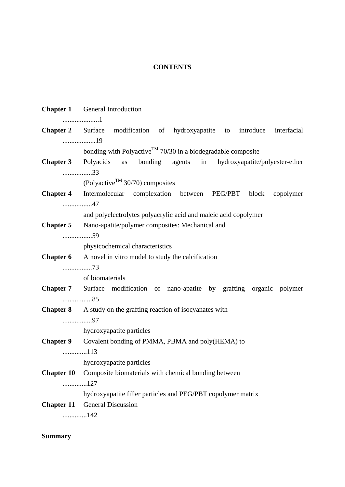### **CONTENTS**

|                                                              | <b>Chapter 1</b> General Introduction                                            |  |  |  |  |  |  |  |
|--------------------------------------------------------------|----------------------------------------------------------------------------------|--|--|--|--|--|--|--|
|                                                              | 1                                                                                |  |  |  |  |  |  |  |
|                                                              | <b>Chapter 2</b> Surface modification of hydroxyapatite to introduce interfacial |  |  |  |  |  |  |  |
|                                                              | 19                                                                               |  |  |  |  |  |  |  |
|                                                              | bonding with Polyactive <sup>TM</sup> 70/30 in a biodegradable composite         |  |  |  |  |  |  |  |
|                                                              | <b>Chapter 3</b> Polyacids as bonding agents in hydroxyapatite/polyester-ether   |  |  |  |  |  |  |  |
|                                                              | 33                                                                               |  |  |  |  |  |  |  |
|                                                              | (Polyactive <sup>TM</sup> 30/70) composites                                      |  |  |  |  |  |  |  |
|                                                              | <b>Chapter 4</b> Intermolecular complexation between PEG/PBT block copolymer     |  |  |  |  |  |  |  |
|                                                              | 47                                                                               |  |  |  |  |  |  |  |
|                                                              | and polyelectrolytes polyacrylic acid and maleic acid copolymer                  |  |  |  |  |  |  |  |
|                                                              | <b>Chapter 5</b> Nano-apatite/polymer composites: Mechanical and                 |  |  |  |  |  |  |  |
|                                                              | 59                                                                               |  |  |  |  |  |  |  |
|                                                              | physicochemical characteristics                                                  |  |  |  |  |  |  |  |
|                                                              | <b>Chapter 6</b> A novel in vitro model to study the calcification               |  |  |  |  |  |  |  |
|                                                              | 73                                                                               |  |  |  |  |  |  |  |
|                                                              | of biomaterials                                                                  |  |  |  |  |  |  |  |
|                                                              | Chapter 7 Surface modification of nano-apatite by grafting organic polymer       |  |  |  |  |  |  |  |
|                                                              | 85                                                                               |  |  |  |  |  |  |  |
|                                                              | <b>Chapter 8</b> A study on the grafting reaction of isocyanates with            |  |  |  |  |  |  |  |
|                                                              | 97                                                                               |  |  |  |  |  |  |  |
|                                                              | hydroxyapatite particles                                                         |  |  |  |  |  |  |  |
|                                                              | <b>Chapter 9</b> Covalent bonding of PMMA, PBMA and poly(HEMA) to                |  |  |  |  |  |  |  |
|                                                              | 113<br>hydroxyapatite particles                                                  |  |  |  |  |  |  |  |
|                                                              | <b>Chapter 10</b> Composite biomaterials with chemical bonding between           |  |  |  |  |  |  |  |
|                                                              | 127                                                                              |  |  |  |  |  |  |  |
| hydroxyapatite filler particles and PEG/PBT copolymer matrix |                                                                                  |  |  |  |  |  |  |  |
|                                                              | <b>Chapter 11</b> General Discussion                                             |  |  |  |  |  |  |  |
|                                                              | 142                                                                              |  |  |  |  |  |  |  |
|                                                              |                                                                                  |  |  |  |  |  |  |  |

## **Summary**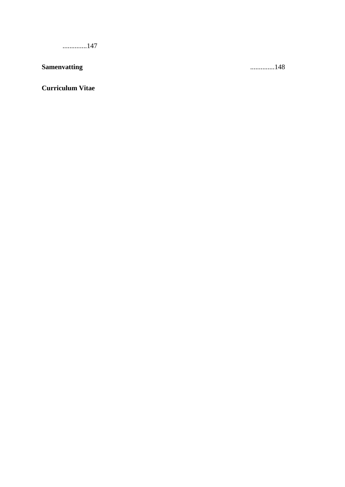..............147

## **Samenvatting** ..............148

### **Curriculum Vitae**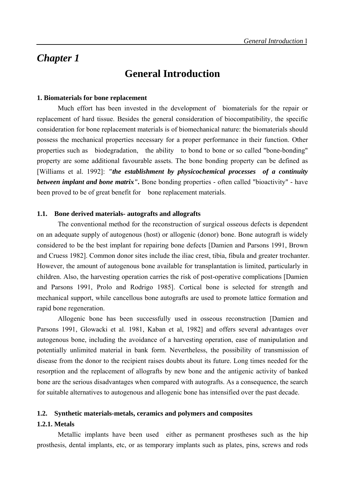# **General Introduction**

#### **1. Biomaterials for bone replacement**

Much effort has been invested in the development of biomaterials for the repair or replacement of hard tissue. Besides the general consideration of biocompatibility, the specific consideration for bone replacement materials is of biomechanical nature: the biomaterials should possess the mechanical properties necessary for a proper performance in their function. Other properties such as biodegradation, the ability to bond to bone or so called "bone-bonding" property are some additional favourable assets. The bone bonding property can be defined as [Williams et al. 1992]: *"the establishment by physicochemical processes of a continuity between implant and bone matrix".* Bone bonding properties - often called "bioactivity" - have been proved to be of great benefit for bone replacement materials.

#### **1.1. Bone derived materials- autografts and allografts**

The conventional method for the reconstruction of surgical osseous defects is dependent on an adequate supply of autogenous (host) or allogenic (donor) bone. Bone autograft is widely considered to be the best implant for repairing bone defects [Damien and Parsons 1991, Brown and Cruess 1982]. Common donor sites include the iliac crest, tibia, fibula and greater trochanter. However, the amount of autogenous bone available for transplantation is limited, particularly in children. Also, the harvesting operation carries the risk of post-operative complications [Damien and Parsons 1991, Prolo and Rodrigo 1985]. Cortical bone is selected for strength and mechanical support, while cancellous bone autografts are used to promote lattice formation and rapid bone regeneration.

Allogenic bone has been successfully used in osseous reconstruction [Damien and Parsons 1991, Glowacki et al. 1981, Kaban et al, 1982] and offers several advantages over autogenous bone, including the avoidance of a harvesting operation, ease of manipulation and potentially unlimited material in bank form. Nevertheless, the possibility of transmission of disease from the donor to the recipient raises doubts about its future. Long times needed for the resorption and the replacement of allografts by new bone and the antigenic activity of banked bone are the serious disadvantages when compared with autografts. As a consequence, the search for suitable alternatives to autogenous and allogenic bone has intensified over the past decade.

#### **1.2. Synthetic materials-metals, ceramics and polymers and composites**

#### **1.2.1. Metals**

Metallic implants have been used either as permanent prostheses such as the hip prosthesis, dental implants, etc, or as temporary implants such as plates, pins, screws and rods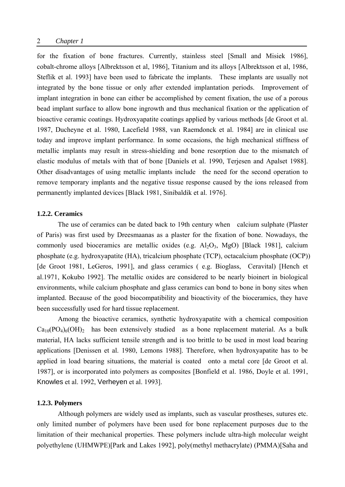for the fixation of bone fractures. Currently, stainless steel [Small and Misiek 1986], cobalt-chrome alloys [Albrektsson et al, 1986], Titanium and its alloys [Albrektsson et al, 1986, Steflik et al. 1993] have been used to fabricate the implants. These implants are usually not integrated by the bone tissue or only after extended implantation periods. Improvement of implant integration in bone can either be accomplished by cement fixation, the use of a porous bead implant surface to allow bone ingrowth and thus mechanical fixation or the application of bioactive ceramic coatings. Hydroxyapatite coatings applied by various methods [de Groot et al. 1987, Ducheyne et al. 1980, Lacefield 1988, van Raemdonck et al. 1984] are in clinical use today and improve implant performance. In some occasions, the high mechanical stiffness of metallic implants may result in stress-shielding and bone resorption due to the mismatch of elastic modulus of metals with that of bone [Daniels et al. 1990, Terjesen and Apalset 1988]. Other disadvantages of using metallic implants include the need for the second operation to remove temporary implants and the negative tissue response caused by the ions released from permanently implanted devices [Black 1981, Sinibaldik et al. 1976].

#### **1.2.2. Ceramics**

The use of ceramics can be dated back to 19th century when calcium sulphate (Plaster of Paris) was first used by Dreesmaanas as a plaster for the fixation of bone. Nowadays, the commonly used bioceramics are metallic oxides (e.g.  $Al_2O_3$ , MgO) [Black 1981], calcium phosphate (e.g. hydroxyapatite (HA), tricalcium phosphate (TCP), octacalcium phosphate (OCP)) [de Groot 1981, LeGeros, 1991], and glass ceramics (e.g. Bioglass, Ceravital) [Hench et al.1971, Kokubo 1992]. The metallic oxides are considered to be nearly bioinert in biological environments, while calcium phosphate and glass ceramics can bond to bone in bony sites when implanted. Because of the good biocompatibility and bioactivity of the bioceramics, they have been successfully used for hard tissue replacement.

Among the bioactive ceramics, synthetic hydroxyapatite with a chemical composition  $Ca_{10}(PO_4)_6(OH)_2$  has been extensively studied as a bone replacement material. As a bulk material, HA lacks sufficient tensile strength and is too brittle to be used in most load bearing applications [Denissen et al. 1980, Lemons 1988]. Therefore, when hydroxyapatite has to be applied in load bearing situations, the material is coated onto a metal core [de Groot et al. 1987], or is incorporated into polymers as composites [Bonfield et al. 1986, Doyle et al. 1991, Knowles et al. 1992, Verheyen et al. 1993].

#### **1.2.3. Polymers**

Although polymers are widely used as implants, such as vascular prostheses, sutures etc. only limited number of polymers have been used for bone replacement purposes due to the limitation of their mechanical properties. These polymers include ultra-high molecular weight polyethylene (UHMWPE)[Park and Lakes 1992], poly(methyl methacrylate) (PMMA)[Saha and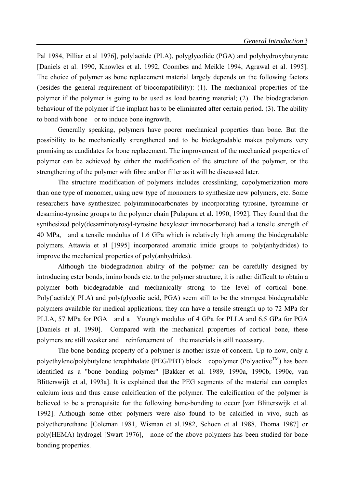Pal 1984, Pilliar et al 1976], polylactide (PLA), polyglycolide (PGA) and polyhydroxybutyrate [Daniels et al. 1990, Knowles et al. 1992, Coombes and Meikle 1994, Agrawal et al. 1995]. The choice of polymer as bone replacement material largely depends on the following factors (besides the general requirement of biocompatibility): (1). The mechanical properties of the polymer if the polymer is going to be used as load bearing material; (2). The biodegradation behaviour of the polymer if the implant has to be eliminated after certain period. (3). The ability to bond with bone or to induce bone ingrowth.

Generally speaking, polymers have poorer mechanical properties than bone. But the possibility to be mechanically strengthened and to be biodegradable makes polymers very promising as candidates for bone replacement. The improvement of the mechanical properties of polymer can be achieved by either the modification of the structure of the polymer, or the strengthening of the polymer with fibre and/or filler as it will be discussed later.

The structure modification of polymers includes crosslinking, copolymerization more than one type of monomer, using new type of monomers to synthesize new polymers, etc. Some researchers have synthesized polyimminocarbonates by incorporating tyrosine, tyroamine or desamino-tyrosine groups to the polymer chain [Pulapura et al. 1990, 1992]. They found that the synthesized poly(desaminotyrosyl-tyrosine hexylester iminocarbonate) had a tensile strength of 40 MPa, and a tensile modulus of 1.6 GPa which is relatively high among the biodegradable polymers. Attawia et al [1995] incorporated aromatic imide groups to poly(anhydrides) to improve the mechanical properties of poly(anhydrides).

Although the biodegradation ability of the polymer can be carefully designed by introducing ester bonds, imino bonds etc. to the polymer structure, it is rather difficult to obtain a polymer both biodegradable and mechanically strong to the level of cortical bone. Poly(lactide)( PLA) and poly(glycolic acid, PGA) seem still to be the strongest biodegradable polymers available for medical applications; they can have a tensile strength up to 72 MPa for PLLA, 57 MPa for PGA and a Young's modulus of 4 GPa for PLLA and 6.5 GPa for PGA [Daniels et al. 1990]. Compared with the mechanical properties of cortical bone, these polymers are still weaker and reinforcement of the materials is still necessary.

The bone bonding property of a polymer is another issue of concern. Up to now, only a polyethylene/polybutylene terephthalate (PEG/PBT) block copolymer (Polyactive<sup>TM</sup>) has been identified as a "bone bonding polymer" [Bakker et al. 1989, 1990a, 1990b, 1990c, van Blitterswijk et al, 1993a]. It is explained that the PEG segments of the material can complex calcium ions and thus cause calcification of the polymer. The calcification of the polymer is believed to be a prerequisite for the following bone-bonding to occur [van Blitterswijk et al. 1992]. Although some other polymers were also found to be calcified in vivo, such as polyetherurethane [Coleman 1981, Wisman et al.1982, Schoen et al 1988, Thoma 1987] or poly(HEMA) hydrogel [Swart 1976], none of the above polymers has been studied for bone bonding properties.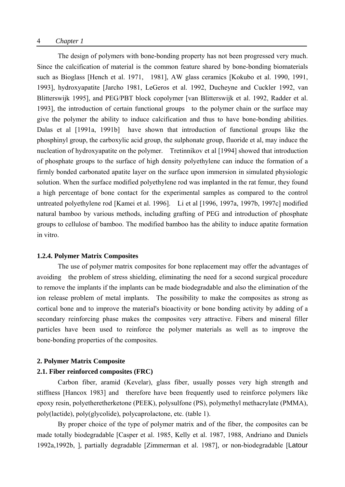The design of polymers with bone-bonding property has not been progressed very much. Since the calcification of material is the common feature shared by bone-bonding biomaterials such as Bioglass [Hench et al. 1971, 1981], AW glass ceramics [Kokubo et al. 1990, 1991, 1993], hydroxyapatite [Jarcho 1981, LeGeros et al. 1992, Ducheyne and Cuckler 1992, van Blitterswijk 1995], and PEG/PBT block copolymer [van Blitterswijk et al. 1992, Radder et al. 1993], the introduction of certain functional groups to the polymer chain or the surface may give the polymer the ability to induce calcification and thus to have bone-bonding abilities. Dalas et al [1991a, 1991b] have shown that introduction of functional groups like the phosphinyl group, the carboxylic acid group, the sulphonate group, fluoride et al, may induce the nucleation of hydroxyapatite on the polymer. Tretinnikov et al [1994] showed that introduction of phosphate groups to the surface of high density polyethylene can induce the formation of a firmly bonded carbonated apatite layer on the surface upon immersion in simulated physiologic solution. When the surface modified polyethylene rod was implanted in the rat femur, they found a high percentage of bone contact for the experimental samples as compared to the control untreated polyethylene rod [Kamei et al. 1996]. Li et al [1996, 1997a, 1997b, 1997c] modified natural bamboo by various methods, including grafting of PEG and introduction of phosphate groups to cellulose of bamboo. The modified bamboo has the ability to induce apatite formation in vitro.

#### **1.2.4. Polymer Matrix Composites**

The use of polymer matrix composites for bone replacement may offer the advantages of avoiding the problem of stress shielding, eliminating the need for a second surgical procedure to remove the implants if the implants can be made biodegradable and also the elimination of the ion release problem of metal implants. The possibility to make the composites as strong as cortical bone and to improve the material's bioactivity or bone bonding activity by adding of a secondary reinforcing phase makes the composites very attractive. Fibers and mineral filler particles have been used to reinforce the polymer materials as well as to improve the bone-bonding properties of the composites.

#### **2. Polymer Matrix Composite**

#### **2.1. Fiber reinforced composites (FRC)**

Carbon fiber, aramid (Kevelar), glass fiber, usually posses very high strength and stiffness [Hancox 1983] and therefore have been frequently used to reinforce polymers like epoxy resin, polyetheretherketone (PEEK), polysulfone (PS), polymethyl methacrylate (PMMA), poly(lactide), poly(glycolide), polycaprolactone, etc. (table 1).

By proper choice of the type of polymer matrix and of the fiber, the composites can be made totally biodegradable [Casper et al. 1985, Kelly et al. 1987, 1988, Andriano and Daniels 1992a,1992b, ], partially degradable [Zimmerman et al. 1987], or non-biodegradable [Latour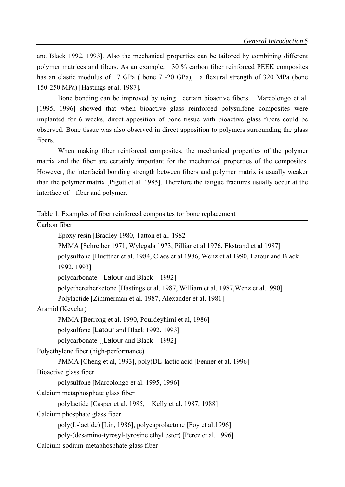and Black 1992, 1993]. Also the mechanical properties can be tailored by combining different polymer matrices and fibers. As an example, 30 % carbon fiber reinforced PEEK composites has an elastic modulus of 17 GPa (bone 7 -20 GPa), a flexural strength of 320 MPa (bone 150-250 MPa) [Hastings et al. 1987].

Bone bonding can be improved by using certain bioactive fibers. Marcolongo et al. [1995, 1996] showed that when bioactive glass reinforced polysulfone composites were implanted for 6 weeks, direct apposition of bone tissue with bioactive glass fibers could be observed. Bone tissue was also observed in direct apposition to polymers surrounding the glass fibers.

When making fiber reinforced composites, the mechanical properties of the polymer matrix and the fiber are certainly important for the mechanical properties of the composites. However, the interfacial bonding strength between fibers and polymer matrix is usually weaker than the polymer matrix [Pigott et al. 1985]. Therefore the fatigue fractures usually occur at the interface of fiber and polymer.

Table 1. Examples of fiber reinforced composites for bone replacement

| Carbon fiber                                                                           |  |  |  |  |
|----------------------------------------------------------------------------------------|--|--|--|--|
| Epoxy resin [Bradley 1980, Tatton et al. 1982]                                         |  |  |  |  |
| PMMA [Schreiber 1971, Wylegala 1973, Pilliar et al 1976, Ekstrand et al 1987]          |  |  |  |  |
| polysulfone [Huettner et al. 1984, Claes et al 1986, Wenz et al.1990, Latour and Black |  |  |  |  |
| 1992, 1993]                                                                            |  |  |  |  |
| polycarbonate [[Latour and Black 1992]                                                 |  |  |  |  |
| polyetheretherketone [Hastings et al. 1987, William et al. 1987, Wenz et al. 1990]     |  |  |  |  |
| Polylactide [Zimmerman et al. 1987, Alexander et al. 1981]                             |  |  |  |  |
| Aramid (Kevelar)                                                                       |  |  |  |  |
| PMMA [Berrong et al. 1990, Pourdeyhimi et al, 1986]                                    |  |  |  |  |
| polysulfone [Latour and Black 1992, 1993]                                              |  |  |  |  |
| polycarbonate [[Latour and Black 1992]                                                 |  |  |  |  |
| Polyethylene fiber (high-performance)                                                  |  |  |  |  |
| PMMA [Cheng et al, 1993], poly(DL-lactic acid [Fenner et al. 1996]                     |  |  |  |  |
| Bioactive glass fiber                                                                  |  |  |  |  |
| polysulfone [Marcolongo et al. 1995, 1996]                                             |  |  |  |  |
| Calcium metaphosphate glass fiber                                                      |  |  |  |  |
| polylactide [Casper et al. 1985, Kelly et al. 1987, 1988]                              |  |  |  |  |
| Calcium phosphate glass fiber                                                          |  |  |  |  |
| poly(L-lactide) [Lin, 1986], polycaprolactone [Foy et al.1996],                        |  |  |  |  |
| poly-(desamino-tyrosyl-tyrosine ethyl ester) [Perez et al. 1996]                       |  |  |  |  |
| Calcium-sodium-metaphosphate glass fiber                                               |  |  |  |  |
|                                                                                        |  |  |  |  |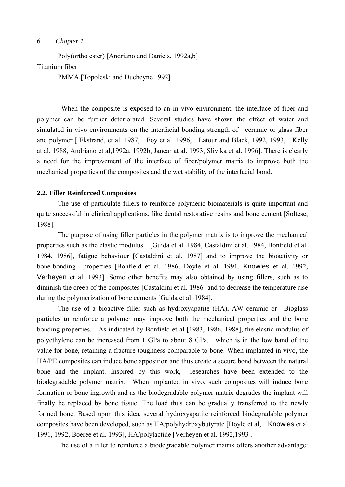Poly(ortho ester) [Andriano and Daniels, 1992a,b] Titanium fiber

PMMA [Topoleski and Ducheyne 1992]

 When the composite is exposed to an in vivo environment, the interface of fiber and polymer can be further deteriorated. Several studies have shown the effect of water and simulated in vivo environments on the interfacial bonding strength of ceramic or glass fiber and polymer [ Ekstrand, et al. 1987, Foy et al. 1996, Latour and Black, 1992, 1993, Kelly at al. 1988, Andriano et al,1992a, 1992b, Jancar at al. 1993, Slivika et al. 1996]. There is clearly a need for the improvement of the interface of fiber/polymer matrix to improve both the mechanical properties of the composites and the wet stability of the interfacial bond.

#### **2.2. Filler Reinforced Composites**

The use of particulate fillers to reinforce polymeric biomaterials is quite important and quite successful in clinical applications, like dental restorative resins and bone cement [Soltese, 1988].

The purpose of using filler particles in the polymer matrix is to improve the mechanical properties such as the elastic modulus [Guida et al. 1984, Castaldini et al. 1984, Bonfield et al. 1984, 1986], fatigue behaviour [Castaldini et al. 1987] and to improve the bioactivity or bone-bonding properties [Bonfield et al. 1986, Doyle et al. 1991, Knowles et al. 1992, Verheyen et al. 1993]. Some other benefits may also obtained by using fillers, such as to diminish the creep of the composites [Castaldini et al. 1986] and to decrease the temperature rise during the polymerization of bone cements [Guida et al. 1984].

The use of a bioactive filler such as hydroxyapatite (HA), AW ceramic or Bioglass particles to reinforce a polymer may improve both the mechanical properties and the bone bonding properties. As indicated by Bonfield et al [1983, 1986, 1988], the elastic modulus of polyethylene can be increased from 1 GPa to about 8 GPa, which is in the low band of the value for bone, retaining a fracture toughness comparable to bone. When implanted in vivo, the HA/PE composites can induce bone apposition and thus create a secure bond between the natural bone and the implant. Inspired by this work, researches have been extended to the biodegradable polymer matrix. When implanted in vivo, such composites will induce bone formation or bone ingrowth and as the biodegradable polymer matrix degrades the implant will finally be replaced by bone tissue. The load thus can be gradually transferred to the newly formed bone. Based upon this idea, several hydroxyapatite reinforced biodegradable polymer composites have been developed, such as HA/polyhydroxybutyrate [Doyle et al, Knowles et al. 1991, 1992, Boeree et al. 1993], HA/polylactide [Verheyen et al. 1992,1993].

The use of a filler to reinforce a biodegradable polymer matrix offers another advantage: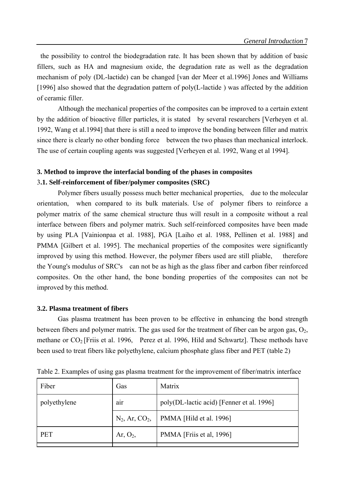the possibility to control the biodegradation rate. It has been shown that by addition of basic fillers, such as HA and magnesium oxide, the degradation rate as well as the degradation mechanism of poly (DL-lactide) can be changed [van der Meer et al.1996] Jones and Williams [1996] also showed that the degradation pattern of poly(L-lactide) was affected by the addition of ceramic filler.

Although the mechanical properties of the composites can be improved to a certain extent by the addition of bioactive filler particles, it is stated by several researchers [Verheyen et al. 1992, Wang et al.1994] that there is still a need to improve the bonding between filler and matrix since there is clearly no other bonding force between the two phases than mechanical interlock. The use of certain coupling agents was suggested [Verheyen et al. 1992, Wang et al 1994].

### **3. Method to improve the interfacial bonding of the phases in composites** 3**.1. Self-reinforcement of fiber/polymer composites (SRC)**

Polymer fibers usually possess much better mechanical properties, due to the molecular orientation, when compared to its bulk materials. Use of polymer fibers to reinforce a polymer matrix of the same chemical structure thus will result in a composite without a real interface between fibers and polymer matrix. Such self-reinforced composites have been made by using PLA [Vainionpaa et al. 1988], PGA [Laiho et al. 1988, Pellinen et al. 1988] and PMMA [Gilbert et al. 1995]. The mechanical properties of the composites were significantly improved by using this method. However, the polymer fibers used are still pliable, therefore the Young's modulus of SRC's can not be as high as the glass fiber and carbon fiber reinforced composites. On the other hand, the bone bonding properties of the composites can not be improved by this method.

#### **3.2. Plasma treatment of fibers**

Gas plasma treatment has been proven to be effective in enhancing the bond strength between fibers and polymer matrix. The gas used for the treatment of fiber can be argon gas,  $O_2$ , methane or  $CO<sub>2</sub>$  [Friis et al. 1996, Perez et al. 1996, Hild and Schwartz]. These methods have been used to treat fibers like polyethylene, calcium phosphate glass fiber and PET (table 2)

| Fiber        | Gas                           | Matrix                                    |  |
|--------------|-------------------------------|-------------------------------------------|--|
| polyethylene | air                           | poly(DL-lactic acid) [Fenner et al. 1996] |  |
|              | $N_2$ , Ar, CO <sub>2</sub> , | PMMA [Hild et al. 1996]                   |  |
| <b>PET</b>   | Ar, $O_2$ ,                   | PMMA [Friis et al, 1996]                  |  |
|              |                               |                                           |  |

Table 2. Examples of using gas plasma treatment for the improvement of fiber/matrix interface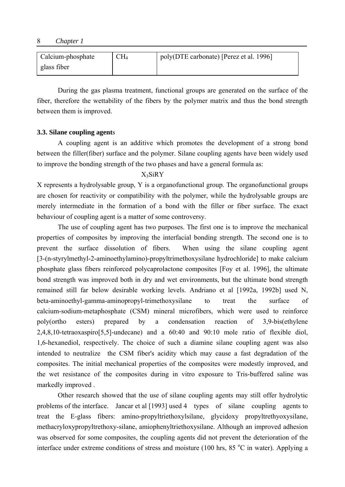| Calcium-phosphate | CH <sub>4</sub> | poly(DTE carbonate) [Perez et al. 1996] |
|-------------------|-----------------|-----------------------------------------|
| glass fiber       |                 |                                         |

During the gas plasma treatment, functional groups are generated on the surface of the fiber, therefore the wettability of the fibers by the polymer matrix and thus the bond strength between them is improved.

#### **3.3. Silane coupling agent**s

A coupling agent is an additive which promotes the development of a strong bond between the filler(fiber) surface and the polymer. Silane coupling agents have been widely used to improve the bonding strength of the two phases and have a general formula as:

#### X3SiRY

X represents a hydrolysable group, Y is a organofunctional group. The organofunctional groups are chosen for reactivity or compatibility with the polymer, while the hydrolysable groups are merely intermediate in the formation of a bond with the filler or fiber surface. The exact behaviour of coupling agent is a matter of some controversy.

The use of coupling agent has two purposes. The first one is to improve the mechanical properties of composites by improving the interfacial bonding strength. The second one is to prevent the surface dissolution of fibers. When using the silane coupling agent [3-(n-styrylmethyl-2-aminoethylamino)-propyltrimethoxysilane hydrochloride] to make calcium phosphate glass fibers reinforced polycaprolactone composites [Foy et al. 1996], the ultimate bond strength was improved both in dry and wet environments, but the ultimate bond strength remained still far below desirable working levels. Andriano et al [1992a, 1992b] used N, beta-aminoethyl-gamma-aminopropyl-trimethoxysilane to treat the surface of calcium-sodium-metaphosphate (CSM) mineral microfibers, which were used to reinforce poly(ortho esters) prepared by a condensation reaction of 3,9-bis(ethylene 2,4,8,10-tetraoxaspiro[5,5]-undecane) and a 60:40 and 90:10 mole ratio of flexible diol, 1,6-hexanediol, respectively. The choice of such a diamine silane coupling agent was also intended to neutralize the CSM fiber's acidity which may cause a fast degradation of the composites. The initial mechanical properties of the composites were modestly improved, and the wet resistance of the composites during in vitro exposure to Tris-buffered saline was markedly improved .

Other research showed that the use of silane coupling agents may still offer hydrolytic problems of the interface. Jancar et al [1993] used 4 types of silane coupling agents to treat the E-glass fibers: amino-propyltriethoxylsilane, glycidoxy propyltrethyoxysilane, methacryloxypropyltrethoxy-silane, amiophenyltriethoxysilane. Although an improved adhesion was observed for some composites, the coupling agents did not prevent the deterioration of the interface under extreme conditions of stress and moisture (100 hrs, 85 °C in water). Applying a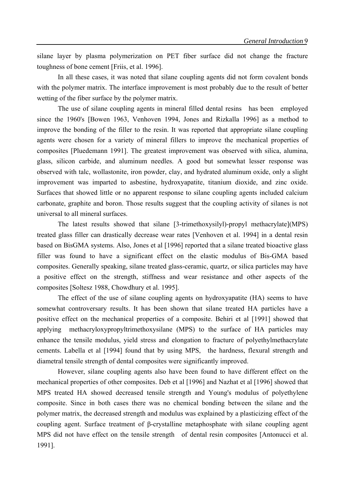silane layer by plasma polymerization on PET fiber surface did not change the fracture toughness of bone cement [Friis, et al. 1996].

In all these cases, it was noted that silane coupling agents did not form covalent bonds with the polymer matrix. The interface improvement is most probably due to the result of better wetting of the fiber surface by the polymer matrix.

The use of silane coupling agents in mineral filled dental resins has been employed since the 1960's [Bowen 1963, Venhoven 1994, Jones and Rizkalla 1996] as a method to improve the bonding of the filler to the resin. It was reported that appropriate silane coupling agents were chosen for a variety of mineral fillers to improve the mechanical properties of composites [Pluedemann 1991]. The greatest improvement was observed with silica, alumina, glass, silicon carbide, and aluminum needles. A good but somewhat lesser response was observed with talc, wollastonite, iron powder, clay, and hydrated aluminum oxide, only a slight improvement was imparted to asbestine, hydroxyapatite, titanium dioxide, and zinc oxide. Surfaces that showed little or no apparent response to silane coupling agents included calcium carbonate, graphite and boron. Those results suggest that the coupling activity of silanes is not universal to all mineral surfaces.

The latest results showed that silane [3-trimethoxysilyl)-propyl methacrylate](MPS) treated glass filler can drastically decrease wear rates [Venhoven et al. 1994] in a dental resin based on BisGMA systems. Also, Jones et al [1996] reported that a silane treated bioactive glass filler was found to have a significant effect on the elastic modulus of Bis-GMA based composites. Generally speaking, silane treated glass-ceramic, quartz, or silica particles may have a positive effect on the strength, stiffness and wear resistance and other aspects of the composites [Soltesz 1988, Chowdhury et al. 1995].

The effect of the use of silane coupling agents on hydroxyapatite (HA) seems to have somewhat controversary results. It has been shown that silane treated HA particles have a positive effect on the mechanical properties of a composite. Behiri et al [1991] showed that applying methacryloxypropyltrimethoxysilane (MPS) to the surface of HA particles may enhance the tensile modulus, yield stress and elongation to fracture of polyethylmethacrylate cements. Labella et al [1994] found that by using MPS, the hardness, flexural strength and diametral tensile strength of dental composites were significantly improved.

However, silane coupling agents also have been found to have different effect on the mechanical properties of other composites. Deb et al [1996] and Nazhat et al [1996] showed that MPS treated HA showed decreased tensile strength and Young's modulus of polyethylene composite. Since in both cases there was no chemical bonding between the silane and the polymer matrix, the decreased strength and modulus was explained by a plasticizing effect of the coupling agent. Surface treatment of β-crystalline metaphosphate with silane coupling agent MPS did not have effect on the tensile strength of dental resin composites [Antonucci et al. 1991].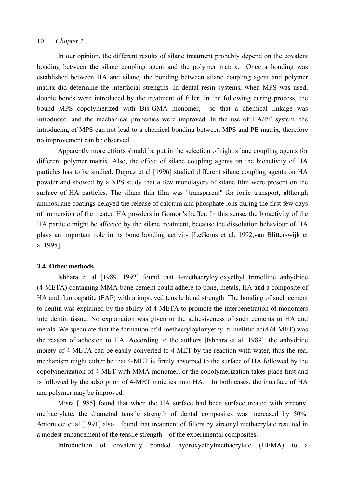In our opinion, the different results of silane treatment probably depend on the covalent bonding between the silane coupling agent and the polymer matrix. Once a bonding was established between HA and silane, the bonding between silane coupling agent and polymer matrix did determine the interfacial strengths. In dental resin systems, when MPS was used, double bonds were introduced by the treatment of filler. In the following curing process, the bound MPS copolymerized with Bis-GMA monomer, so that a chemical linkage was introduced, and the mechanical properties were improved. In the use of HA/PE system, the introducing of MPS can not lead to a chemical bonding between MPS and PE matrix, therefore no improvement can be observed.

Apparently more efforts should be put in the selection of right silane coupling agents for different polymer matrix. Also, the effect of silane coupling agents on the bioactivity of HA particles has to be studied. Dupraz et al [1996] studied different silane coupling agents on HA powder and showed by a XPS study that a few monolayers of silane film were present on the surface of HA particles. The silane thin film was "transparent" for ionic transport, although aminosilane coatings delayed the release of calcium and phosphate ions during the first few days of immersion of the treated HA powders in Gomori's buffer. In this sense, the bioactivity of the HA particle might be affected by the silane treatment, because the dissolution behaviour of HA plays an important role in its bone bonding activity [LeGeros et al. 1992,van Blitterswijk et al.1995].

#### **3.4. Other methods**

Ishhara et al [1989, 1992] found that 4-methacryloyloxyethyl trimellitic anhydride (4-META) containing MMA bone cement could adhere to bone, metals, HA and a composite of HA and fluoroapatite (FAP) with a improved tensile bond strength. The bonding of such cement to dentin was explained by the ability of 4-META to promote the interpenetration of monomers into dentin tissue. No explanation was given to the adhesiveness of such cements to HA and metals. We speculate that the formation of 4-methacryloyloxyethyl trimellitic acid (4-MET) was the reason of adhesion to HA. According to the authors [Ishhara et al. 1989], the anhydride moiety of 4-META can be easily converted to 4-MET by the reaction with water, thus the real mechanism might either be that 4-MET is firmly absorbed to the surface of HA followed by the copolymerization of 4-MET with MMA monomer, or the copolymerization takes place first and is followed by the adsorption of 4-MET moieties onto HA. In both cases, the interface of HA and polymer may be improved.

Misra [1985] found that when the HA surface had been surface treated with zirconyl methacrylate, the diametral tensile strength of dental composites was increased by 50%. Antonucci et al [1991] also found that treatment of fillers by zirconyl methacrylate resulted in a modest enhancement of the tensile strength of the experimental composites.

Introduction of covalently bonded hydroxyethylmethacrylate (HEMA) to a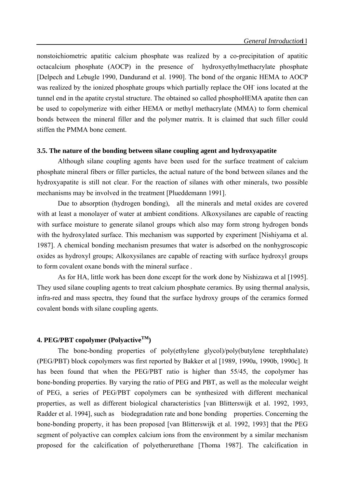nonstoichiometric apatitic calcium phosphate was realized by a co-precipitation of apatitic octacalcium phosphate (AOCP) in the presence of hydroxyethylmethacrylate phosphate [Delpech and Lebugle 1990, Dandurand et al. 1990]. The bond of the organic HEMA to AOCP was realized by the ionized phosphate groups which partially replace the OH ions located at the tunnel end in the apatite crystal structure. The obtained so called phosphoHEMA apatite then can be used to copolymerize with either HEMA or methyl methacrylate (MMA) to form chemical bonds between the mineral filler and the polymer matrix. It is claimed that such filler could stiffen the PMMA bone cement.

#### **3.5. The nature of the bonding between silane coupling agent and hydroxyapatite**

Although silane coupling agents have been used for the surface treatment of calcium phosphate mineral fibers or filler particles, the actual nature of the bond between silanes and the hydroxyapatite is still not clear. For the reaction of silanes with other minerals, two possible mechanisms may be involved in the treatment [Plueddemann 1991].

Due to absorption (hydrogen bonding), all the minerals and metal oxides are covered with at least a monolayer of water at ambient conditions. Alkoxysilanes are capable of reacting with surface moisture to generate silanol groups which also may form strong hydrogen bonds with the hydroxylated surface. This mechanism was supported by experiment [Nishiyama et al. 1987]. A chemical bonding mechanism presumes that water is adsorbed on the nonhygroscopic oxides as hydroxyl groups; Alkoxysilanes are capable of reacting with surface hydroxyl groups to form covalent oxane bonds with the mineral surface .

As for HA, little work has been done except for the work done by Nishizawa et al [1995]. They used silane coupling agents to treat calcium phosphate ceramics. By using thermal analysis, infra-red and mass spectra, they found that the surface hydroxy groups of the ceramics formed covalent bonds with silane coupling agents.

#### **4. PEG/PBT copolymer (Polyactive**<sup>TM</sup>)

The bone-bonding properties of poly(ethylene glycol)/poly(butylene terephthalate) (PEG/PBT) block copolymers was first reported by Bakker et al [1989, 1990a, 1990b, 1990c]. It has been found that when the PEG/PBT ratio is higher than 55/45, the copolymer has bone-bonding properties. By varying the ratio of PEG and PBT, as well as the molecular weight of PEG, a series of PEG/PBT copolymers can be synthesized with different mechanical properties, as well as different biological characteristics [van Blitterswijk et al. 1992, 1993, Radder et al. 1994], such as biodegradation rate and bone bonding properties. Concerning the bone-bonding property, it has been proposed [van Blitterswijk et al. 1992, 1993] that the PEG segment of polyactive can complex calcium ions from the environment by a similar mechanism proposed for the calcification of polyetherurethane [Thoma 1987]. The calcification in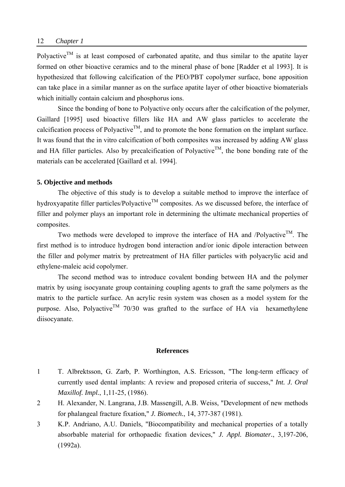Polyactive<sup>TM</sup> is at least composed of carbonated apatite, and thus similar to the apatite layer formed on other bioactive ceramics and to the mineral phase of bone [Radder et al 1993]. It is hypothesized that following calcification of the PEO/PBT copolymer surface, bone apposition can take place in a similar manner as on the surface apatite layer of other bioactive biomaterials which initially contain calcium and phosphorus ions.

Since the bonding of bone to Polyactive only occurs after the calcification of the polymer, Gaillard [1995] used bioactive fillers like HA and AW glass particles to accelerate the calcification process of Polyactive<sup>TM</sup>, and to promote the bone formation on the implant surface. It was found that the in vitro calcification of both composites was increased by adding AW glass and HA filler particles. Also by precalcification of Polyactive<sup>TM</sup>, the bone bonding rate of the materials can be accelerated [Gaillard et al. 1994].

#### **5. Objective and methods**

The objective of this study is to develop a suitable method to improve the interface of hydroxyapatite filler particles/Polyactive<sup>TM</sup> composites. As we discussed before, the interface of filler and polymer plays an important role in determining the ultimate mechanical properties of composites.

Two methods were developed to improve the interface of HA and /Polyactive<sup>TM</sup>. The first method is to introduce hydrogen bond interaction and/or ionic dipole interaction between the filler and polymer matrix by pretreatment of HA filler particles with polyacrylic acid and ethylene-maleic acid copolymer.

The second method was to introduce covalent bonding between HA and the polymer matrix by using isocyanate group containing coupling agents to graft the same polymers as the matrix to the particle surface. An acrylic resin system was chosen as a model system for the purpose. Also, Polyactive<sup>TM</sup> 70/30 was grafted to the surface of HA via hexamethylene diisocyanate.

#### **References**

- 1 T. Albrektsson, G. Zarb, P. Worthington, A.S. Ericsson, "The long-term efficacy of currently used dental implants: A review and proposed criteria of success," *Int. J. Oral Maxillof. Impl.*, 1,11-25, (1986).
- 2 H. Alexander, N. Langrana, J.B. Massengill, A.B. Weiss, "Development of new methods for phalangeal fracture fixation," *J. Biomech.*, 14, 377-387 (1981).
- 3 K.P. Andriano, A.U. Daniels, "Biocompatibility and mechanical properties of a totally absorbable material for orthopaedic fixation devices," *J. Appl. Biomater.*, 3,197-206, (1992a).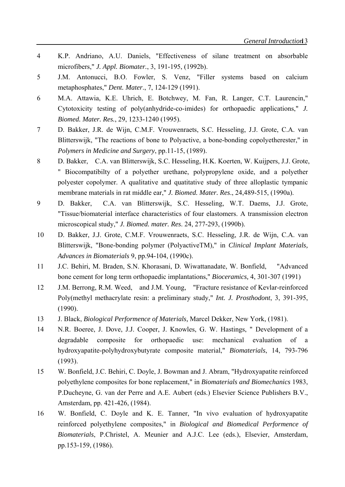- 4 K.P. Andriano, A.U. Daniels, "Effectiveness of silane treatment on absorbable microfibers," *J. Appl. Biomater.*, 3, 191-195, (1992b).
- 5 J.M. Antonucci, B.O. Fowler, S. Venz, "Filler systems based on calcium metaphosphates," *Dent. Mater*., 7, 124-129 (1991).
- 6 M.A. Attawia, K.E. Uhrich, E. Botchwey, M. Fan, R. Langer, C.T. Laurencin," Cytotoxicity testing of poly(anhydride-co-imides) for orthopaedic applications," *J. Biomed. Mater. Res.*, 29, 1233-1240 (1995).
- 7 D. Bakker, J.R. de Wijn, C.M.F. Vrouwenraets, S.C. Hesseling, J.J. Grote, C.A. van Blitterswijk, "The reactions of bone to Polyactive, a bone-bonding copolyetherester," in *Polymers in Medicine and Surgery*, pp.11-15, (1989).
- 8 D. Bakker, C.A. van Blitterswijk, S.C. Hesseling, H.K. Koerten, W. Kuijpers, J.J. Grote, " Biocompatibilty of a polyether urethane, polypropylene oxide, and a polyether polyester copolymer. A qualitative and quatitative study of three alloplastic tympanic membrane materials in rat middle ear," *J. Biomed. Mater. Res*., 24,489-515, (1990a).
- 9 D. Bakker, C.A. van Blitterswijk, S.C. Hesseling, W.T. Daems, J.J. Grote, "Tissue/biomaterial interface characteristics of four elastomers. A transmission electron microscopical study," *J. Biomed. mater. Res*. 24, 277-293, (1990b).
- 10 D. Bakker, J.J. Grote, C.M.F. Vrouwenraets, S.C. Hesseling, J.R. de Wijn, C.A. van Blitterswijk, "Bone-bonding polymer (PolyactiveTM)," in *Clinical Implant Materials, Advances in Biomaterials* 9, pp.94-104, (1990c).
- 11 J.C. Behiri, M. Braden, S.N. Khorasani, D. Wiwattanadate, W. Bonfield, "Advanced bone cement for long term orthopaedic implantations," *Bioceramics,* 4, 301-307 (1991)
- 12 J.M. Berrong, R.M. Weed, and J.M. Young, "Fracture resistance of Kevlar-reinforced Poly(methyl methacrylate resin: a preliminary study," *Int. J. Prosthodont*, 3, 391-395, (1990).
- 13 J. Black, *Biological Performence of Materials,* Marcel Dekker, New York, (1981).
- 14 N.R. Boeree, J. Dove, J.J. Cooper, J. Knowles, G. W. Hastings, " Development of a degradable composite for orthopaedic use: mechanical evaluation of a hydroxyapatite-polyhydroxybutyrate composite material," *Biomaterials*, 14, 793-796 (1993).
- 15 W. Bonfield, J.C. Behiri, C. Doyle, J. Bowman and J. Abram, "Hydroxyapatite reinforced polyethylene composites for bone replacement," in *Biomaterials and Biomechanics* 1983, P.Ducheyne, G. van der Perre and A.E. Aubert (eds.) Elsevier Science Publishers B.V., Amsterdam, pp. 421-426, (1984).
- 16 W. Bonfield, C. Doyle and K. E. Tanner, "In vivo evaluation of hydroxyapatite reinforced polyethylene composites," in *Biological and Biomedical Performence of Biomaterials*, P.Christel, A. Meunier and A.J.C. Lee (eds.), Elsevier, Amsterdam, pp.153-159, (1986).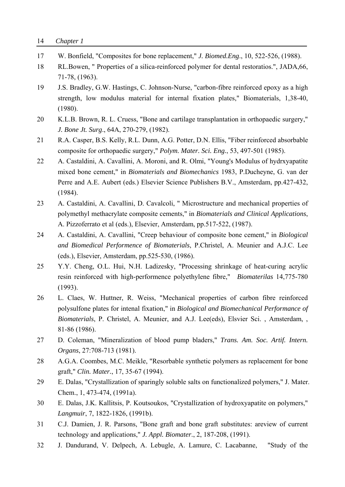- 17 W. Bonfield, "Composites for bone replacement," *J. Biomed.Eng*., 10, 522-526, (1988).
- 18 RL.Bowen, " Properties of a silica-reinforced polymer for dental restoratios.", JADA,66, 71-78, (1963).
- 19 J.S. Bradley, G.W. Hastings, C. Johnson-Nurse, "carbon-fibre reinforced epoxy as a high strength, low modulus material for internal fixation plates," Biomaterials, 1,38-40, (1980).
- 20 K.L.B. Brown, R. L. Cruess, "Bone and cartilage transplantation in orthopaedic surgery," *J. Bone Jt. Surg*., 64A, 270-279, (1982).
- 21 R.A. Casper, B.S. Kelly, R.L. Dunn, A.G. Potter, D.N. Ellis, "Fiber reinforced absorbable composite for orthopaedic surgery," *Polym. Mater. Sci. Eng.*, 53, 497-501 (1985).
- 22 A. Castaldini, A. Cavallini, A. Moroni, and R. Olmi, "Young's Modulus of hydrxyapatite mixed bone cement," in *Biomaterials and Biomechanics* 1983, P.Ducheyne, G. van der Perre and A.E. Aubert (eds.) Elsevier Science Publishers B.V., Amsterdam, pp.427-432, (1984).
- 23 A. Castaldini, A. Cavallini, D. Cavalcoli, " Microstructure and mechanical properties of polymethyl methacrylate composite cements," in *Biomaterials and Clinical Applications*, A. Pizzoferrato et al (eds.), Elsevier, Amsterdam, pp.517-522, (1987).
- 24 A. Castaldini, A. Cavallini, "Creep behaviour of composite bone cement," in *Biological and Biomedical Performence of Biomaterials*, P.Christel, A. Meunier and A.J.C. Lee (eds.), Elsevier, Amsterdam, pp.525-530, (1986).
- 25 Y.Y. Cheng, O.L. Hui, N.H. Ladizesky, "Processing shrinkage of heat-curing acrylic resin reinforced with high-performence polyethylene fibre," *Biomaterilas* 14,775-780 (1993).
- 26 L. Claes, W. Huttner, R. Weiss, "Mechanical properties of carbon fibre reinforced polysulfone plates for intenal fixation," in *Biological and Biomechanical Performance of Biomaterials*, P. Christel, A. Meunier, and A.J. Lee(eds), Elsvier Sci. , Amsterdam, , 81-86 (1986).
- 27 D. Coleman, "Mineralization of blood pump bladers," *Trans. Am. Soc. Artif. Intern. Organs*, 27:708-713 (1981).
- 28 A.G.A. Coombes, M.C. Meikle, "Resorbable synthetic polymers as replacement for bone graft," *Clin. Mater.*, 17, 35-67 (1994).
- 29 E. Dalas, "Crystallization of sparingly soluble salts on functionalized polymers," J. Mater. Chem., 1, 473-474, (1991a).
- 30 E. Dalas, J.K. Kallitsis, P. Koutsoukos, "Crystallization of hydroxyapatite on polymers," *Langmuir*, 7, 1822-1826, (1991b).
- 31 C.J. Damien, J. R. Parsons, "Bone graft and bone graft substitutes: areview of current technology and applications," *J. Appl. Biomater*., 2, 187-208, (1991).
- 32 J. Dandurand, V. Delpech, A. Lebugle, A. Lamure, C. Lacabanne, "Study of the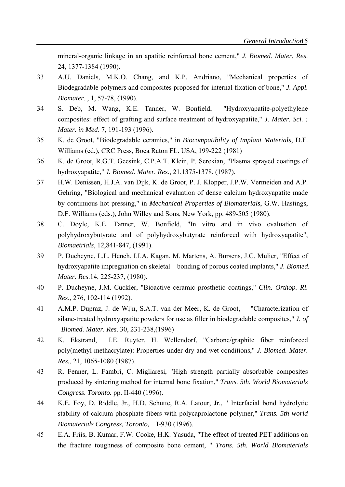mineral-organic linkage in an apatitic reinforced bone cement," *J. Biomed. Mater. Res*. 24, 1377-1384 (1990).

- 33 A.U. Daniels, M.K.O. Chang, and K.P. Andriano, "Mechanical properties of Biodegradable polymers and composites proposed for internal fixation of bone," *J. Appl. Biomater*. , 1, 57-78, (1990).
- 34 S. Deb, M. Wang, K.E. Tanner, W. Bonfield, "Hydroxyapatite-polyethylene composites: effect of grafting and surface treatment of hydroxyapatite," *J. Mater. Sci. : Mater. in Med*. 7, 191-193 (1996).
- 35 K. de Groot, "Biodegradable ceramics," in *Biocompatibility of Implant Materials*, D.F. Williams (ed.), CRC Press, Boca Raton FL. USA, 199-222 (1981)
- 36 K. de Groot, R.G.T. Geesink, C.P.A.T. Klein, P. Serekian, "Plasma sprayed coatings of hydroxyapatite," *J. Biomed. Mater. Res*., 21,1375-1378, (1987).
- 37 H.W. Denissen, H.J.A. van Dijk, K. de Groot, P. J. Klopper, J.P.W. Vermeiden and A.P. Gehring, "Biological and mechanical evaluation of dense calcium hydroxyapatite made by continuous hot pressing," in *Mechanical Properties of Biomaterials*, G.W. Hastings, D.F. Williams (eds.), John Willey and Sons, New York, pp. 489-505 (1980).
- 38 C. Doyle, K.E. Tanner, W. Bonfield, "In vitro and in vivo evaluation of polyhydroxybutyrate and of polyhydroxybutyrate reinforced with hydroxyapatite", *Biomaetrials*, 12,841-847, (1991).
- 39 P. Ducheyne, L.L. Hench, I.I.A. Kagan, M. Martens, A. Bursens, J.C. Mulier, "Effect of hydroxyapatite impregnation on skeletal bonding of porous coated implants," *J. Biomed. Mater. Res*.14, 225-237, (1980).
- 40 P. Ducheyne, J.M. Cuckler, "Bioactive ceramic prosthetic coatings," *Clin. Orthop. Rl. Res*., 276, 102-114 (1992).
- 41 A.M.P. Dupraz, J. de Wijn, S.A.T. van der Meer, K. de Groot, "Characterization of silane-treated hydroxyapatite powders for use as filler in biodegradable composites," *J. of Biomed. Mater. Res*. 30, 231-238,(1996)
- 42 K. Ekstrand, I.E. Ruyter, H. Wellendorf, "Carbone/graphite fiber reinforced poly(methyl methacrylate): Properties under dry and wet conditions," *J. Biomed. Mater. Res.*, 21, 1065-1080 (1987).
- 43 R. Fenner, L. Fambri, C. Migliaresi, "High strength partially absorbable composites produced by sintering method for internal bone fixation," *Trans. 5th. World Biomaterials Congress. Toronto.* pp. II-440 (1996).
- 44 K.E. Foy, D. Riddle, Jr., H.D. Schutte, R.A. Latour, Jr., " Interfacial bond hydrolytic stability of calcium phosphate fibers with polycaprolactone polymer," *Trans. 5th world Biomaterials Congress, Toronto,* I-930 (1996).
- 45 E.A. Friis, B. Kumar, F.W. Cooke, H.K. Yasuda, "The effect of treated PET additions on the fracture toughness of composite bone cement, " *Trans. 5th. World Biomaterials*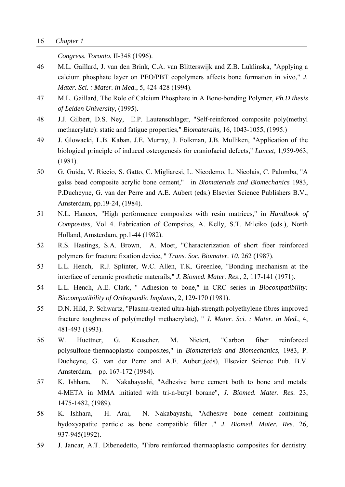*Congress. Toronto.* II-348 (1996).

- 46 M.L. Gaillard, J. van den Brink, C.A. van Blitterswijk and Z.B. Luklinska, "Applying a calcium phosphate layer on PEO/PBT copolymers affects bone formation in vivo," *J. Mater. Sci. : Mater. in Med.*, 5, 424-428 (1994).
- 47 M.L. Gaillard, The Role of Calcium Phosphate in A Bone-bonding Polymer, *Ph.D thesis of Leiden University*, (1995).
- 48 J.J. Gilbert, D.S. Ney, E.P. Lautenschlager, "Self-reinforced composite poly(methyl methacrylate): static and fatigue properties," *Biomaterails,* 16, 1043-1055, (1995.)
- 49 J. Glowacki, L.B. Kaban, J.E. Murray, J. Folkman, J.B. Mulliken, "Application of the biological principle of induced osteogenesis for craniofacial defects," *Lancet,* 1,959-963, (1981).
- 50 G. Guida, V. Riccio, S. Gatto, C. Migliaresi, L. Nicodemo, L. Nicolais, C. Palomba, "A galss bead composite acrylic bone cement," in *Biomaterials and Biomechanics* 1983, P.Ducheyne, G. van der Perre and A.E. Aubert (eds.) Elsevier Science Publishers B.V., Amsterdam, pp.19-24, (1984).
- 51 N.L. Hancox, "High performence composites with resin matrices," in *Handbook of Composites,* Vol 4. Fabrication of Compsites, A. Kelly, S.T. Mileiko (eds.), North Holland, Amsterdam, pp.1-44 (1982).
- 52 R.S. Hastings, S.A. Brown, A. Moet, "Characterization of short fiber reinforced polymers for fracture fixation device, " *Trans. Soc. Biomater. 10*, 262 (1987).
- 53 L.L. Hench, R.J. Splinter, W.C. Allen, T.K. Greenlee, "Bonding mechanism at the interface of ceramic prosthetic materails," *J. Biomed. Mater. Res*., 2, 117-141 (1971).
- 54 L.L. Hench, A.E. Clark, " Adhesion to bone," in CRC series in *Biocompatibility: Biocompatibility of Orthopaedic Implants*, 2, 129-170 (1981).
- 55 D.N. Hild, P. Schwartz, "Plasma-treated ultra-high-strength polyethylene fibres improved fracture toughness of poly(methyl methacrylate), " *J. Mater. Sci. : Mater. in Med.*, 4, 481-493 (1993).
- 56 W. Huettner, G. Keuscher, M. Nietert, "Carbon fiber reinforced polysulfone-thermaoplastic composites," in *Biomaterials and Biomechanics*, 1983, P. Ducheyne, G. van der Perre and A.E. Aubert,(eds), Elsevier Science Pub. B.V. Amsterdam, pp. 167-172 (1984).
- 57 K. Ishhara, N. Nakabayashi, "Adhesive bone cement both to bone and metals: 4-META in MMA initiated with tri-n-butyl borane", *J. Biomed. Mater. Res*. 23, 1475-1482, (1989).
- 58 K. Ishhara, H. Arai, N. Nakabayashi, "Adhesive bone cement containing hydoxyapatite particle as bone compatible filler ," *J. Biomed. Mater. Res*. 26, 937-945(1992).
- 59 J. Jancar, A.T. Dibenedetto, "Fibre reinforced thermaoplastic composites for dentistry.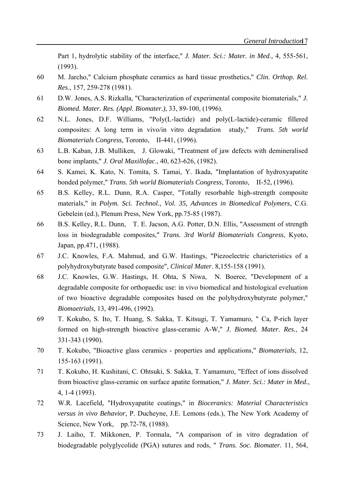Part 1, hydrolytic stability of the interface," *J. Mater. Sci.: Mater. in Med*., 4, 555-561, (1993).

- 60 M. Jarcho," Calcium phosphate ceramics as hard tissue prosthetics," *Clin. Orthop. Rel. Res*., 157, 259-278 (1981).
- 61 D.W. Jones, A.S. Rizkalla, "Characterization of experimental composite biomaterials," *J. Biomed. Mater. Res. (Appl. Biomater.)*, 33, 89-100, (1996).
- 62 N.L. Jones, D.F. Williams, "Poly(L-lactide) and poly(L-lactide)-ceramic fillered composites: A long term in vivo/in vitro degradation study," *Trans. 5th world Biomaterials Congress*, Toronto, II-441, (1996).
- 63 L.B. Kaban, J.B. Mulliken, J. Glowaki, "Treatment of jaw defects with demineralised bone implants," *J. Oral Maxillofac*., 40, 623-626, (1982).
- 64 S. Kamei, K. Kato, N. Tomita, S. Tamai, Y. Ikada, "Implantation of hydroxyapatite bonded polymer," *Trans. 5th world Biomaterials Congress*, Toronto, II-52, (1996).
- 65 B.S. Kelley, R.L. Dunn, R.A. Casper, "Totally resorbable high-strength composite materials," in *Polym. Sci. Technol., Vol. 35, Advances in Biomedical Polymers*, C.G. Gebelein (ed.), Plenum Press, New York, pp.75-85 (1987).
- 66 B.S. Kelley, R.L. Dunn, T. E. Jacson, A.G. Potter, D.N. Ellis, "Assessment of strength loss in biodegradable composites," *Trans. 3rd World Biomaterials Congress*, Kyoto, Japan, pp.471, (1988).
- 67 J.C. Knowles, F.A. Mahmud, and G.W. Hastings, "Piezoelectric charicteristics of a polyhydroxybutyrate based composite", *Clinical Mater*. 8,155-158 (1991).
- 68 J.C. Knowles, G.W. Hastings, H. Ohta, S Niwa, N. Boeree, "Development of a degradable composite for orthopaedic use: in vivo biomedical and histological eveluation of two bioactive degradable composites based on the polyhydroxybutyrate polymer," *Biomaetrials,* 13, 491-496, (1992).
- 69 T. Kokubo, S. Ito, T. Huang, S. Sakka, T. Kitsugi, T. Yamamuro, " Ca, P-rich layer formed on high-strength bioactive glass-ceramic A-W," *J. Biomed. Mater. Res.*, 24 331-343 (1990).
- 70 T. Kokubo, "Bioactive glass ceramics properties and applications," *Biomaterials*, 12, 155-163 (1991).
- 71 T. Kokubo, H. Kushitani, C. Ohtsuki, S. Sakka, T. Yamamuro, "Effect of ions dissolved from bioactive glass-ceramic on surface apatite formation," *J. Mater. Sci.: Mater in Med.*, 4, 1-4 (1993).
- 72 W.R. Lacefield, "Hydroxyapatite coatings," in *Bioceranics: Material Characteristics versus in vivo Behavior*, P. Ducheyne, J.E. Lemons (eds.), The New York Academy of Science, New York, pp.72-78, (1988).
- 73 J. Laiho, T. Mikkonen, P. Tormala, "A comparison of in vitro degradation of biodegradable polyglycolide (PGA) sutures and rods, " *Trans. Soc. Biomater.* 11, 564,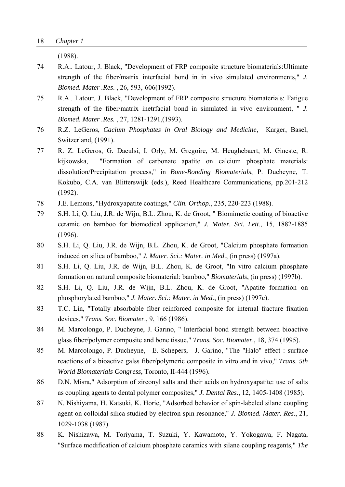(1988).

- 74 R.A.. Latour, J. Black, "Development of FRP composite structure biomaterials:Ultimate strength of the fiber/matrix interfacial bond in in vivo simulated environments," *J. Biomed. Mater .Res*. , 26, 593,-606(1992).
- 75 R.A.. Latour, J. Black, "Development of FRP composite structure biomaterials: Fatigue strength of the fiber/matrix inetrfacial bond in simulated in vivo environment, " *J. Biomed. Mater .Res.* , 27, 1281-1291,(1993).
- 76 R.Z. LeGeros, *Cacium Phosphates in Oral Biology and Medicine*, Karger, Basel, Switzerland, (1991).
- 77 R. Z. LeGeros, G. Daculsi, I. Orly, M. Gregoire, M. Heughebaert, M. Gineste, R. kijkowska, "Formation of carbonate apatite on calcium phosphate materials: dissolution/Precipitation process," in *Bone-Bonding Biomaterials*, P. Ducheyne, T. Kokubo, C.A. van Blitterswijk (eds.), Reed Healthcare Communications, pp.201-212 (1992).
- 78 J.E. Lemons, "Hydroxyapatite coatings," *Clin. Orthop.*, 235, 220-223 (1988).
- 79 S.H. Li, Q. Liu, J.R. de Wijn, B.L. Zhou, K. de Groot, " Biomimetic coating of bioactive ceramic on bamboo for biomedical application," *J. Mater. Sci. Lett*., 15, 1882-1885 (1996).
- 80 S.H. Li, Q. Liu, J.R. de Wijn, B.L. Zhou, K. de Groot, "Calcium phosphate formation induced on silica of bamboo," *J. Mater. Sci.: Mater. in Med*., (in press) (1997a).
- 81 S.H. Li, Q. Liu, J.R. de Wijn, B.L. Zhou, K. de Groot, "In vitro calcium phosphate formation on natural composite biomaterial: bamboo," *Biomaterials*, (in press) (1997b).
- 82 S.H. Li, Q. Liu, J.R. de Wijn, B.L. Zhou, K. de Groot, "Apatite formation on phosphorylated bamboo," *J. Mater. Sci.: Mater. in Med.*, (in press) (1997c).
- 83 T.C. Lin, "Totally absorbable fiber reinforced composite for internal fracture fixation devices," *Trans. Soc. Biomater*., 9, 166 (1986).
- 84 M. Marcolongo, P. Ducheyne, J. Garino, " Interfacial bond strength between bioactive glass fiber/polymer composite and bone tissue," *Trans. Soc. Biomater*., 18, 374 (1995).
- 85 M. Marcolongo, P. Ducheyne, E. Schepers, J. Garino, "The "Halo" effect : surface reactions of a bioactive galss fiber/polymeric composite in vitro and in vivo," *Trans. 5th World Biomaterials Congress*, Toronto, II-444 (1996).
- 86 D.N. Misra," Adsorption of zirconyl salts and their acids on hydroxyapatite: use of salts as coupling agents to dental polymer composites," *J. Dental Res.*, 12, 1405-1408 (1985).
- 87 N. Nishiyama, H. Katsuki, K. Horie, "Adsorbed behavior of spin-labeled silane coupling agent on colloidal silica studied by electron spin resonance," *J. Biomed. Mater. Res*., 21, 1029-1038 (1987).
- 88 K. Nishizawa, M. Toriyama, T. Suzuki, Y. Kawamoto, Y. Yokogawa, F. Nagata, "Surface modification of calcium phosphate ceramics with silane coupling reagents," *The*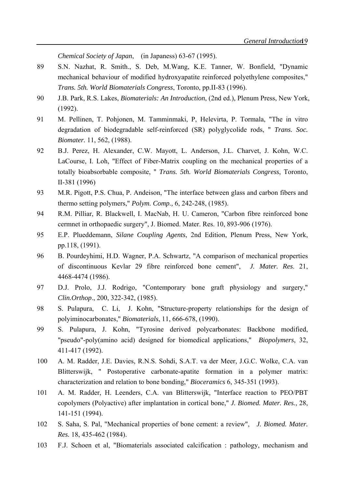*Chemical Society of Japan*, (in Japaness) 63-67 (1995).

- 89 S.N. Nazhat, R. Smith., S. Deb, M.Wang, K.E. Tanner, W. Bonfield, "Dynamic mechanical behaviour of modified hydroxyapatite reinforced polyethylene composites," *Trans. 5th. World Biomaterials Congress*, Toronto, pp.II-83 (1996).
- 90 J.B. Park, R.S. Lakes, *Biomaterials: An Introduction*, (2nd ed.), Plenum Press, New York, (1992).
- 91 M. Pellinen, T. Pohjonen, M. Tamminmaki, P, Helevirta, P. Tormala, "The in vitro degradation of biodegradable self-reinforced (SR) polyglycolide rods, " *Trans. Soc. Biomater.* 11, 562, (1988).
- 92 B.J. Perez, H. Alexander, C.W. Mayott, L. Anderson, J.L. Charvet, J. Kohn, W.C. LaCourse, I. Loh, "Effect of Fiber-Matrix coupling on the mechanical properties of a totally bioabsorbable composite, " *Trans. 5th. World Biomaterials Congress*, Toronto, II-381 (1996)
- 93 M.R. Pigott, P.S. Chua, P. Andeison, "The interface between glass and carbon fibers and thermo setting polymers," *Polym. Comp.,* 6, 242-248, (1985).
- 94 R.M. Pilliar, R. Blackwell, I. MacNab, H. U. Cameron, "Carbon fibre reinforced bone cermnet in orthopaedic surgery", J. Biomed. Mater. Res. 10, 893-906 (1976).
- 95 E.P. Plueddemann, *Silane Coupling Agents*, 2nd Edition, Plenum Press, New York, pp.118, (1991).
- 96 B. Pourdeyhimi, H.D. Wagner, P.A. Schwartz, "A comparison of mechanical properties of discontinuous Kevlar 29 fibre reinforced bone cement", *J. Mater. Res*. 21, 4468-4474 (1986).
- 97 D.J. Prolo, J.J. Rodrigo, "Contemporary bone graft physiology and surgery," *Clin.Orthop*., 200, 322-342, (1985).
- 98 S. Pulapura, C. Li, J. Kohn, "Structure-property relationships for the design of polyiminocarbonates," *Biomaterials*, 11, 666-678, (1990).
- 99 S. Pulapura, J. Kohn, "Tyrosine derived polycarbonates: Backbone modified, "pseudo"-poly(amino acid) designed for biomedical applications," *Biopolymers*, 32, 411-417 (1992).
- 100 A. M. Radder, J.E. Davies, R.N.S. Sohdi, S.A.T. va der Meer, J.G.C. Wolke, C.A. van Blitterswijk, " Postoperative carbonate-apatite formation in a polymer matrix: characterization and relation to bone bonding," *Bioceramics* 6, 345-351 (1993).
- 101 A. M. Radder, H. Leenders, C.A. van Blitterswijk, "Interface reaction to PEO/PBT copolymers (Polyactive) after implantation in cortical bone," *J. Biomed. Mater. Res.*, 28, 141-151 (1994).
- 102 S. Saha, S. Pal, "Mechanical properties of bone cement: a review", *J. Biomed. Mater. Res.* 18, 435-462 (1984).
- 103 F.J. Schoen et al, "Biomaterials associated calcification : pathology, mechanism and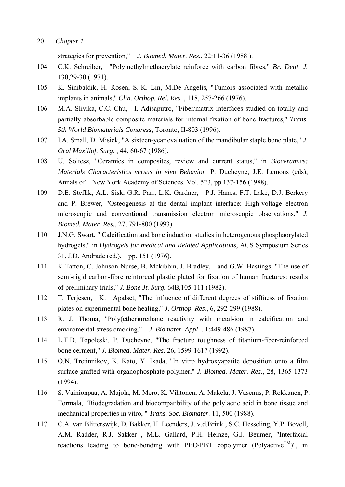strategies for prevention," *J. Biomed. Mater. Res.*. 22:11-36 (1988 ).

- 104 C.K. Schreiber, "Polymethylmethacrylate reinforce with carbon fibres," *Br. Dent. J.* 130,29-30 (1971).
- 105 K. Sinibaldik, H. Rosen, S.-K. Lin, M.De Angelis, "Tumors associated with metallic implants in animals," *Clin. Orthop. Rel. Res*. , 118, 257-266 (1976).
- 106 M.A. Slivika, C.C. Chu, I. Adisaputro, "Fiber/matrix interfaces studied on totally and partially absorbable composite materials for internal fixation of bone fractures," *Trans. 5th World Biomaterials Congress*, Toronto, II-803 (1996).
- 107 I.A. Small, D. Misiek, "A sixteen-year evaluation of the mandibular staple bone plate," *J. Oral Maxillof. Surg*. , 44, 60-67 (1986).
- 108 U. Soltesz, "Ceramics in composites, review and current status," in *Bioceramics: Materials Characteristics versus in vivo Behavior*. P. Ducheyne, J.E. Lemons (eds), Annals of New York Academy of Sciences. Vol. 523, pp.137-156 (1988).
- 109 D.E. Steflik, A.L. Sisk, G.R. Parr, L.K. Gardner, P.J. Hanes, F.T. Lake, D.J. Berkery and P. Brewer, "Osteogenesis at the dental implant interface: High-voltage electron microscopic and conventional transmission electron microscopic observations," *J. Biomed. Mater. Res.*, 27, 791-800 (1993).
- 110 J.N.G. Swart, " Calcification and bone induction studies in heterogenous phosphaorylated hydrogels," in *Hydrogels for medical and Related Applications*, ACS Symposium Series 31, J.D. Andrade (ed.), pp. 151 (1976).
- 111 K Tatton, C. Johnson-Nurse, B. Mckibbin, J. Bradley, and G.W. Hastings, "The use of semi-rigid carbon-fibre reinforced plastic plated for fixation of human fractures: results of preliminary trials," *J. Bone Jt. Surg.* 64B,105-111 (1982).
- 112 T. Terjesen, K. Apalset, "The influence of different degrees of stiffness of fixation plates on experimental bone healing," *J. Orthop. Res*., 6, 292-299 (1988).
- 113 R. J. Thoma, "Poly(ether)urethane reactivity with metal-ion in calcification and enviromental stress cracking," *J. Biomater. Appl*. , 1:449-486 (1987).
- 114 L.T.D. Topoleski, P. Ducheyne, "The fracture toughness of titanium-fiber-reinforced bone cerment," *J. Biomed. Mater. Res*. 26, 1599-1617 (1992).
- 115 O.N. Tretinnikov, K. Kato, Y. Ikada, "In vitro hydroxyapatite deposition onto a film surface-grafted with organophosphate polymer," *J. Biomed. Mater. Res.*, 28, 1365-1373 (1994).
- 116 S. Vainionpaa, A. Majola, M. Mero, K. Vihtonen, A. Makela, J. Vasenus, P. Rokkanen, P. Tormala, "Biodegradation and biocompatibility of the polylactic acid in bone tissue and mechanical properties in vitro, " *Trans. Soc. Biomater*. 11, 500 (1988).
- 117 C.A. van Blitterswijk, D. Bakker, H. Leenders, J. v.d.Brink , S.C. Hesseling, Y.P. Bovell, A.M. Radder, R.J. Sakker , M.L. Gallard, P.H. Heinze, G.J. Beumer, "Interfacial reactions leading to bone-bonding with PEO/PBT copolymer (Polyactive<sup>TM</sup>)", in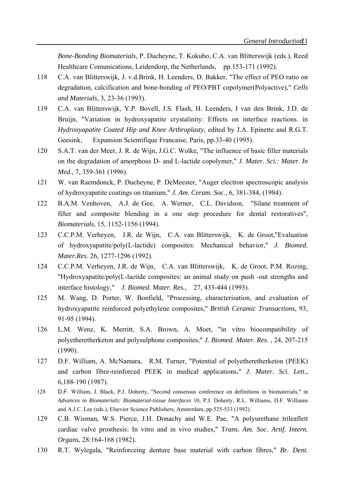*Bone-Bonding Biomaterials*, P. Ducheyne, T. Kokubo, C.A. van Blitterswijk (eds.), Reed Healthcare Comunications, Leidendorp, the Netherlands, pp.153-171 (1992).

- 118 C.A. van Blitterswijk, J. v.d.Brink, H. Leenders, D. Bakker, "The effect of PEO ratio on degradation, calcification and bone-bonding of PEO/PBT copolymer(Polyactive)," *Cells and Materials,* 3, 23-36 (1993).
- 119 C.A. van Blitterswijk, Y.P. Bovell, J.S. Flash, H. Leenders, I van den Brink, J.D. de Bruijn, "Variation in hydroxyapatite crystalinity: Effects on interface reactions. in *Hydroxyapatite Coated Hip and Knee Arthroplasty,* edited by J.A. Epinette and R.G.T. Geesink, Expansion Scientifique Francaise, Paris, pp.33-40 (1995).
- 120 S.A.T. van der Meer, J. R. de Wijn, J.G.C. Wolke, "The influence of basic filler materials on the degradation of amorphous D- and L-lactide copolymer," *J. Mater. Sci.: Mater. In Med.*, 7, 359-361 (1996).
- 121 W. van Raemdonck, P. Ducheyne, P. DeMeester, "Auger electron spectroscopic analysis of hydroxyapatite coatings on titanium," *J. Am. Ceram. Soc*., 6, 381-384, (1984).
- 122 B.A.M. Venhoven, A.J. de Gee, A. Werner, C.L. Davidson, "Silane treatment of filler and composite blending in a one step procedure for dental restoratives", *Biomaterials*, 15, 1152-1156 (1994).
- 123 C.C.P.M. Verheyen, J.R. de Wijn, C.A. van Blitterswijk, K. de Groot,"Evaluation of hydroxyapatite/poly(L-lactide) composites: Mechanical behavior," *J. Biomed. Mater.Res*. 26, 1277-1296 (1992).
- 124 C.C.P.M. Verheyen, J.R. de Wijn, C.A. van Blitterswijk, K. de Groot, P.M. Rozing, "Hydroxyapatite/poly(L-lactide composites: an animal study on push -out strengths and interface histology," *J. Biomed. Mater. Res.,* 27, 433-444 (1993).
- 125 M. Wang, D. Porter, W. Bonfield, "Processing, characterisation, and evaluation of hydroxyapatite reinforced polyethylene composites," *British Ceramic Transactions*, 93, 91-95 (1994).
- 126 L.M. Wenz, K. Merritt, S.A. Brown, A. Moet, "in vitro biocompatibility of polyetheretherketon and polysulphone composites," *J. Biomed. Mater. Res*. , 24, 207-215 (1990).
- 127 D.F. William, A. McNamara, R.M. Turner, "Potential of polyetheretherketon (PEEK) and carbon fibre-reinforced PEEK in medical applications," *J. Mater. Sci. Lett.*, 6,188-190 (1987).
- 128 D.F. William, J. Black, P.J. Doherty, "Second consensus conference on definitions in biomaterials," in *Advances in Biomaterials: Biomaterial-tissue Interfaces* 10, P.J. Doherty, R.L. Williams, D.F. Williams and A.J.C. Lee (eds.), Elsevier Science Publishers, Amsterdam, pp.525-533 (1992).
- 129 C.B. Wisman, W.S. Pierce, J.H. Donachy and W.E. Pae, "A polyurethane trileaflett cardiac valve prosthesis: In vitro and in vivo studies," T*rans. Am. Soc. Artif. Intern. Organs*, 28:164-168 (1982).
- 130 R.T. Wylegala, "Reinforceing denture base material with carbon fibres," *Br. Dent.*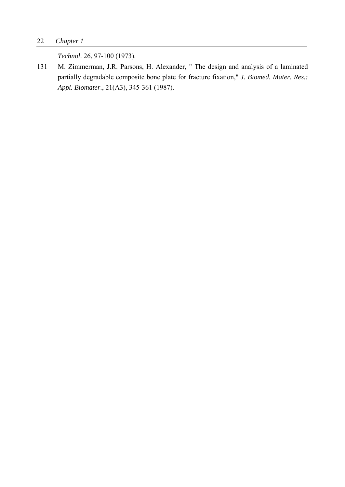*Technol*. 26, 97-100 (1973).

131 M. Zimmerman, J.R. Parsons, H. Alexander, " The design and analysis of a laminated partially degradable composite bone plate for fracture fixation," *J. Biomed. Mater. Res.: Appl. Biomater*., 21(A3), 345-361 (1987).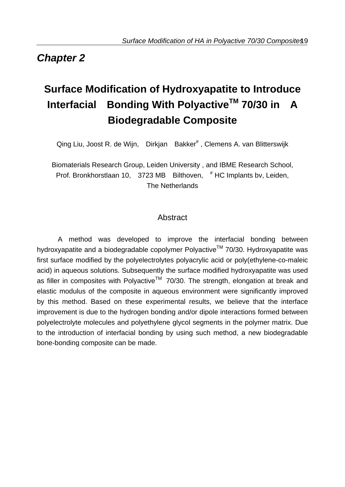# **Surface Modification of Hydroxyapatite to Introduce**  Interfacial Bonding With Polyactive<sup>™</sup> 70/30 in A **Biodegradable Composite**

Qing Liu, Joost R. de Wijn, Dirkjan Bakker<sup>#</sup>, Clemens A. van Blitterswijk

Biomaterials Research Group, Leiden University , and IBME Research School, Prof. Bronkhorstlaan 10, 3723 MB Bilthoven,  $*$  HC Implants bv, Leiden, The Netherlands

#### **Abstract**

A method was developed to improve the interfacial bonding between hydroxyapatite and a biodegradable copolymer Polyactive™ 70/30. Hydroxyapatite was first surface modified by the polyelectrolytes polyacrylic acid or poly(ethylene-co-maleic acid) in aqueous solutions. Subsequently the surface modified hydroxyapatite was used as filler in composites with Polyactive<sup>TM</sup> 70/30. The strength, elongation at break and elastic modulus of the composite in aqueous environment were significantly improved by this method. Based on these experimental results, we believe that the interface improvement is due to the hydrogen bonding and/or dipole interactions formed between polyelectrolyte molecules and polyethylene glycol segments in the polymer matrix. Due to the introduction of interfacial bonding by using such method, a new biodegradable bone-bonding composite can be made.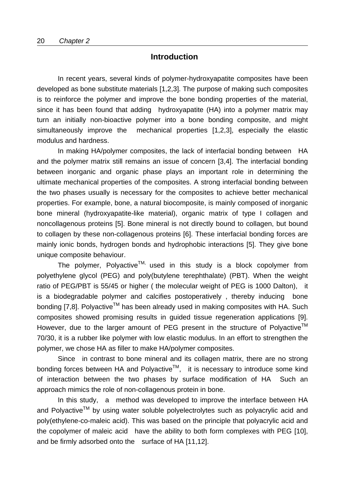#### **Introduction**

In recent years, several kinds of polymer-hydroxyapatite composites have been developed as bone substitute materials [1,2,3]. The purpose of making such composites is to reinforce the polymer and improve the bone bonding properties of the material, since it has been found that adding hydroxyapatite (HA) into a polymer matrix may turn an initially non-bioactive polymer into a bone bonding composite, and might simultaneously improve the mechanical properties [1,2,3], especially the elastic modulus and hardness.

In making HA/polymer composites, the lack of interfacial bonding between HA and the polymer matrix still remains an issue of concern [3,4]. The interfacial bonding between inorganic and organic phase plays an important role in determining the ultimate mechanical properties of the composites. A strong interfacial bonding between the two phases usually is necessary for the composites to achieve better mechanical properties. For example, bone, a natural biocomposite, is mainly composed of inorganic bone mineral (hydroxyapatite-like material), organic matrix of type I collagen and noncollagenous proteins [5]. Bone mineral is not directly bound to collagen, but bound to collagen by these non-collagenous proteins [6]. These interfacial bonding forces are mainly ionic bonds, hydrogen bonds and hydrophobic interactions [5]. They give bone unique composite behaviour.

The polymer, Polyactive<sup>TM,</sup> used in this study is a block copolymer from polyethylene glycol (PEG) and poly(butylene terephthalate) (PBT). When the weight ratio of PEG/PBT is 55/45 or higher ( the molecular weight of PEG is 1000 Dalton), it is a biodegradable polymer and calcifies postoperatively , thereby inducing bone bonding [7,8]. Polyactive™ has been already used in making composites with HA. Such composites showed promising results in guided tissue regeneration applications [9]. However, due to the larger amount of PEG present in the structure of Polyactive<sup>TM</sup> 70/30, it is a rubber like polymer with low elastic modulus. In an effort to strengthen the polymer, we chose HA as filler to make HA/polymer composites.

 Since in contrast to bone mineral and its collagen matrix, there are no strong bonding forces between HA and Polyactive<sup>TM</sup>, it is necessary to introduce some kind of interaction between the two phases by surface modification of HA Such an approach mimics the role of non-collagenous protein in bone.

In this study, a method was developed to improve the interface between HA and Polyactive<sup>TM</sup> by using water soluble polyelectrolytes such as polyacrylic acid and poly(ethylene-co-maleic acid). This was based on the principle that polyacrylic acid and the copolymer of maleic acid have the ability to both form complexes with PEG [10], and be firmly adsorbed onto the surface of HA [11,12].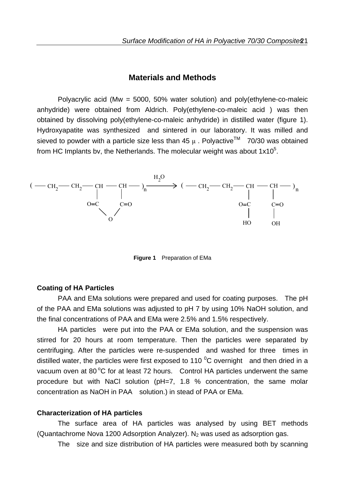#### **Materials and Methods**

Polyacrylic acid (Mw = 5000, 50% water solution) and poly(ethylene-co-maleic anhydride) were obtained from Aldrich. Poly(ethylene-co-maleic acid ) was then obtained by dissolving poly(ethylene-co-maleic anhydride) in distilled water (figure 1). Hydroxyapatite was synthesized and sintered in our laboratory. It was milled and sieved to powder with a particle size less than 45  $\mu$ . Polyactive<sup>TM</sup> 70/30 was obtained from HC Implants bv, the Netherlands. The molecular weight was about  $1x10<sup>5</sup>$ .



**Figure 1** Preparation of EMa

#### **Coating of HA Particles**

PAA and EMa solutions were prepared and used for coating purposes. The pH of the PAA and EMa solutions was adjusted to pH 7 by using 10% NaOH solution, and the final concentrations of PAA and EMa were 2.5% and 1.5% respectively.

HA particles were put into the PAA or EMa solution, and the suspension was stirred for 20 hours at room temperature. Then the particles were separated by centrifuging. After the particles were re-suspended and washed for three times in distilled water, the particles were first exposed to 110  $\rm{^0C}$  overnight and then dried in a vacuum oven at 80 $\degree$ C for at least 72 hours. Control HA particles underwent the same procedure but with NaCl solution (pH=7, 1.8 % concentration, the same molar concentration as NaOH in PAA solution.) in stead of PAA or EMa.

#### **Characterization of HA particles**

The surface area of HA particles was analysed by using BET methods (Quantachrome Nova 1200 Adsorption Analyzer). N<sub>2</sub> was used as adsorption gas.

The size and size distribution of HA particles were measured both by scanning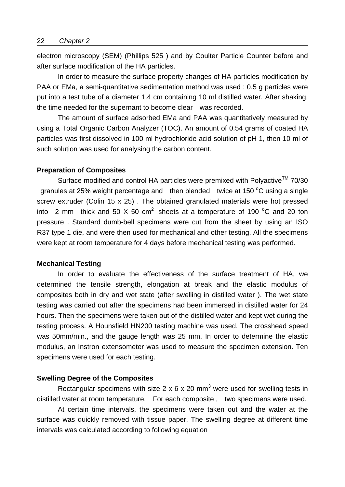electron microscopy (SEM) (Phillips 525 ) and by Coulter Particle Counter before and after surface modification of the HA particles.

In order to measure the surface property changes of HA particles modification by PAA or EMa, a semi-quantitative sedimentation method was used : 0.5 g particles were put into a test tube of a diameter 1.4 cm containing 10 ml distilled water. After shaking, the time needed for the supernant to become clear was recorded.

The amount of surface adsorbed EMa and PAA was quantitatively measured by using a Total Organic Carbon Analyzer (TOC). An amount of 0.54 grams of coated HA particles was first dissolved in 100 ml hydrochloride acid solution of pH 1, then 10 ml of such solution was used for analysing the carbon content.

#### **Preparation of Composites**

Surface modified and control HA particles were premixed with Polyactive<sup>TM</sup> 70/30 granules at 25% weight percentage and then blended twice at 150 $\degree$ C using a single screw extruder (Colin 15 x 25) . The obtained granulated materials were hot pressed into 2 mm thick and 50 X 50 cm<sup>2</sup> sheets at a temperature of 190  $^{\circ}$ C and 20 ton pressure . Standard dumb-bell specimens were cut from the sheet by using an ISO R37 type 1 die, and were then used for mechanical and other testing. All the specimens were kept at room temperature for 4 days before mechanical testing was performed.

#### **Mechanical Testing**

In order to evaluate the effectiveness of the surface treatment of HA, we determined the tensile strength, elongation at break and the elastic modulus of composites both in dry and wet state (after swelling in distilled water ). The wet state testing was carried out after the specimens had been immersed in distilled water for 24 hours. Then the specimens were taken out of the distilled water and kept wet during the testing process. A Hounsfield HN200 testing machine was used. The crosshead speed was 50mm/min., and the gauge length was 25 mm. In order to determine the elastic modulus, an Instron extensometer was used to measure the specimen extension. Ten specimens were used for each testing.

#### **Swelling Degree of the Composites**

Rectangular specimens with size 2 x 6 x 20 mm<sup>3</sup> were used for swelling tests in distilled water at room temperature. For each composite , two specimens were used.

At certain time intervals, the specimens were taken out and the water at the surface was quickly removed with tissue paper. The swelling degree at different time intervals was calculated according to following equation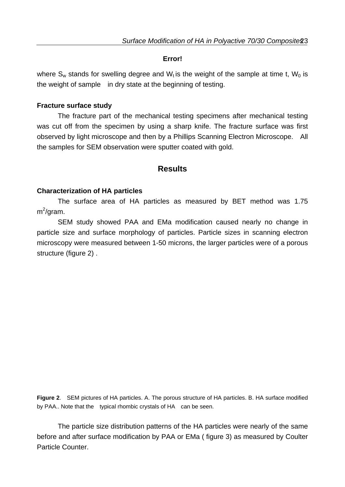#### **Error!**

where  $S_w$  stands for swelling degree and  $W_t$  is the weight of the sample at time t,  $W_0$  is the weight of sample in dry state at the beginning of testing.

#### **Fracture surface study**

The fracture part of the mechanical testing specimens after mechanical testing was cut off from the specimen by using a sharp knife. The fracture surface was first observed by light microscope and then by a Phillips Scanning Electron Microscope. All the samples for SEM observation were sputter coated with gold.

### **Results**

#### **Characterization of HA particles**

The surface area of HA particles as measured by BET method was 1.75 m<sup>2</sup>/gram.

SEM study showed PAA and EMa modification caused nearly no change in particle size and surface morphology of particles. Particle sizes in scanning electron microscopy were measured between 1-50 microns, the larger particles were of a porous structure (figure 2) .

**Figure 2**. SEM pictures of HA particles. A. The porous structure of HA particles. B. HA surface modified by PAA.. Note that the typical rhombic crystals of HA can be seen.

The particle size distribution patterns of the HA particles were nearly of the same before and after surface modification by PAA or EMa ( figure 3) as measured by Coulter Particle Counter.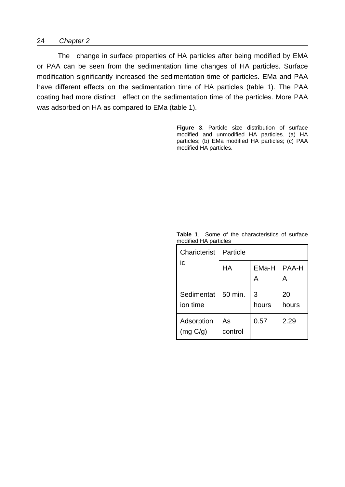The change in surface properties of HA particles after being modified by EMA or PAA can be seen from the sedimentation time changes of HA particles. Surface modification significantly increased the sedimentation time of particles. EMa and PAA have different effects on the sedimentation time of HA particles (table 1). The PAA coating had more distinct effect on the sedimentation time of the particles. More PAA was adsorbed on HA as compared to EMa (table 1).

> **Figure 3**. Particle size distribution of surface modified and unmodified HA particles. (a) HA particles; (b) EMa modified HA particles; (c) PAA modified HA particles.

| Charicterist           | Particle      |            |                   |  |
|------------------------|---------------|------------|-------------------|--|
| ic                     | HA            | EMa-H<br>А | <b>PAA-H</b><br>А |  |
| Sedimentat<br>ion time | 50 min.       | 3<br>hours | 20<br>hours       |  |
| Adsorption<br>(mg C/g) | As<br>control | 0.57       | 2.29              |  |

**Table 1**. Some of the characteristics of surface modified HA particles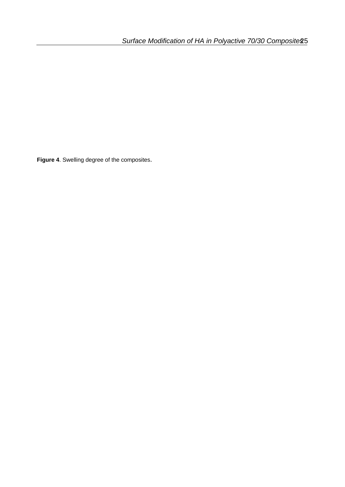**Figure 4**. Swelling degree of the composites.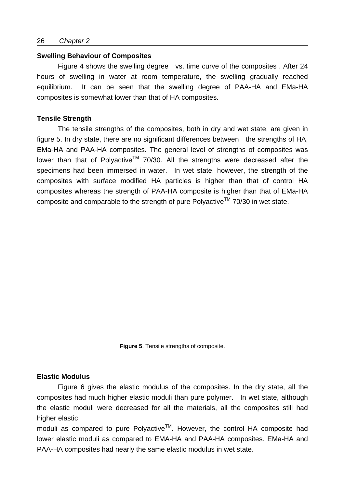#### **Swelling Behaviour of Composites**

Figure 4 shows the swelling degree vs. time curve of the composites . After 24 hours of swelling in water at room temperature, the swelling gradually reached equilibrium. It can be seen that the swelling degree of PAA-HA and EMa-HA composites is somewhat lower than that of HA composites.

## **Tensile Strength**

The tensile strengths of the composites, both in dry and wet state, are given in figure 5. In dry state, there are no significant differences between the strengths of HA, EMa-HA and PAA-HA composites. The general level of strengths of composites was lower than that of Polyactive<sup>TM</sup> 70/30. All the strengths were decreased after the specimens had been immersed in water. In wet state, however, the strength of the composites with surface modified HA particles is higher than that of control HA composites whereas the strength of PAA-HA composite is higher than that of EMa-HA composite and comparable to the strength of pure Polyactive<sup>TM</sup> 70/30 in wet state.

**Figure 5**. Tensile strengths of composite.

## **Elastic Modulus**

Figure 6 gives the elastic modulus of the composites. In the dry state, all the composites had much higher elastic moduli than pure polymer. In wet state, although the elastic moduli were decreased for all the materials, all the composites still had higher elastic

moduli as compared to pure Polyactive<sup>TM</sup>. However, the control HA composite had lower elastic moduli as compared to EMA-HA and PAA-HA composites. EMa-HA and PAA-HA composites had nearly the same elastic modulus in wet state.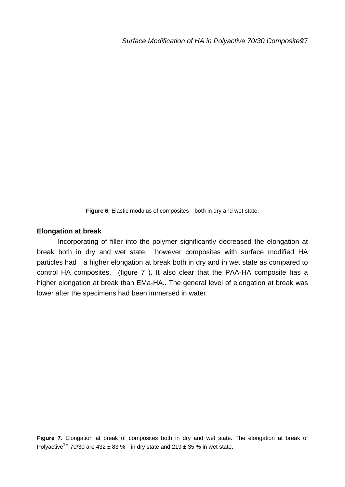Figure 6. Elastic modulus of composites both in dry and wet state.

#### **Elongation at break**

Incorporating of filler into the polymer significantly decreased the elongation at break both in dry and wet state. however composites with surface modified HA particles had a higher elongation at break both in dry and in wet state as compared to control HA composites. (figure 7 ). It also clear that the PAA-HA composite has a higher elongation at break than EMa-HA.. The general level of elongation at break was lower after the specimens had been immersed in water.

**Figure 7**. Elongation at break of composites both in dry and wet state. The elongation at break of Polyactive<sup>TM</sup> 70/30 are 432  $\pm$  83 % in dry state and 219  $\pm$  35 % in wet state.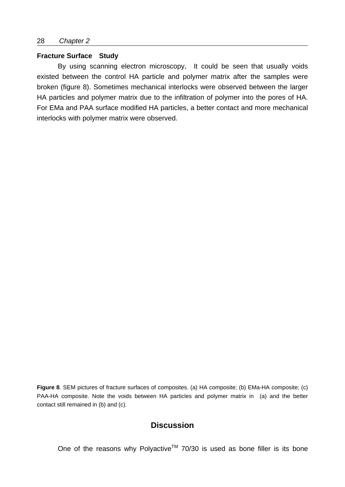## **Fracture Surface Study**

By using scanning electron microscopy, It could be seen that usually voids existed between the control HA particle and polymer matrix after the samples were broken (figure 8). Sometimes mechanical interlocks were observed between the larger HA particles and polymer matrix due to the infiltration of polymer into the pores of HA. For EMa and PAA surface modified HA particles, a better contact and more mechanical interlocks with polymer matrix were observed.

**Figure 8**. SEM pictures of fracture surfaces of composites. (a) HA composite; (b) EMa-HA composite; (c) PAA-HA composite. Note the voids between HA particles and polymer matrix in (a) and the better contact still remained in (b) and (c).

## **Discussion**

One of the reasons why Polyactive<sup>TM</sup> 70/30 is used as bone filler is its bone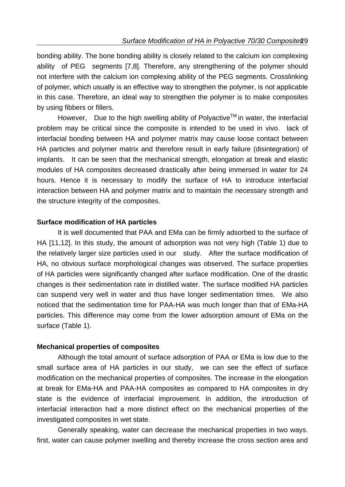bonding ability. The bone bonding ability is closely related to the calcium ion complexing ability of PEG segments [7,8]. Therefore, any strengthening of the polymer should not interfere with the calcium ion complexing ability of the PEG segments. Crosslinking of polymer, which usually is an effective way to strengthen the polymer, is not applicable in this case. Therefore, an ideal way to strengthen the polymer is to make composites by using fibbers or fillers.

However, Due to the high swelling ability of Polyactive<sup>TM</sup> in water, the interfacial problem may be critical since the composite is intended to be used in vivo. lack of interfacial bonding between HA and polymer matrix may cause loose contact between HA particles and polymer matrix and therefore result in early failure (disintegration) of implants. It can be seen that the mechanical strength, elongation at break and elastic modules of HA composites decreased drastically after being immersed in water for 24 hours. Hence it is necessary to modify the surface of HA to introduce interfacial interaction between HA and polymer matrix and to maintain the necessary strength and the structure integrity of the composites.

#### **Surface modification of HA particles**

It is well documented that PAA and EMa can be firmly adsorbed to the surface of HA [11,12]. In this study, the amount of adsorption was not very high (Table 1) due to the relatively larger size particles used in our study. After the surface modification of HA, no obvious surface morphological changes was observed. The surface properties of HA particles were significantly changed after surface modification. One of the drastic changes is their sedimentation rate in distilled water. The surface modified HA particles can suspend very well in water and thus have longer sedimentation times. We also noticed that the sedimentation time for PAA-HA was much longer than that of EMa-HA particles. This difference may come from the lower adsorption amount of EMa on the surface (Table 1).

#### **Mechanical properties of composites**

Although the total amount of surface adsorption of PAA or EMa is low due to the small surface area of HA particles in our study, we can see the effect of surface modification on the mechanical properties of composites. The increase in the elongation at break for EMa-HA and PAA-HA composites as compared to HA composites in dry state is the evidence of interfacial improvement. In addition, the introduction of interfacial interaction had a more distinct effect on the mechanical properties of the investigated composites in wet state.

Generally speaking, water can decrease the mechanical properties in two ways. first, water can cause polymer swelling and thereby increase the cross section area and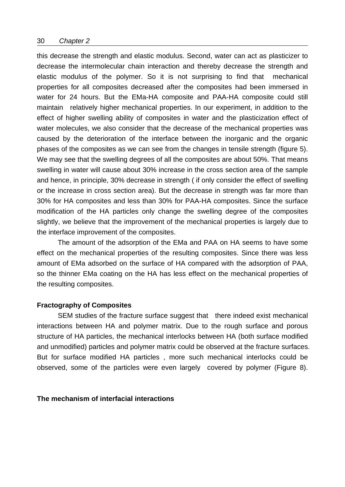#### 30 *Chapter 2*

this decrease the strength and elastic modulus. Second, water can act as plasticizer to decrease the intermolecular chain interaction and thereby decrease the strength and elastic modulus of the polymer. So it is not surprising to find that mechanical properties for all composites decreased after the composites had been immersed in water for 24 hours. But the EMa-HA composite and PAA-HA composite could still maintain relatively higher mechanical properties. In our experiment, in addition to the effect of higher swelling ability of composites in water and the plasticization effect of water molecules, we also consider that the decrease of the mechanical properties was caused by the deterioration of the interface between the inorganic and the organic phases of the composites as we can see from the changes in tensile strength (figure 5). We may see that the swelling degrees of all the composites are about 50%. That means swelling in water will cause about 30% increase in the cross section area of the sample and hence, in principle, 30% decrease in strength ( if only consider the effect of swelling or the increase in cross section area). But the decrease in strength was far more than 30% for HA composites and less than 30% for PAA-HA composites. Since the surface modification of the HA particles only change the swelling degree of the composites slightly, we believe that the improvement of the mechanical properties is largely due to the interface improvement of the composites.

The amount of the adsorption of the EMa and PAA on HA seems to have some effect on the mechanical properties of the resulting composites. Since there was less amount of EMa adsorbed on the surface of HA compared with the adsorption of PAA, so the thinner EMa coating on the HA has less effect on the mechanical properties of the resulting composites.

#### **Fractography of Composites**

SEM studies of the fracture surface suggest that there indeed exist mechanical interactions between HA and polymer matrix. Due to the rough surface and porous structure of HA particles, the mechanical interlocks between HA (both surface modified and unmodified) particles and polymer matrix could be observed at the fracture surfaces. But for surface modified HA particles , more such mechanical interlocks could be observed, some of the particles were even largely covered by polymer (Figure 8).

#### **The mechanism of interfacial interactions**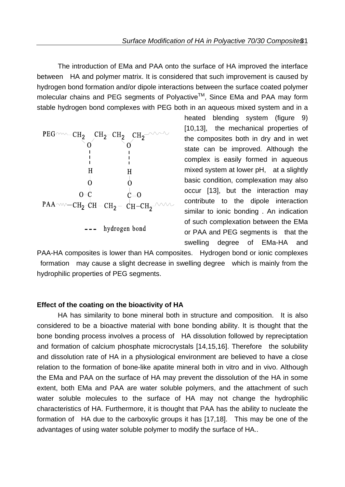The introduction of EMa and PAA onto the surface of HA improved the interface between HA and polymer matrix. It is considered that such improvement is caused by hydrogen bond formation and/or dipole interactions between the surface coated polymer molecular chains and PEG segments of Polyactive™, Since EMa and PAA may form stable hydrogen bond complexes with PEG both in an aqueous mixed system and in a



heated blending system (figure 9) [10,13], the mechanical properties of the composites both in dry and in wet state can be improved. Although the complex is easily formed in aqueous mixed system at lower pH, at a slightly basic condition, complexation may also occur [13], but the interaction may contribute to the dipole interaction similar to ionic bonding . An indication of such complexation between the EMa or PAA and PEG segments is that the swelling degree of EMa-HA and

PAA-HA composites is lower than HA composites. Hydrogen bond or ionic complexes formation may cause a slight decrease in swelling degree which is mainly from the hydrophilic properties of PEG segments.

#### **Effect of the coating on the bioactivity of HA**

HA has similarity to bone mineral both in structure and composition. It is also considered to be a bioactive material with bone bonding ability. It is thought that the bone bonding process involves a process of HA dissolution followed by repreciptation and formation of calcium phosphate microcrystals [14,15,16]. Therefore the solubility and dissolution rate of HA in a physiological environment are believed to have a close relation to the formation of bone-like apatite mineral both in vitro and in vivo. Although the EMa and PAA on the surface of HA may prevent the dissolution of the HA in some extent, both EMa and PAA are water soluble polymers, and the attachment of such water soluble molecules to the surface of HA may not change the hydrophilic characteristics of HA. Furthermore, it is thought that PAA has the ability to nucleate the formation of HA due to the carboxylic groups it has [17,18]. This may be one of the advantages of using water soluble polymer to modify the surface of HA..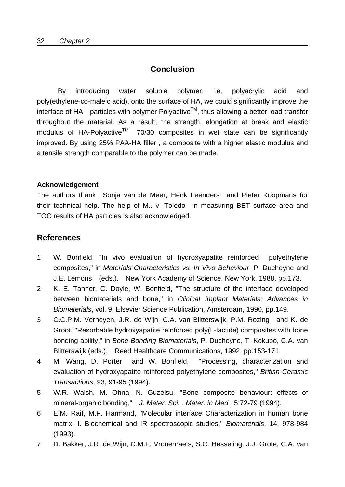## **Conclusion**

By introducing water soluble polymer, i.e. polyacrylic acid and poly(ethylene-co-maleic acid), onto the surface of HA, we could significantly improve the interface of HA particles with polymer Polyactive<sup>TM</sup>, thus allowing a better load transfer throughout the material. As a result, the strength, elongation at break and elastic modulus of HA-Polyactive<sup>TM</sup> 70/30 composites in wet state can be significantly improved. By using 25% PAA-HA filler , a composite with a higher elastic modulus and a tensile strength comparable to the polymer can be made.

## **Acknowledgement**

The authors thank Sonja van de Meer, Henk Leenders and Pieter Koopmans for their technical help. The help of M.. v. Toledo in measuring BET surface area and TOC results of HA particles is also acknowledged.

## **References**

- 1 W. Bonfield, "In vivo evaluation of hydroxyapatite reinforced polyethylene composites," in *Materials Characteristics vs. In Vivo Behaviour*. P. Ducheyne and J.E. Lemons (eds.). New York Academy of Science, New York, 1988, pp.173.
- 2 K. E. Tanner, C. Doyle, W. Bonfield, "The structure of the interface developed between biomaterials and bone," in *Clinical Implant Materials; Advances in Biomaterials*, vol. 9, Elsevier Science Publication, Amsterdam, 1990, pp.149.
- 3 C.C.P.M. Verheyen, J.R. de Wijn, C.A. van Blitterswijk, P.M. Rozing and K. de Groot, "Resorbable hydroxyapatite reinforced poly(L-lactide) composites with bone bonding ability," in *Bone-Bonding Biomaterials*, P. Ducheyne, T. Kokubo, C.A. van Blitterswijk (eds.), Reed Healthcare Communications, 1992, pp.153-171.
- 4 M. Wang, D. Porter and W. Bonfield, "Processing, characterization and evaluation of hydroxyapatite reinforced polyethylene composites," *British Ceramic Transactions*, 93, 91-95 (1994).
- 5 W.R. Walsh, M. Ohna, N. Guzelsu, "Bone composite behaviour: effects of mineral-organic bonding," *J. Mater. Sci. : Mater. in Med.,* 5:72-79 (1994).
- 6 E.M. Raif, M.F. Harmand, "Molecular interface Characterization in human bone matrix. I. Biochemical and IR spectroscopic studies," *Biomaterials*, 14, 978-984 (1993).
- 7 D. Bakker, J.R. de Wijn, C.M.F. Vrouenraets, S.C. Hesseling, J.J. Grote, C.A. van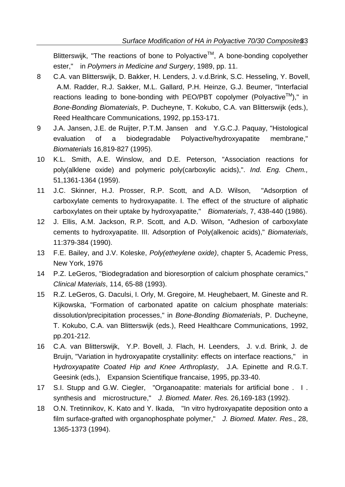Blitterswijk, "The reactions of bone to Polyactive<sup>TM</sup>, A bone-bonding copolyether ester," in *Polymers in Medicine and Surgery*, 1989, pp. 11.

- 8 C.A. van Blitterswijk, D. Bakker, H. Lenders, J. v.d.Brink, S.C. Hesseling, Y. Bovell, A.M. Radder, R.J. Sakker, M.L. Gallard, P.H. Heinze, G.J. Beumer, "Interfacial reactions leading to bone-bonding with PEO/PBT copolymer (Polvactive<sup>TM</sup>)." in *Bone-Bonding Biomaterials*, P. Ducheyne, T. Kokubo, C.A. van Blitterswijk (eds.), Reed Healthcare Communications, 1992, pp.153-171.
- 9 J.A. Jansen, J.E. de Ruijter, P.T.M. Jansen and Y.G.C.J. Paquay, "Histological evaluation of a biodegradable Polyactive/hydroxyapatite membrane," *Biomaterials* 16,819-827 (1995).
- 10 K.L. Smith, A.E. Winslow, and D.E. Peterson, "Association reactions for poly(alklene oxide) and polymeric poly(carboxylic acids),". *Ind. Eng. Chem.,* 51,1361-1364 (1959).
- 11 J.C. Skinner, H.J. Prosser, R.P. Scott, and A.D. Wilson, "Adsorption of carboxylate cements to hydroxyapatite. I. The effect of the structure of aliphatic carboxylates on their uptake by hydroxyapatite," *Biomaterials*, 7, 438-440 (1986).
- 12 J. Ellis, A.M. Jackson, R.P. Scott, and A.D. Wilson, "Adhesion of carboxylate cements to hydroxyapatite. III. Adsorption of Poly(alkenoic acids)," *Biomaterials*, 11:379-384 (1990).
- 13 F.E. Bailey, and J.V. Koleske, *Poly(etheylene oxide)*, chapter 5, Academic Press, New York, 1976
- 14 P.Z. LeGeros, "Biodegradation and bioresorption of calcium phosphate ceramics," *Clinical Materials*, 114, 65-88 (1993).
- 15 R.Z. LeGeros, G. Daculsi, I. Orly, M. Gregoire, M. Heughebaert, M. Gineste and R. Kijkowska, "Formation of carbonated apatite on calcium phosphate materials: dissolution/precipitation processes," in *Bone-Bonding Biomaterials*, P. Ducheyne, T. Kokubo, C.A. van Blitterswijk (eds.), Reed Healthcare Communications, 1992, pp.201-212.
- 16 C.A. van Blitterswijk, Y.P. Bovell, J. Flach, H. Leenders, J. v.d. Brink, J. de Bruijn, "Variation in hydroxyapatite crystallinity: effects on interface reactions," in H*ydroxyapatite Coated Hip and Knee Arthroplasty*, J.A. Epinette and R.G.T. Geesink (eds.), Expansion Scientifique francaise, 1995, pp.33-40.
- 17 S.I. Stupp and G.W. Ciegler, "Organoapatite: materials for artificial bone . I . synthesis and microstructure," *J. Biomed. Mater. Res.* 26,169-183 (1992).
- 18 O.N. Tretinnikov, K. Kato and Y. Ikada, "In vitro hydroxyapatite deposition onto a film surface-grafted with organophosphate polymer," *J. Biomed. Mater. Res*., 28, 1365-1373 (1994).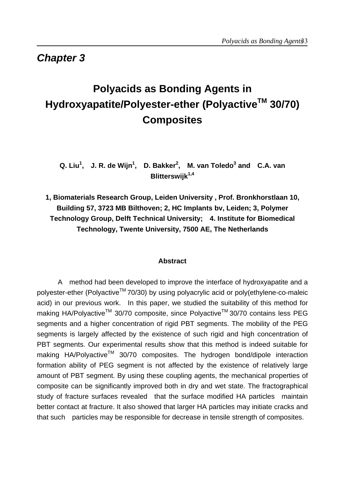*Chapter 3*

## **Polyacids as Bonding Agents in Hydroxyapatite/Polyester-ether (PolyactiveTM 30/70) Composites**

Q. Liu<sup>1</sup>, J. R. de Wijn<sup>1</sup>, D. Bakker<sup>2</sup>, M. van Toledo<sup>3</sup> and C.A. van **Blitterswijk1,4**

**1, Biomaterials Research Group, Leiden University , Prof. Bronkhorstlaan 10, Building 57, 3723 MB Bilthoven; 2, HC Implants bv, Leiden; 3, Polymer Technology Group, Delft Technical University; 4. Institute for Biomedical Technology, Twente University, 7500 AE, The Netherlands** 

## **Abstract**

A method had been developed to improve the interface of hydroxyapatite and a polyester-ether (Polyactive™ 70/30) by using polyacrylic acid or poly(ethylene-co-maleic acid) in our previous work. In this paper, we studied the suitability of this method for making HA/Polyactive<sup>™</sup> 30/70 composite, since Polyactive<sup>™</sup> 30/70 contains less PEG segments and a higher concentration of rigid PBT segments. The mobility of the PEG segments is largely affected by the existence of such rigid and high concentration of PBT segments. Our experimental results show that this method is indeed suitable for making HA/Polyactive™ 30/70 composites. The hydrogen bond/dipole interaction formation ability of PEG segment is not affected by the existence of relatively large amount of PBT segment. By using these coupling agents, the mechanical properties of composite can be significantly improved both in dry and wet state. The fractographical study of fracture surfaces revealed that the surface modified HA particles maintain better contact at fracture. It also showed that larger HA particles may initiate cracks and that such particles may be responsible for decrease in tensile strength of composites.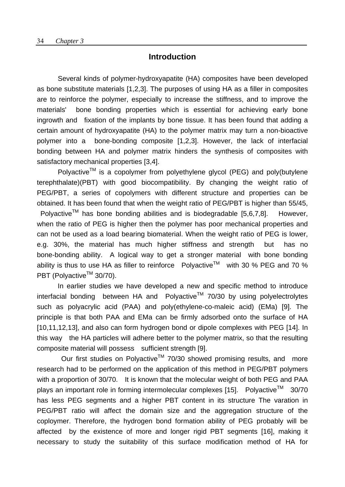## **Introduction**

Several kinds of polymer-hydroxyapatite (HA) composites have been developed as bone substitute materials [1,2,3]. The purposes of using HA as a filler in composites are to reinforce the polymer, especially to increase the stiffness, and to improve the materials' bone bonding properties which is essential for achieving early bone ingrowth and fixation of the implants by bone tissue. It has been found that adding a certain amount of hydroxyapatite (HA) to the polymer matrix may turn a non-bioactive polymer into a bone-bonding composite [1,2,3]. However, the lack of interfacial bonding between HA and polymer matrix hinders the synthesis of composites with satisfactory mechanical properties [3,4].

Polyactive™ is a copolymer from polyethylene glycol (PEG) and poly(butylene terephthalate)(PBT) with good biocompatibility. By changing the weight ratio of PEG/PBT, a series of copolymers with different structure and properties can be obtained. It has been found that when the weight ratio of PEG/PBT is higher than 55/45, Polyactive<sup>TM</sup> has bone bonding abilities and is biodegradable [5,6,7,8]. However, when the ratio of PEG is higher then the polymer has poor mechanical properties and can not be used as a load bearing biomaterial. When the weight ratio of PEG is lower, e.g. 30%, the material has much higher stiffness and strength but has no bone-bonding ability. A logical way to get a stronger material with bone bonding ability is thus to use HA as filler to reinforce Polyactive<sup>TM</sup> with 30 % PEG and 70 % PBT (Polyactive™ 30/70).

 In earlier studies we have developed a new and specific method to introduce interfacial bonding between HA and Polyactive<sup>TM</sup> 70/30 by using polyelectrolytes such as polyacrylic acid (PAA) and poly(ethylene-co-maleic acid) (EMa) [9]. The principle is that both PAA and EMa can be firmly adsorbed onto the surface of HA [10,11,12,13], and also can form hydrogen bond or dipole complexes with PEG [14]. In this way the HA particles will adhere better to the polymer matrix, so that the resulting composite material will possess sufficient strength [9].

Our first studies on Polyactive<sup>TM</sup> 70/30 showed promising results, and more research had to be performed on the application of this method in PEG/PBT polymers with a proportion of 30/70. It is known that the molecular weight of both PEG and PAA plays an important role in forming intermolecular complexes [15]. Polyactive<sup>TM</sup> 30/70 has less PEG segments and a higher PBT content in its structure The varation in PEG/PBT ratio will affect the domain size and the aggregation structure of the coploymer. Therefore, the hydrogen bond formation ability of PEG probably will be affected by the existence of more and longer rigid PBT segments [16], making it necessary to study the suitability of this surface modification method of HA for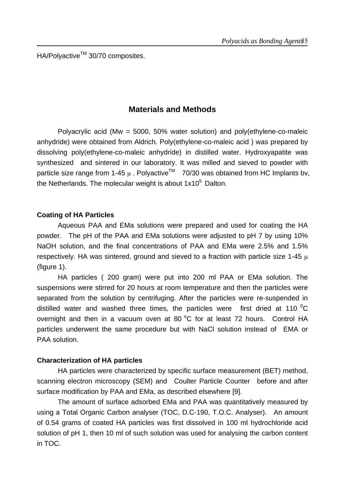HA/Polyactive<sup>™</sup> 30/70 composites.

## **Materials and Methods**

Polyacrylic acid (Mw = 5000, 50% water solution) and poly(ethylene-co-maleic anhydride) were obtained from Aldrich. Poly(ethylene-co-maleic acid ) was prepared by dissolving poly(ethylene-co-maleic anhydride) in distilled water. Hydroxyapatite was synthesized and sintered in our laboratory. It was milled and sieved to powder with particle size range from 1-45  $\mu$ . Polyactive<sup>TM</sup> 70/30 was obtained from HC Implants by, the Netherlands. The molecular weight is about  $1x10<sup>5</sup>$  Dalton.

## **Coating of HA Particles**

Aqueous PAA and EMa solutions were prepared and used for coating the HA powder. The pH of the PAA and EMa solutions were adjusted to pH 7 by using 10% NaOH solution, and the final concentrations of PAA and EMa were 2.5% and 1.5% respectively. HA was sintered, ground and sieved to a fraction with particle size 1-45 μ (figure 1).

HA particles ( 200 gram) were put into 200 ml PAA or EMa solution. The suspensions were stirred for 20 hours at room temperature and then the particles were separated from the solution by centrifuging. After the particles were re-suspended in distilled water and washed three times, the particles were first dried at 110  $^0$ C overnight and then in a vacuum oven at 80  $^{\circ}$ C for at least 72 hours. Control HA particles underwent the same procedure but with NaCl solution instead of EMA or PAA solution.

## **Characterization of HA particles**

HA particles were characterized by specific surface measurement (BET) method, scanning electron microscopy (SEM) and Coulter Particle Counter before and after surface modification by PAA and EMa, as described elsewhere [9].

 The amount of surface adsorbed EMa and PAA was quantitatively measured by using a Total Organic Carbon analyser (TOC, D.C-190, T.O.C. Analyser). An amount of 0.54 grams of coated HA particles was first dissolved in 100 ml hydrochloride acid solution of pH 1, then 10 ml of such solution was used for analysing the carbon content in TOC.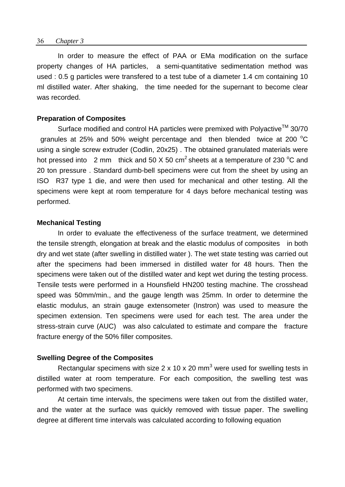In order to measure the effect of PAA or EMa modification on the surface property changes of HA particles, a semi-quantitative sedimentation method was used : 0.5 g particles were transfered to a test tube of a diameter 1.4 cm containing 10 ml distilled water. After shaking, the time needed for the supernant to become clear was recorded.

#### **Preparation of Composites**

Surface modified and control HA particles were premixed with Polyactive<sup>TM</sup> 30/70 granules at 25% and 50% weight percentage and then blended twice at 200 $\,^{\circ}$ C using a single screw extruder (Codlin, 20x25) . The obtained granulated materials were hot pressed into 2 mm thick and 50 X 50 cm<sup>2</sup> sheets at a temperature of 230 °C and 20 ton pressure . Standard dumb-bell specimens were cut from the sheet by using an ISO R37 type 1 die, and were then used for mechanical and other testing. All the specimens were kept at room temperature for 4 days before mechanical testing was performed.

#### **Mechanical Testing**

In order to evaluate the effectiveness of the surface treatment, we determined the tensile strength, elongation at break and the elastic modulus of composites in both dry and wet state (after swelling in distilled water ). The wet state testing was carried out after the specimens had been immersed in distilled water for 48 hours. Then the specimens were taken out of the distilled water and kept wet during the testing process. Tensile tests were performed in a Hounsfield HN200 testing machine. The crosshead speed was 50mm/min., and the gauge length was 25mm. In order to determine the elastic modulus, an strain gauge extensometer (Instron) was used to measure the specimen extension. Ten specimens were used for each test. The area under the stress-strain curve (AUC) was also calculated to estimate and compare the fracture fracture energy of the 50% filler composites.

#### **Swelling Degree of the Composites**

Rectangular specimens with size 2 x 10 x 20 mm<sup>3</sup> were used for swelling tests in distilled water at room temperature. For each composition, the swelling test was performed with two specimens.

At certain time intervals, the specimens were taken out from the distilled water, and the water at the surface was quickly removed with tissue paper. The swelling degree at different time intervals was calculated according to following equation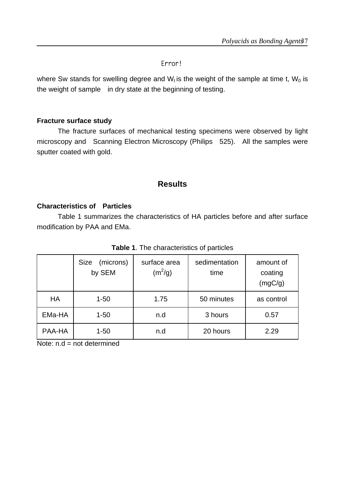## Error!

where Sw stands for swelling degree and  $W_t$  is the weight of the sample at time t,  $W_0$  is the weight of sample in dry state at the beginning of testing.

## **Fracture surface study**

The fracture surfaces of mechanical testing specimens were observed by light microscopy and Scanning Electron Microscopy (Philips 525). All the samples were sputter coated with gold.

## **Results**

## **Characteristics of Particles**

Table 1 summarizes the characteristics of HA particles before and after surface modification by PAA and EMa.

|           | (microns)<br><b>Size</b><br>by SEM | surface area<br>$(m^2/g)$ | sedimentation<br>time | amount of<br>coating<br>(mgC/g) |
|-----------|------------------------------------|---------------------------|-----------------------|---------------------------------|
| <b>HA</b> | $1 - 50$                           | 1.75                      | 50 minutes            | as control                      |
| EMa-HA    | $1 - 50$                           | n.d                       | 3 hours               | 0.57                            |
| PAA-HA    | $1 - 50$                           | n.d                       | 20 hours              | 2.29                            |

**Table 1**. The characteristics of particles

Note: n.d = not determined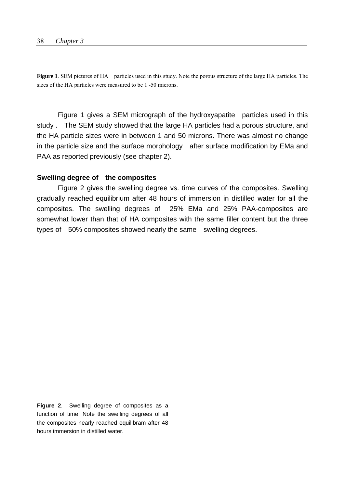**Figure 1**. SEM pictures of HA particles used in this study. Note the porous structure of the large HA particles. The sizes of the HA particles were measured to be 1 -50 microns.

Figure 1 gives a SEM micrograph of the hydroxyapatite particles used in this study . The SEM study showed that the large HA particles had a porous structure, and the HA particle sizes were in between 1 and 50 microns. There was almost no change in the particle size and the surface morphology after surface modification by EMa and PAA as reported previously (see chapter 2).

#### **Swelling degree of the composites**

Figure 2 gives the swelling degree vs. time curves of the composites. Swelling gradually reached equilibrium after 48 hours of immersion in distilled water for all the composites. The swelling degrees of 25% EMa and 25% PAA-composites are somewhat lower than that of HA composites with the same filler content but the three types of 50% composites showed nearly the same swelling degrees.

**Figure 2**. Swelling degree of composites as a function of time. Note the swelling degrees of all the composites nearly reached equilibram after 48 hours immersion in distilled water.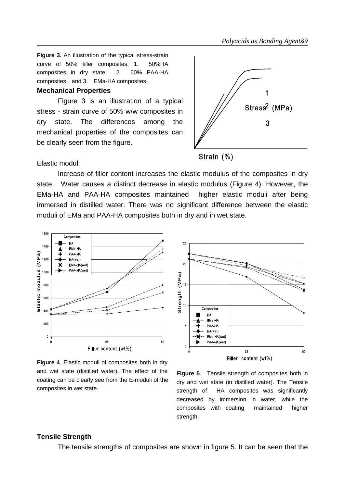**Figure 3.** An illustration of the typical stress-strain curve of 50% filler composites. 1. 50%HA composites in dry state; 2. 50% PAA-HA composites and 3. EMa-HA composites.

#### **Mechanical Properties**

Figure 3 is an illustration of a typical stress - strain curve of 50% w/w composites in dry state. The differences among the mechanical properties of the composites can be clearly seen from the figure.



#### Elastic moduli

Increase of filler content increases the elastic modulus of the composites in dry state. Water causes a distinct decrease in elastic modulus (Figure 4). However, the EMa-HA and PAA-HA composites maintained higher elastic moduli after being immersed in distilled water. There was no significant difference between the elastic moduli of EMa and PAA-HA composites both in dry and in wet state.



**Figure 4**. Elastic moduli of composites both in dry and wet state (distilled water). The effect of the coating can be clearly see from the E-moduli of the composites in wet state.



**Figure 5**. Tensile strength of composites both in dry and wet state (in distilled water). The Tensile strength of HA composites was significantly decreased by immersion in water, while the composites with coating maintained higher strength.

#### **Tensile Strength**

The tensile strengths of composites are shown in figure 5. It can be seen that the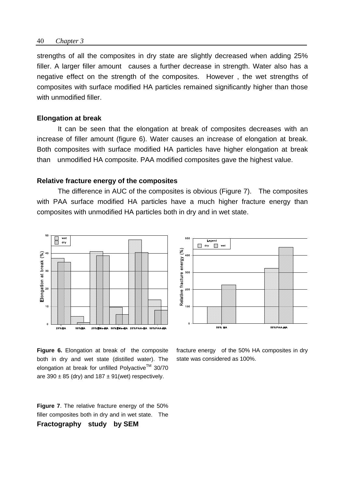#### 40 *Chapter 3*

strengths of all the composites in dry state are slightly decreased when adding 25% filler. A larger filler amount causes a further decrease in strength. Water also has a negative effect on the strength of the composites. However , the wet strengths of composites with surface modified HA particles remained significantly higher than those with unmodified filler.

#### **Elongation at break**

It can be seen that the elongation at break of composites decreases with an increase of filler amount (figure 6). Water causes an increase of elongation at break. Both composites with surface modified HA particles have higher elongation at break than unmodified HA composite. PAA modified composites gave the highest value.

#### **Relative fracture energy of the composites**

The difference in AUC of the composites is obvious (Figure 7). The composites with PAA surface modified HA particles have a much higher fracture energy than composites with unmodified HA particles both in dry and in wet state.





**Figure 6.** Elongation at break of the composite both in dry and wet state (distilled water). The elongation at break for unfilled Polyactive™ 30/70 are 390  $\pm$  85 (dry) and 187  $\pm$  91(wet) respectively.

fracture energy of the 50% HA composites in dry state was considered as 100%.

**Figure 7**. The relative fracture energy of the 50% filler composites both in dry and in wet state. The **Fractography study by SEM**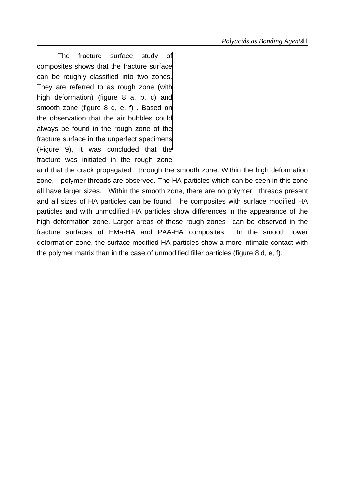*Polyacids as Bonding Agents* 41

The fracture surface study of composites shows that the fracture surface can be roughly classified into two zones. They are referred to as rough zone (with high deformation) (figure 8 a, b, c) and smooth zone (figure 8 d, e, f) . Based on the observation that the air bubbles could always be found in the rough zone of the fracture surface in the unperfect specimens (Figure 9), it was concluded that the fracture was initiated in the rough zone



and that the crack propagated through the smooth zone. Within the high deformation zone, polymer threads are observed. The HA particles which can be seen in this zone all have larger sizes. Within the smooth zone, there are no polymer threads present and all sizes of HA particles can be found. The composites with surface modified HA particles and with unmodified HA particles show differences in the appearance of the high deformation zone. Larger areas of these rough zones can be observed in the fracture surfaces of EMa-HA and PAA-HA composites. In the smooth lower deformation zone, the surface modified HA particles show a more intimate contact with the polymer matrix than in the case of unmodified filler particles (figure 8 d, e, f).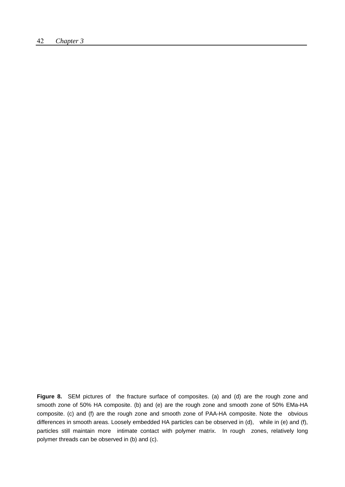**Figure 8.** SEM pictures of the fracture surface of composites. (a) and (d) are the rough zone and smooth zone of 50% HA composite. (b) and (e) are the rough zone and smooth zone of 50% EMa-HA composite. (c) and (f) are the rough zone and smooth zone of PAA-HA composite. Note the obvious differences in smooth areas. Loosely embedded HA particles can be observed in (d), while in (e) and (f), particles still maintain more intimate contact with polymer matrix. In rough zones, relatively long polymer threads can be observed in (b) and (c).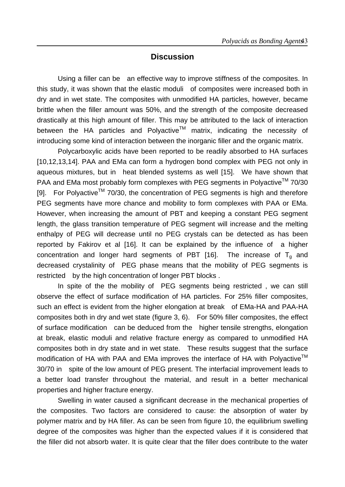## **Discussion**

Using a filler can be an effective way to improve stiffness of the composites. In this study, it was shown that the elastic moduli of composites were increased both in dry and in wet state. The composites with unmodified HA particles, however, became brittle when the filler amount was 50%, and the strength of the composite decreased drastically at this high amount of filler. This may be attributed to the lack of interaction between the HA particles and Polyactive<sup>TM</sup> matrix, indicating the necessity of introducing some kind of interaction between the inorganic filler and the organic matrix.

 Polycarboxylic acids have been reported to be readily absorbed to HA surfaces [10,12,13,14]. PAA and EMa can form a hydrogen bond complex with PEG not only in aqueous mixtures, but in heat blended systems as well [15]. We have shown that PAA and EMa most probably form complexes with PEG segments in Polyactive<sup>TM</sup> 70/30 [9]. For Polyactive<sup>TM</sup> 70/30, the concentration of PEG segments is high and therefore PEG segments have more chance and mobility to form complexes with PAA or EMa. However, when increasing the amount of PBT and keeping a constant PEG segment length, the glass transition temperature of PEG segment will increase and the melting enthalpy of PEG will decrease until no PEG crystals can be detected as has been reported by Fakirov et al [16]. It can be explained by the influence of a higher concentration and longer hard segments of PBT [16]. The increase of  $T<sub>g</sub>$  and decreased crystalinity of PEG phase means that the mobility of PEG segments is restricted by the high concentration of longer PBT blocks .

 In spite of the the mobility of PEG segments being restricted , we can still observe the effect of surface modification of HA particles. For 25% filler composites, such an effect is evident from the higher elongation at break of EMa-HA and PAA-HA composites both in dry and wet state (figure 3, 6). For 50% filler composites, the effect of surface modification can be deduced from the higher tensile strengths, elongation at break, elastic moduli and relative fracture energy as compared to unmodified HA composites both in dry state and in wet state. These results suggest that the surface modification of HA with PAA and EMa improves the interface of HA with Polyactive™ 30/70 in spite of the low amount of PEG present. The interfacial improvement leads to a better load transfer throughout the material, and result in a better mechanical properties and higher fracture energy.

Swelling in water caused a significant decrease in the mechanical properties of the composites. Two factors are considered to cause: the absorption of water by polymer matrix and by HA filler. As can be seen from figure 10, the equilibrium swelling degree of the composites was higher than the expected values if it is considered that the filler did not absorb water. It is quite clear that the filler does contribute to the water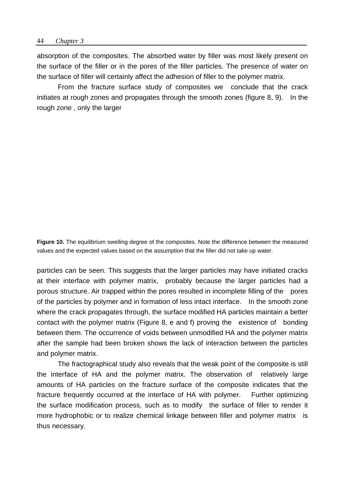absorption of the composites. The absorbed water by filler was most likely present on the surface of the filler or in the pores of the filler particles. The presence of water on the surface of filler will certainly affect the adhesion of filler to the polymer matrix.

 From the fracture surface study of composites we conclude that the crack initiates at rough zones and propagates through the smooth zones (figure 8, 9). In the rough zone , only the larger

**Figure 10.** The equilibrium swelling degree of the composites. Note the difference between the measured values and the expected values based on the assumption that the filler did not take up water.

particles can be seen. This suggests that the larger particles may have initiated cracks at their interface with polymer matrix, probably because the larger particles had a porous structure. Air trapped within the pores resulted in incomplete filling of the pores of the particles by polymer and in formation of less intact interface. In the smooth zone where the crack propagates through, the surface modified HA particles maintain a better contact with the polymer matrix (Figure 8, e and f) proving the existence of bonding between them. The occurrence of voids between unmodified HA and the polymer matrix after the sample had been broken shows the lack of interaction between the particles and polymer matrix.

 The fractographical study also reveals that the weak point of the composite is still the interface of HA and the polymer matrix. The observation of relatively large amounts of HA particles on the fracture surface of the composite indicates that the fracture frequently occurred at the interface of HA with polymer. Further optimizing the surface modification process, such as to modify the surface of filler to render it more hydrophobic or to realize chemical linkage between filler and polymer matrix is thus necessary.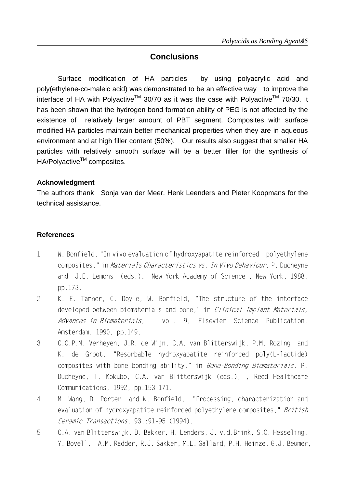## **Conclusions**

Surface modification of HA particles by using polyacrylic acid and poly(ethylene-co-maleic acid) was demonstrated to be an effective way to improve the interface of HA with Polyactive<sup>TM</sup> 30/70 as it was the case with Polyactive<sup>TM</sup> 70/30. It has been shown that the hydrogen bond formation ability of PEG is not affected by the existence of relatively larger amount of PBT segment. Composites with surface modified HA particles maintain better mechanical properties when they are in aqueous environment and at high filler content (50%). Our results also suggest that smaller HA particles with relatively smooth surface will be a better filler for the synthesis of  $HA/Polvactive^{TM}$  composites.

## **Acknowledgment**

The authors thank Sonja van der Meer, Henk Leenders and Pieter Koopmans for the technical assistance.

## **References**

- 1 W. Bonfield, "In vivo evaluation of hydroxyapatite reinforced polyethylene composites," in Materials Characteristics vs. In Vivo Behaviour. P. Ducheyne and J.E. Lemons (eds.). New York Academy of Science , New York, 1988, pp.173.
- 2 K. E. Tanner, C. Doyle, W. Bonfield, "The structure of the interface developed between biomaterials and bone," in *Clinical Implant Materials;* Advances in Biomaterials, vol. 9. Elsevier Science Publication, Amsterdam, 1990, pp.149.
- 3 C.C.P.M. Verheyen, J.R. de Wijn, C.A. van Blitterswijk, P.M. Rozing and K. de Groot, "Resorbable hydroxyapatite reinforced poly(L−lactide) composites with bone bonding ability," in Bone−Bonding Biomaterials, P. Ducheyne, T. Kokubo, C.A. van Blitterswijk (eds.), , Reed Healthcare Communications, 1992, pp.153−171.
- 4 M. Wang, D. Porter and W. Bonfield, "Processing, characterization and evaluation of hydroxyapatite reinforced polyethylene composites," British Ceramic Transactions, 93,:91−95 (1994).
- 5 C.A. van Blitterswijk, D. Bakker, H. Lenders, J. v.d.Brink, S.C. Hesseling, Y. Bovell, A.M. Radder, R.J. Sakker, M.L. Gallard, P.H. Heinze, G.J. Beumer,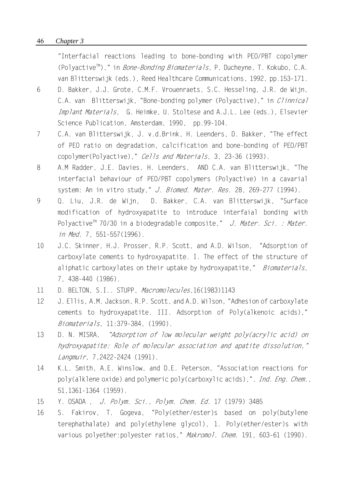"Interfacial reactions leading to bone−bonding with PEO/PBT copolymer (PolyactiveTM)," in Bone−Bonding Biomaterials, P. Ducheyne, T. Kokubo, C.A. van Blitterswijk (eds.), Reed Healthcare Communications, 1992, pp.153−171.

- 6 D. Bakker, J.J. Grote, C.M.F. Vrouenraets, S.C. Hesseling, J.R. de Wijn, C.A. van Blitterswijk, "Bone−bonding polymer (Polyactive)," in Clinnical Implant Materials, G. Heimke, U. Stoltese and A.J.L. Lee (eds.), Elsevier Science Publication, Amsterdam, 1990, pp.99−104.
- 7 C.A. van Blitterswijk, J. v.d.Brink, H. Leenders, D. Bakker, "The effect of PEO ratio on degradation, calcification and bone−bonding of PEO/PBT copolymer(Polyactive)," Cells and Materials, 3, 23−36 (1993).
- 8 A.M Radder, J.E. Davies, H. Leenders, AND C.A. van Blitterswijk, "The interfacial behaviour of PEO/PBT copolymers (Polyactive) in a cavarial system: An in vitro study," J. Biomed. Mater. Res. 28, 269-277 (1994).
- 9 Q. Liu, J.R. de Wijn, D. Bakker, C.A. van Blitterswijk, "Surface modification of hydroxyapatite to introduce interfaial bonding with Polyactive<sup>TM</sup> 70/30 in a biodegradable composite," J. Mater. Sci. : Mater. in Med. 7, 551−557(1996).
- 10 J.C. Skinner, H.J. Prosser, R.P. Scott, and A.D. Wilson, "Adsorption of carboxylate cements to hydroxyapatite. I. The effect of the structure of aliphatic carboxylates on their uptake by hydroxyapatite," Biomaterials, 7, 438−440 (1986).
- 11 D. BELTON, S.I.. STUPP, Macromolecules,16(1983)1143
- 12 J. Ellis, A.M. Jackson, R.P. Scott, and A.D. Wilson, "Adhesion of carboxylate cements to hydroxyapatite. III. Adsorption of Poly(alkenoic acids)," Biomaterials, 11:379−384, (1990).
- 13 D. N. MISRA, "Adsorption of low molecular weight poly(acrylic acid) on hydroxyapatite: Role of molecular association and apatite dissolution," Langmuir, 7,2422−2424 (1991).
- 14 K.L. Smith, A.E. Winslow, and D.E. Peterson, "Association reactions for poly(alklene oxide) and polymeric poly(carboxylic acids),". Ind. Eng. Chem., 51,1361−1364 (1959).
- 15 Y. OSADA , J. Polym. Sci., Polym. Chem. Ed. 17 (1979) 3485
- 16 S. Fakirov, T. Gogeva, "Poly(ether/ester)s based on poly(butylene terephathalate) and poly(ethylene glycol), 1. Poly(ether/ester)s with various polyether:polyester ratios," Makromol. Chem. 191, 603-61 (1990).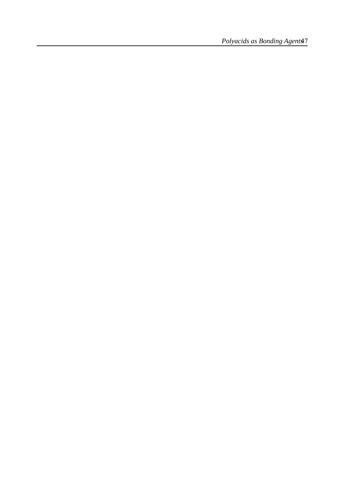*Polyacids as Bonding Agents* 47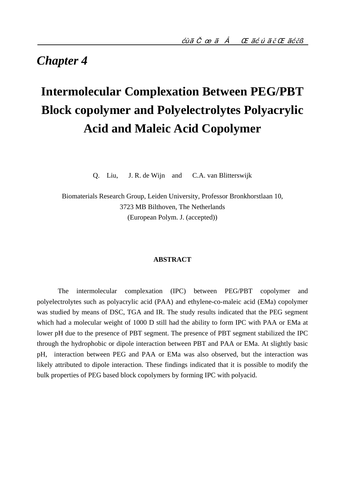## *Chapter 4*

# **Intermolecular Complexation Between PEG/PBT Block copolymer and Polyelectrolytes Polyacrylic Acid and Maleic Acid Copolymer**

Q. Liu, J. R. de Wijn and C.A. van Blitterswijk

Biomaterials Research Group, Leiden University, Professor Bronkhorstlaan 10, 3723 MB Bilthoven, The Netherlands (European Polym. J. (accepted))

#### **ABSTRACT**

The intermolecular complexation (IPC) between PEG/PBT copolymer and polyelectrolytes such as polyacrylic acid (PAA) and ethylene-co-maleic acid (EMa) copolymer was studied by means of DSC, TGA and IR. The study results indicated that the PEG segment which had a molecular weight of 1000 D still had the ability to form IPC with PAA or EMa at lower pH due to the presence of PBT segment. The presence of PBT segment stabilized the IPC through the hydrophobic or dipole interaction between PBT and PAA or EMa. At slightly basic pH, interaction between PEG and PAA or EMa was also observed, but the interaction was likely attributed to dipole interaction. These findings indicated that it is possible to modify the bulk properties of PEG based block copolymers by forming IPC with polyacid.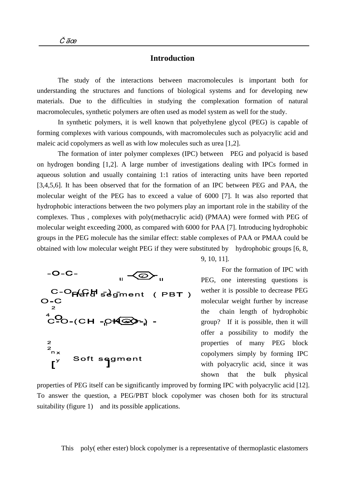## **Introduction**

The study of the interactions between macromolecules is important both for understanding the structures and functions of biological systems and for developing new materials. Due to the difficulties in studying the complexation formation of natural macromolecules, synthetic polymers are often used as model system as well for the study.

In synthetic polymers, it is well known that polyethylene glycol (PEG) is capable of forming complexes with various compounds, with macromolecules such as polyacrylic acid and maleic acid copolymers as well as with low molecules such as urea [1,2].

The formation of inter polymer complexes (IPC) between PEG and polyacid is based on hydrogen bonding [1,2]. A large number of investigations dealing with IPCs formed in aqueous solution and usually containing 1:1 ratios of interacting units have been reported [3,4,5,6]. It has been observed that for the formation of an IPC between PEG and PAA, the molecular weight of the PEG has to exceed a value of 6000 [7]. It was also reported that hydrophobic interactions between the two polymers play an important role in the stability of the complexes. Thus , complexes with poly(methacrylic acid) (PMAA) were formed with PEG of molecular weight exceeding 2000, as compared with 6000 for PAA [7]. Introducing hydrophobic groups in the PEG molecule has the similar effect: stable complexes of PAA or PMAA could be obtained with low molecular weight PEG if they were substituted by hydrophobic groups [6, 8,

-O-C- 
$$
u \leftarrow \bigodot u
$$
  
\nC-OF(6Fd'segiment (PBT)  
\nO-C  
\n<sup>2</sup>  
\nC-O-(CH - $\bigodot$  + $\bigodot$ - $\bigodot$ - $\bigodot$ - $\bigodot$ - $\bigodot$ - $\bigodot$ - $\bigodot$ - $\bigodot$ - $\bigodot$ - $\bigodot$ - $\bigodot$ - $\bigodot$ - $\bigodot$ - $\bigodot$ - $\bigodot$ - $\bigodot$ - $\bigodot$ - $\bigodot$ - $\bigodot$ - $\bigodot$ - $\bigodot$ - $\bigodot$ - $\bigodot$ - $\bigodot$ - $\bigodot$ - $\bigodot$ - $\bigodot$ - $\bigodot$ - $\bigodot$ - $\bigodot$ - $\bigodot$ - $\bigodot$ - $\bigodot$ - $\bigodot$ - $\bigodot$ - $\bigodot$ - $\bigodot$ - $\bigodot$ - $\bigodot$ - $\bigodot$ - $\bigodot$ - $\bigodot$ - $\bigodot$ - $\bigodot$ - $\bigodot$ - $\bigodot$ - $\bigodot$ - $\bigodot$ - $\bigodot$ - $\bigodot$ - $\bigodot$ - $\bigodot$ - $\bigodot$ - $\bigodot$ - $\bigodot$ - $\bigodot$ - $\bigodot$ - $\bigodot$ - $\bigodot$ - $\bigodot$ - $\bigodot$ - $\bigodot$ - $\bigodot$ - $\bigodot$ - $\bigodod$ - $\bigodot$ - $\bigodod$ - $\bigodod$ - $\bigodod$ - $\bigodod$ - $\bigodod$ - $\bigodod$ - $\bigodod$ - $\bigodod$ - $\bigodod$ - $\bigodod$ - $\bigodod$ - $\$ 

9, 10, 11].

For the formation of IPC with PEG, one interesting questions is wether it is possible to decrease PEG molecular weight further by increase the chain length of hydrophobic group? If it is possible, then it will offer a possibility to modify the properties of many PEG block copolymers simply by forming IPC with polyacrylic acid, since it was shown that the bulk physical

properties of PEG itself can be significantly improved by forming IPC with polyacrylic acid [12]. To answer the question, a PEG/PBT block copolymer was chosen both for its structural suitability (figure 1) and its possible applications.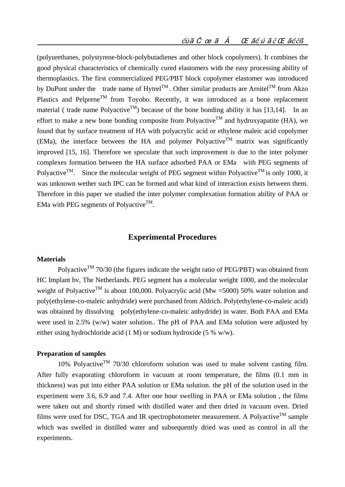(polyurethanes, polystyrene-block-polybutadienes and other block copolymers). It combines the good physical characteristics of chemically cured elastomers with the easy processing ability of thermoplastics. The first commercialized PEG/PBT block copolymer elastomer was introduced by DuPont under the trade name of Hytrel<sup>TM</sup>. Other similar products are Arnitel<sup>TM</sup> from Akzo Plastics and Pelprene<sup>TM</sup> from Toyobo. Recently, it was introduced as a bone replacement material ( trade name Polyactive<sup>TM</sup>) because of the bone bonding ability it has [13,14]. In an effort to make a new bone bonding composite from Polyactive<sup>TM</sup> and hydroxyapatite (HA), we found that by surface treatment of HA with polyacrylic acid or ethylene maleic acid copolymer (EMa), the interface between the HA and polymer Polyactive<sup>TM</sup> matrix was significantly improved [15, 16]. Therefore we speculate that such improvement is due to the inter polymer complexes formation between the HA surface adsorbed PAA or EMa with PEG segments of Polyactive<sup>TM</sup>. Since the molecular weight of PEG segment within Polyactive<sup>TM</sup> is only 1000, it was unknown wether such IPC can be formed and what kind of interaction exists between them. Therefore in this paper we studied the inter polymer complexation formation ability of PAA or EMa with PEG segments of Polyactive<sup>TM</sup>.

## **Experimental Procedures**

#### **Materials**

Polyactive<sup>TM</sup> 70/30 (the figures indicate the weight ratio of PEG/PBT) was obtained from HC Implant bv, The Netherlands. PEG segment has a molecular weight 1000, and the molecular weight of Polyactive<sup>TM</sup> is about 100,000. Polyacrylic acid (Mw =5000) 50% water solution and poly(ethylene-co-maleic anhydride) were purchased from Aldrich. Poly(ethylene-co-maleic acid) was obtained by dissolving poly(ethylene-co-maleic anhydride) in water. Both PAA and EMa were used in 2.5% (w/w) water solution.. The pH of PAA and EMa solution were adjusted by either using hydrochloride acid (1 M) or sodium hydroxide (5 % w/w).

#### **Preparation of samples**

10% Polyactive<sup>TM</sup> 70/30 chloroform solution was used to make solvent casting film. After fully evaporating chloroform in vacuum at room temperature, the films (0.1 mm in thickness) was put into either PAA solution or EMa solution. the pH of the solution used in the experiment were 3.6, 6.9 and 7.4. After one hour swelling in PAA or EMa solution , the films were taken out and shortly rinsed with distilled water and then dried in vacuum oven. Dried films were used for DSC, TGA and IR spectrophotometer measurement. A Polyactive<sup>TM</sup> sample which was swelled in distilled water and subsequently dried was used as control in all the experiments.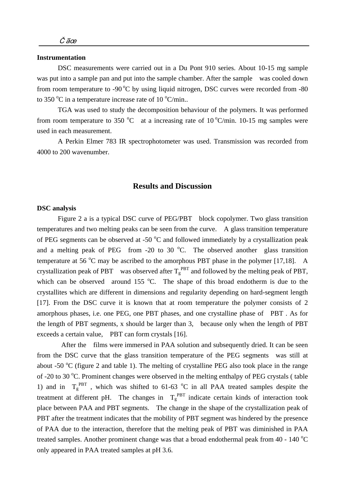#### **Instrumentation**

DSC measurements were carried out in a Du Pont 910 series. About 10-15 mg sample was put into a sample pan and put into the sample chamber. After the sample was cooled down from room temperature to -90 $\degree$ C by using liquid nitrogen, DSC curves were recorded from -80 to 350  $\mathrm{^{\circ}C}$  in a temperature increase rate of 10  $\mathrm{^{\circ}C/min}$ .

TGA was used to study the decomposition behaviour of the polymers. It was performed from room temperature to 350 °C at a increasing rate of  $10$  °C/min. 10-15 mg samples were used in each measurement.

A Perkin Elmer 783 IR spectrophotometer was used. Transmission was recorded from 4000 to 200 wavenumber.

#### **Results and Discussion**

#### **DSC analysis**

Figure 2 a is a typical DSC curve of PEG/PBT block copolymer. Two glass transition temperatures and two melting peaks can be seen from the curve. A glass transition temperature of PEG segments can be observed at -50  $\rm{^{\circ}C}$  and followed immediately by a crystallization peak and a melting peak of PEG from  $-20$  to 30 °C. The observed another glass transition temperature at 56  $^{\circ}$ C may be ascribed to the amorphous PBT phase in the polymer [17,18]. A crystallization peak of PBT was observed after  $T_g^{PBT}$  and followed by the melting peak of PBT, which can be observed around  $155^{\circ}$ C. The shape of this broad endotherm is due to the crystallites which are different in dimensions and regularity depending on hard-segment length [17]. From the DSC curve it is known that at room temperature the polymer consists of 2 amorphous phases, i.e. one PEG, one PBT phases, and one crystalline phase of PBT . As for the length of PBT segments, x should be larger than 3, because only when the length of PBT exceeds a certain value, PBT can form crystals [16].

 After the films were immersed in PAA solution and subsequently dried. It can be seen from the DSC curve that the glass transition temperature of the PEG segments was still at about -50  $\rm{^{\circ}C}$  (figure 2 and table 1). The melting of crystalline PEG also took place in the range of -20 to 30 °C. Prominent changes were observed in the melting enthalpy of PEG crystals (table 1) and in  $T_g^{PBT}$ , which was shifted to 61-63 °C in all PAA treated samples despite the treatment at different pH. The changes in  $T_g^{\text{PBT}}$  indicate certain kinds of interaction took place between PAA and PBT segments. The change in the shape of the crystallization peak of PBT after the treatment indicates that the mobility of PBT segment was hindered by the presence of PAA due to the interaction, therefore that the melting peak of PBT was diminished in PAA treated samples. Another prominent change was that a broad endothermal peak from 40 - 140  $^{\circ}$ C only appeared in PAA treated samples at pH 3.6.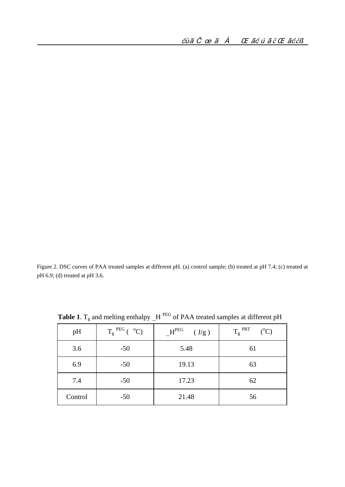Figure 2. DSC curves of PAA treated samples at different pH. (a) control sample; (b) treated at pH 7.4; (c) treated at pH 6.9; (d) treated at pH 3.6.

| pH      | $T_g^{\hspace{0.1cm} \text{PEG}}$ ( $\hspace{0.1cm}^{\text{o}}\text{C})$ | $H^{PEG}$<br>(J/g) | $T_g$ <sup>PBT</sup><br>$({}^{\circ}C)$ |
|---------|--------------------------------------------------------------------------|--------------------|-----------------------------------------|
| 3.6     | $-50$                                                                    | 5.48               | 61                                      |
| 6.9     | $-50$                                                                    | 19.13              | 63                                      |
| 7.4     | $-50$                                                                    | 17.23              | 62                                      |
| Control | $-50$                                                                    | 21.48              | 56                                      |

**Table 1**.  $T_g$  and melting enthalpy  $H^{PEG}$  of PAA treated samples at different pH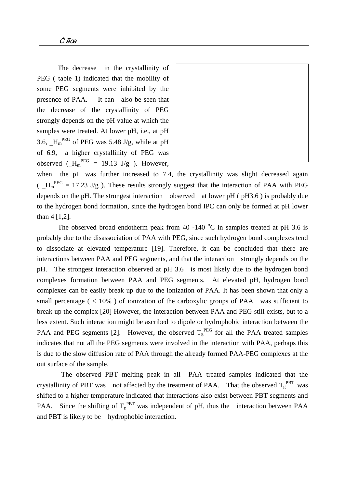The decrease in the crystallinity of PEG ( table 1) indicated that the mobility of some PEG segments were inhibited by the presence of PAA. It can also be seen that the decrease of the crystallinity of PEG strongly depends on the pH value at which the samples were treated. At lower pH, i.e., at pH 3.6,  $-H<sub>m</sub><sup>PEG</sup>$  of PEG was 5.48 J/g, while at pH of 6.9, a higher crystallinity of PEG was observed  $(H_m^{PEG} = 19.13 \text{ J/g})$ . However,



when the pH was further increased to 7.4, the crystallinity was slight decreased again ( $-H_m^{\text{PEG}} = 17.23 \text{ J/g}$ ). These results strongly suggest that the interaction of PAA with PEG depends on the pH. The strongest interaction observed at lower pH ( pH3.6 ) is probably due to the hydrogen bond formation, since the hydrogen bond IPC can only be formed at pH lower than 4 [1,2].

The observed broad endotherm peak from 40 -140  $^{\circ}$ C in samples treated at pH 3.6 is probably due to the disassociation of PAA with PEG, since such hydrogen bond complexes tend to dissociate at elevated temperature [19]. Therefore, it can be concluded that there are interactions between PAA and PEG segments, and that the interaction strongly depends on the pH. The strongest interaction observed at pH 3.6 is most likely due to the hydrogen bond complexes formation between PAA and PEG segments. At elevated pH, hydrogen bond complexes can be easily break up due to the ionization of PAA. It has been shown that only a small percentage  $(< 10\%$ ) of ionization of the carboxylic groups of PAA was sufficient to break up the complex [20] However, the interaction between PAA and PEG still exists, but to a less extent. Such interaction might be ascribed to dipole or hydrophobic interaction between the PAA and PEG segments [2]. However, the observed  $T_g^{PEG}$  for all the PAA treated samples indicates that not all the PEG segments were involved in the interaction with PAA, perhaps this is due to the slow diffusion rate of PAA through the already formed PAA-PEG complexes at the out surface of the sample.

 The observed PBT melting peak in all PAA treated samples indicated that the crystallinity of PBT was not affected by the treatment of PAA. That the observed  $T_g^{\text{PBT}}$  was shifted to a higher temperature indicated that interactions also exist between PBT segments and PAA. Since the shifting of  $T_g^{PBT}$  was independent of pH, thus the interaction between PAA and PBT is likely to be hydrophobic interaction.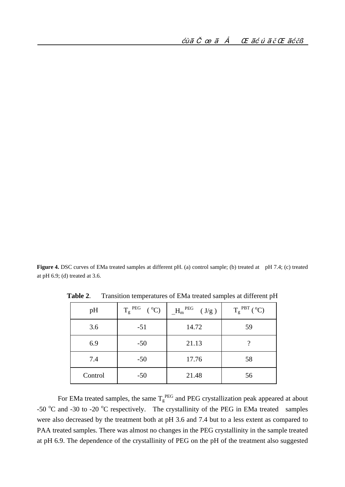Figure 4. DSC curves of EMa treated samples at different pH. (a) control sample; (b) treated at pH 7.4; (c) treated at pH  $6.9$ ; (d) treated at  $3.6$ .

| pH      | $T_g$ PEG<br>$(C^{\circ}C)$ | $-H_m$ <sup>PEG</sup><br>(J/g) | $T_g^{\text{PBT}}$ ( $^{\circ}$ C) |
|---------|-----------------------------|--------------------------------|------------------------------------|
| 3.6     | $-51$                       | 14.72                          | 59                                 |
| 6.9     | $-50$                       | 21.13                          | റ                                  |
| 7.4     | $-50$                       | 17.76                          | 58                                 |
| Control | $-50$                       | 21.48                          | 56                                 |

**Table 2**. Transition temperatures of EMa treated samples at different pH

For EMa treated samples, the same  $T_g^{PEG}$  and PEG crystallization peak appeared at about -50  $\degree$ C and -30 to -20  $\degree$ C respectively. The crystallinity of the PEG in EMa treated samples were also decreased by the treatment both at pH 3.6 and 7.4 but to a less extent as compared to PAA treated samples. There was almost no changes in the PEG crystallinity in the sample treated at pH 6.9. The dependence of the crystallinity of PEG on the pH of the treatment also suggested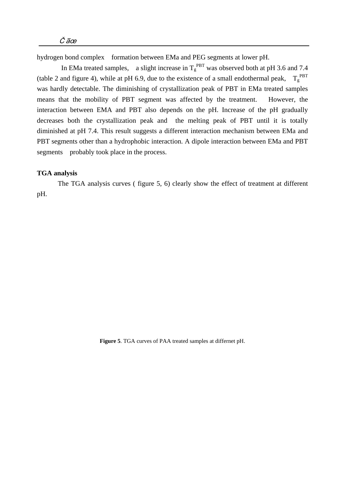hydrogen bond complex formation between EMa and PEG segments at lower pH.

In EMa treated samples, a slight increase in  $T_g^{\text{PBT}}$  was observed both at pH 3.6 and 7.4 (table 2 and figure 4), while at pH  $6.9$ , due to the existence of a small endothermal peak,  $T_g^{\ PBT}$ was hardly detectable. The diminishing of crystallization peak of PBT in EMa treated samples means that the mobility of PBT segment was affected by the treatment. However, the interaction between EMA and PBT also depends on the pH. Increase of the pH gradually decreases both the crystallization peak and the melting peak of PBT until it is totally diminished at pH 7.4. This result suggests a different interaction mechanism between EMa and PBT segments other than a hydrophobic interaction. A dipole interaction between EMa and PBT segments probably took place in the process.

#### **TGA analysis**

The TGA analysis curves ( figure 5, 6) clearly show the effect of treatment at different pH.

**Figure 5**. TGA curves of PAA treated samples at differnet pH.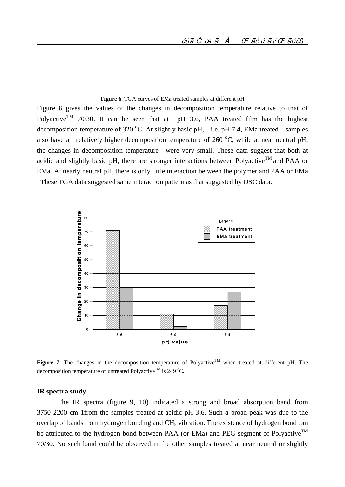#### **Figure 6**. TGA curves of EMa treated samples at different pH

Figure 8 gives the values of the changes in decomposition temperature relative to that of Polyactive<sup>TM</sup> 70/30. It can be seen that at pH 3.6, PAA treated film has the highest decomposition temperature of 320 °C. At slightly basic pH, i.e. pH 7.4, EMa treated samples also have a relatively higher decomposition temperature of 260  $^{\circ}$ C, while at near neutral pH, the changes in decomposition temperature were very small. These data suggest that both at acidic and slightly basic pH, there are stronger interactions between Polyactive<sup>TM</sup> and PAA or EMa. At nearly neutral pH, there is only little interaction between the polymer and PAA or EMa These TGA data suggested same interaction pattern as that suggested by DSC data.



Figure 7. The changes in the decomposition temperature of Polyactive<sup>TM</sup> when treated at different pH. The decomposition temperature of untreated Polyactive<sup>TM</sup> is 249 °C.

#### **IR spectra study**

The IR spectra (figure 9, 10) indicated a strong and broad absorption band from 3750-2200 cm-1from the samples treated at acidic pH 3.6. Such a broad peak was due to the overlap of bands from hydrogen bonding and  $CH<sub>2</sub>$  vibration. The existence of hydrogen bond can be attributed to the hydrogen bond between PAA (or EMa) and PEG segment of Polyactive<sup>TM</sup> 70/30. No such band could be observed in the other samples treated at near neutral or slightly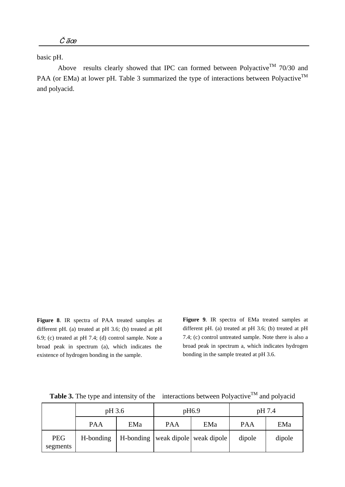basic pH.

Above results clearly showed that IPC can formed between Polyactive<sup>TM</sup> 70/30 and PAA (or EMa) at lower pH. Table 3 summarized the type of interactions between Polyactive<sup>TM</sup> and polyacid.

**Figure 8**. IR spectra of PAA treated samples at different pH. (a) treated at pH 3.6; (b) treated at pH 6.9; (c) treated at pH 7.4; (d) control sample. Note a broad peak in spectrum (a), which indicates the existence of hydrogen bonding in the sample.

**Figure 9**. IR spectra of EMa treated samples at different pH. (a) treated at pH 3.6; (b) treated at pH 7.4; (c) control untreated sample. Note there is also a broad peak in spectrum a, which indicates hydrogen bonding in the sample treated at pH 3.6.

|                        | pH 3.6     |     | pH6.9      |                                       | pH 7.4 |        |
|------------------------|------------|-----|------------|---------------------------------------|--------|--------|
|                        | <b>PAA</b> | EMa | <b>PAA</b> | EMa                                   | PAA    | EMa    |
| <b>PEG</b><br>segments | H-bonding  |     |            | H-bonding   weak dipole   weak dipole | dipole | dipole |

**Table 3.** The type and intensity of the interactions between Polyactive<sup>TM</sup> and polyacid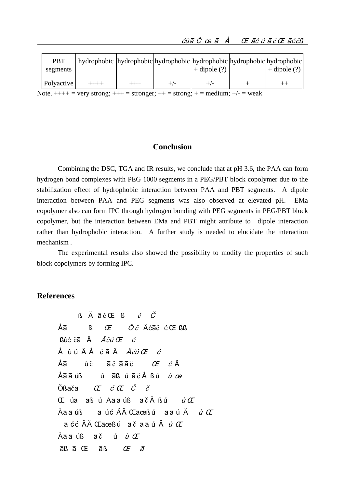| <b>PBT</b><br>segments | hydrophobic hydrophobic hydrophobic hydrophobic hydrophobic hydrophobic |            | $+$ dipole $(?)$ | $+$ dipole $(?)$ |
|------------------------|-------------------------------------------------------------------------|------------|------------------|------------------|
| Polyactive             | $++++$                                                                  | $^{+ + +}$ |                  |                  |

Note.  $++++$  = very strong;  $+++$  = stronger;  $++$  = strong;  $+$  = medium;  $+/-$  = weak

## **Conclusion**

Combining the DSC, TGA and IR results, we conclude that at pH 3.6, the PAA can form hydrogen bond complexes with PEG 1000 segments in a PEG/PBT block copolymer due to the stabilization effect of hydrophobic interaction between PAA and PBT segments. A dipole interaction between PAA and PEG segments was also observed at elevated pH. EMa copolymer also can form IPC through hydrogen bonding with PEG segments in PEG/PBT block copolymer, but the interaction between EMa and PBT might attribute to dipole interaction rather than hydrophobic interaction. A further study is needed to elucidate the interaction mechanism .

The experimental results also showed the possibility to modify the properties of such block copolymers by forming IPC.

## **References**

 $\begin{array}{cccccccc}\nB & \ddot{A} & \bar{a} \, \dot{c} \, \text{CE} & B & \dot{c} & \dot{C}\n\end{array}$  $\AA$ ā B $\alpha$   $\beta$   $\ddot{\alpha}$   $\AA$ cāč c $\alpha$  BR Bùchida  $\ddot{A}$   $\ddot{A}$   $\ddot{C}$   $\ddot{C}$   $\ddot{C}$   $\ddot{C}$ ÅùúÄÅčāÄ *ÄčúŒć*  $\rm \AA\bar{a}$  ùčačā $\rm \AA\bar{c}$   $\rm \AA$ Åāāúß ú āßúāčÅßú *ù œ*  $\ddot{\mathrm{O}}$ ßāčā  $\sigma$  *ć Œ*  $\check{\sigma}$   $\check{\sigma}$ OE ú $\bar{a}$  and ú Åa $\bar{a}$  ún Borisov Borisov V, OE  $\AA$ ā ā ú, ú, Lithannovich Aa, Aa, Aa, Aa, Ga $\alpha$ , Eur. Polymeira Aa, Aa,  $\alpha$  $\overline{a}$  ćć ÄÄ Œāœßú  $\overline{a}$ č āāú Ä $\overline{\mu}$  $\bigwedge$ āā úßāč ú $\dot{\nu}$  of  $\overline{a}$  R  $\overline{a}$  C  $\overline{a}$  and  $\overline{a}$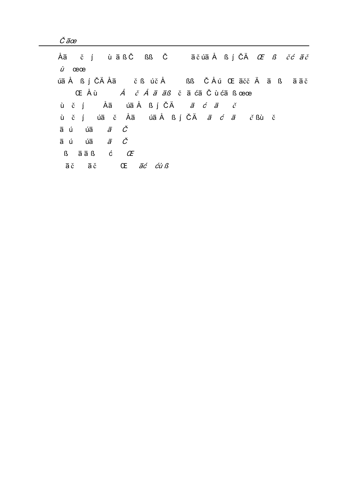$\overrightarrow{AB}$   $\breve{c}$   $\overrightarrow{J}$   $\overrightarrow{AB}$   $\overrightarrow{BC}$   $\overrightarrow{AB}$   $\overrightarrow{BC}$   $\overrightarrow{AB}$   $\overrightarrow{BC}$   $\overrightarrow{AB}$   $\overrightarrow{BC}$   $\overrightarrow{AB}$   $\overrightarrow{BC}$   $\overrightarrow{AB}$   $\overrightarrow{BC}$   $\overrightarrow{AB}$   $\overrightarrow{BC}$   $\overrightarrow{AB}$   $\overrightarrow{BC}$   $\overrightarrow{AB}$   $\overrightarrow{BC}$   $\overrightarrow{BC}$   $\overrightarrow{BC}$   $\overrightarrow{BC}$   $\overrightarrow{$  $\dot{u}$   $\alpha$ e $\alpha$ úāÅ ß j ČÄ Åā č ß úč Å ßß Č Å ú Œ āčč Ä ā ß ā āč OE Åù *Å čÅā āß* čā ćā Čùćāßœœ  $\dot{a}$  is  $\dot{b}$  and  $\dot{c}$  is  $\dot{a}$  is  $\dot{c}$  is  $\dot{a}$  is  $\dot{c}$  is  $\dot{a}$  is  $\dot{c}$  is a is  $\dot{c}$  is a is  $\dot{c}$  is a is  $\dot{c}$  is a is  $\dot{c}$  is a is  $\dot{c}$  is a is  $\dot{c}$  is a is  $\dot{c}$  is a is  $\dot{$ ù č j úā č Åā úāÅ ß jČÄ *ā ć ā č*ßù č  $\overline{a}$  ú $\overline{a}$   $\overline{a}$   $\overline{c}$  $\overline{a}$  ú $\overline{a}$   $\overline{a}$   $\overline{c}$  $\beta$   $\bar{a}$   $\bar{a}$   $\beta$   $\dot{c}$   $\alpha$  $\overline{a}$   $\check{c}$   $\overline{a}$   $\check{c}$   $\overline{a}$   $\overline{c}$   $\overline{c}$   $\overline{c}$   $\overline{c}$   $\overline{c}$   $\overline{c}$   $\overline{c}$   $\overline{c}$   $\overline{c}$   $\overline{c}$   $\overline{c}$   $\overline{c}$   $\overline{c}$   $\overline{c}$   $\overline{c}$   $\overline{c}$   $\overline{c}$   $\overline{c}$   $\overline{c}$   $\overline{c}$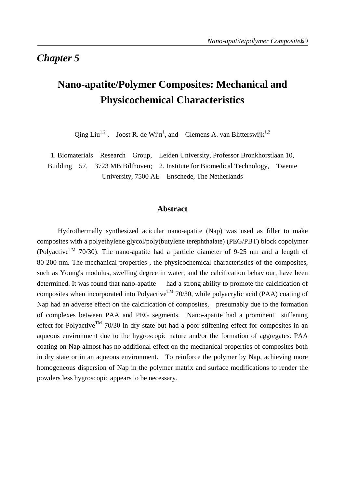## *Chapter 5*

# **Nano-apatite/Polymer Composites: Mechanical and Physicochemical Characteristics**

Qing Liu<sup>1,2</sup>, Joost R. de Wijn<sup>1</sup>, and Clemens A. van Blitterswijk<sup>1,2</sup>

1. Biomaterials Research Group, Leiden University, Professor Bronkhorstlaan 10, Building 57, 3723 MB Bilthoven; 2. Institute for Biomedical Technology, Twente University, 7500 AE Enschede, The Netherlands

## **Abstract**

Hydrothermally synthesized acicular nano-apatite (Nap) was used as filler to make composites with a polyethylene glycol/poly(butylene terephthalate) (PEG/PBT) block copolymer (Polyactive<sup>TM</sup> 70/30). The nano-apatite had a particle diameter of 9-25 nm and a length of 80-200 nm. The mechanical properties , the physicochemical characteristics of the composites, such as Young's modulus, swelling degree in water, and the calcification behaviour, have been determined. It was found that nano-apatite had a strong ability to promote the calcification of composites when incorporated into Polyactive<sup>TM</sup> 70/30, while polyacrylic acid (PAA) coating of Nap had an adverse effect on the calcification of composites, presumably due to the formation of complexes between PAA and PEG segments. Nano-apatite had a prominent stiffening effect for Polyactive<sup>TM</sup> 70/30 in dry state but had a poor stiffening effect for composites in an aqueous environment due to the hygroscopic nature and/or the formation of aggregates. PAA coating on Nap almost has no additional effect on the mechanical properties of composites both in dry state or in an aqueous environment. To reinforce the polymer by Nap, achieving more homogeneous dispersion of Nap in the polymer matrix and surface modifications to render the powders less hygroscopic appears to be necessary.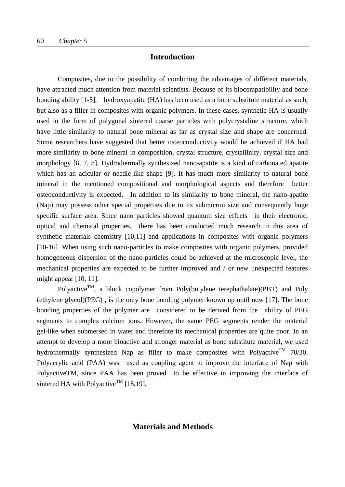## **Introduction**

Composites, due to the possibility of combining the advantages of different materials, have attracted much attention from material scientists. Because of its biocompatibility and bone bonding ability [1-5], hydroxyapatite (HA) has been used as a bone substitute material as such, but also as a filler in composites with organic polymers. In these cases, synthetic HA is usually used in the form of polygonal sintered coarse particles with polycrystaline structure, which have little similarity to natural bone mineral as far as crystal size and shape are concerned. Some researchers have suggested that better osteoconductivity would be achieved if HA had more similarity to bone mineral in composition, crystal structure, crystallinity, crystal size and morphology [6, 7, 8]. Hydrothermally synthesized nano-apatite is a kind of carbonated apatite which has an acicular or needle-like shape [9]. It has much more similarity to natural bone mineral in the mentioned compositional and morphological aspects and therefore better osteoconductivity is expected. In addition to its similarity to bone mineral, the nano-apatite (Nap) may possess other special properties due to its submicron size and consequently huge specific surface area. Since nano particles showed quantum size effects in their electronic, optical and chemical properties, there has been conducted much research in this area of synthetic materials chemistry [10,11] and applications in composites with organic polymers [10-16]. When using such nano-particles to make composites with organic polymers, provided homogeneous dispersion of the nano-particles could be achieved at the microscopic level, the mechanical properties are expected to be further improved and / or new unexpected features might appear [10, 11].

Polyactive<sup>TM</sup>, a block copolymer from Poly(butylene terephathalate)(PBT) and Poly (ethylene glycol)(PEG) , is the only bone bonding polymer known up until now [17]. The bone bonding properties of the polymer are considered to be derived from the ability of PEG segments to complex calcium ions. However, the same PEG segments render the material gel-like when submersed in water and therefore its mechanical properties are quite poor. In an attempt to develop a more bioactive and stronger material as bone substitute material, we used hydrothermally synthesized Nap as filler to make composites with Polyactive<sup>TM</sup> 70/30. Polyacrylic acid (PAA) was used as coupling agent to improve the interface of Nap with PolyactiveTM, since PAA has been proved to be effective in improving the interface of sintered HA with Polyactive<sup>TM</sup> [18,19].

#### **Materials and Methods**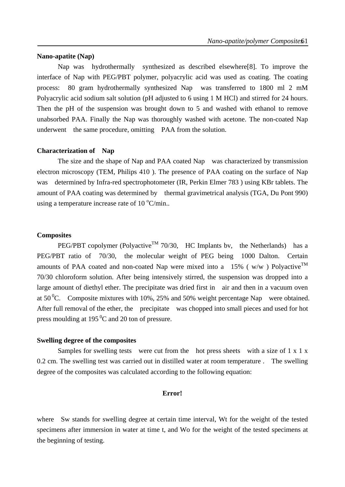#### **Nano-apatite (Nap)**

Nap was hydrothermally synthesized as described elsewhere[8]. To improve the interface of Nap with PEG/PBT polymer, polyacrylic acid was used as coating. The coating process: 80 gram hydrothermally synthesized Nap was transferred to 1800 ml 2 mM Polyacrylic acid sodium salt solution (pH adjusted to 6 using 1 M HCl) and stirred for 24 hours. Then the pH of the suspension was brought down to 5 and washed with ethanol to remove unabsorbed PAA. Finally the Nap was thoroughly washed with acetone. The non-coated Nap underwent the same procedure, omitting PAA from the solution.

#### **Characterization of Nap**

 The size and the shape of Nap and PAA coated Nap was characterized by transmission electron microscopy (TEM, Philips 410 ). The presence of PAA coating on the surface of Nap was determined by Infra-red spectrophotometer (IR, Perkin Elmer 783 ) using KBr tablets. The amount of PAA coating was determined by thermal gravimetrical analysis (TGA, Du Pont 990) using a temperature increase rate of  $10^{\circ}$ C/min..

#### **Composites**

PEG/PBT copolymer (Polyactive<sup>TM</sup> 70/30, HC Implants by, the Netherlands) has a PEG/PBT ratio of 70/30, the molecular weight of PEG being 1000 Dalton. Certain amounts of PAA coated and non-coated Nap were mixed into a 15% ( $w/w$ ) Polyactive<sup>TM</sup> 70/30 chloroform solution. After being intensively stirred, the suspension was dropped into a large amount of diethyl ether. The precipitate was dried first in air and then in a vacuum oven at  $50^{\circ}$ C. Composite mixtures with 10%, 25% and 50% weight percentage Nap were obtained. After full removal of the ether, the precipitate was chopped into small pieces and used for hot press moulding at  $195\,^0$ C and 20 ton of pressure.

#### **Swelling degree of the composites**

Samples for swelling tests were cut from the hot press sheets with a size of 1 x 1 x 0.2 cm. The swelling test was carried out in distilled water at room temperature . The swelling degree of the composites was calculated according to the following equation:

#### **Error!**

where Sw stands for swelling degree at certain time interval, Wt for the weight of the tested specimens after immersion in water at time t, and Wo for the weight of the tested specimens at the beginning of testing.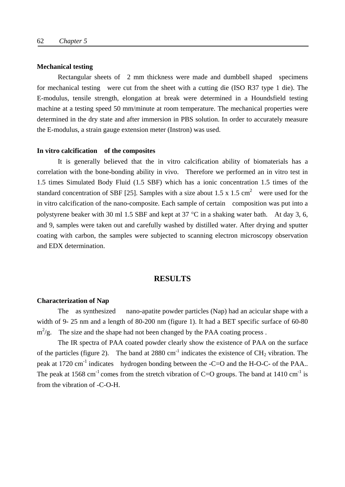#### **Mechanical testing**

Rectangular sheets of 2 mm thickness were made and dumbbell shaped specimens for mechanical testing were cut from the sheet with a cutting die (ISO R37 type 1 die). The E-modulus, tensile strength, elongation at break were determined in a Houndsfield testing machine at a testing speed 50 mm/minute at room temperature. The mechanical properties were determined in the dry state and after immersion in PBS solution. In order to accurately measure the E-modulus, a strain gauge extension meter (Instron) was used.

#### **In vitro calcification of the composites**

It is generally believed that the in vitro calcification ability of biomaterials has a correlation with the bone-bonding ability in vivo. Therefore we performed an in vitro test in 1.5 times Simulated Body Fluid (1.5 SBF) which has a ionic concentration 1.5 times of the standard concentration of SBF [25]. Samples with a size about 1.5 x 1.5 cm<sup>2</sup> were used for the in vitro calcification of the nano-composite. Each sample of certain composition was put into a polystyrene beaker with 30 ml 1.5 SBF and kept at 37 °C in a shaking water bath. At day 3, 6, and 9, samples were taken out and carefully washed by distilled water. After drying and sputter coating with carbon, the samples were subjected to scanning electron microscopy observation and EDX determination.

#### **RESULTS**

#### **Characterization of Nap**

The as synthesized nano-apatite powder particles (Nap) had an acicular shape with a width of 9- 25 nm and a length of 80-200 nm (figure 1). It had a BET specific surface of 60-80  $m<sup>2</sup>$ The size and the shape had not been changed by the PAA coating process.

The IR spectra of PAA coated powder clearly show the existence of PAA on the surface of the particles (figure 2). The band at 2880 cm<sup>-1</sup> indicates the existence of  $CH_2$  vibration. The peak at 1720 cm<sup>-1</sup> indicates hydrogen bonding between the -C=O and the H-O-C- of the PAA.. The peak at 1568 cm<sup>-1</sup> comes from the stretch vibration of C=O groups. The band at 1410 cm<sup>-1</sup> is from the vibration of -C-O-H.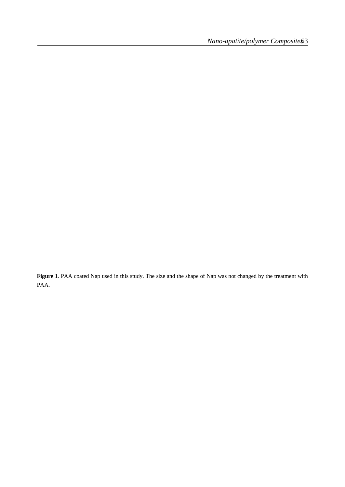*Nano-apatite/polymer Composites* 63

**Figure 1**. PAA coated Nap used in this study. The size and the shape of Nap was not changed by the treatment with PAA.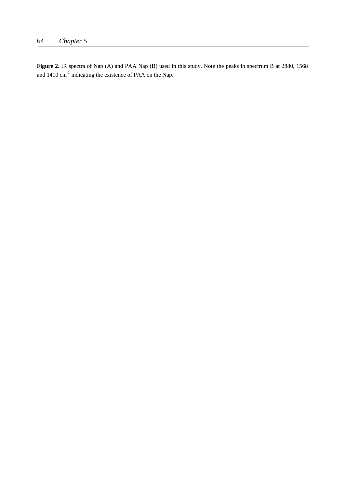**Figure 2**. IR spectra of Nap (A) and PAA Nap (B) used in this study. Note the peaks in spectrum B at 2880, 1568 and 1410 cm-1 indicating the existence of PAA on the Nap.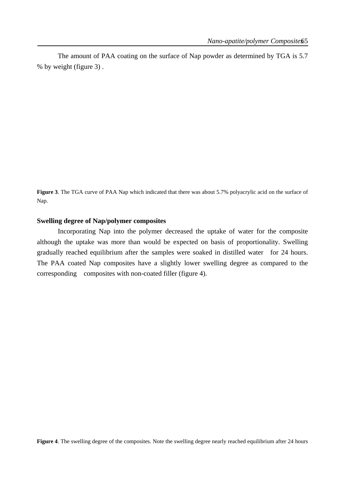The amount of PAA coating on the surface of Nap powder as determined by TGA is 5.7 % by weight (figure 3) .

**Figure 3**. The TGA curve of PAA Nap which indicated that there was about 5.7% polyacrylic acid on the surface of Nap.

#### **Swelling degree of Nap/polymer composites**

Incorporating Nap into the polymer decreased the uptake of water for the composite although the uptake was more than would be expected on basis of proportionality. Swelling gradually reached equilibrium after the samples were soaked in distilled water for 24 hours. The PAA coated Nap composites have a slightly lower swelling degree as compared to the corresponding composites with non-coated filler (figure 4).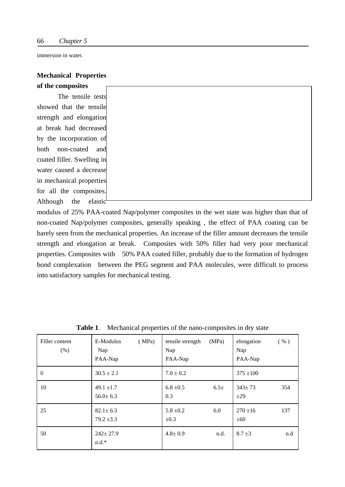immersion in water.

## **Mechanical Properties of the composites**

The tensile tests showed that the tensile strength and elongation at break had decreased by the incorporation of both non-coated and coated filler. Swelling in water caused a decrease in mechanical properties for all the composites. Although the elastic

modulus of 25% PAA-coated Nap/polymer composites in the wet state was higher than that of non-coated Nap/polymer composites, generally speaking , the effect of PAA coating can be barely seen from the mechanical properties. An increase of the filler amount decreases the tensile strength and elongation at break. Composites with 50% filler had very poor mechanical properties. Composites with 50% PAA coated filler, probably due to the formation of hydrogen bond complexation between the PEG segment and PAA molecules, were difficult to process into satisfactory samples for mechanical testing.

| Filler content<br>(% ) | E-Modulus<br>(MPa)<br>Nap<br>PAA-Nap | (MPa)<br>tensile strength<br>Nap<br>PAA-Nap | ( %)<br>elongation<br>Nap<br>PAA-Nap |
|------------------------|--------------------------------------|---------------------------------------------|--------------------------------------|
| $\overline{0}$         | $30.5 \pm 2.1$                       | $7.0 \pm 0.2$                               | $375 \pm 100$                        |
| 10                     | 49.1 $\pm$ 1.7<br>$56.0 \pm 6.3$     | $6.8 \pm 0.5$<br>$6.5\pm$<br>0.3            | $343 \pm 73$<br>354<br>±29           |
| 25                     | $82.1 \pm 6.3$<br>$79.2 \pm 3.3$     | $5.8 \pm 0.2$<br>6.0<br>$\pm 0.3$           | $270 \pm 16$<br>137<br>±60           |
| 50                     | $242 \pm 27.9$<br>$n.d.*$            | $4.8 \pm 0.9$<br>n.d.                       | $8.7 + 3$<br>n.d                     |

**Table 1**. Mechanical properties of the nano-composites in dry state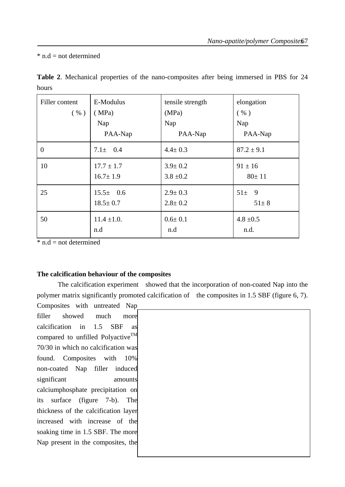## $*$  n.d = not determined

| Filler content<br>( %) | E-Modulus<br>(MPa)<br>Nap<br>PAA-Nap | tensile strength<br>(MPa)<br>Nap<br>PAA-Nap | elongation<br>$(\% )$<br>Nap<br>PAA-Nap |  |
|------------------------|--------------------------------------|---------------------------------------------|-----------------------------------------|--|
| $\overline{0}$         | 7.1 $\pm$ 0.4                        | $4.4 \pm 0.3$                               | $87.2 \pm 9.1$                          |  |
| 10                     | $17.7 \pm 1.7$<br>$16.7 \pm 1.9$     | $3.9 \pm 0.2$<br>$3.8 \pm 0.2$              | $91 \pm 16$<br>$80 \pm 11$              |  |
| 25                     | $15.5 \pm 0.6$<br>$18.5 \pm 0.7$     | $2.9 \pm 0.3$<br>$2.8 \pm 0.2$              | 9<br>$51\pm$<br>$51 \pm 8$              |  |
| 50                     | $11.4 \pm 1.0$ .<br>n.d              | $0.6 \pm 0.1$<br>n.d                        | $4.8 \pm 0.5$<br>n.d.                   |  |

**Table 2**. Mechanical properties of the nano-composites after being immersed in PBS for 24 hours

 $*$  n.d = not determined

## **The calcification behaviour of the composites**

The calcification experiment showed that the incorporation of non-coated Nap into the polymer matrix significantly promoted calcification of the composites in 1.5 SBF (figure 6, 7).

Composites with untreat filler showed much calcification in  $1.5$  S compared to unfilled Poly  $70/30$  in which no calcification found. Composites with non-coated Nap filler significant calciumphosphate precipitation its surface (figure 7-b). thickness of the calcificati increased with increase soaking time in 1.5 SBF. The more Nap present in the composite

| ted Nap         |  |
|-----------------|--|
| more            |  |
| SBF<br>as       |  |
| vactive $^{TM}$ |  |
| ation was       |  |
| th $10\%$       |  |
| induced         |  |
| amounts         |  |
| ation on        |  |
| b). The         |  |
| ion layer       |  |
| of the          |  |
| The more        |  |
| sites, the      |  |
|                 |  |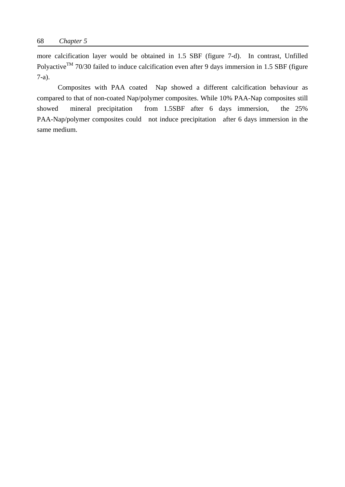more calcification layer would be obtained in 1.5 SBF (figure 7-d). In contrast, Unfilled Polyactive<sup>TM</sup> 70/30 failed to induce calcification even after 9 days immersion in 1.5 SBF (figure 7-a).

Composites with PAA coated Nap showed a different calcification behaviour as compared to that of non-coated Nap/polymer composites. While 10% PAA-Nap composites still showed mineral precipitation from 1.5SBF after 6 days immersion, the 25% PAA-Nap/polymer composites could not induce precipitation after 6 days immersion in the same medium.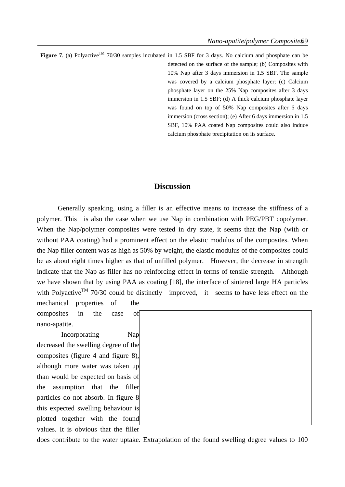**Figure 7.** (a) Polyactive<sup>TM</sup> 70/30 samples incubated in 1.5 SBF for 3 days. No calcium and phosphate can be detected on the surface of the sample; (b) Composites with 10% Nap after 3 days immersion in 1.5 SBF. The sample was covered by a calcium phosphate layer; (c) Calcium phosphate layer on the 25% Nap composites after 3 days immersion in 1.5 SBF; (d) A thick calcium phosphate layer was found on top of 50% Nap composites after 6 days immersion (cross section); (e) After 6 days immersion in 1.5 SBF, 10% PAA coated Nap composites could also induce calcium phosphate precipitation on its surface.

## **Discussion**

Generally speaking, using a filler is an effective means to increase the stiffness of a polymer. This is also the case when we use Nap in combination with PEG/PBT copolymer. When the Nap/polymer composites were tested in dry state, it seems that the Nap (with or without PAA coating) had a prominent effect on the elastic modulus of the composites. When the Nap filler content was as high as 50% by weight, the elastic modulus of the composites could be as about eight times higher as that of unfilled polymer. However, the decrease in strength indicate that the Nap as filler has no reinforcing effect in terms of tensile strength. Although we have shown that by using PAA as coating [18], the interface of sintered large HA particles with Polyactive<sup>TM</sup> 70/30 could be distinctly improved, it seems to have less effect on the mechanical properties of the

composites in the case nano-apatite.

Incorporating decreased the swelling degree composites (figure 4 and figure although more water was tal than would be expected on b the assumption that the particles do not absorb. In fi this expected swelling behave plotted together with the values. It is obvious that the filler

| of<br>e    |  |
|------------|--|
|            |  |
| Nap        |  |
| e of the   |  |
| $ure 8)$ , |  |
| ken up     |  |
| asis of    |  |
| filler     |  |
| igure 8    |  |
| iour is    |  |
| found      |  |
| 0.11       |  |

does contribute to the water uptake. Extrapolation of the found swelling degree values to 100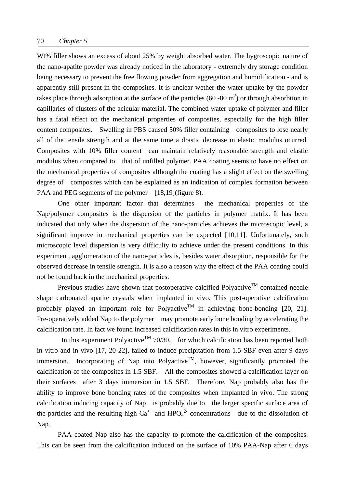Wt% filler shows an excess of about 25% by weight absorbed water. The hygroscopic nature of the nano-apatite powder was already noticed in the laboratory - extremely dry storage condition being necessary to prevent the free flowing powder from aggregation and humidification - and is apparently still present in the composites. It is unclear wether the water uptake by the powder takes place through adsorption at the surface of the particles  $(60 - 80 \text{ m}^2)$  or through absorbtion in capillaries of clusters of the acicular material. The combined water uptake of polymer and filler has a fatal effect on the mechanical properties of composites, especially for the high filler content composites. Swelling in PBS caused 50% filler containing composites to lose nearly all of the tensile strength and at the same time a drastic decrease in elastic modulus ocurred. Composites with 10% filler content can maintain relatively reasonable strength and elastic modulus when compared to that of unfilled polymer. PAA coating seems to have no effect on the mechanical properties of composites although the coating has a slight effect on the swelling degree of composites which can be explained as an indication of complex formation between PAA and PEG segments of the polymer [18,19](figure 8).

One other important factor that determines the mechanical properties of the Nap/polymer composites is the dispersion of the particles in polymer matrix. It has been indicated that only when the dispersion of the nano-particles achieves the microscopic level, a significant improve in mechanical properties can be expected [10,11]. Unfortunately, such microscopic level dispersion is very difficulty to achieve under the present conditions. In this experiment, agglomeration of the nano-particles is, besides water absorption, responsible for the observed decrease in tensile strength. It is also a reason why the effect of the PAA coating could not be found back in the mechanical properties.

Previous studies have shown that postoperative calcified Polyactive<sup>TM</sup> contained needle shape carbonated apatite crystals when implanted in vivo. This post-operative calcification probably played an important role for Polyactive<sup>TM</sup> in achieving bone-bonding [20, 21]. Pre-operatively added Nap to the polymer may promote early bone bonding by accelerating the calcification rate. In fact we found increased calcification rates in this in vitro experiments.

In this experiment Polyactive<sup>TM</sup> 70/30, for which calcification has been reported both in vitro and in vivo [17, 20-22], failed to induce precipitation from 1.5 SBF even after 9 days immersion. Incorporating of Nap into Polyactive<sup>TM</sup>, however, significantly promoted the calcification of the composites in 1.5 SBF. All the composites showed a calcification layer on their surfaces after 3 days immersion in 1.5 SBF. Therefore, Nap probably also has the ability to improve bone bonding rates of the composites when implanted in vivo. The strong calcification inducing capacity of Nap is probably due to the larger specific surface area of the particles and the resulting high  $Ca^{++}$  and  $HPO_4^{2-}$  concentrations due to the dissolution of Nap.

PAA coated Nap also has the capacity to promote the calcification of the composites. This can be seen from the calcification induced on the surface of 10% PAA-Nap after 6 days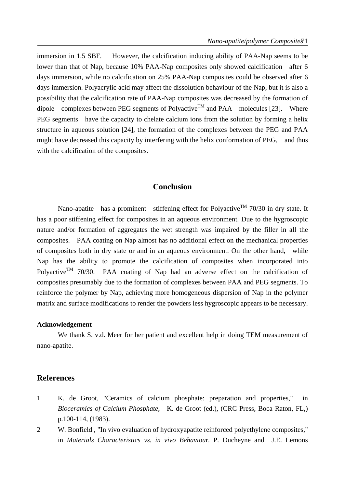immersion in 1.5 SBF. However, the calcification inducing ability of PAA-Nap seems to be lower than that of Nap, because 10% PAA-Nap composites only showed calcification after 6 days immersion, while no calcification on 25% PAA-Nap composites could be observed after 6 days immersion. Polyacrylic acid may affect the dissolution behaviour of the Nap, but it is also a possibility that the calcification rate of PAA-Nap composites was decreased by the formation of dipole complexes between PEG segments of Polyactive<sup>TM</sup> and PAA molecules [23]. Where PEG segments have the capacity to chelate calcium ions from the solution by forming a helix structure in aqueous solution [24], the formation of the complexes between the PEG and PAA might have decreased this capacity by interfering with the helix conformation of PEG, and thus with the calcification of the composites.

## **Conclusion**

Nano-apatite has a prominent stiffening effect for Polyactive<sup>TM</sup> 70/30 in dry state. It has a poor stiffening effect for composites in an aqueous environment. Due to the hygroscopic nature and/or formation of aggregates the wet strength was impaired by the filler in all the composites. PAA coating on Nap almost has no additional effect on the mechanical properties of composites both in dry state or and in an aqueous environment. On the other hand, while Nap has the ability to promote the calcification of composites when incorporated into Polyactive<sup>TM</sup> 70/30. PAA coating of Nap had an adverse effect on the calcification of composites presumably due to the formation of complexes between PAA and PEG segments. To reinforce the polymer by Nap, achieving more homogeneous dispersion of Nap in the polymer matrix and surface modifications to render the powders less hygroscopic appears to be necessary.

#### **Acknowledgement**

We thank S. v.d. Meer for her patient and excellent help in doing TEM measurement of nano-apatite.

## **References**

- 1 K. de Groot, "Ceramics of calcium phosphate: preparation and properties," in *Bioceramics of Calcium Phosphate*, K. de Groot (ed.), (CRC Press, Boca Raton, FL,) p.100-114, (1983).
- 2 W. Bonfield , "In vivo evaluation of hydroxyapatite reinforced polyethylene composites," in *Materials Characteristics vs. in vivo Behaviou*r. P. Ducheyne and J.E. Lemons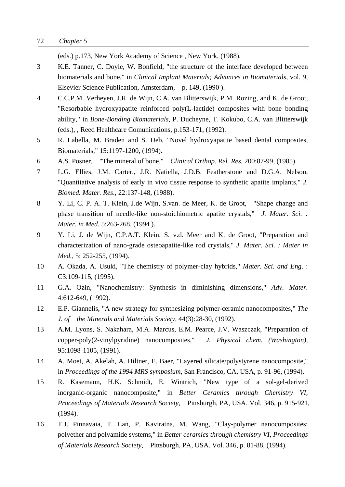(eds.) p.173, New York Academy of Science , New York, (1988).

- 3 K.E. Tanner, C. Doyle, W. Bonfield, "the structure of the interface developed between biomaterials and bone," in *Clinical Implant Materials; Advances in Biomaterials*, vol. 9, Elsevier Science Publication, Amsterdam, p. 149, (1990 ).
- 4 C.C.P.M. Verheyen, J.R. de Wijn, C.A. van Blitterswijk, P.M. Rozing, and K. de Groot, "Resorbable hydroxyapatite reinforced poly(L-lactide) composites with bone bonding ability," in *Bone-Bonding Biomaterials*, P. Ducheyne, T. Kokubo, C.A. van Blitterswijk (eds.), , Reed Healthcare Comunications, p.153-171, (1992).
- 5 R. Labella, M. Braden and S. Deb, "Novel hydroxyapatite based dental composites, Biomaterials," 15:1197-1200, (1994).
- 6 A.S. Posner, "The mineral of bone," *Clinical Orthop. Rel. Res.* 200:87-99, (1985).
- 7 L.G. Ellies, J.M. Carter., J.R. Natiella, J.D.B. Featherstone and D.G.A. Nelson, "Quantitative analysis of early in vivo tissue response to synthetic apatite implants," *J. Biomed. Mater. Res*., 22:137-148, (1988).
- 8 Y. Li, C. P. A. T. Klein, J.de Wijn, S.van. de Meer, K. de Groot, "Shape change and phase transition of needle-like non-stoichiometric apatite crystals," *J. Mater. Sci. : Mater. in Med.* 5:263-268, (1994 ).
- 9 Y. Li, J. de Wijn, C.P.A.T. Klein, S. v.d. Meer and K. de Groot, "Preparation and characterization of nano-grade osteoapatite-like rod crystals," *J. Mater. Sci. : Mater in Med.*, 5: 252-255, (1994).
- 10 A. Okada, A. Usuki, "The chemistry of polymer-clay hybrids," *Mater. Sci. and Eng*. : C3:109-115, (1995).
- 11 G.A. Ozin, "Nanochemistry: Synthesis in diminishing dimensions," *Adv. Mater.* 4:612-649, (1992).
- 12 E.P. Giannelis, "A new strategy for synthesizing polymer-ceramic nanocomposites," *The J. of the Minerals and Materials Society,* 44(3):28-30, (1992).
- 13 A.M. Lyons, S. Nakahara, M.A. Marcus, E.M. Pearce, J.V. Waszczak, "Preparation of copper-poly(2-vinylpyridine) nanocomposites," *J. Physical chem. (Washington)*, 95:1098-1105, (1991).
- 14 A. Moet, A. Akelah, A. Hiltner, E. Baer, "Layered silicate/polystyrene nanocomposite," in *Proceedings of the 1994 MRS symposium*, San Francisco, CA, USA, p. 91-96, (1994).
- 15 R. Kasemann, H.K. Schmidt, E. Wintrich, "New type of a sol-gel-derived inorganic-organic nanocomposite," in *Better Ceramics through Chemistry VI, Proceedings of Materials Research Society,* Pittsburgh, PA, USA. Vol. 346, p. 915-921, (1994).
- 16 T.J. Pinnavaia, T. Lan, P. Kaviratna, M. Wang, "Clay-polymer nanocomposites: polyether and polyamide systems," in *Better ceramics through chemistry VI, Proceedings of Materials Research Society*, Pittsburgh, PA, USA. Vol. 346, p. 81-88, (1994).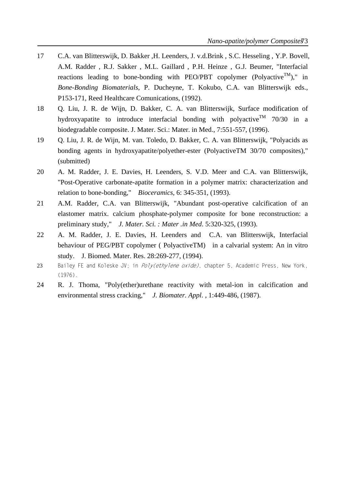- 17 C.A. van Blitterswijk, D. Bakker ,H. Leenders, J. v.d.Brink , S.C. Hesseling , Y.P. Bovell, A.M. Radder , R.J. Sakker , M.L. Gaillard , P.H. Heinze , G.J. Beumer, "Interfacial reactions leading to bone-bonding with PEO/PBT copolymer (Polyactive<sup>TM</sup>)," in *Bone-Bonding Biomaterials*, P. Ducheyne, T. Kokubo, C.A. van Blitterswijk eds., P153-171, Reed Healthcare Comunications, (1992).
- 18 Q. Liu, J. R. de Wijn, D. Bakker, C. A. van Blitterswijk, Surface modification of hydroxyapatite to introduce interfacial bonding with polyactive<sup>TM</sup> 70/30 in a biodegradable composite. J. Mater. Sci.: Mater. in Med., 7:551-557, (1996).
- 19 Q. Liu, J. R. de Wijn, M. van. Toledo, D. Bakker, C. A. van Blitterswijk, "Polyacids as bonding agents in hydroxyapatite/polyether-ester (PolyactiveTM 30/70 composites)," (submitted)
- 20 A. M. Radder, J. E. Davies, H. Leenders, S. V.D. Meer and C.A. van Blitterswijk, "Post-Operative carbonate-apatite formation in a polymer matrix: characterization and relation to bone-bonding," *Bioceramics*, 6: 345-351, (1993).
- 21 A.M. Radder, C.A. van Blitterswijk, "Abundant post-operative calcification of an elastomer matrix. calcium phosphate-polymer composite for bone reconstruction: a preliminary study," *J. Mater. Sci. : Mater .in Med*. 5:320-325, (1993).
- 22 A. M. Radder, J. E. Davies, H. Leenders and C.A. van Blitterswijk, Interfacial behaviour of PEG/PBT copolymer (PolyactiveTM) in a calvarial system: An in vitro study. J. Biomed. Mater. Res. 28:269-277, (1994).
- 23 Bailey FE and Koleske JV; in *Poly(ethylene oxide)*, chapter 5, Academic Press, New York, (1976).
- 24 R. J. Thoma, "Poly(ether)urethane reactivity with metal-ion in calcification and environmental stress cracking," *J. Biomater. Appl*. , 1:449-486, (1987).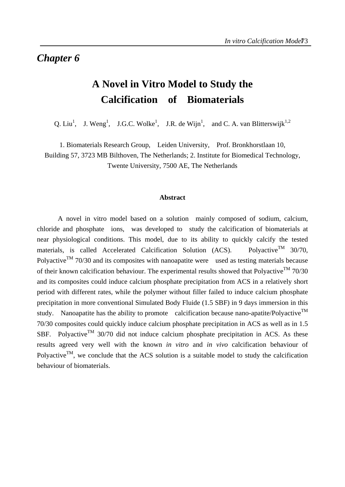## *Chapter 6*

# **A Novel in Vitro Model to Study the Calcification of Biomaterials**

Q. Liu<sup>1</sup>, J. Weng<sup>1</sup>, J.G.C. Wolke<sup>1</sup>, J.R. de Wijn<sup>1</sup>, and C. A. van Blitterswijk<sup>1,2</sup>

1. Biomaterials Research Group, Leiden University, Prof. Bronkhorstlaan 10,

Building 57, 3723 MB Bilthoven, The Netherlands; 2. Institute for Biomedical Technology, Twente University, 7500 AE, The Netherlands

#### **Abstract**

A novel in vitro model based on a solution mainly composed of sodium, calcium, chloride and phosphate ions, was developed to study the calcification of biomaterials at near physiological conditions. This model, due to its ability to quickly calcify the tested materials, is called Accelerated Calcification Solution (ACS). Polyactive<sup>TM</sup> 30/70, Polyactive<sup>TM</sup> 70/30 and its composites with nanoapatite were used as testing materials because of their known calcification behaviour. The experimental results showed that Polyactive<sup>TM</sup> 70/30 and its composites could induce calcium phosphate precipitation from ACS in a relatively short period with different rates, while the polymer without filler failed to induce calcium phosphate precipitation in more conventional Simulated Body Fluide (1.5 SBF) in 9 days immersion in this study. Nanoapatite has the ability to promote calcification because nano-apatite/Polyactive<sup>TM</sup> 70/30 composites could quickly induce calcium phosphate precipitation in ACS as well as in 1.5 SBF. Polyactive<sup>TM</sup> 30/70 did not induce calcium phosphate precipitation in ACS. As these results agreed very well with the known *in vitro* and *in vivo* calcification behaviour of Polyactive<sup>TM</sup>, we conclude that the ACS solution is a suitable model to study the calcification behaviour of biomaterials.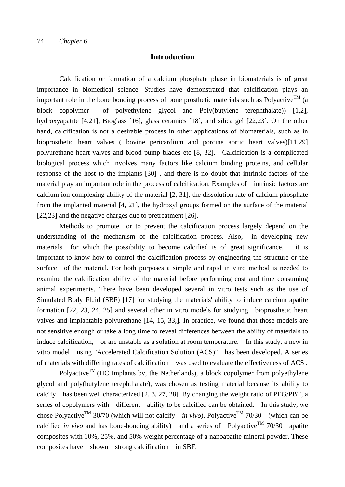## **Introduction**

Calcification or formation of a calcium phosphate phase in biomaterials is of great importance in biomedical science. Studies have demonstrated that calcification plays an important role in the bone bonding process of bone prosthetic materials such as Polyactive<sup>TM</sup> (a block copolymer of polyethylene glycol and Poly(butylene terephthalate)) [1,2], hydroxyapatite [4,21], Bioglass [16], glass ceramics [18], and silica gel [22,23]. On the other hand, calcification is not a desirable process in other applications of biomaterials, such as in bioprosthetic heart valves ( bovine pericardium and porcine aortic heart valves)[11,29] polyurethane heart valves and blood pump blades etc [8, 32]. Calcification is a complicated biological process which involves many factors like calcium binding proteins, and cellular response of the host to the implants [30] , and there is no doubt that intrinsic factors of the material play an important role in the process of calcification. Examples of intrinsic factors are calcium ion complexing ability of the material [2, 31], the dissolution rate of calcium phosphate from the implanted material [4, 21], the hydroxyl groups formed on the surface of the material [22,23] and the negative charges due to pretreatment [26].

Methods to promote or to prevent the calcification process largely depend on the understanding of the mechanism of the calcification process. Also, in developing new materials for which the possibility to become calcified is of great significance, it is important to know how to control the calcification process by engineering the structure or the surface of the material. For both purposes a simple and rapid in vitro method is needed to examine the calcification ability of the material before performing cost and time consuming animal experiments. There have been developed several in vitro tests such as the use of Simulated Body Fluid (SBF) [17] for studying the materials' ability to induce calcium apatite formation [22, 23, 24, 25] and several other in vitro models for studying bioprosthetic heart valves and implantable polyurethane [14, 15, 33,]. In practice, we found that those models are not sensitive enough or take a long time to reveal differences between the ability of materials to induce calcification, or are unstable as a solution at room temperature. In this study, a new in vitro model using "Accelerated Calcification Solution (ACS)" has been developed. A series of materials with differing rates of calcification was used to evaluate the effectiveness of ACS .

Polyactive<sup>TM</sup> (HC Implants bv, the Netherlands), a block copolymer from polyethylene glycol and poly(butylene terephthalate), was chosen as testing material because its ability to calcify has been well characterized [2, 3, 27, 28]. By changing the weight ratio of PEG/PBT, a series of copolymers with different ability to be calcified can be obtained. In this study, we chose Polyactive<sup>TM</sup> 30/70 (which will not calcify *in vivo*), Polyactive<sup>TM</sup> 70/30 (which can be calcified *in vivo* and has bone-bonding ability) and a series of Polyactive<sup>TM</sup> 70/30 apatite composites with 10%, 25%, and 50% weight percentage of a nanoapatite mineral powder. These composites have shown strong calcification in SBF.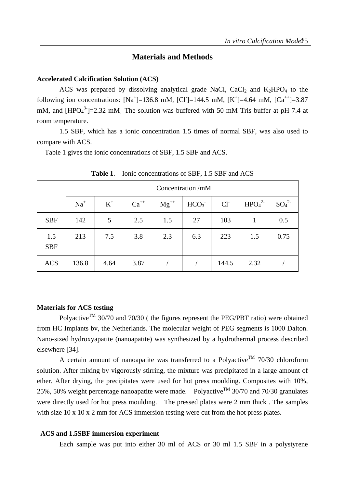## **Materials and Methods**

#### **Accelerated Calcification Solution (ACS)**

ACS was prepared by dissolving analytical grade NaCl, CaCl<sub>2</sub> and K<sub>2</sub>HPO<sub>4</sub> to the following ion concentrations: [Na<sup>+</sup>]=136.8 mM, [Cl<sup>-</sup>]=144.5 mM, [K<sup>+</sup>]=4.64 mM, [Ca<sup>++</sup>]=3.87 mM, and  $[HPO<sub>4</sub><sup>3</sup>$ ]=2.32 mM. The solution was buffered with 50 mM Tris buffer at pH 7.4 at room temperature.

1.5 SBF, which has a ionic concentration 1.5 times of normal SBF, was also used to compare with ACS.

Table 1 gives the ionic concentrations of SBF, 1.5 SBF and ACS.

|                   | Concentration /mM |       |           |           |                  |       |                               |                              |
|-------------------|-------------------|-------|-----------|-----------|------------------|-------|-------------------------------|------------------------------|
|                   | $Na+$             | $K^+$ | $Ca^{++}$ | $Mg^{++}$ | HCO <sub>3</sub> | $Cl-$ | HPO <sub>4</sub> <sup>2</sup> | SO <sub>4</sub> <sup>2</sup> |
| <b>SBF</b>        | 142               | 5     | 2.5       | 1.5       | 27               | 103   |                               | 0.5                          |
| 1.5<br><b>SBF</b> | 213               | 7.5   | 3.8       | 2.3       | 6.3              | 223   | 1.5                           | 0.75                         |
| <b>ACS</b>        | 136.8             | 4.64  | 3.87      |           |                  | 144.5 | 2.32                          |                              |

**Table 1**. Ionic concentrations of SBF, 1.5 SBF and ACS

### **Materials for ACS testing**

Polyactive<sup>TM</sup> 30/70 and 70/30 ( the figures represent the PEG/PBT ratio) were obtained from HC Implants bv, the Netherlands. The molecular weight of PEG segments is 1000 Dalton. Nano-sized hydroxyapatite (nanoapatite) was synthesized by a hydrothermal process described elsewhere [34].

A certain amount of nanoapatite was transferred to a Polyactive<sup>TM</sup> 70/30 chloroform solution. After mixing by vigorously stirring, the mixture was precipitated in a large amount of ether. After drying, the precipitates were used for hot press moulding. Composites with 10%, 25%, 50% weight percentage nanoapatite were made. Polyactive<sup>TM</sup> 30/70 and 70/30 granulates were directly used for hot press moulding. The pressed plates were 2 mm thick . The samples with size 10 x 10 x 2 mm for ACS immersion testing were cut from the hot press plates.

#### **ACS and 1.5SBF immersion experiment**

Each sample was put into either 30 ml of ACS or 30 ml 1.5 SBF in a polystyrene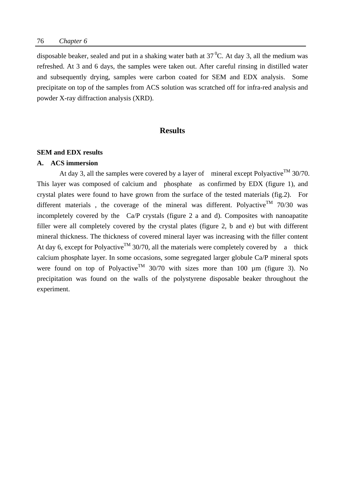disposable beaker, sealed and put in a shaking water bath at  $37^{\circ}$ C. At day 3, all the medium was refreshed. At 3 and 6 days, the samples were taken out. After careful rinsing in distilled water and subsequently drying, samples were carbon coated for SEM and EDX analysis. Some precipitate on top of the samples from ACS solution was scratched off for infra-red analysis and powder X-ray diffraction analysis (XRD).

## **Results**

#### **SEM and EDX results**

#### **A. ACS immersion**

At day 3, all the samples were covered by a layer of mineral except Polyactive<sup>TM</sup> 30/70. This layer was composed of calcium and phosphate as confirmed by EDX (figure 1), and crystal plates were found to have grown from the surface of the tested materials (fig.2). For different materials, the coverage of the mineral was different. Polyactive<sup>TM</sup> 70/30 was incompletely covered by the Ca/P crystals (figure 2 a and d). Composites with nanoapatite filler were all completely covered by the crystal plates (figure 2, b and e) but with different mineral thickness. The thickness of covered mineral layer was increasing with the filler content At day 6, except for Polyactive<sup>TM</sup> 30/70, all the materials were completely covered by a thick calcium phosphate layer. In some occasions, some segregated larger globule Ca/P mineral spots were found on top of Polyactive<sup>TM</sup> 30/70 with sizes more than 100  $\mu$ m (figure 3). No precipitation was found on the walls of the polystyrene disposable beaker throughout the experiment.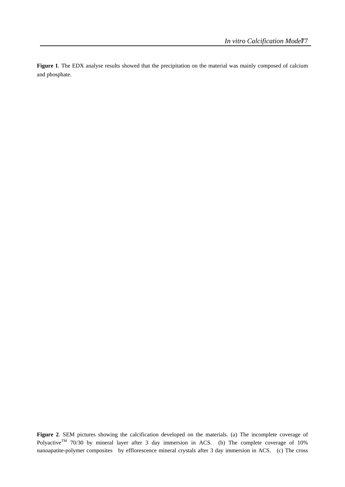Figure 1. The EDX analyse results showed that the precipitation on the material was mainly composed of calcium and phosphate.

**Figure 2**. SEM pictures showing the calcification developed on the materials. (a) The incomplete coverage of Polyactive<sup>TM</sup> 70/30 by mineral layer after 3 day immersion in ACS. (b) The complete coverage of 10% nanoapatite-polymer composites by efflorescence mineral crystals after 3 day immersion in ACS. (c) The cross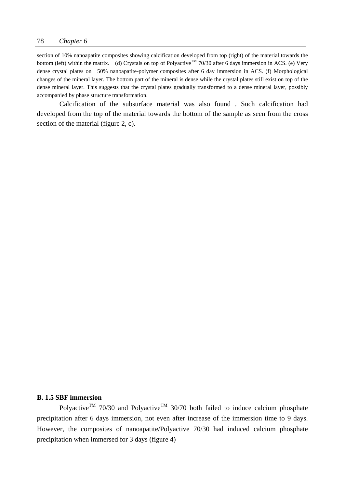section of 10% nanoapatite composites showing calcification developed from top (right) of the material towards the bottom (left) within the matrix. (d) Crystals on top of Polyactive<sup>TM</sup> 70/30 after 6 days immersion in ACS. (e) Very dense crystal plates on 50% nanoapatite-polymer composites after 6 day immersion in ACS. (f) Morphological changes of the mineral layer. The bottom part of the mineral is dense while the crystal plates still exist on top of the dense mineral layer. This suggests that the crystal plates gradually transformed to a dense mineral layer, possibly accompanied by phase structure transformation.

Calcification of the subsurface material was also found . Such calcification had developed from the top of the material towards the bottom of the sample as seen from the cross section of the material (figure 2, c).

### **B. 1.5 SBF immersion**

Polyactive<sup>TM</sup> 70/30 and Polyactive<sup>TM</sup> 30/70 both failed to induce calcium phosphate precipitation after 6 days immersion, not even after increase of the immersion time to 9 days. However, the composites of nanoapatite/Polyactive 70/30 had induced calcium phosphate precipitation when immersed for 3 days (figure 4)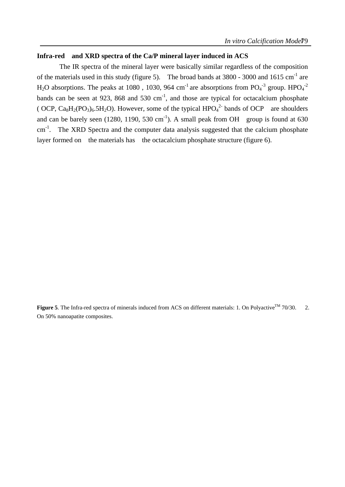## **Infra-red and XRD spectra of the Ca/P mineral layer induced in ACS**

The IR spectra of the mineral layer were basically similar regardless of the composition of the materials used in this study (figure 5). The broad bands at  $3800 - 3000$  and  $1615 \text{ cm}^{-1}$  are H<sub>2</sub>O absorptions. The peaks at 1080, 1030, 964 cm<sup>-1</sup> are absorptions from PO<sub>4</sub><sup>-3</sup> group. HPO<sub>4</sub><sup>-2</sup> bands can be seen at 923, 868 and 530 cm<sup>-1</sup>, and those are typical for octacalcium phosphate ( OCP,  $Ca_8H_2(PO_3)_6.5H_2O$ ). However, some of the typical  $HPO_4^{2-}$  bands of OCP are shoulders and can be barely seen (1280, 1190, 530 cm<sup>-1</sup>). A small peak from OH group is found at 630 cm<sup>-1</sup>. The XRD Spectra and the computer data analysis suggested that the calcium phosphate layer formed on the materials has the octacalcium phosphate structure (figure 6).

**Figure 5**. The Infra-red spectra of minerals induced from ACS on different materials: 1. On Polyactive<sup>TM</sup> 70/30. 2. On 50% nanoapatite composites.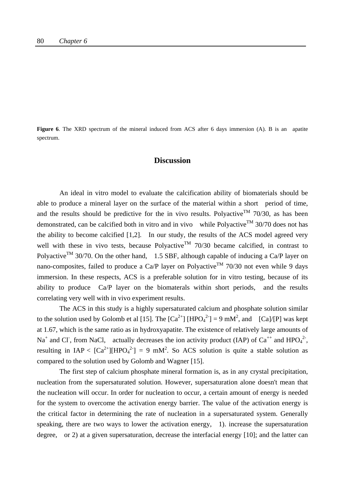**Figure 6**. The XRD spectrum of the mineral induced from ACS after 6 days immersion (A). B is an apatite spectrum.

## **Discussion**

An ideal in vitro model to evaluate the calcification ability of biomaterials should be able to produce a mineral layer on the surface of the material within a short period of time, and the results should be predictive for the in vivo results. Polyactive<sup>TM</sup> 70/30, as has been demonstrated, can be calcified both in vitro and in vivo while Polyactive<sup>TM</sup> 30/70 does not has the ability to become calcified [1,2]. In our study, the results of the ACS model agreed very well with these in vivo tests, because Polyactive<sup>TM</sup> 70/30 became calcified, in contrast to Polyactive<sup>TM</sup> 30/70. On the other hand, 1.5 SBF, although capable of inducing a Ca/P layer on nano-composites, failed to produce a Ca/P layer on Polyactive<sup>TM</sup> 70/30 not even while 9 days immersion. In these respects, ACS is a preferable solution for in vitro testing, because of its ability to produce Ca/P layer on the biomaterals within short periods, and the results correlating very well with in vivo experiment results.

The ACS in this study is a highly supersaturated calcium and phosphate solution similar to the solution used by Golomb et al [15]. The  $\text{[Ca}^{2+}\text{]}$   $\text{[HPO}_4^2$ ] = 9 mM<sup>2</sup>, and  $\text{[Ca]/[P]}$  was kept at 1.67, which is the same ratio as in hydroxyapatite. The existence of relatively large amounts of Na<sup>+</sup> and Cl<sup>-</sup>, from NaCl, actually decreases the ion activity product (IAP) of Ca<sup>++</sup> and HPO<sub>4</sub><sup>2-</sup>, resulting in  $IAP < [Ca^{2+}][HPO_4^{2-}] = 9$  mM<sup>2</sup>. So ACS solution is quite a stable solution as compared to the solution used by Golomb and Wagner [15].

The first step of calcium phosphate mineral formation is, as in any crystal precipitation, nucleation from the supersaturated solution. However, supersaturation alone doesn't mean that the nucleation will occur. In order for nucleation to occur, a certain amount of energy is needed for the system to overcome the activation energy barrier. The value of the activation energy is the critical factor in determining the rate of nucleation in a supersaturated system. Generally speaking, there are two ways to lower the activation energy, 1). increase the supersaturation degree, or 2) at a given supersaturation, decrease the interfacial energy [10]; and the latter can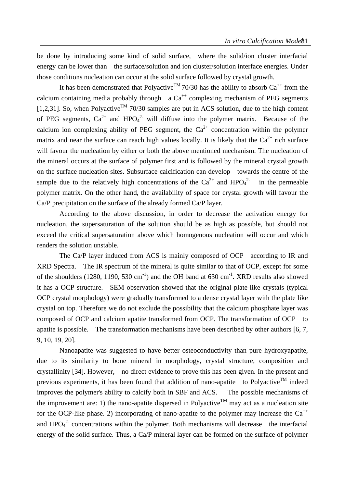be done by introducing some kind of solid surface, where the solid/ion cluster interfacial energy can be lower than the surface/solution and ion cluster/solution interface energies. Under those conditions nucleation can occur at the solid surface followed by crystal growth.

It has been demonstrated that Polyactive<sup>TM</sup> 70/30 has the ability to absorb  $Ca^{++}$  from the calcium containing media probably through a  $Ca^{++}$  complexing mechanism of PEG segments [1,2,31]. So, when Polyactive<sup>TM</sup> 70/30 samples are put in ACS solution, due to the high content of PEG segments,  $Ca^{2+}$  and  $HPO_4^{2-}$  will diffuse into the polymer matrix. Because of the calcium ion complexing ability of PEG segment, the  $Ca^{2+}$  concentration within the polymer matrix and near the surface can reach high values locally. It is likely that the  $Ca^{2+}$  rich surface will favour the nucleation by either or both the above mentioned mechanism. The nucleation of the mineral occurs at the surface of polymer first and is followed by the mineral crystal growth on the surface nucleation sites. Subsurface calcification can develop towards the centre of the sample due to the relatively high concentrations of the  $Ca^{2+}$  and  $HPO<sub>4</sub><sup>2-</sup>$  in the permeable polymer matrix. On the other hand, the availability of space for crystal growth will favour the Ca/P precipitation on the surface of the already formed Ca/P layer.

According to the above discussion, in order to decrease the activation energy for nucleation, the supersaturation of the solution should be as high as possible, but should not exceed the critical supersaturation above which homogenous nucleation will occur and which renders the solution unstable.

The Ca/P layer induced from ACS is mainly composed of OCP according to IR and XRD Spectra. The IR spectrum of the mineral is quite similar to that of OCP, except for some of the shoulders (1280, 1190, 530 cm<sup>-1</sup>) and the OH band at 630 cm<sup>-1</sup>. XRD results also showed it has a OCP structure. SEM observation showed that the original plate-like crystals (typical OCP crystal morphology) were gradually transformed to a dense crystal layer with the plate like crystal on top. Therefore we do not exclude the possibility that the calcium phosphate layer was composed of OCP and calcium apatite transformed from OCP. The transformation of OCP to apatite is possible. The transformation mechanisms have been described by other authors [6, 7, 9, 10, 19, 20].

Nanoapatite was suggested to have better osteoconductivity than pure hydroxyapatite, due to its similarity to bone mineral in morphology, crystal structure, composition and crystallinity [34]. However, no direct evidence to prove this has been given. In the present and previous experiments, it has been found that addition of nano-apatite to Polyactive<sup>TM</sup> indeed improves the polymer's ability to calcify both in SBF and ACS. The possible mechanisms of the improvement are: 1) the nano-apatite dispersed in Polyactive<sup>TM</sup> may act as a nucleation site for the OCP-like phase. 2) incorporating of nano-apatite to the polymer may increase the  $Ca^{++}$ and  $HPO<sub>4</sub><sup>2</sup>$  concentrations within the polymer. Both mechanisms will decrease the interfacial energy of the solid surface. Thus, a Ca/P mineral layer can be formed on the surface of polymer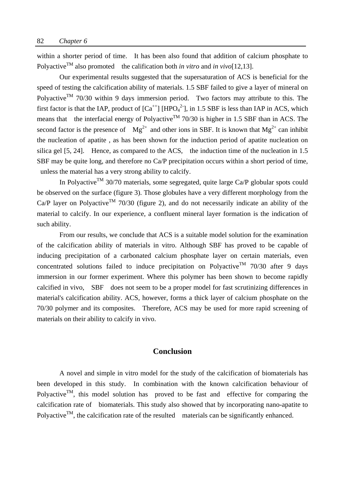within a shorter period of time. It has been also found that addition of calcium phosphate to Polyactive<sup>TM</sup> also promoted the calification both *in vitro* and *in vivo*[12,13].

Our experimental results suggested that the supersaturation of ACS is beneficial for the speed of testing the calcification ability of materials. 1.5 SBF failed to give a layer of mineral on Polyactive<sup>TM</sup> 70/30 within 9 days immersion period. Two factors may attribute to this. The first factor is that the IAP, product of  $[Ca^{++}]$   $[HPO_4^2]$ , in 1.5 SBF is less than IAP in ACS, which means that the interfacial energy of Polyactive<sup>TM</sup> 70/30 is higher in 1.5 SBF than in ACS. The second factor is the presence of  $Mg^{2+}$  and other ions in SBF. It is known that  $Mg^{2+}$  can inhibit the nucleation of apatite , as has been shown for the induction period of apatite nucleation on silica gel [5, 24]. Hence, as compared to the ACS, the induction time of the nucleation in 1.5 SBF may be quite long, and therefore no Ca/P precipitation occurs within a short period of time, unless the material has a very strong ability to calcify.

In Polyactive<sup>TM</sup> 30/70 materials, some segregated, quite large Ca/P globular spots could be observed on the surface (figure 3). Those globules have a very different morphology from the Ca/P layer on Polyactive<sup>TM</sup> 70/30 (figure 2), and do not necessarily indicate an ability of the material to calcify. In our experience, a confluent mineral layer formation is the indication of such ability.

From our results, we conclude that ACS is a suitable model solution for the examination of the calcification ability of materials in vitro. Although SBF has proved to be capable of inducing precipitation of a carbonated calcium phosphate layer on certain materials, even concentrated solutions failed to induce precipitation on Polyactive<sup>TM</sup> 70/30 after 9 days immersion in our former experiment. Where this polymer has been shown to become rapidly calcified in vivo, SBF does not seem to be a proper model for fast scrutinizing differences in material's calcification ability. ACS, however, forms a thick layer of calcium phosphate on the 70/30 polymer and its composites. Therefore, ACS may be used for more rapid screening of materials on their ability to calcify in vivo.

## **Conclusion**

A novel and simple in vitro model for the study of the calcification of biomaterials has been developed in this study. In combination with the known calcification behaviour of Polyactive<sup>TM</sup>, this model solution has proved to be fast and effective for comparing the calcification rate of biomaterials. This study also showed that by incorporating nano-apatite to Polyactive<sup>TM</sup>, the calcification rate of the resulted materials can be significantly enhanced.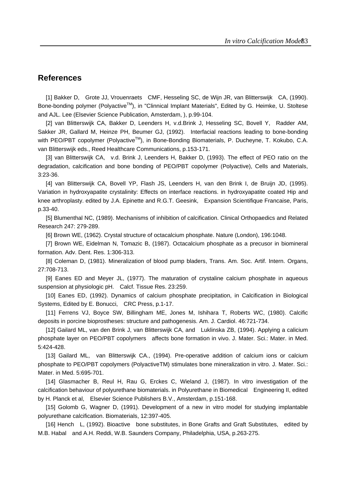## **References**

[1] Bakker D, Grote JJ, Vrouenraets CMF, Hesseling SC, de Wijn JR, van Blitterswijk CA, (1990). Bone-bonding polymer (Polyactive™), in "Clinnical Implant Materials", Edited by G. Heimke, U. Stoltese and AJL. Lee (Elsevier Science Publication, Amsterdam, ), p.99-104.

[2] van Blitterswijk CA, Bakker D, Leenders H, v.d.Brink J, Hesseling SC, Bovell Y, Radder AM, Sakker JR, Gallard M, Heinze PH, Beumer GJ, (1992). Interfacial reactions leading to bone-bonding with PEO/PBT copolymer (Polyactive™), in Bone-Bonding Biomaterials, P. Ducheyne, T. Kokubo, C.A. van Blitterswijk eds., Reed Healthcare Communications, p.153-171.

[3] van Blitterswijk CA, v.d. Brink J, Leenders H, Bakker D, (1993). The effect of PEO ratio on the degradation, calcification and bone bonding of PEO/PBT copolymer (Polyactive), Cells and Materials, 3:23-36.

[4] van Blitterswijk CA, Bovell YP, Flash JS, Leenders H, van den Brink I, de Bruijn JD, (1995). Variation in hydroxyapatite crystalinity: Effects on interface reactions. in hydroxyapatite coated Hip and knee arthroplasty. edited by J.A. Epinette and R.G.T. Geesink, Expansion Scientifique Francaise, Paris, p.33-40.

[5] Blumenthal NC, (1989). Mechanisms of inhibition of calcification. Clinical Orthopaedics and Related Research 247: 279-289.

[6] Brown WE, (1962). Crystal structure of octacalcium phosphate. Nature (London), 196:1048.

 [7] Brown WE, Eidelman N, Tomazic B, (1987). Octacalcium phosphate as a precusor in biomineral formation. Adv. Dent. Res. 1:306-313.

[8] Coleman D, (1981). Mineralization of blood pump bladers, Trans. Am. Soc. Artif. Intern. Organs, 27:708-713.

[9] Eanes ED and Meyer JL, (1977). The maturation of crystaline calcium phosphate in aqueous suspension at physiologic pH. Calcf. Tissue Res. 23:259.

[10] Eanes ED, (1992). Dynamics of calcium phosphate precipitation, in Calcification in Biological Systems, Edited by E. Bonucci, CRC Press, p.1-17.

[11] Ferrens VJ, Boyce SW, Billingham ME, Jones M, Ishihara T, Roberts WC, (1980). Calcific deposits in porcine bioprostheses: structure and pathogenesis. Am. J. Cardiol. 46:721-734.

[12] Gailard ML, van den Brink J, van Blitterswijk CA, and Luklinska ZB, (1994). Applying a calicium phosphate layer on PEO/PBT copolymers affects bone formation in vivo. J. Mater. Sci.: Mater. in Med. 5:424-428.

[13] Gailard ML, van Blitterswijk CA., (1994). Pre-operative addition of calcium ions or calcium phosphate to PEO/PBT copolymers (PolyactiveTM) stimulates bone mineralization in vitro. J. Mater. Sci.: Mater. in Med. 5:695-701.

[14] Glasmacher B, Reul H, Rau G, Erckes C, Wieland J, (1987). In vitro investigation of the calcification behaviour of polyurethane biomaterials. in Polyurethane in Biomedical Engineering II, edited by H. Planck et al, Elsevier Science Publishers B.V., Amsterdam, p.151-168.

[15] Golomb G, Wagner D, (1991). Development of a new in vitro model for studying implantable polyurethane calcification. Biomaterials, 12:397-405.

[16] Hench L, (1992). Bioactive bone substitutes, in Bone Grafts and Graft Substitutes, edited by M.B. Habal and A.H. Reddi, W.B. Saunders Company, Philadelphia, USA, p.263-275.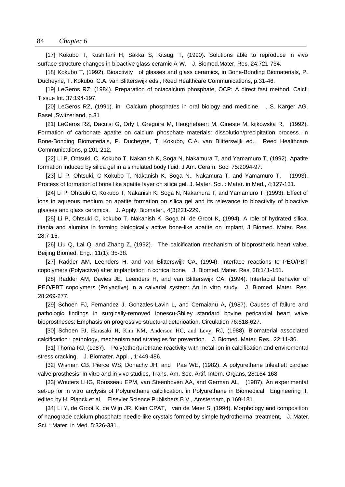[17] Kokubo T, Kushitani H, Sakka S, Kitsugi T, (1990). Solutions able to reproduce in vivo surface-structure changes in bioactive glass-ceramic A-W. J. Biomed.Mater, Res. 24:721-734.

[18] Kokubo T, (1992). Bioactivity of glasses and glass ceramics, in Bone-Bonding Biomaterials, P. Ducheyne, T. Kokubo, C.A. van Blitterswijk eds., Reed Healthcare Communications, p.31-46.

[19] LeGeros RZ, (1984). Preparation of octacalcium phosphate, OCP: A direct fast method. Calcf. Tissue Int. 37:194-197.

[20] LeGeros RZ, (1991). in Calcium phosphates in oral biology and medicine, , S. Karger AG, Basel ,Switzerland, p.31

[21] LeGeros RZ, Daculsi G, Orly I, Gregoire M, Heughebaert M, Gineste M, kijkowska R, (1992). Formation of carbonate apatite on calcium phosphate materials: dissolution/precipitation process. in Bone-Bonding Biomaterials, P. Ducheyne, T. Kokubo, C.A. van Blitterswijk ed., Reed Healthcare Communications, p.201-212.

[22] Li P, Ohtsuki, C, Kokubo T, Nakanish K, Soga N, Nakamura T, and Yamamuro T, (1992). Apatite formation induced by silica gel in a simulated body fluid. J Am. Ceram. Soc. 75:2094-97.

[23] Li P, Ohtsuki, C Kokubo T, Nakanish K, Soga N., Nakamura T, and Yamamuro T, (1993). Process of formation of bone like apatite layer on silica gel, J. Mater. Sci. : Mater. in Med., 4:127-131.

[24] Li P, Ohtsuki C, Kokubo T, Nakanish K, Soga N, Nakamura T, and Yamamuro T, (1993). Effect of ions in aqueous medium on apatite formation on silica gel and its relevance to bioactivity of bioactive glasses and glass ceramics, J. Apply. Biomater., 4(3)221-229.

[25] Li P, Ohtsuki C, kokubo T, Nakanish K, Soga N, de Groot K, (1994). A role of hydrated silica, titania and alumina in forming biologically active bone-like apatite on implant, J Biomed. Mater. Res. 28:7-15.

[26] Liu Q, Lai Q, and Zhang Z, (1992). The calcification mechanism of bioprosthetic heart valve, Beijing Biomed. Eng., 11(1): 35-38.

[27] Radder AM, Leenders H, and van Blitterswijk CA, (1994). Interface reactions to PEO/PBT copolymers (Polyactive) after implantation in cortical bone, J. Biomed. Mater. Res. 28:141-151.

[28] Radder AM, Davies JE, Leenders H, and van Blitterswijk CA, (1994). Interfacial behavior of PEO/PBT copolymers (Polyactive) in a calvarial system: An in vitro study. J. Biomed. Mater. Res. 28:269-277.

[29] Schoen FJ, Fernandez J, Gonzales-Lavin L, and Cernaianu A, (1987). Causes of failure and pathologic findings in surgically-removed Ionescu-Shiley standard bovine pericardial heart valve bioprostheses: Emphasis on progressive structural deterioation. Circulation 76:618-627.

[30] Schoen FJ, Harasaki H, Kim KM, Anderson HC, and Levy, RJ, (1988). Biomaterial associated calcification : pathology, mechanism and strategies for prevention. J. Biomed. Mater. Res.. 22:11-36.

[31] Thoma RJ, (1987). Poly(ether)urethane reactivity with metal-ion in calcification and enviromental stress cracking, J. Biomater. Appl. , 1:449-486.

[32] Wisman CB, Pierce WS, Donachy JH, and Pae WE, (1982). A polyurethane trileaflett cardiac valve prosthesis: In vitro and in vivo studies, Trans. Am. Soc. Artif. Intern. Organs, 28:164-168.

[33] Wouters LHG, Rousseau EPM, van Steenhoven AA, and German AL, (1987). An experimental set-up for in vitro anylysis of Polyurethane calcification. in Polyurethane in Biomedical Engineering II, edited by H. Planck et al, Elsevier Science Publishers B.V., Amsterdam, p.169-181.

[34] Li Y, de Groot K, de Wijn JR, Klein CPAT, van de Meer S, (1994). Morphology and composition of nanograde calcium phosphate needle-like crystals formed by simple hydrothermal treatment, J. Mater. Sci. : Mater. in Med. 5:326-331.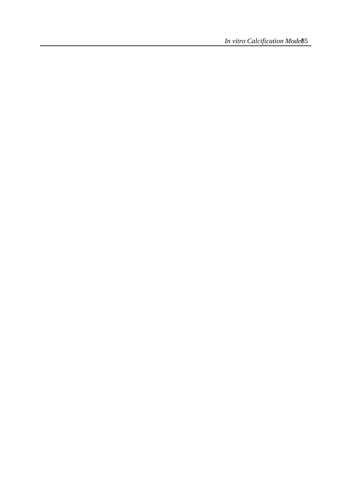*In vitro Calcification Model* 85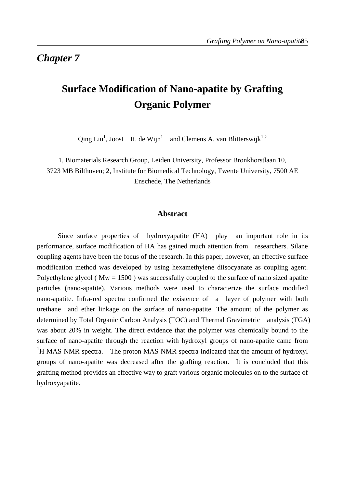## *Chapter 7*

# **Surface Modification of Nano-apatite by Grafting Organic Polymer**

Qing Liu<sup>1</sup>, Joost R. de Wijn<sup>1</sup> and Clemens A. van Blitterswijk<sup>1,2</sup>

1, Biomaterials Research Group, Leiden University, Professor Bronkhorstlaan 10, 3723 MB Bilthoven; 2, Institute for Biomedical Technology, Twente University, 7500 AE Enschede, The Netherlands

## **Abstract**

Since surface properties of hydroxyapatite (HA) play an important role in its performance, surface modification of HA has gained much attention from researchers. Silane coupling agents have been the focus of the research. In this paper, however, an effective surface modification method was developed by using hexamethylene diisocyanate as coupling agent. Polyethylene glycol ( $Mw = 1500$ ) was successfully coupled to the surface of nano sized apatite particles (nano-apatite). Various methods were used to characterize the surface modified nano-apatite. Infra-red spectra confirmed the existence of a layer of polymer with both urethane and ether linkage on the surface of nano-apatite. The amount of the polymer as determined by Total Organic Carbon Analysis (TOC) and Thermal Gravimetric analysis (TGA) was about 20% in weight. The direct evidence that the polymer was chemically bound to the surface of nano-apatite through the reaction with hydroxyl groups of nano-apatite came from <sup>1</sup>H MAS NMR spectra. The proton MAS NMR spectra indicated that the amount of hydroxyl groups of nano-apatite was decreased after the grafting reaction. It is concluded that this grafting method provides an effective way to graft various organic molecules on to the surface of hydroxyapatite.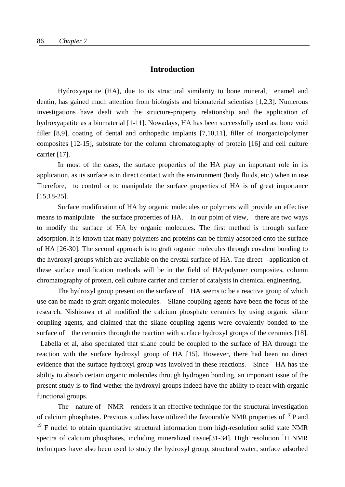## **Introduction**

Hydroxyapatite (HA), due to its structural similarity to bone mineral, enamel and dentin, has gained much attention from biologists and biomaterial scientists [1,2,3]. Numerous investigations have dealt with the structure-property relationship and the application of hydroxyapatite as a biomaterial [1-11]. Nowadays, HA has been successfully used as: bone void filler [8,9], coating of dental and orthopedic implants [7,10,11], filler of inorganic/polymer composites [12-15], substrate for the column chromatography of protein [16] and cell culture carrier [17].

In most of the cases, the surface properties of the HA play an important role in its application, as its surface is in direct contact with the environment (body fluids, etc.) when in use. Therefore, to control or to manipulate the surface properties of HA is of great importance [15,18-25].

Surface modification of HA by organic molecules or polymers will provide an effective means to manipulate the surface properties of HA. In our point of view, there are two ways to modify the surface of HA by organic molecules. The first method is through surface adsorption. It is known that many polymers and proteins can be firmly adsorbed onto the surface of HA [26-30]. The second approach is to graft organic molecules through covalent bonding to the hydroxyl groups which are available on the crystal surface of HA. The direct application of these surface modification methods will be in the field of HA/polymer composites, column chromatography of protein, cell culture carrier and carrier of catalysts in chemical engineering.

The hydroxyl group present on the surface of HA seems to be a reactive group of which use can be made to graft organic molecules. Silane coupling agents have been the focus of the research. Nishizawa et al modified the calcium phosphate ceramics by using organic silane coupling agents, and claimed that the silane coupling agents were covalently bonded to the surface of the ceramics through the reaction with surface hydroxyl groups of the ceramics [18]. Labella et al, also speculated that silane could be coupled to the surface of HA through the reaction with the surface hydroxyl group of HA [15]. However, there had been no direct evidence that the surface hydroxyl group was involved in these reactions. Since HA has the ability to absorb certain organic molecules through hydrogen bonding, an important issue of the present study is to find wether the hydroxyl groups indeed have the ability to react with organic functional groups.

The nature of NMR renders it an effective technique for the structural investigation of calcium phosphates. Previous studies have utilized the favourable NMR properties of  ${}^{31}P$  and  $19$  F nuclei to obtain quantitative structural information from high-resolution solid state NMR spectra of calcium phosphates, including mineralized tissue[31-34]. High resolution  ${}^{1}H$  NMR techniques have also been used to study the hydroxyl group, structural water, surface adsorbed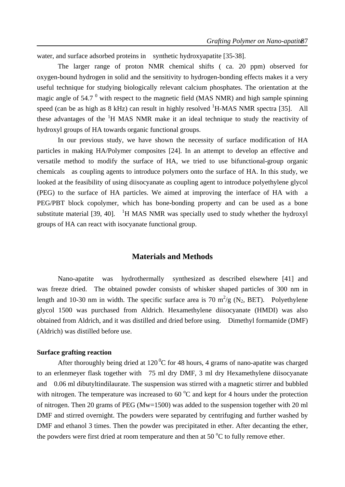water, and surface adsorbed proteins in synthetic hydroxyapatite [35-38].

The larger range of proton NMR chemical shifts ( ca. 20 ppm) observed for oxygen-bound hydrogen in solid and the sensitivity to hydrogen-bonding effects makes it a very useful technique for studying biologically relevant calcium phosphates. The orientation at the magic angle of 54.7  $\textdegree$  with respect to the magnetic field (MAS NMR) and high sample spinning speed (can be as high as  $8$  kHz) can result in highly resolved  $^1$ H-MAS NMR spectra [35]. All these advantages of the  ${}^{1}H$  MAS NMR make it an ideal technique to study the reactivity of hydroxyl groups of HA towards organic functional groups.

In our previous study, we have shown the necessity of surface modification of HA particles in making HA/Polymer composites [24]. In an attempt to develop an effective and versatile method to modify the surface of HA, we tried to use bifunctional-group organic chemicals as coupling agents to introduce polymers onto the surface of HA. In this study, we looked at the feasibility of using diisocyanate as coupling agent to introduce polyethylene glycol (PEG) to the surface of HA particles. We aimed at improving the interface of HA with a PEG/PBT block copolymer, which has bone-bonding property and can be used as a bone substitute material [39, 40].  $1H$  MAS NMR was specially used to study whether the hydroxyl groups of HA can react with isocyanate functional group.

## **Materials and Methods**

Nano-apatite was hydrothermally synthesized as described elsewhere [41] and was freeze dried. The obtained powder consists of whisker shaped particles of 300 nm in length and 10-30 nm in width. The specific surface area is 70  $m^2/g$  (N<sub>2</sub>, BET). Polyethylene glycol 1500 was purchased from Aldrich. Hexamethylene diisocyanate (HMDI) was also obtained from Aldrich, and it was distilled and dried before using. Dimethyl formamide (DMF) (Aldrich) was distilled before use.

#### **Surface grafting reaction**

After thoroughly being dried at  $120\,^0C$  for 48 hours, 4 grams of nano-apatite was charged to an erlenmeyer flask together with 75 ml dry DMF, 3 ml dry Hexamethylene diisocyanate and 0.06 ml dibutyltindilaurate. The suspension was stirred with a magnetic stirrer and bubbled with nitrogen. The temperature was increased to  $60^{\circ}$ C and kept for 4 hours under the protection of nitrogen. Then 20 grams of PEG (Mw=1500) was added to the suspension together with 20 ml DMF and stirred overnight. The powders were separated by centrifuging and further washed by DMF and ethanol 3 times. Then the powder was precipitated in ether. After decanting the ether, the powders were first dried at room temperature and then at 50 $\mathrm{^{\circ}C}$  to fully remove ether.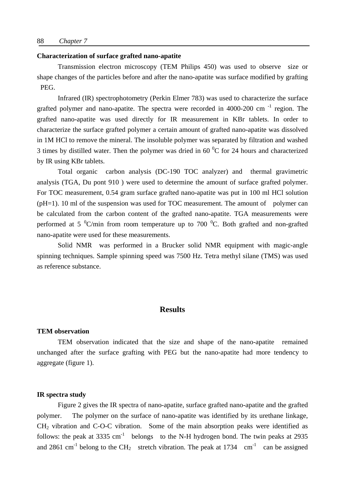#### **Characterization of surface grafted nano-apatite**

Transmission electron microscopy (TEM Philips 450) was used to observe size or shape changes of the particles before and after the nano-apatite was surface modified by grafting PEG.

Infrared (IR) spectrophotometry (Perkin Elmer 783) was used to characterize the surface grafted polymer and nano-apatite. The spectra were recorded in 4000-200 cm<sup>-1</sup> region. The grafted nano-apatite was used directly for IR measurement in KBr tablets. In order to characterize the surface grafted polymer a certain amount of grafted nano-apatite was dissolved in 1M HCl to remove the mineral. The insoluble polymer was separated by filtration and washed 3 times by distilled water. Then the polymer was dried in  $60<sup>o</sup>C$  for 24 hours and characterized by IR using KBr tablets.

Total organic carbon analysis (DC-190 TOC analyzer) and thermal gravimetric analysis (TGA, Du pont 910 ) were used to determine the amount of surface grafted polymer. For TOC measurement, 0.54 gram surface grafted nano-apatite was put in 100 ml HCl solution  $(pH=1)$ . 10 ml of the suspension was used for TOC measurement. The amount of polymer can be calculated from the carbon content of the grafted nano-apatite. TGA measurements were performed at 5  $\mathrm{^0C/m}$  from room temperature up to 700  $\mathrm{^0C}$ . Both grafted and non-grafted nano-apatite were used for these measurements.

Solid NMR was performed in a Brucker solid NMR equipment with magic-angle spinning techniques. Sample spinning speed was 7500 Hz. Tetra methyl silane (TMS) was used as reference substance.

## **Results**

#### **TEM observation**

TEM observation indicated that the size and shape of the nano-apatite remained unchanged after the surface grafting with PEG but the nano-apatite had more tendency to aggregate (figure 1).

#### **IR spectra study**

Figure 2 gives the IR spectra of nano-apatite, surface grafted nano-apatite and the grafted polymer. The polymer on the surface of nano-apatite was identified by its urethane linkage,  $CH<sub>2</sub>$  vibration and C-O-C vibration. Some of the main absorption peaks were identified as follows: the peak at 3335 cm<sup>-1</sup> belongs to the N-H hydrogen bond. The twin peaks at 2935 and 2861 cm<sup>-1</sup> belong to the CH<sub>2</sub> stretch vibration. The peak at 1734 cm<sup>-1</sup> can be assigned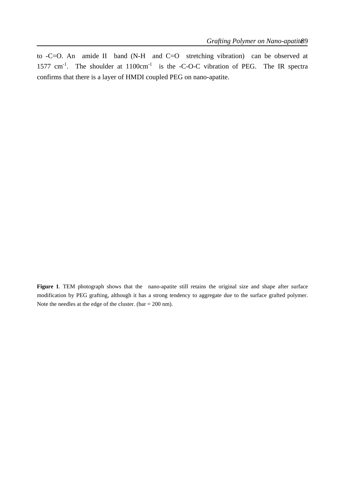to -C=O. An amide II band (N-H and C=O stretching vibration) can be observed at 1577 cm<sup>-1</sup>. The shoulder at 1100cm<sup>-1</sup> is the -C-O-C vibration of PEG. The IR spectra confirms that there is a layer of HMDI coupled PEG on nano-apatite.

**Figure 1**. TEM photograph shows that the nano-apatite still retains the original size and shape after surface modification by PEG grafting, although it has a strong tendency to aggregate due to the surface grafted polymer. Note the needles at the edge of the cluster. (bar = 200 nm).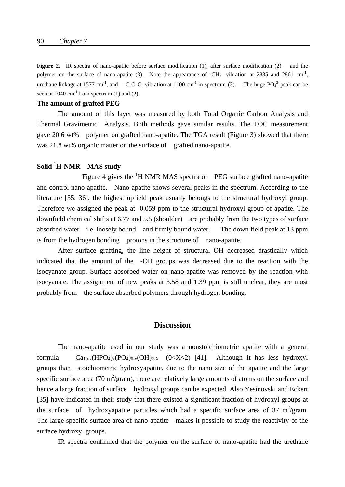**Figure 2.** IR spectra of nano-apatite before surface modification (1), after surface modification (2) and the polymer on the surface of nano-apatite (3). Note the appearance of -CH<sub>2</sub>- vibration at 2835 and 2861 cm<sup>-1</sup>, urethane linkage at 1577 cm<sup>-1</sup>, and  $-C-O-C-$  vibration at 1100 cm<sup>-1</sup> in spectrum (3). The huge  $PO_4^{3}$ -peak can be seen at  $1040 \text{ cm}^{-1}$  from spectrum (1) and (2).

#### **The amount of grafted PEG**

The amount of this layer was measured by both Total Organic Carbon Analysis and Thermal Gravimetric Analysis. Both methods gave similar results. The TOC measurement gave 20.6 wt% polymer on grafted nano-apatite. The TGA result (Figure 3) showed that there was 21.8 wt% organic matter on the surface of grafted nano-apatite.

## **Solid 1 H-NMR MAS study**

Figure 4 gives the  ${}^{1}H$  NMR MAS spectra of PEG surface grafted nano-apatite and control nano-apatite. Nano-apatite shows several peaks in the spectrum. According to the literature [35, 36], the highest upfield peak usually belongs to the structural hydroxyl group. Therefore we assigned the peak at -0.059 ppm to the structural hydroxyl group of apatite. The downfield chemical shifts at 6.77 and 5.5 (shoulder) are probably from the two types of surface absorbed water i.e. loosely bound and firmly bound water. The down field peak at 13 ppm is from the hydrogen bonding protons in the structure of nano-apatite.

After surface grafting, the line height of structural OH decreased drastically which indicated that the amount of the -OH groups was decreased due to the reaction with the isocyanate group. Surface absorbed water on nano-apatite was removed by the reaction with isocyanate. The assignment of new peaks at 3.58 and 1.39 ppm is still unclear, they are most probably from the surface absorbed polymers through hydrogen bonding.

#### **Discussion**

The nano-apatite used in our study was a nonstoichiometric apatite with a general formula  $Ca_{10-x}(HPO_4)_x(PO_4)_{6-x}(OH)_{2-x}$  (0<X<2) [41]. Although it has less hydroxyl groups than stoichiometric hydroxyapatite, due to the nano size of the apatite and the large specific surface area (70 m<sup>2</sup>/gram), there are relatively large amounts of atoms on the surface and hence a large fraction of surface hydroxyl groups can be expected. Also Yesinovski and Eckert [35] have indicated in their study that there existed a significant fraction of hydroxyl groups at the surface of hydroxyapatite particles which had a specific surface area of 37  $m^2$ /gram. The large specific surface area of nano-apatite makes it possible to study the reactivity of the surface hydroxyl groups.

IR spectra confirmed that the polymer on the surface of nano-apatite had the urethane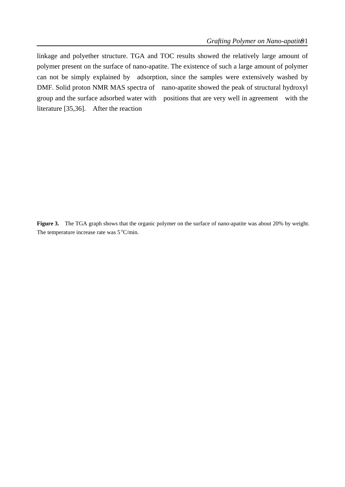linkage and polyether structure. TGA and TOC results showed the relatively large amount of polymer present on the surface of nano-apatite. The existence of such a large amount of polymer can not be simply explained by adsorption, since the samples were extensively washed by DMF. Solid proton NMR MAS spectra of nano-apatite showed the peak of structural hydroxyl group and the surface adsorbed water with positions that are very well in agreement with the literature [35,36]. After the reaction

Figure 3. The TGA graph shows that the organic polymer on the surface of nano-apatite was about 20% by weight. The temperature increase rate was  $5^{\circ}$ C/min.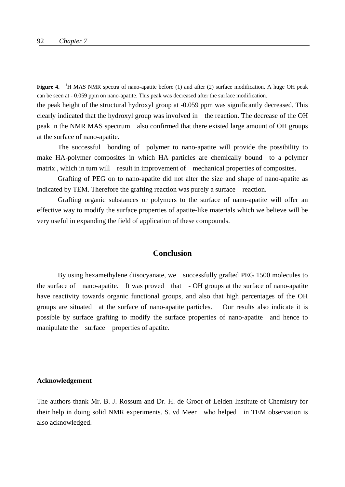Figure 4. <sup>1</sup>H MAS NMR spectra of nano-apatite before (1) and after (2) surface modification. A huge OH peak can be seen at - 0.059 ppm on nano-apatite. This peak was decreased after the surface modification. the peak height of the structural hydroxyl group at -0.059 ppm was significantly decreased. This clearly indicated that the hydroxyl group was involved in the reaction. The decrease of the OH peak in the NMR MAS spectrum also confirmed that there existed large amount of OH groups at the surface of nano-apatite.

The successful bonding of polymer to nano-apatite will provide the possibility to make HA-polymer composites in which HA particles are chemically bound to a polymer matrix, which in turn will result in improvement of mechanical properties of composites.

Grafting of PEG on to nano-apatite did not alter the size and shape of nano-apatite as indicated by TEM. Therefore the grafting reaction was purely a surface reaction.

Grafting organic substances or polymers to the surface of nano-apatite will offer an effective way to modify the surface properties of apatite-like materials which we believe will be very useful in expanding the field of application of these compounds.

## **Conclusion**

By using hexamethylene diisocyanate, we successfully grafted PEG 1500 molecules to the surface of nano-apatite. It was proved that - OH groups at the surface of nano-apatite have reactivity towards organic functional groups, and also that high percentages of the OH groups are situated at the surface of nano-apatite particles. Our results also indicate it is possible by surface grafting to modify the surface properties of nano-apatite and hence to manipulate the surface properties of apatite.

#### **Acknowledgement**

The authors thank Mr. B. J. Rossum and Dr. H. de Groot of Leiden Institute of Chemistry for their help in doing solid NMR experiments. S. vd Meer who helped in TEM observation is also acknowledged.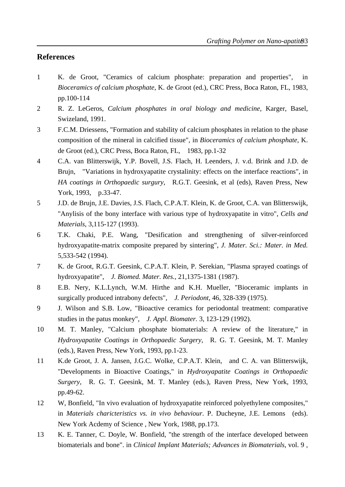# **References**

- 1 K. de Groot, "Ceramics of calcium phosphate: preparation and properties", in *Bioceramics of calcium phosphate*, K. de Groot (ed.), CRC Press, Boca Raton, FL, 1983, pp.100-114
- 2 R. Z. LeGeros, *Calcium phosphates in oral biology and medicine*, Karger, Basel, Swizeland, 1991.
- 3 F.C.M. Driessens, "Formation and stability of calcium phosphates in relation to the phase composition of the mineral in calcified tissue", in *Bioceramics of calcium phosphate,* K. de Groot (ed.), CRC Press, Boca Raton, FL, 1983, pp.1-32
- 4 C.A. van Blitterswijk, Y.P. Bovell, J.S. Flach, H. Leenders, J. v.d. Brink and J.D. de Brujn, "Variations in hydroxyapatite crystalinity: effects on the interface reactions", in *HA coatings in Orthopaedic surgury*, R.G.T. Geesink, et al (eds), Raven Press, New York, 1993, p.33-47.
- 5 J.D. de Brujn, J.E. Davies, J.S. Flach, C.P.A.T. Klein, K. de Groot, C.A. van Blitterswijk, "Anylisis of the bony interface with various type of hydroxyapatite in vitro", *Cells and Materials*, 3,115-127 (1993).
- 6 T.K. Chaki, P.E. Wang, "Desification and strengthening of silver-reinforced hydroxyapatite-matrix composite prepared by sintering", *J. Mater. Sci.: Mater. in Med.* 5,533-542 (1994).
- 7 K. de Groot, R.G.T. Geesink, C.P.A.T. Klein, P. Serekian, "Plasma sprayed coatings of hydroxyapatite", *J. Biomed. Mater. Res.*, 21,1375-1381 (1987).
- 8 E.B. Nery, K.L.Lynch, W.M. Hirthe and K.H. Mueller, "Bioceramic implants in surgically produced intrabony defects", *J. Periodont*, 46, 328-339 (1975).
- 9 J. Wilson and S.B. Low, "Bioactive ceramics for periodontal treatment: comparative studies in the patus monkey", *J. Appl. Biomater.* 3, 123-129 (1992).
- 10 M. T. Manley, "Calcium phosphate biomaterials: A review of the literature," in *Hydroxyapatite Coatings in Orthopaedic Surgery*, R. G. T. Geesink, M. T. Manley (eds.), Raven Press, New York, 1993, pp.1-23.
- 11 K.de Groot, J. A. Jansen, J.G.C. Wolke, C.P.A.T. Klein, and C. A. van Blitterswijk, "Developments in Bioactive Coatings," in *Hydroxyapatite Coatings in Orthopaedic Surgery*, R. G. T. Geesink, M. T. Manley (eds.), Raven Press, New York, 1993, pp.49-62.
- 12 W, Bonfield, "In vivo evaluation of hydroxyapatite reinforced polyethylene composites," in *Materials charicteristics vs. in vivo behaviour*. P. Ducheyne, J.E. Lemons (eds). New York Acdemy of Science , New York, 1988, pp.173.
- 13 K. E. Tanner, C. Doyle, W. Bonfield, "the strength of the interface developed between biomaterials and bone". in *Clinical Implant Materials; Advances in Biomaterials*, vol. 9 ,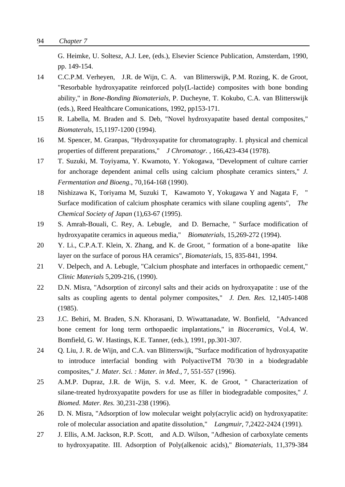G. Heimke, U. Soltesz, A.J. Lee, (eds.), Elsevier Science Publication, Amsterdam, 1990, pp. 149-154.

- 14 C.C.P.M. Verheyen, J.R. de Wijn, C. A. van Blitterswijk, P.M. Rozing, K. de Groot, "Resorbable hydroxyapatite reinforced poly(L-lactide) composites with bone bonding ability," in *Bone-Bonding Biomaterials*, P. Ducheyne, T. Kokubo, C.A. van Blitterswijk (eds.), Reed Healthcare Comunications, 1992, pp153-171.
- 15 R. Labella, M. Braden and S. Deb, "Novel hydroxyapatite based dental composites," *Biomaterals,* 15,1197-1200 (1994).
- 16 M. Spencer, M. Granpas, "Hydroxyapatite for chromatography. I. physical and chemical properties of different preparations," *J Chromatogr.* , 166,423-434 (1978).
- 17 T. Suzuki, M. Toyiyama, Y. Kwamoto, Y. Yokogawa, "Development of culture carrier for anchorage dependent animal cells using calcium phosphate ceramics sinters," *J. Fermentation and Bioeng.*, 70,164-168 (1990).
- 18 Nishizawa K, Toriyama M, Suzuki T, Kawamoto Y, Yokugawa Y and Nagata F, " Surface modification of calcium phosphate ceramics with silane coupling agents", *The Chemical Society of Japan* (1),63-67 (1995).
- 19 S. Amrah-Bouali, C. Rey, A. Lebugle, and D. Bernache, " Surface modification of hydroxyapatite ceramics in aqueous media," *Biomaterials*, 15,269-272 (1994).
- 20 Y. Li., C.P.A.T. Klein, X. Zhang, and K. de Groot, " formation of a bone-apatite like layer on the surface of porous HA ceramics", *Biomaterials*, 15, 835-841, 1994.
- 21 V. Delpech, and A. Lebugle, "Calcium phosphate and interfaces in orthopaedic cement," *Clinic Materials* 5,209-216, (1990).
- 22 D.N. Misra, "Adsorption of zirconyl salts and their acids on hydroxyapatite : use of the salts as coupling agents to dental polymer composites," *J. Den. Res.* 12,1405-1408 (1985).
- 23 J.C. Behiri, M. Braden, S.N. Khorasani, D. Wiwattanadate, W. Bonfield, "Advanced bone cement for long term orthopaedic implantations," in *Bioceramics,* Vol.4, W. Bomfield, G. W. Hastings, K.E. Tanner, (eds.), 1991, pp.301-307.
- 24 Q. Liu, J. R. de Wijn, and C.A. van Blitterswijk, "Surface modification of hydroxyapatite to introduce interfacial bonding with PolyactiveTM 70/30 in a biodegradable composites," *J. Mater. Sci. : Mater. in Med.*, 7, 551-557 (1996).
- 25 A.M.P. Dupraz, J.R. de Wijn, S. v.d. Meer, K. de Groot, " Characterization of silane-treated hydroxyapatite powders for use as filler in biodegradable composites," *J. Biomed. Mater. Res.* 30,231-238 (1996).
- 26 D. N. Misra, "Adsorption of low molecular weight poly(acrylic acid) on hydroxyapatite: role of molecular association and apatite dissolution," *Langmuir*, 7,2422-2424 (1991).
- 27 J. Ellis, A.M. Jackson, R.P. Scott, and A.D. Wilson, "Adhesion of carboxylate cements to hydroxyapatite. III. Adsorption of Poly(alkenoic acids)," *Biomaterials,* 11,379-384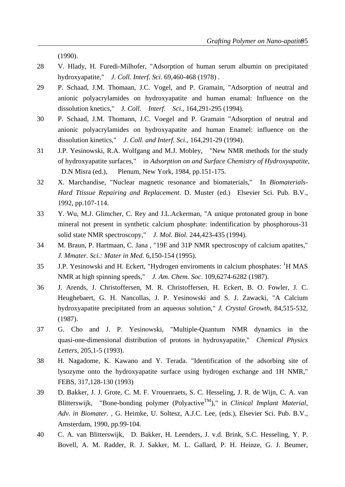(1990).

- 28 V. Hlady, H. Furedi-Milhofer, "Adsorption of human serum albumin on precipitated hydroxyapatite," *J. Coll. Interf. Sci.* 69,460-468 (1978) .
- 29 P. Schaad, J.M. Thomaan, J.C. Vogel, and P. Gramain, "Adsorption of neutral and anionic polyacrylamides on hydroxyapatite and human enamal: Influence on the dissolution knetics," J*. Coll. Interf. Sci*., 164,291-295 (1994).
- 30 P. Schaad, J.M. Thomann, J.C. Voegel and P. Gramain "Adsorption of neutral and anionic polyacrylamides on hydroxyapatite and human Enamel: influence on the dissolution kinetics," *J. Coll. and Interf. Sci*., 164,291-29 (1994).
- 31 J.P. Yesinowski, R.A. Wolfgang and M.J. Mobley, "New NMR methods for the study of hydroxyapatite surfaces," in *Adsorption on and Surface Chemistry of Hydroxyapatite,*  D.N Misra (ed.), Plenum, New York, 1984, pp.151-175.
- 32 X. Marchandise, "Nuclear magnetic resonance and biomaterials," In *Biomaterials-Hard Ttissue Repairing and Replacement*. D. Muster (ed.) Elsevier Sci. Pub. B.V., 1992, pp.107-114.
- 33 Y. Wu, M.J. Glimcher, C. Rey and J.L.Ackerman, "A unique protonated group in bone mineral not present in synthetic calcium phosphate: indentification by phosphorous-31 solid state NMR spectroscopy," *J. Mol. Biol.* 244,423-435 (1994).
- 34 M. Braun, P. Hartmaan, C. Jana , "19F and 31P NMR spectroscopy of calcium apatites," *J. Mmater. Sci.: Mater in Med.* 6,150-154 (1995).
- 35 J.P. Yesinowski and H. Eckert, "Hydrogen enviroments in calcium phosphates: <sup>1</sup>H MAS NMR at high spinning speeds," *J. Am. Chem. Soc*. 109,6274-6282 (1987).
- 36 J. Arends, J. Christoffersen, M. R. Christoffersen, H. Eckert, B. O. Fowler, J. C. Heughebaert, G. H. Nancollas, J. P. Yesinowski and S. J. Zawacki, "A Calcium hydroxyapatite precipitated from an aqueous solution," *J. Crystal Growth,* 84,515-532, (1987).
- 37 G. Cho and J. P. Yesinowski, "Multiple-Quantum NMR dynamics in the quasi-one-dimensional distribution of protons in hydroxyapatite," *Chemical Physics Letters,* 205,1-5 (1993).
- 38 H. Nagadome, K. Kawano and Y. Terada. "Identification of the adsorbing site of lysozyme onto the hydroxyapatite surface using hydrogen exchange and 1H NMR," FEBS, 317,128-130 (1993)
- 39 D. Bakker, J. J. Grote, C. M. F. Vrouenraets, S. C. Hesseling, J. R. de Wijn, C. A. van Blitterswijk, "Bone-bonding polymer (Polyactive<sup>TM</sup>)," in *Clinical Implant Material*, *Adv. in Biomater.* , G. Heimke, U. Soltesz, A.J.C. Lee, (eds.), Elsevier Sci. Pub. B.V., Amsterdam, 1990, pp.99-104.
- 40 C. A. van Blitterswijk, D. Bakker, H. Leenders, J. v.d. Brink, S.C. Hesseling, Y. P. Bovell, A. M. Radder, R. J. Sakker, M. L. Gallard, P. H. Heinze, G. J. Beumer,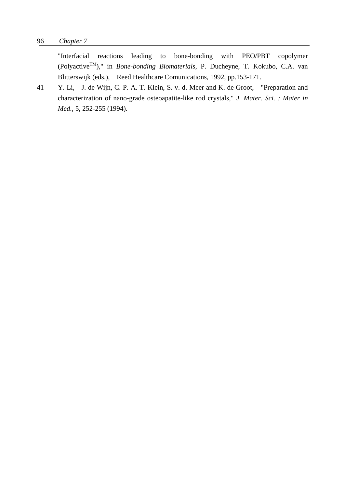"Interfacial reactions leading to bone-bonding with PEO/PBT copolymer (PolyactiveTM)," in *Bone-bonding Biomaterials*, P. Ducheyne, T. Kokubo, C.A. van Blitterswijk (eds.), Reed Healthcare Comunications, 1992, pp.153-171.

41 Y. Li, J. de Wijn, C. P. A. T. Klein, S. v. d. Meer and K. de Groot, "Preparation and characterization of nano-grade osteoapatite-like rod crystals," *J. Mater. Sci. : Mater in Med.*, 5, 252-255 (1994).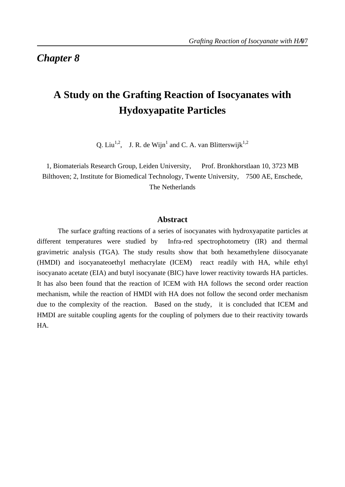# *Chapter 8*

# **A Study on the Grafting Reaction of Isocyanates with Hydoxyapatite Particles**

Q. Liu<sup>1,2</sup>, J. R. de Wijn<sup>1</sup> and C. A. van Blitterswijk<sup>1,2</sup>

1, Biomaterials Research Group, Leiden University, Prof. Bronkhorstlaan 10, 3723 MB Bilthoven; 2, Institute for Biomedical Technology, Twente University, 7500 AE, Enschede, The Netherlands

## **Abstract**

The surface grafting reactions of a series of isocyanates with hydroxyapatite particles at different temperatures were studied by Infra-red spectrophotometry (IR) and thermal gravimetric analysis (TGA). The study results show that both hexamethylene diisocyanate (HMDI) and isocyanateoethyl methacrylate (ICEM) react readily with HA, while ethyl isocyanato acetate (EIA) and butyl isocyanate (BIC) have lower reactivity towards HA particles. It has also been found that the reaction of ICEM with HA follows the second order reaction mechanism, while the reaction of HMDI with HA does not follow the second order mechanism due to the complexity of the reaction. Based on the study, it is concluded that ICEM and HMDI are suitable coupling agents for the coupling of polymers due to their reactivity towards HA.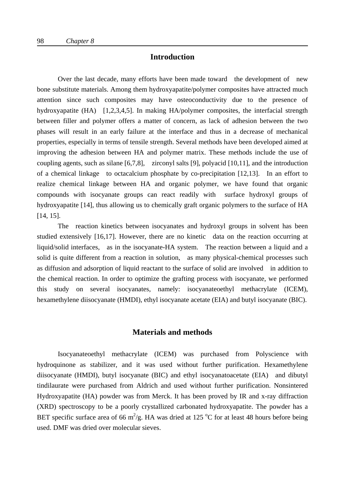# **Introduction**

Over the last decade, many efforts have been made toward the development of new bone substitute materials. Among them hydroxyapatite/polymer composites have attracted much attention since such composites may have osteoconductivity due to the presence of hydroxyapatite (HA) [1,2,3,4,5]. In making HA/polymer composites, the interfacial strength between filler and polymer offers a matter of concern, as lack of adhesion between the two phases will result in an early failure at the interface and thus in a decrease of mechanical properties, especially in terms of tensile strength. Several methods have been developed aimed at improving the adhesion between HA and polymer matrix. These methods include the use of coupling agents, such as silane [6,7,8], zirconyl salts [9], polyacid [10,11], and the introduction of a chemical linkage to octacalcium phosphate by co-precipitation [12,13]. In an effort to realize chemical linkage between HA and organic polymer, we have found that organic compounds with isocyanate groups can react readily with surface hydroxyl groups of hydroxyapatite [14], thus allowing us to chemically graft organic polymers to the surface of HA [14, 15].

The reaction kinetics between isocyanates and hydroxyl groups in solvent has been studied extensively [16,17]. However, there are no kinetic data on the reaction occurring at liquid/solid interfaces, as in the isocyanate-HA system. The reaction between a liquid and a solid is quite different from a reaction in solution, as many physical-chemical processes such as diffusion and adsorption of liquid reactant to the surface of solid are involved in addition to the chemical reaction. In order to optimize the grafting process with isocyanate, we performed this study on several isocyanates, namely: isocyanateoethyl methacrylate (ICEM), hexamethylene diisocyanate (HMDI), ethyl isocyanate acetate (EIA) and butyl isocyanate (BIC).

## **Materials and methods**

Isocyanateoethyl methacrylate (ICEM) was purchased from Polyscience with hydroquinone as stabilizer, and it was used without further purification. Hexamethylene diisocyanate (HMDI), butyl isocyanate (BIC) and ethyl isocyanatoacetate (EIA) and dibutyl tindilaurate were purchased from Aldrich and used without further purification. Nonsintered Hydroxyapatite (HA) powder was from Merck. It has been proved by IR and x-ray diffraction (XRD) spectroscopy to be a poorly crystallized carbonated hydroxyapatite. The powder has a BET specific surface area of 66 m<sup>2</sup>/g. HA was dried at 125  $^{\circ}$ C for at least 48 hours before being used. DMF was dried over molecular sieves.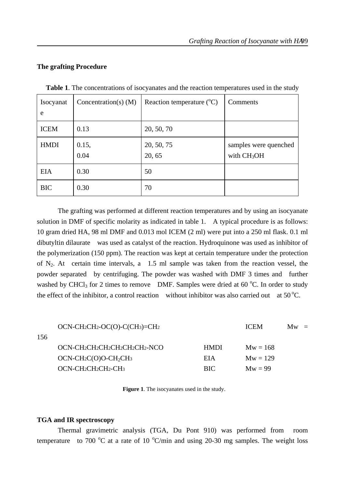| Isocyanat<br>e | Concentration(s) $(M)$ | Reaction temperature $({}^{\circ}C)$ | Comments                              |
|----------------|------------------------|--------------------------------------|---------------------------------------|
| <b>ICEM</b>    | 0.13                   | 20, 50, 70                           |                                       |
| <b>HMDI</b>    | 0.15,<br>0.04          | 20, 50, 75<br>20, 65                 | samples were quenched<br>with $CH3OH$ |
| <b>EIA</b>     | 0.30                   | 50                                   |                                       |
| <b>BIC</b>     | 0.30                   | 70                                   |                                       |

**The grafting Procedure**

| <b>Table 1.</b> The concentrations of isocyanates and the reaction temperatures used in the study |
|---------------------------------------------------------------------------------------------------|
|---------------------------------------------------------------------------------------------------|

The grafting was performed at different reaction temperatures and by using an isocyanate solution in DMF of specific molarity as indicated in table 1. A typical procedure is as follows: 10 gram dried HA, 98 ml DMF and 0.013 mol ICEM (2 ml) were put into a 250 ml flask. 0.1 ml dibutyltin dilaurate was used as catalyst of the reaction. Hydroquinone was used as inhibitor of the polymerization (150 ppm). The reaction was kept at certain temperature under the protection of  $N_2$ . At certain time intervals, a 1.5 ml sample was taken from the reaction vessel, the powder separated by centrifuging. The powder was washed with DMF 3 times and further washed by CHCl<sub>3</sub> for 2 times to remove DMF. Samples were dried at 60  $^{\circ}$ C. In order to study the effect of the inhibitor, a control reaction without inhibitor was also carried out at  $50^{\circ}$ C.

|     | $OCN-CH_2CH_2-OC(O)-C(CH_3)=CH_2$ |             | <b>ICEM</b><br>$Mw =$ |  |
|-----|-----------------------------------|-------------|-----------------------|--|
| 156 |                                   |             |                       |  |
|     | OCN-CH2CH2CH2CH2CH2CH2-NCO        | <b>HMDI</b> | $Mw = 168$            |  |
|     | $OCN-CH2C(O)O-CH2CH3$             | EIA         | $Mw = 129$            |  |
|     | $OCN-CH_2CH_2CH_2-CH_3$           | <b>BIC</b>  | $Mw = 99$             |  |
|     |                                   |             |                       |  |

**Figure 1**. The isocyanates used in the study.

#### **TGA and IR spectroscopy**

Thermal gravimetric analysis (TGA, Du Pont 910) was performed from room temperature to 700 °C at a rate of 10 °C/min and using 20-30 mg samples. The weight loss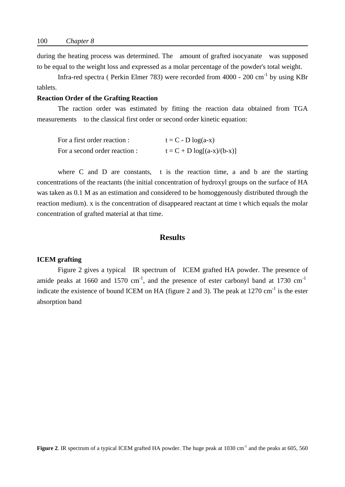during the heating process was determined. The amount of grafted isocyanate was supposed to be equal to the weight loss and expressed as a molar percentage of the powder's total weight.

Infra-red spectra ( Perkin Elmer 783) were recorded from 4000 - 200 cm-1 by using KBr tablets.

### **Reaction Order of the Grafting Reaction**

The raction order was estimated by fitting the reaction data obtained from TGA measurements to the classical first order or second order kinetic equation:

| For a first order reaction :  | $t = C - D \log(a-x)$         |
|-------------------------------|-------------------------------|
| For a second order reaction : | $t = C + D \log[(a-x)/(b-x)]$ |

where C and D are constants, t is the reaction time, a and b are the starting concentrations of the reactants (the initial concentration of hydroxyl groups on the surface of HA was taken as 0.1 M as an estimation and considered to be homoggenously distributed through the reaction medium). x is the concentration of disappeared reactant at time t which equals the molar concentration of grafted material at that time.

# **Results**

#### **ICEM grafting**

Figure 2 gives a typical IR spectrum of ICEM grafted HA powder. The presence of amide peaks at 1660 and 1570 cm<sup>-1</sup>, and the presence of ester carbonyl band at 1730 cm<sup>-1</sup> indicate the existence of bound ICEM on HA (figure 2 and 3). The peak at  $1270 \text{ cm}^{-1}$  is the ester absorption band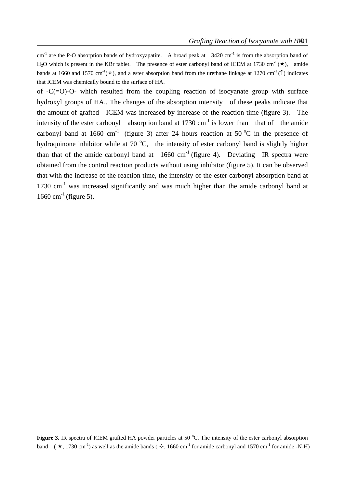$cm^{-1}$  are the P-O absorption bands of hydroxyapatite. A broad peak at 3420 cm<sup>-1</sup> is from the absorption band of H<sub>2</sub>O which is present in the KBr tablet. The presence of ester carbonyl band of ICEM at 1730 cm<sup>-1</sup> ( $\star$ ), amide bands at 1660 and 1570 cm<sup>-1</sup>( $\diamond$ ), and a ester absorption band from the urethane linkage at 1270 cm<sup>-1</sup>( $\diamond$ ) indicates that ICEM was chemically bound to the surface of HA.

of  $-C(=O)-O$ - which resulted from the coupling reaction of isocyanate group with surface hydroxyl groups of HA.. The changes of the absorption intensity of these peaks indicate that the amount of grafted ICEM was increased by increase of the reaction time (figure 3). The intensity of the ester carbonyl absorption band at  $1730 \text{ cm}^{-1}$  is lower than that of the amide carbonyl band at 1660 cm<sup>-1</sup> (figure 3) after 24 hours reaction at 50 °C in the presence of hydroquinone inhibitor while at 70  $^{\circ}$ C, the intensity of ester carbonyl band is slightly higher than that of the amide carbonyl band at  $1660 \text{ cm}^{-1}$  (figure 4). Deviating IR spectra were obtained from the control reaction products without using inhibitor (figure 5). It can be observed that with the increase of the reaction time, the intensity of the ester carbonyl absorption band at  $1730 \text{ cm}^{-1}$  was increased significantly and was much higher than the amide carbonyl band at  $1660 \text{ cm}^{-1}$  (figure 5).

Figure 3. IR spectra of ICEM grafted HA powder particles at 50 °C. The intensity of the ester carbonyl absorption band  $(*, 1730 \text{ cm}^{-1})$  as well as the amide bands  $(*, 1660 \text{ cm}^{-1}$  for amide carbonyl and 1570 cm<sup>-1</sup> for amide -N-H)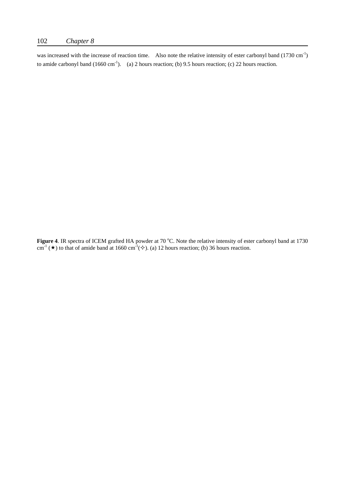was increased with the increase of reaction time. Also note the relative intensity of ester carbonyl band (1730 cm<sup>-1</sup>) to amide carbonyl band  $(1660 \text{ cm}^{-1})$ . (a) 2 hours reaction; (b) 9.5 hours reaction; (c) 22 hours reaction.

Figure 4. IR spectra of ICEM grafted HA powder at 70 °C. Note the relative intensity of ester carbonyl band at 1730 cm<sup>-1</sup> ( $\star$ ) to that of amide band at 1660 cm<sup>-1</sup>( $\diamond$ ). (a) 12 hours reaction; (b) 36 hours reaction.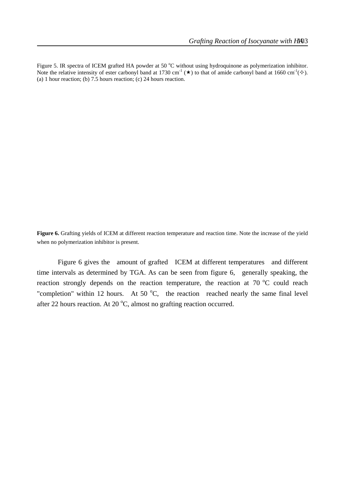Figure 5. IR spectra of ICEM grafted HA powder at 50  $^{\circ}$ C without using hydroquinone as polymerization inhibitor. Note the relative intensity of ester carbonyl band at 1730 cm<sup>-1</sup> ( $\star$ ) to that of amide carbonyl band at 1660 cm<sup>-1</sup>( $\diamond$ ). (a) 1 hour reaction; (b) 7.5 hours reaction; (c) 24 hours reaction.

**Figure 6.** Grafting yields of ICEM at different reaction temperature and reaction time. Note the increase of the yield when no polymerization inhibitor is present.

Figure 6 gives the amount of grafted ICEM at different temperatures and different time intervals as determined by TGA. As can be seen from figure 6, generally speaking, the reaction strongly depends on the reaction temperature, the reaction at  $70\text{ °C}$  could reach "completion" within 12 hours. At 50  $^{\circ}$ C, the reaction reached nearly the same final level after 22 hours reaction. At 20  $^{\circ}$ C, almost no grafting reaction occurred.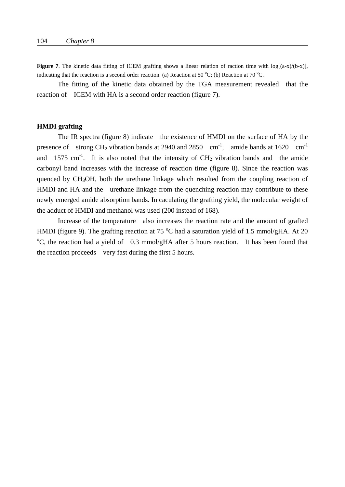**Figure 7**. The kinetic data fitting of ICEM grafting shows a linear relation of raction time with  $log[(a-x)/(b-x)]$ , indicating that the reaction is a second order reaction. (a) Reaction at 50 °C; (b) Reaction at 70 °C.

The fitting of the kinetic data obtained by the TGA measurement revealed that the reaction of ICEM with HA is a second order reaction (figure 7).

#### **HMDI grafting**

The IR spectra (figure 8) indicate the existence of HMDI on the surface of HA by the presence of strong CH<sub>2</sub> vibration bands at 2940 and 2850 cm<sup>-1</sup>, amide bands at 1620 cm<sup>-1</sup> and 1575 cm<sup>-1</sup>. It is also noted that the intensity of  $CH_2$  vibration bands and the amide carbonyl band increases with the increase of reaction time (figure 8). Since the reaction was quenced by CH<sub>3</sub>OH, both the urethane linkage which resulted from the coupling reaction of HMDI and HA and the urethane linkage from the quenching reaction may contribute to these newly emerged amide absorption bands. In caculating the grafting yield, the molecular weight of the adduct of HMDI and methanol was used (200 instead of 168).

Increase of the temperature also increases the reaction rate and the amount of grafted HMDI (figure 9). The grafting reaction at 75  $\mathrm{^{\circ}C}$  had a saturation yield of 1.5 mmol/gHA. At 20  $\rm{^oC}$ , the reaction had a yield of 0.3 mmol/gHA after 5 hours reaction. It has been found that the reaction proceeds very fast during the first 5 hours.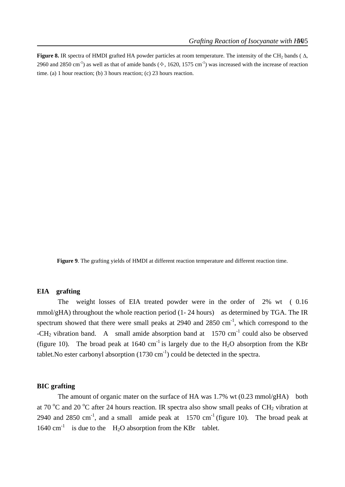**Figure 8.** IR spectra of HMDI grafted HA powder particles at room temperature. The intensity of the CH<sub>2</sub> bands ( $\Delta$ , 2960 and 2850 cm<sup>-1</sup>) as well as that of amide bands ( $\diamond$ , 1620, 1575 cm<sup>-1</sup>) was increased with the increase of reaction time. (a) 1 hour reaction; (b) 3 hours reaction; (c) 23 hours reaction.

**Figure 9**. The grafting yields of HMDI at different reaction temperature and different reaction time.

### **EIA grafting**

The weight losses of EIA treated powder were in the order of 2% wt ( 0.16 mmol/gHA) throughout the whole reaction period (1- 24 hours) as determined by TGA. The IR spectrum showed that there were small peaks at  $2940$  and  $2850$  cm<sup>-1</sup>, which correspond to the -CH<sub>2</sub> vibration band. A small amide absorption band at  $1570 \text{ cm}^{-1}$  could also be observed (figure 10). The broad peak at 1640 cm<sup>-1</sup> is largely due to the H<sub>2</sub>O absorption from the KBr tablet. No ester carbonyl absorption  $(1730 \text{ cm}^{-1})$  could be detected in the spectra.

#### **BIC grafting**

The amount of organic mater on the surface of HA was 1.7% wt (0.23 mmol/gHA) both at 70 °C and 20 °C after 24 hours reaction. IR spectra also show small peaks of CH<sub>2</sub> vibration at 2940 and 2850 cm<sup>-1</sup>, and a small amide peak at  $1570 \text{ cm}^{-1}$  (figure 10). The broad peak at  $1640 \text{ cm}^{-1}$  is due to the H<sub>2</sub>O absorption from the KBr tablet.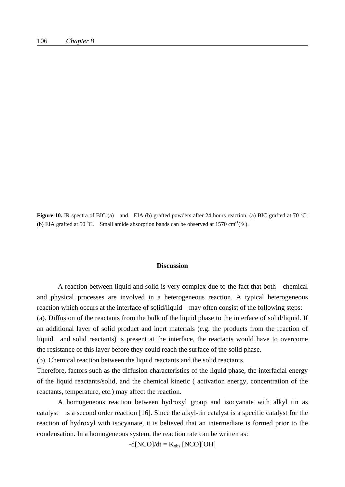**Figure 10.** IR spectra of BIC (a) and EIA (b) grafted powders after 24 hours reaction. (a) BIC grafted at 70  $^{\circ}$ C; (b) EIA grafted at 50 °C. Small amide absorption bands can be observed at 1570 cm<sup>-1</sup>( $\diamond$ ).

### **Discussion**

A reaction between liquid and solid is very complex due to the fact that both chemical and physical processes are involved in a heterogeneous reaction. A typical heterogeneous reaction which occurs at the interface of solid/liquid may often consist of the following steps: (a). Diffusion of the reactants from the bulk of the liquid phase to the interface of solid/liquid. If an additional layer of solid product and inert materials (e.g. the products from the reaction of liquid and solid reactants) is present at the interface, the reactants would have to overcome the resistance of this layer before they could reach the surface of the solid phase.

(b). Chemical reaction between the liquid reactants and the solid reactants.

Therefore, factors such as the diffusion characteristics of the liquid phase, the interfacial energy of the liquid reactants/solid, and the chemical kinetic ( activation energy, concentration of the reactants, temperature, etc.) may affect the reaction.

A homogeneous reaction between hydroxyl group and isocyanate with alkyl tin as catalyst is a second order reaction [16]. Since the alkyl-tin catalyst is a specific catalyst for the reaction of hydroxyl with isocyanate, it is believed that an intermediate is formed prior to the condensation. In a homogeneous system, the reaction rate can be written as:

 $-d[NCO]/dt = K_{obs}[NCO][OH]$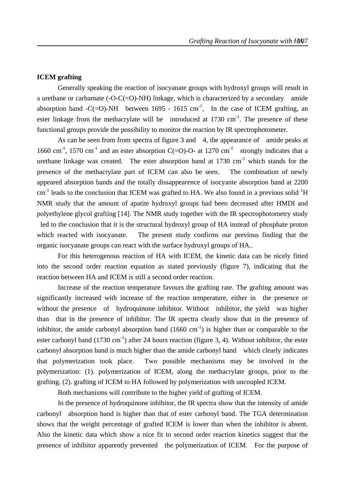### **ICEM grafting**

Generally speaking the reaction of isocyanate groups with hydroxyl groups will result in a urethane or carbamate  $(-O-C(=O)-NH)$  linkage, which is characterized by a secondary amide absorption band -C(=O)-NH between 1695 - 1615 cm<sup>-1</sup>, In the case of ICEM grafting, an ester linkage from the methacrylate will be introduced at  $1730 \text{ cm}^{-1}$ . The presence of these functional groups provide the possibility to monitor the reaction by IR spectrophotometer.

As can be seen from from spectra of figure 3 and 4, the appearance of amide peaks at 1660 cm<sup>-1</sup>, 1570 cm<sup>-1</sup> and an ester absorption C(=O)-O- at 1270 cm<sup>-1</sup> strongly indicates that a urethane linkage was created. The ester absorption band at  $1730 \text{ cm}^{-1}$  which stands for the presence of the methacrylate part of ICEM can also be seen. The combination of newly appeared absorption bands and the totally dissappearence of isocyante absorption band at 2200  $\text{cm}^{-1}$  leads to the conclusion that ICEM was grafted to HA. We also found in a previous solid  $^{1}$ H NMR study that the amount of apatite hydroxyl groups had been decreased after HMDI and polyethylene glycol grafting [14]. The NMR study together with the IR spectrophotometry study led to the conclusion that it is the structural hydroxyl group of HA instead of phosphate proton which reacted with isocyanate. The present study confirms our previous finding that the

For this heterogenous reaction of HA with ICEM, the kinetic data can be nicely fitted into the second order reaction equation as stated previously (figure 7), indicating that the reaction between HA and ICEM is still a second order reaction.

organic isocyanate groups can react with the surface hydroxyl groups of HA..

Increase of the reaction temperature favours the grafting rate. The grafting amount was significantly increased with increase of the reaction temperature, either in the presence or without the presence of hydroquinone inhibitor. Without inhibitor, the yield was higher than that in the presence of inhibitor. The IR spectra clearly show that in the presence of inhibitor, the amide carbonyl absorption band  $(1660 \text{ cm}^{-1})$  is higher than or comparable to the ester carbonyl band (1730 cm<sup>-1</sup>) after 24 hours reaction (figure 3, 4). Without inhibitor, the ester carbonyl absorption band is much higher than the amide carbonyl band which clearly indicates that polymerization took place. Two possible mechanisms may be involved in the polymerization: (1). polymerization of ICEM, along the methacrylate groups, prior to the grafting. (2). grafting of ICEM to HA followed by polymerization with uncoupled ICEM.

Both mechanisms will contribute to the higher yield of grafting of ICEM.

In the presence of hydroquinone inhibitor, the IR spectra show that the intensity of amide carbonyl absorption band is higher than that of ester carbonyl band. The TGA determination shows that the weight percentage of grafted ICEM is lower than when the inhibitor is absent. Also the kinetic data which show a nice fit to second order reaction kinetics suggest that the presence of inhibitor apparently prevented the polymerization of ICEM. For the purpose of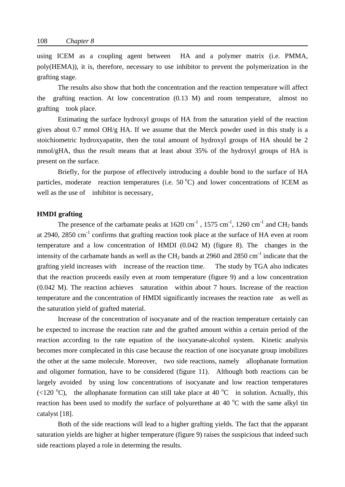using ICEM as a coupling agent between HA and a polymer matrix (i.e. PMMA, poly(HEMA)), it is, therefore, necessary to use inhibitor to prevent the polymerization in the grafting stage.

The results also show that both the concentration and the reaction temperature will affect the grafting reaction. At low concentration (0.13 M) and room temperature, almost no grafting took place.

Estimating the surface hydroxyl groups of HA from the saturation yield of the reaction gives about 0.7 mmol OH/g HA. If we assume that the Merck powder used in this study is a stoichiometric hydroxyapatite, then the total amount of hydroxyl groups of HA should be 2 mmol/gHA, thus the result means that at least about 35% of the hydroxyl groups of HA is present on the surface.

 Briefly, for the purpose of effectively introducing a double bond to the surface of HA particles, moderate reaction temperatures (i.e.  $50^{\circ}$ C) and lower concentrations of ICEM as well as the use of inhibitor is necessary,

#### **HMDI grafting**

The presence of the carbamate peaks at  $1620 \text{ cm}^{-1}$ ,  $1575 \text{ cm}^{-1}$ ,  $1260 \text{ cm}^{-1}$  and CH<sub>2</sub> bands at 2940, 2850 cm<sup>-1</sup> confirms that grafting reaction took place at the surface of HA even at room temperature and a low concentration of HMDI (0.042 M) (figure 8). The changes in the intensity of the carbamate bands as well as the  $CH<sub>2</sub>$  bands at 2960 and 2850 cm<sup>-1</sup> indicate that the grafting yield increases with increase of the reaction time. The study by TGA also indicates that the reaction proceeds easily even at room temperature (figure 9) and a low concentration (0.042 M). The reaction achieves saturation within about 7 hours. Increase of the reaction temperature and the concentration of HMDI significantly increases the reaction rate as well as the saturation yield of grafted material.

Increase of the concentration of isocyanate and of the reaction temperature certainly can be expected to increase the reaction rate and the grafted amount within a certain period of the reaction according to the rate equation of the isocyanate-alcohol system. Kinetic analysis becomes more complecated in this case because the reaction of one isocyanate group imobilizes the other at the same molecule. Moreover, two side reactions, namely allophanate formation and oligomer formation, have to be considered (figure 11). Although both reactions can be largely avoided by using low concentrations of isocyanate and low reaction temperatures  $(\leq 120 \degree C)$ , the allophanate formation can still take place at 40 °C in solution. Actually, this reaction has been used to modify the surface of polyurethane at 40  $^{\circ}$ C with the same alkyl tin catalyst [18].

Both of the side reactions will lead to a higher grafting yields. The fact that the apparant saturation yields are higher at higher temperature (figure 9) raises the suspicious that indeed such side reactions played a role in determing the results.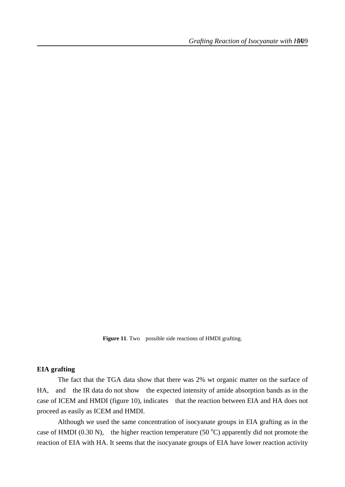**Grafting Reaction of Isocyanate with HAO** 

Figure 11. Two possible side reactions of HMDI grafting.

# **EIA grafting**

The fact that the TGA data show that there was 2% wt organic matter on the surface of HA, and the IR data do not show the expected intensity of amide absorption bands as in the case of ICEM and HMDI (figure 10), indicates that the reaction between EIA and HA does not proceed as easily as ICEM and HMDI.

Although we used the same concentration of isocyanate groups in EIA grafting as in the case of HMDI (0.30 N), the higher reaction temperature (50  $^{\circ}$ C) apparently did not promote the reaction of EIA with HA. It seems that the isocyanate groups of EIA have lower reaction activity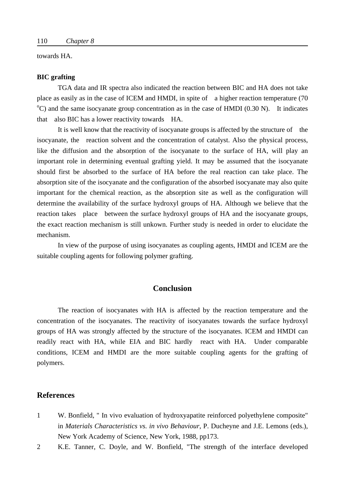towards HA.

#### **BIC grafting**

TGA data and IR spectra also indicated the reaction between BIC and HA does not take place as easily as in the case of ICEM and HMDI, in spite of a higher reaction temperature (70  $\rm ^{o}C$ ) and the same isocyanate group concentration as in the case of HMDI (0.30 N). It indicates that also BIC has a lower reactivity towards HA.

It is well know that the reactivity of isocyanate groups is affected by the structure of the isocyanate, the reaction solvent and the concentration of catalyst. Also the physical process, like the diffusion and the absorption of the isocyanate to the surface of HA, will play an important role in determining eventual grafting yield. It may be assumed that the isocyanate should first be absorbed to the surface of HA before the real reaction can take place. The absorption site of the isocyanate and the configuration of the absorbed isocyanate may also quite important for the chemical reaction, as the absorption site as well as the configuration will determine the availability of the surface hydroxyl groups of HA. Although we believe that the reaction takes place between the surface hydroxyl groups of HA and the isocyanate groups, the exact reaction mechanism is still unkown. Further study is needed in order to elucidate the mechanism.

In view of the purpose of using isocyanates as coupling agents, HMDI and ICEM are the suitable coupling agents for following polymer grafting.

## **Conclusion**

The reaction of isocyanates with HA is affected by the reaction temperature and the concentration of the isocyanates. The reactivity of isocyanates towards the surface hydroxyl groups of HA was strongly affected by the structure of the isocyanates. ICEM and HMDI can readily react with HA, while EIA and BIC hardly react with HA. Under comparable conditions, ICEM and HMDI are the more suitable coupling agents for the grafting of polymers.

## **References**

- 1 W. Bonfield, " In vivo evaluation of hydroxyapatite reinforced polyethylene composite" in *Materials Characteristics vs. in vivo Behaviour*, P. Ducheyne and J.E. Lemons (eds.), New York Academy of Science, New York, 1988, pp173.
- 2 K.E. Tanner, C. Doyle, and W. Bonfield, "The strength of the interface developed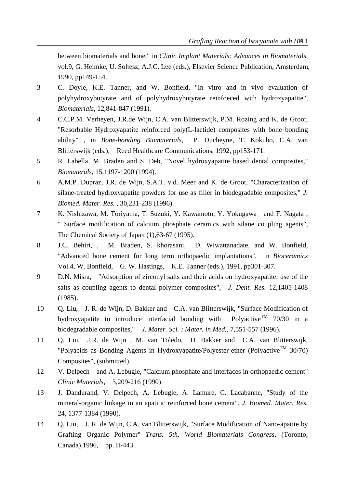between biomaterials and bone," in *Clinic Implant Materials: Advances in Biomaterials*, vol.9, G. Heimke, U. Soltesz, A.J.C. Lee (eds.), Elsevier Science Publication, Amsterdam, 1990, pp149-154.

- 3 C. Doyle, K.E. Tanner, and W. Bonfield, "In vitro and in vivo evaluation of polyhydroxybutyrate and of polyhydroxybutyrate reinfoeced with hydroxyapatite", *Biomaterials*, 12,841-847 (1991).
- 4 C.C.P.M. Verheyen, J.R.de Wijn, C.A. van Blitterswijk, P.M. Rozing and K. de Groot, "Resorbable Hydroxyapatite reinforced poly(L-lactide) composites with bone bonding ability" , in *Bone-bonding Biomaterials*, P. Ducheyne, T. Kokubo, C.A. van Blitterswijk (eds.), Reed Healthcare Communications, 1992, pp153-171.
- 5 R. Labella, M. Braden and S. Deb, "Novel hydroxyapatite based dental composites," *Biomaterals*, 15,1197-1200 (1994).
- 6 A.M.P. Dupraz, J.R. de Wijn, S.A.T. v.d. Meer and K. de Groot, "Characterization of silane-treated hydroxyapatite powders for use as filler in biodegradable composites," *J. Biomed. Mater. Res.* , 30,231-238 (1996).
- 7 K. Nishizawa, M. Toriyama, T. Suzuki, Y. Kawamoto, Y. Yokugawa and F. Nagata , " Surface modification of calcium phosphate ceramics with silane coupling agents", The Chemical Society of Japan (1),63-67 (1995).
- 8 J.C. Behiri, , M. Braden, S. khorasani, D. Wiwattanadate, and W. Bonfield, "Advanced bone cement for long term orthopaedic implantations", in *Bioceramics*  Vol.4, W. Bonfield, G. W. Hastings, K.E. Tanner (eds.), 1991, pp301-307.
- 9 D.N. Misra, "Adsorption of zirconyl salts and their acids on hydroxyapatite: use of the salts as coupling agents to dental polymer composites", *J. Dent. Res.* 12,1405-1408 (1985).
- 10 Q. Liu, J. R. de Wijn, D. Bakker and C.A. van Blitterswijk, "Surface Modification of hydroxyapatite to introduce interfacial bonding with Polyactive<sup>TM</sup> 70/30 in a biodegradable composites," *J. Mater. Sci. : Mater. in Med.*, 7,551-557 (1996).
- 11 Q. Liu, J.R. de Wijn , M. van Toledo, D. Bakker and C.A. van Blitterswijk, "Polyacids as Bonding Agents in Hydroxyapatite/Polyester-ether (Polyactive<sup>TM</sup> 30/70) Composites", (submitted).
- 12 V. Delpech and A. Lebugle, "Calcium phosphate and interfaces in orthopaedic cement" *Clinic Materials*, 5,209-216 (1990).
- 13 J. Dandurand, V. Delpech, A. Lebugle, A. Lamure, C. Lacabanne, "Study of the mineral-organic linkage in an apatitic reinforced bone cement". *J. Biomed. Mater. Res.* 24, 1377-1384 (1990).
- 14 Q. Liu, J. R. de Wijn, C.A. van Blitterswijk, "Surface Modification of Nano-apatite by Grafting Organic Polymer" *Trans. 5th. World Biomaterials Congress*, (Toronto, Canada),1996, pp. II-443.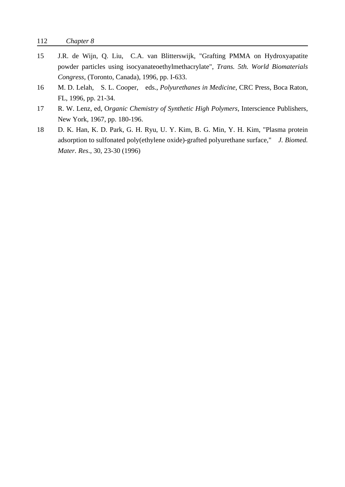## 112 *Chapter 8*

- 15 J.R. de Wijn, Q. Liu, C.A. van Blitterswijk, "Grafting PMMA on Hydroxyapatite powder particles using isocyanateoethylmethacrylate", *Trans. 5th. World Biomaterials Congress*, (Toronto, Canada), 1996, pp. I-633.
- 16 M. D. Lelah, S. L. Cooper, eds., *Polyurethanes in Medicine*, CRC Press, Boca Raton, FL, 1996, pp. 21-34.
- 17 R. W. Lenz, ed, O*rganic Chemistry of Synthetic High Polymers*, Interscience Publishers, New York, 1967, pp. 180-196.
- 18 D. K. Han, K. D. Park, G. H. Ryu, U. Y. Kim, B. G. Min, Y. H. Kim, "Plasma protein adsorption to sulfonated poly(ethylene oxide)-grafted polyurethane surface," *J. Biomed. Mater. Res*., 30, 23-30 (1996)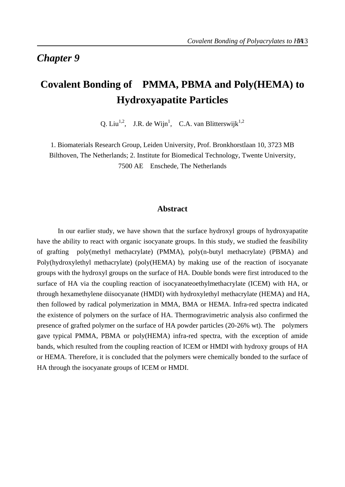# *Chapter 9*

# **Covalent Bonding of PMMA, PBMA and Poly(HEMA) to Hydroxyapatite Particles**

Q. Liu<sup>1,2</sup>, J.R. de Wijn<sup>1</sup>, C.A. van Blitterswijk<sup>1,2</sup>

1. Biomaterials Research Group, Leiden University, Prof. Bronkhorstlaan 10, 3723 MB Bilthoven, The Netherlands; 2. Institute for Biomedical Technology, Twente University, 7500 AE Enschede, The Netherlands

# **Abstract**

In our earlier study, we have shown that the surface hydroxyl groups of hydroxyapatite have the ability to react with organic isocyanate groups. In this study, we studied the feasibility of grafting poly(methyl methacrylate) (PMMA), poly(n-butyl methacrylate) (PBMA) and Poly(hydroxylethyl methacrylate) (poly(HEMA) by making use of the reaction of isocyanate groups with the hydroxyl groups on the surface of HA. Double bonds were first introduced to the surface of HA via the coupling reaction of isocyanateoethylmethacrylate (ICEM) with HA, or through hexamethylene diisocyanate (HMDI) with hydroxylethyl methacrylate (HEMA) and HA, then followed by radical polymerization in MMA, BMA or HEMA. Infra-red spectra indicated the existence of polymers on the surface of HA. Thermogravimetric analysis also confirmed the presence of grafted polymer on the surface of HA powder particles (20-26% wt). The polymers gave typical PMMA, PBMA or poly(HEMA) infra-red spectra, with the exception of amide bands, which resulted from the coupling reaction of ICEM or HMDI with hydroxy groups of HA or HEMA. Therefore, it is concluded that the polymers were chemically bonded to the surface of HA through the isocyanate groups of ICEM or HMDI.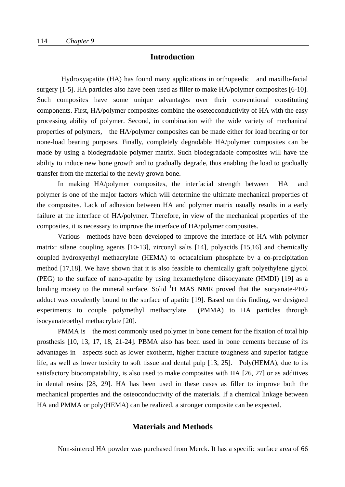# **Introduction**

 Hydroxyapatite (HA) has found many applications in orthopaedic and maxillo-facial surgery [1-5]. HA particles also have been used as filler to make HA/polymer composites [6-10]. Such composites have some unique advantages over their conventional constituting components. First, HA/polymer composites combine the oseteoconductivity of HA with the easy processing ability of polymer. Second, in combination with the wide variety of mechanical properties of polymers, the HA/polymer composites can be made either for load bearing or for none-load bearing purposes. Finally, completely degradable HA/polymer composites can be made by using a biodegradable polymer matrix. Such biodegradable composites will have the ability to induce new bone growth and to gradually degrade, thus enabling the load to gradually transfer from the material to the newly grown bone.

 In making HA/polymer composites, the interfacial strength between HA and polymer is one of the major factors which will determine the ultimate mechanical properties of the composites. Lack of adhesion between HA and polymer matrix usually results in a early failure at the interface of HA/polymer. Therefore, in view of the mechanical properties of the composites, it is necessary to improve the interface of HA/polymer composites.

 Various methods have been developed to improve the interface of HA with polymer matrix: silane coupling agents [10-13], zirconyl salts [14], polyacids [15,16] and chemically coupled hydroxyethyl methacrylate (HEMA) to octacalcium phosphate by a co-precipitation method [17,18]. We have shown that it is also feasible to chemically graft polyethylene glycol (PEG) to the surface of nano-apatite by using hexamethylene diisocyanate (HMDI) [19] as a binding moiety to the mineral surface. Solid <sup>1</sup>H MAS NMR proved that the isocyanate-PEG adduct was covalently bound to the surface of apatite [19]. Based on this finding, we designed experiments to couple polymethyl methacrylate (PMMA) to HA particles through isocyanateoethyl methacrylate [20].

 PMMA is the most commonly used polymer in bone cement for the fixation of total hip prosthesis [10, 13, 17, 18, 21-24]. PBMA also has been used in bone cements because of its advantages in aspects such as lower exotherm, higher fracture toughness and superior fatigue life, as well as lower toxicity to soft tissue and dental pulp [13, 25]. Poly(HEMA), due to its satisfactory biocompatability, is also used to make composites with HA [26, 27] or as additives in dental resins [28, 29]. HA has been used in these cases as filler to improve both the mechanical properties and the osteoconductivity of the materials. If a chemical linkage between HA and PMMA or poly(HEMA) can be realized, a stronger composite can be expected.

## **Materials and Methods**

Non-sintered HA powder was purchased from Merck. It has a specific surface area of 66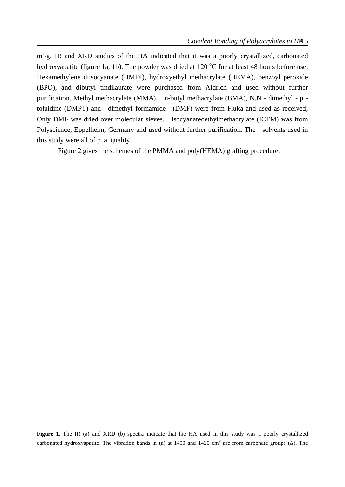$m^2/g$ . IR and XRD studies of the HA indicated that it was a poorly crystallized, carbonated hydroxyapatite (figure 1a, 1b). The powder was dried at  $120\text{ °C}$  for at least 48 hours before use. Hexamethylene diisocyanate (HMDI), hydroxyethyl methacrylate (HEMA), benzoyl peroxide (BPO), and dibutyl tindilaurate were purchased from Aldrich and used without further purification. Methyl methacrylate (MMA), n-butyl methacrylate (BMA), N,N - dimethyl - p toluidine (DMPT) and dimethyl formamide (DMF) were from Fluka and used as received; Only DMF was dried over molecular sieves. Isocyanateoethylmethacrylate (ICEM) was from Polyscience, Eppelheim, Germany and used without further purification. The solvents used in this study were all of p. a. quality.

Figure 2 gives the schemes of the PMMA and poly(HEMA) grafting procedure.

**Figure 1.** The IR (a) and XRD (b) spectra indicate that the HA used in this study was a poorly crystallized carbonated hydroxyapatite. The vibration bands in (a) at 1450 and 1420 cm<sup>-1</sup> are from carbonate groups ( $\Delta$ ). The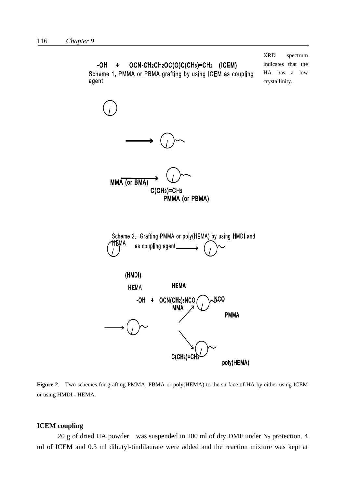

**Figure 2**. Two schemes for grafting PMMA, PBMA or poly(HEMA) to the surface of HA by either using ICEM or using HMDI - HEMA*.*

#### **ICEM coupling**

20 g of dried HA powder was suspended in 200 ml of dry DMF under  $N_2$  protection. 4 ml of ICEM and 0.3 ml dibutyl-tindilaurate were added and the reaction mixture was kept at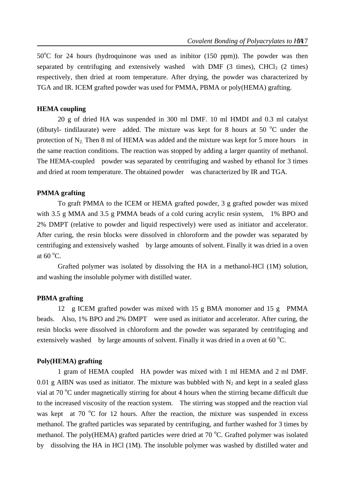$50^{\circ}$ C for 24 hours (hydroquinone was used as inibitor (150 ppm)). The powder was then separated by centrifuging and extensively washed with DMF  $(3 \times 1)$  CHCl<sub>3</sub>  $(2 \times 1)$ respectively, then dried at room temperature. After drying, the powder was characterized by TGA and IR. ICEM grafted powder was used for PMMA, PBMA or poly(HEMA) grafting.

#### **HEMA coupling**

 20 g of dried HA was suspended in 300 ml DMF. 10 ml HMDI and 0.3 ml catalyst (dibutyl- tindilaurate) were added. The mixture was kept for 8 hours at 50  $^{\circ}$ C under the protection of  $N_2$ . Then 8 ml of HEMA was added and the mixture was kept for 5 more hours in the same reaction conditions. The reaction was stopped by adding a larger quantity of methanol. The HEMA-coupled powder was separated by centrifuging and washed by ethanol for 3 times and dried at room temperature. The obtained powder was characterized by IR and TGA.

#### **PMMA grafting**

 To graft PMMA to the ICEM or HEMA grafted powder, 3 g grafted powder was mixed with 3.5 g MMA and 3.5 g PMMA beads of a cold curing acrylic resin system, 1% BPO and 2% DMPT (relative to powder and liquid respectively) were used as initiator and accelerator. After curing, the resin blocks were dissolved in chloroform and the powder was separated by centrifuging and extensively washed by large amounts of solvent. Finally it was dried in a oven at  $60^{\circ}$ C.

Grafted polymer was isolated by dissolving the HA in a methanol-HCl (1M) solution, and washing the insoluble polymer with distilled water.

#### **PBMA grafting**

12 g ICEM grafted powder was mixed with 15 g BMA monomer and 15 g PMMA beads. Also, 1% BPO and 2% DMPT were used as initiator and accelerator. After curing, the resin blocks were dissolved in chloroform and the powder was separated by centrifuging and extensively washed by large amounts of solvent. Finally it was dried in a oven at 60  $^{\circ}$ C.

#### **Poly(HEMA) grafting**

 1 gram of HEMA coupled HA powder was mixed with 1 ml HEMA and 2 ml DMF. 0.01 g AIBN was used as initiator. The mixture was bubbled with  $N_2$  and kept in a sealed glass vial at 70  $\rm{^{\circ}C}$  under magnetically stirring for about 4 hours when the stirring became difficult due to the increased viscosity of the reaction system. The stirring was stopped and the reaction vial was kept at  $70\text{ °C}$  for 12 hours. After the reaction, the mixture was suspended in excess methanol. The grafted particles was separated by centrifuging, and further washed for 3 times by methanol. The poly(HEMA) grafted particles were dried at 70  $^{\circ}$ C. Grafted polymer was isolated by dissolving the HA in HCl (1M). The insoluble polymer was washed by distilled water and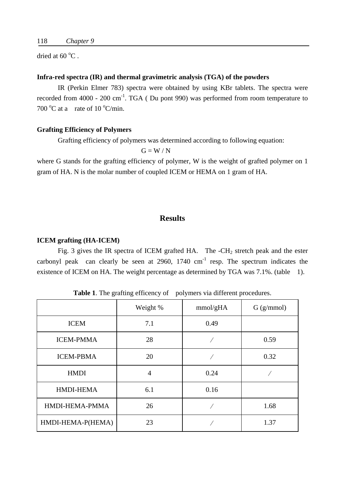dried at  $60^{\circ}$ C.

### **Infra-red spectra (IR) and thermal gravimetric analysis (TGA) of the powders**

 IR (Perkin Elmer 783) spectra were obtained by using KBr tablets. The spectra were recorded from 4000 - 200 cm<sup>-1</sup>. TGA (Du pont 990) was performed from room temperature to 700 °C at a rate of 10 °C/min.

## **Grafting Efficiency of Polymers**

Grafting efficiency of polymers was determined according to following equation:

 $G = W / N$ 

where G stands for the grafting efficiency of polymer, W is the weight of grafted polymer on 1 gram of HA. N is the molar number of coupled ICEM or HEMA on 1 gram of HA.

# **Results**

#### **ICEM grafting (HA-ICEM)**

Fig. 3 gives the IR spectra of ICEM grafted HA. The  $-CH_2$  stretch peak and the ester carbonyl peak can clearly be seen at  $2960$ ,  $1740 \text{ cm}^{-1}$  resp. The spectrum indicates the existence of ICEM on HA. The weight percentage as determined by TGA was 7.1%. (table 1).

|                   | Weight % | mmol/gHA | $G$ (g/mmol) |
|-------------------|----------|----------|--------------|
| <b>ICEM</b>       | 7.1      | 0.49     |              |
| <b>ICEM-PMMA</b>  | 28       |          | 0.59         |
| <b>ICEM-PBMA</b>  | 20       |          | 0.32         |
| <b>HMDI</b>       | 4        | 0.24     |              |
| HMDI-HEMA         | 6.1      | 0.16     |              |
| HMDI-HEMA-PMMA    | 26       |          | 1.68         |
| HMDI-HEMA-P(HEMA) | 23       |          | 1.37         |

Table 1. The grafting efficency of polymers via different procedures.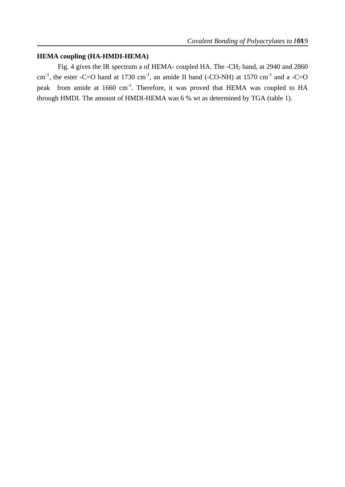## **HEMA coupling (HA-HMDI-HEMA)**

Fig. 4 gives the IR spectrum a of HEMA- coupled HA. The -CH<sub>2</sub> band, at 2940 and 2860 cm<sup>-1</sup>, the ester -C=O band at 1730 cm<sup>-1</sup>, an amide II band (-CO-NH) at 1570 cm<sup>-1</sup> and a -C=O peak from amide at 1660 cm-1. Therefore, it was proved that HEMA was coupled to HA through HMDI. The amount of HMDI-HEMA was 6 % wt as determined by TGA (table 1).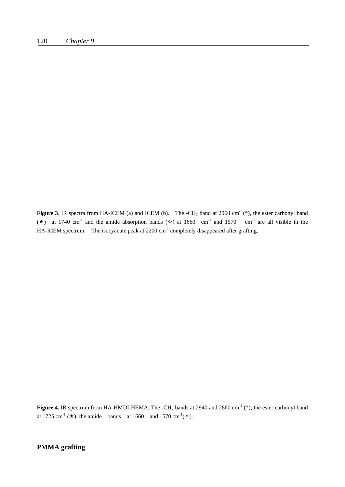**Figure 3.** IR spectra from HA-ICEM (a) and ICEM (b). The -CH<sub>2</sub> band at 2960 cm<sup>-1</sup>(\*), the ester carbonyl band ( $\star$ ) at 1740 cm<sup>-1</sup> and the amide absorption bands ( $\diamond$ ) at 1660 cm<sup>-1</sup> and 1570 cm<sup>-1</sup> are all visible in the HA-ICEM spectrum. The isocyanate peak at 2200 cm<sup>-1</sup> completely disappeared after grafting.

Figure 4. IR spectrum from HA-HMDI-HEMA. The -CH<sub>2</sub> bands at 2940 and 2860 cm<sup>-1</sup> (\*); the ester carbonyl band at 1725 cm<sup>-1</sup> ( $\star$ ); the amide bands at 1660 and 1570 cm<sup>-1</sup>( $\diamond$ ).

# **PMMA grafting**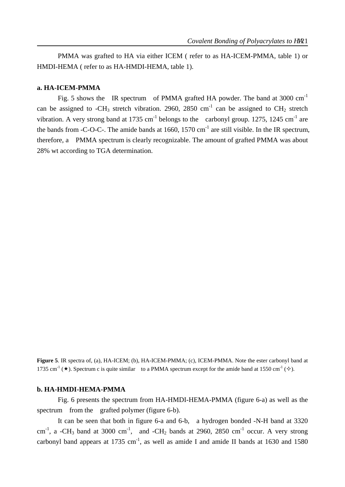PMMA was grafted to HA via either ICEM ( refer to as HA-ICEM-PMMA, table 1) or HMDI-HEMA ( refer to as HA-HMDI-HEMA, table 1).

### **a. HA-ICEM-PMMA**

Fig. 5 shows the IR spectrum of PMMA grafted HA powder. The band at  $3000 \text{ cm}^{-1}$ can be assigned to -CH<sub>3</sub> stretch vibration. 2960, 2850 cm<sup>-1</sup> can be assigned to CH<sub>2</sub> stretch vibration. A very strong band at 1735  $cm^{-1}$  belongs to the carbonyl group. 1275, 1245  $cm^{-1}$  are the bands from -C-O-C-. The amide bands at  $1660$ ,  $1570 \text{ cm}^{-1}$  are still visible. In the IR spectrum, therefore, a PMMA spectrum is clearly recognizable. The amount of grafted PMMA was about 28% wt according to TGA determination.

**Figure 5.** IR spectra of, (a), HA-ICEM; (b), HA-ICEM-PMMA; (c), ICEM-PMMA. Note the ester carbonyl band at 1735 cm<sup>-1</sup> ( $\star$ ). Spectrum c is quite similar to a PMMA spectrum except for the amide band at 1550 cm<sup>-1</sup> ( $\diamond$ ).

#### **b. HA-HMDI-HEMA-PMMA**

 Fig. 6 presents the spectrum from HA-HMDI-HEMA-PMMA (figure 6-a) as well as the spectrum from the grafted polymer (figure 6-b).

 It can be seen that both in figure 6-a and 6-b, a hydrogen bonded -N-H band at 3320 cm<sup>-1</sup>, a -CH<sub>3</sub> band at 3000 cm<sup>-1</sup>, and -CH<sub>2</sub> bands at 2960, 2850 cm<sup>-1</sup> occur. A very strong carbonyl band appears at 1735 cm<sup>-1</sup>, as well as amide I and amide II bands at 1630 and 1580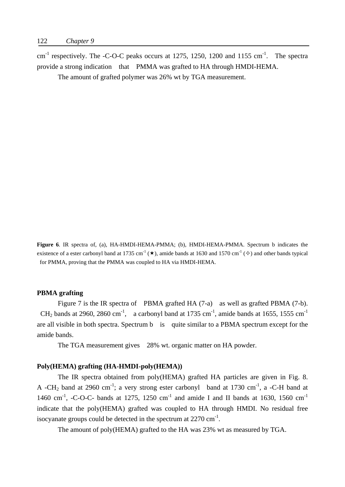$cm<sup>-1</sup>$  respectively. The -C-O-C peaks occurs at 1275, 1250, 1200 and 1155 cm<sup>-1</sup>. The spectra provide a strong indication that PMMA was grafted to HA through HMDI-HEMA.

The amount of grafted polymer was 26% wt by TGA measurement.

**Figure 6**. IR spectra of, (a), HA-HMDI-HEMA-PMMA; (b), HMDI-HEMA-PMMA. Spectrum b indicates the existence of a ester carbonyl band at 1735 cm<sup>-1</sup> ( $\star$ ), amide bands at 1630 and 1570 cm<sup>-1</sup> ( $\diamond$ ) and other bands typical for PMMA, proving that the PMMA was coupled to HA via HMDI-HEMA.

#### **PBMA grafting**

Figure 7 is the IR spectra of PBMA grafted HA (7-a) as well as grafted PBMA (7-b). CH<sub>2</sub> bands at 2960, 2860 cm<sup>-1</sup>, a carbonyl band at 1735 cm<sup>-1</sup>, amide bands at 1655, 1555 cm<sup>-1</sup> are all visible in both spectra. Spectrum b is quite similar to a PBMA spectrum except for the amide bands.

The TGA measurement gives 28% wt. organic matter on HA powder.

## **Poly(HEMA) grafting (HA-HMDI-poly(HEMA))**

 The IR spectra obtained from poly(HEMA) grafted HA particles are given in Fig. 8. A -CH<sub>2</sub> band at 2960 cm<sup>-1</sup>; a very strong ester carbonyl band at 1730 cm<sup>-1</sup>, a -C-H band at 1460 cm<sup>-1</sup>, -C-O-C- bands at 1275, 1250 cm<sup>-1</sup> and amide I and II bands at 1630, 1560 cm<sup>-1</sup> indicate that the poly(HEMA) grafted was coupled to HA through HMDI. No residual free isocyanate groups could be detected in the spectrum at  $2270 \text{ cm}^{-1}$ .

The amount of poly(HEMA) grafted to the HA was 23% wt as measured by TGA.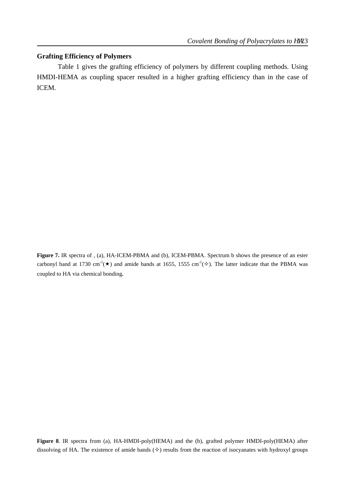## **Grafting Efficiency of Polymers**

Table 1 gives the grafting efficiency of polymers by different coupling methods. Using HMDI-HEMA as coupling spacer resulted in a higher grafting efficiency than in the case of ICEM.

**Figure 7.** IR spectra of , (a), HA-ICEM-PBMA and (b), ICEM-PBMA. Spectrum b shows the presence of an ester carbonyl band at 1730 cm<sup>-1</sup>( $\star$ ) and amide bands at 1655, 1555 cm<sup>-1</sup>( $\diamond$ ). The latter indicate that the PBMA was coupled to HA via chemical bonding*.* 

**Figure 8**. IR spectra from (a), HA-HMDI-poly(HEMA) and the (b), grafted polymer HMDI-poly(HEMA) after dissolving of HA. The existence of amide bands  $(\diamondsuit)$  results from the reaction of isocyanates with hydroxyl groups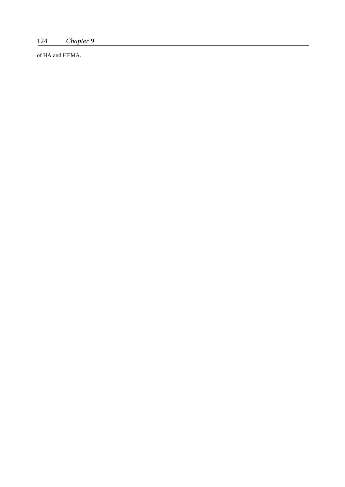# 124 *Chapter 9*

of HA and HEMA.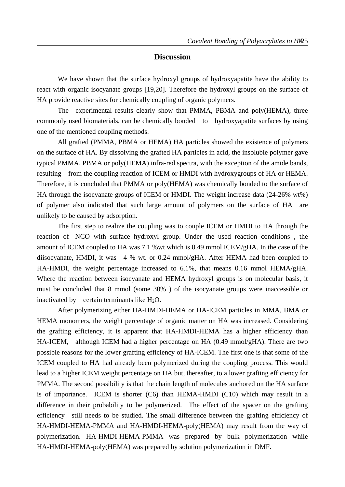## **Discussion**

We have shown that the surface hydroxyl groups of hydroxyapatite have the ability to react with organic isocyanate groups [19,20]. Therefore the hydroxyl groups on the surface of HA provide reactive sites for chemically coupling of organic polymers.

The experimental results clearly show that PMMA, PBMA and poly(HEMA), three commonly used biomaterials, can be chemically bonded to hydroxyapatite surfaces by using one of the mentioned coupling methods.

 All grafted (PMMA, PBMA or HEMA) HA particles showed the existence of polymers on the surface of HA. By dissolving the grafted HA particles in acid, the insoluble polymer gave typical PMMA, PBMA or poly(HEMA) infra-red spectra, with the exception of the amide bands, resulting from the coupling reaction of ICEM or HMDI with hydroxygroups of HA or HEMA. Therefore, it is concluded that PMMA or poly(HEMA) was chemically bonded to the surface of HA through the isocyanate groups of ICEM or HMDI. The weight increase data (24-26% wt%) of polymer also indicated that such large amount of polymers on the surface of HA are unlikely to be caused by adsorption.

 The first step to realize the coupling was to couple ICEM or HMDI to HA through the reaction of -NCO with surface hydroxyl group. Under the used reaction conditions , the amount of ICEM coupled to HA was 7.1 %wt which is 0.49 mmol ICEM/gHA. In the case of the diisocyanate, HMDI, it was 4 % wt. or 0.24 mmol/gHA. After HEMA had been coupled to HA-HMDI, the weight percentage increased to 6.1%, that means 0.16 mmol HEMA/gHA. Where the reaction between isocyanate and HEMA hydroxyl groups is on molecular basis, it must be concluded that 8 mmol (some 30% ) of the isocyanate groups were inaccessible or inactivated by certain terminants like  $H_2O$ .

 After polymerizing either HA-HMDI-HEMA or HA-ICEM particles in MMA, BMA or HEMA monomers, the weight percentage of organic matter on HA was increased. Considering the grafting efficiency, it is apparent that HA-HMDI-HEMA has a higher efficiency than HA-ICEM, although ICEM had a higher percentage on HA (0.49 mmol/gHA). There are two possible reasons for the lower grafting efficiency of HA-ICEM. The first one is that some of the ICEM coupled to HA had already been polymerized during the coupling process. This would lead to a higher ICEM weight percentage on HA but, thereafter, to a lower grafting efficiency for PMMA. The second possibility is that the chain length of molecules anchored on the HA surface is of importance. ICEM is shorter (C6) than HEMA-HMDI (C10) which may result in a difference in their probability to be polymerized. The effect of the spacer on the grafting efficiency still needs to be studied. The small difference between the grafting efficiency of HA-HMDI-HEMA-PMMA and HA-HMDI-HEMA-poly(HEMA) may result from the way of polymerization. HA-HMDI-HEMA-PMMA was prepared by bulk polymerization while HA-HMDI-HEMA-poly(HEMA) was prepared by solution polymerization in DMF.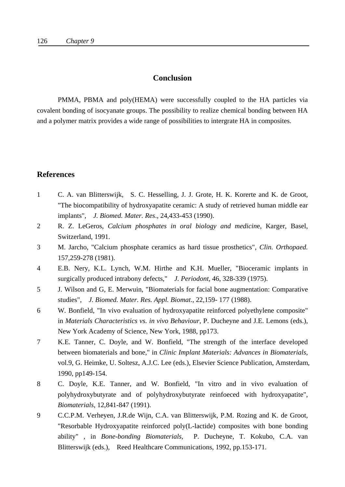# **Conclusion**

 PMMA, PBMA and poly(HEMA) were successfully coupled to the HA particles via covalent bonding of isocyanate groups. The possibility to realize chemical bonding between HA and a polymer matrix provides a wide range of possibilities to intergrate HA in composites.

# **References**

- 1 C. A. van Blitterswijk, S. C. Hesselling, J. J. Grote, H. K. Korerte and K. de Groot, "The biocompatibility of hydroxyapatite ceramic: A study of retrieved human middle ear implants", *J. Biomed. Mater. Res*., 24,433-453 (1990).
- 2 R. Z. LeGeros, *Calcium phosphates in oral biology and medicin*e, Karger, Basel, Switzerland, 1991.
- 3 M. Jarcho, "Calcium phosphate ceramics as hard tissue prosthetics", *Clin. Orthopaed.* 157,259-278 (1981).
- 4 E.B. Nery, K.L. Lynch, W.M. Hirthe and K.H. Mueller, "Bioceramic implants in surgically produced intrabony defects," *J. Periodont,* 46, 328-339 (1975).
- 5 J. Wilson and G, E. Merwuin, "Biomaterials for facial bone augmentation: Comparative studies", *J. Biomed. Mater. Res. Appl. Biomat*., 22,159- 177 (1988).
- 6 W. Bonfield, "In vivo evaluation of hydroxyapatite reinforced polyethylene composite" in *Materials Characteristics vs. in vivo Behaviour*, P. Ducheyne and J.E. Lemons (eds.), New York Academy of Science, New York, 1988, pp173.
- 7 K.E. Tanner, C. Doyle, and W. Bonfield, "The strength of the interface developed between biomaterials and bone," in *Clinic Implant Materials: Advances in Biomaterials*, vol.9, G. Heimke, U. Soltesz, A.J.C. Lee (eds.), Elsevier Science Publication, Amsterdam, 1990, pp149-154.
- 8 C. Doyle, K.E. Tanner, and W. Bonfield, "In vitro and in vivo evaluation of polyhydroxybutyrate and of polyhydroxybutyrate reinfoeced with hydroxyapatite", *Biomaterials*, 12,841-847 (1991).
- 9 C.C.P.M. Verheyen, J.R.de Wijn, C.A. van Blitterswijk, P.M. Rozing and K. de Groot, "Resorbable Hydroxyapatite reinforced poly(L-lactide) composites with bone bonding ability" , in *Bone-bonding Biomaterials*, P. Ducheyne, T. Kokubo, C.A. van Blitterswijk (eds.), Reed Healthcare Communications, 1992, pp.153-171.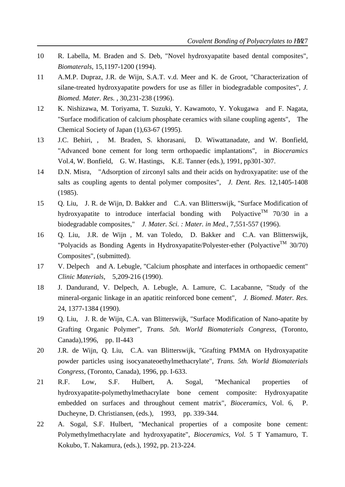- 10 R. Labella, M. Braden and S. Deb, "Novel hydroxyapatite based dental composites", *Biomaterals*, 15,1197-1200 (1994).
- 11 A.M.P. Dupraz, J.R. de Wijn, S.A.T. v.d. Meer and K. de Groot, "Characterization of silane-treated hydroxyapatite powders for use as filler in biodegradable composites", *J. Biomed. Mater. Res.* , 30,231-238 (1996).
- 12 K. Nishizawa, M. Toriyama, T. Suzuki, Y. Kawamoto, Y. Yokugawa and F. Nagata, "Surface modification of calcium phosphate ceramics with silane coupling agents", The Chemical Society of Japan (1),63-67 (1995).
- 13 J.C. Behiri, , M. Braden, S. khorasani, D. Wiwattanadate, and W. Bonfield, "Advanced bone cement for long term orthopaedic implantations", in *Bioceramics*  Vol.4, W. Bonfield, G. W. Hastings, K.E. Tanner (eds.), 1991, pp301-307.
- 14 D.N. Misra, "Adsorption of zirconyl salts and their acids on hydroxyapatite: use of the salts as coupling agents to dental polymer composites", *J. Dent. Res.* 12,1405-1408 (1985).
- 15 Q. Liu, J. R. de Wijn, D. Bakker and C.A. van Blitterswijk, "Surface Modification of hydroxyapatite to introduce interfacial bonding with Polyactive<sup>TM</sup> 70/30 in a biodegradable composites," *J. Mater. Sci. : Mater. in Med.*, 7,551-557 (1996).
- 16 Q. Liu, J.R. de Wijn , M. van Toledo, D. Bakker and C.A. van Blitterswijk, "Polyacids as Bonding Agents in Hydroxyapatite/Polyester-ether (Polyactive<sup>TM</sup> 30/70) Composites", (submitted).
- 17 V. Delpech and A. Lebugle, "Calcium phosphate and interfaces in orthopaedic cement" *Clinic Materials*, 5,209-216 (1990).
- 18 J. Dandurand, V. Delpech, A. Lebugle, A. Lamure, C. Lacabanne, "Study of the mineral-organic linkage in an apatitic reinforced bone cement", *J. Biomed. Mater. Res.* 24, 1377-1384 (1990).
- 19 Q. Liu, J. R. de Wijn, C.A. van Blitterswijk, "Surface Modification of Nano-apatite by Grafting Organic Polymer", *Trans. 5th. World Biomaterials Congress*, (Toronto, Canada),1996, pp. II-443
- 20 J.R. de Wijn, Q. Liu, C.A. van Blitterswijk, "Grafting PMMA on Hydroxyapatite powder particles using isocyanateoethylmethacrylate", *Trans. 5th. World Biomaterials Congress*, (Toronto, Canada), 1996, pp. I-633.
- 21 R.F. Low, S.F. Hulbert, A. Sogal, "Mechanical properties of hydroxyapatite-polymethylmethacrylate bone cement composite: Hydroxyapatite embedded on surfaces and throughout cement matrix", *Bioceramics,* Vol. 6, P. Ducheyne, D. Christiansen, (eds.), 1993, pp. 339-344.
- 22 A. Sogal, S.F. Hulbert, "Mechanical properties of a composite bone cement: Polymethylmethacrylate and hydroxyapatite", *Bioceramics, Vol.* 5 T Yamamuro, T. Kokubo, T. Nakamura, (eds.), 1992, pp. 213-224.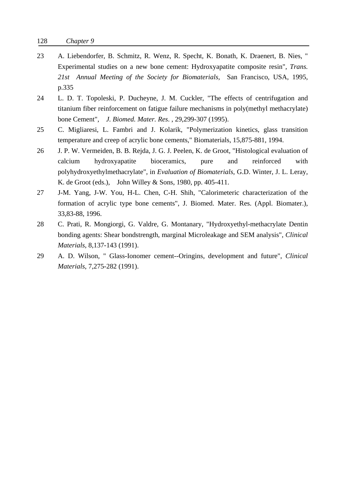- 23 A. Liebendorfer, B. Schmitz, R. Wenz, R. Specht, K. Bonath, K. Draenert, B. Nies, " Experimental studies on a new bone cement: Hydroxyapatite composite resin", *Trans. 21st Annual Meeting of the Society for Biomaterials,* San Francisco, USA, 1995, p.335
- 24 L. D. T. Topoleski, P. Ducheyne, J. M. Cuckler, "The effects of centrifugation and titanium fiber reinforcement on fatigue failure mechanisms in poly(methyl methacrylate) bone Cement", *J. Biomed. Mater. Res*. , 29,299-307 (1995).
- 25 C. Migliaresi, L. Fambri and J. Kolarik, "Polymerization kinetics, glass transition temperature and creep of acrylic bone cements," Biomaterials, 15,875-881, 1994.
- 26 J. P. W. Vermeiden, B. B. Rejda, J. G. J. Peelen, K. de Groot, "Histological evaluation of calcium hydroxyapatite bioceramics, pure and reinforced with polyhydroxyethylmethacrylate", in *Evaluation of Biomaterials*, G.D. Winter, J. L. Leray, K. de Groot (eds.), John Willey & Sons, 1980, pp. 405-411.
- 27 J-M. Yang, J-W. You, H-L. Chen, C-H. Shih, "Calorimeteric characterization of the formation of acrylic type bone cements", J. Biomed. Mater. Res. (Appl. Biomater.), 33,83-88, 1996.
- 28 C. Prati, R. Mongiorgi, G. Valdre, G. Montanary, "Hydroxyethyl-methacrylate Dentin bonding agents: Shear bondstrength, marginal Microleakage and SEM analysis", *Clinical Materials,* 8,137-143 (1991).
- 29 A. D. Wilson, " Glass-Ionomer cement--Oringins, development and future", *Clinical Materials*, 7,275-282 (1991).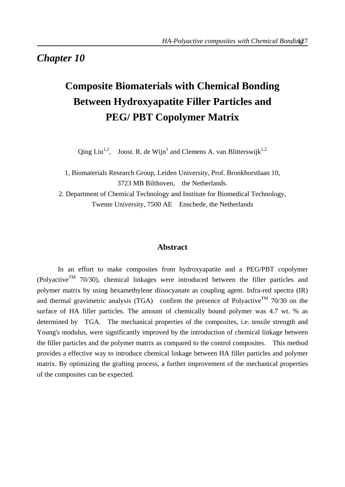# *Chapter 10*

# **Composite Biomaterials with Chemical Bonding Between Hydroxyapatite Filler Particles and PEG/ PBT Copolymer Matrix**

Qing Liu<sup>1,2</sup>, Joost. R. de Wijn<sup>1</sup> and Clemens A. van Blitterswijk<sup>1,2</sup>

1, Biomaterials Research Group, Leiden University, Prof. Bronkhorstlaan 10, 3723 MB Bilthoven, the Netherlands. 2. Department of Chemical Technology and Institute for Biomedical Technology,

Twente University, 7500 AE Enschede, the Netherlands

### **Abstract**

In an effort to make composites from hydroxyapatite and a PEG/PBT copolymer (Polyactive<sup>TM</sup> 70/30), chemical linkages were introduced between the filler particles and polymer matrix by using hexamethylene diisocyanate as coupling agent. Infra-red spectra (IR) and thermal gravimetric analysis (TGA) confirm the presence of Polyactive<sup>TM</sup> 70/30 on the surface of HA filler particles. The amount of chemically bound polymer was 4.7 wt. % as determined by TGA. The mechanical properties of the composites, i.e. tensile strength and Young's modulus, were significantly improved by the introduction of chemical linkage between the filler particles and the polymer matrix as compared to the control composites. This method provides a effective way to introduce chemical linkage between HA filler particles and polymer matrix. By optimizing the grafting process, a further improvement of the mechanical properties of the composites can be expected.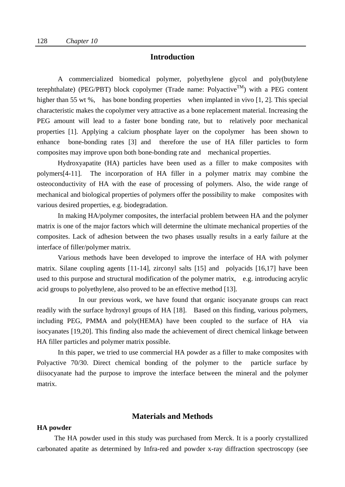# **Introduction**

A commercialized biomedical polymer, polyethylene glycol and poly(butylene terephthalate) (PEG/PBT) block copolymer (Trade name: Polyactive<sup>TM</sup>) with a PEG content higher than 55 wt %, has bone bonding properties when implanted in vivo [1, 2]. This special characteristic makes the copolymer very attractive as a bone replacement material. Increasing the PEG amount will lead to a faster bone bonding rate, but to relatively poor mechanical properties [1]. Applying a calcium phosphate layer on the copolymer has been shown to enhance bone-bonding rates [3] and therefore the use of HA filler particles to form composites may improve upon both bone-bonding rate and mechanical properties.

 Hydroxyapatite (HA) particles have been used as a filler to make composites with polymers[4-11]. The incorporation of HA filler in a polymer matrix may combine the osteoconductivity of HA with the ease of processing of polymers. Also, the wide range of mechanical and biological properties of polymers offer the possibility to make composites with various desired properties, e.g. biodegradation.

 In making HA/polymer composites, the interfacial problem between HA and the polymer matrix is one of the major factors which will determine the ultimate mechanical properties of the composites. Lack of adhesion between the two phases usually results in a early failure at the interface of filler/polymer matrix.

 Various methods have been developed to improve the interface of HA with polymer matrix. Silane coupling agents [11-14], zirconyl salts [15] and polyacids [16,17] have been used to this purpose and structural modification of the polymer matrix, e.g. introducing acrylic acid groups to polyethylene, also proved to be an effective method [13].

 In our previous work, we have found that organic isocyanate groups can react readily with the surface hydroxyl groups of HA [18]. Based on this finding, various polymers, including PEG, PMMA and poly(HEMA) have been coupled to the surface of HA via isocyanates [19,20]. This finding also made the achievement of direct chemical linkage between HA filler particles and polymer matrix possible.

 In this paper, we tried to use commercial HA powder as a filler to make composites with Polyactive 70/30. Direct chemical bonding of the polymer to the particle surface by diisocyanate had the purpose to improve the interface between the mineral and the polymer matrix.

#### **Materials and Methods**

#### **HA powder**

 The HA powder used in this study was purchased from Merck. It is a poorly crystallized carbonated apatite as determined by Infra-red and powder x-ray diffraction spectroscopy (see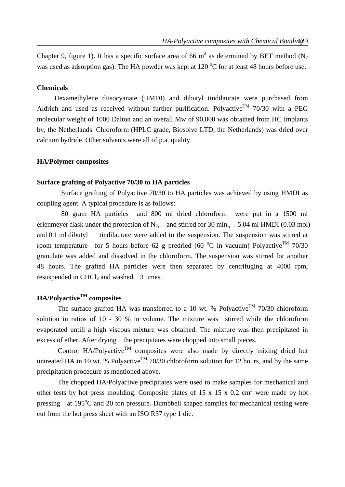Chapter 9, figure 1). It has a specific surface area of 66  $m^2$  as determined by BET method (N<sub>2</sub> was used as adsorption gas). The HA powder was kept at  $120\text{ °C}$  for at least 48 hours before use.

#### **Chemicals**

 Hexamethylene diisocyanate (HMDI) and dibutyl tindilaurate were purchased from Aldrich and used as received without further purification. Polyactive<sup>TM</sup> 70/30 with a PEG molecular weight of 1000 Dalton and an overall Mw of 90,000 was obtained from HC Implants bv, the Netherlands. Chloroform (HPLC grade, Biosolve LTD, the Netherlands) was dried over calcium hydride. Other solvents were all of p.a. quality.

#### **HA/Polymer composites**

#### **Surface grafting of Polyactive 70/30 to HA particles**

 Surface grafting of Polyactive 70/30 to HA particles was achieved by using HMDI as coupling agent. A typical procedure is as follows:

 80 gram HA particles and 800 ml dried chloroform were put in a 1500 ml erlenmeyer flask under the protection of  $N_2$ , and stirred for 30 min., 5.04 ml HMDI (0.03 mol) and 0.1 ml dibutyl tindilaurate were added to the suspension. The suspension was stirred at room temperature for 5 hours before 62 g predried (60  $^{\circ}$ C in vacuum) Polyactive<sup>TM</sup> 70/30 granulate was added and dissolved in the chloroform. The suspension was stirred for another 48 hours. The grafted HA particles were then separated by centrifuging at 4000 rpm, resuspended in  $CHCl<sub>3</sub>$  and washed 3 times.

# **HA/PolyactiveTM composites**

The surface grafted HA was transferred to a 10 wt. % Polyactive<sup>TM</sup> 70/30 chloroform solution in ratios of 10 - 30 % in volume. The mixture was stirred while the chloroform evaporated untill a high viscous mixture was obtained. The mixture was then precipitated in excess of ether. After drying the precipitates were chopped into small pieces.

Control HA/Polyactive<sup>TM</sup> composites were also made by directly mixing dried but untreated HA in 10 wt. % Polyactive<sup>TM</sup> 70/30 chloroform solution for 12 hours, and by the same precipitation procedure as mentioned above.

 The chopped HA/Polyactive precipitates were used to make samples for mechanical and other tests by hot press moulding. Composite plates of 15 x 15 x 0.2  $\text{cm}^3$  were made by hot pressing at 195°C and 20 ton pressure. Dumbbell shaped samples for mechanical testing were cut from the hot press sheet with an ISO R37 type 1 die.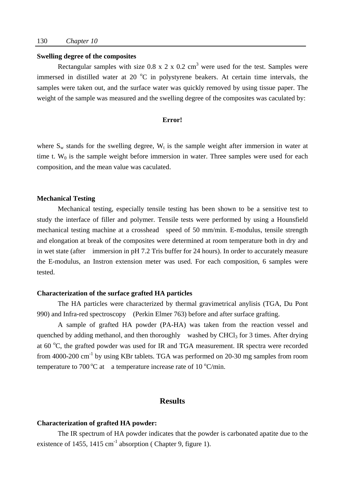#### **Swelling degree of the composites**

Rectangular samples with size 0.8 x 2 x 0.2 cm<sup>3</sup> were used for the test. Samples were immersed in distilled water at 20 $\degree$ C in polystyrene beakers. At certain time intervals, the samples were taken out, and the surface water was quickly removed by using tissue paper. The weight of the sample was measured and the swelling degree of the composites was caculated by:

#### **Error!**

where  $S_w$  stands for the swelling degree,  $W_t$  is the sample weight after immersion in water at time t.  $W_0$  is the sample weight before immersion in water. Three samples were used for each composition, and the mean value was caculated.

#### **Mechanical Testing**

 Mechanical testing, especially tensile testing has been shown to be a sensitive test to study the interface of filler and polymer. Tensile tests were performed by using a Hounsfield mechanical testing machine at a crosshead speed of 50 mm/min. E-modulus, tensile strength and elongation at break of the composites were determined at room temperature both in dry and in wet state (after immersion in pH 7.2 Tris buffer for 24 hours). In order to accurately measure the E-modulus, an Instron extension meter was used. For each composition, 6 samples were tested.

#### **Characterization of the surface grafted HA particles**

 The HA particles were characterized by thermal gravimetrical anylisis (TGA, Du Pont 990) and Infra-red spectroscopy (Perkin Elmer 763) before and after surface grafting.

 A sample of grafted HA powder (PA-HA) was taken from the reaction vessel and quenched by adding methanol, and then thoroughly washed by CHCl<sub>3</sub> for 3 times. After drying at 60 °C, the grafted powder was used for IR and TGA measurement. IR spectra were recorded from 4000-200 cm<sup>-1</sup> by using KBr tablets. TGA was performed on 20-30 mg samples from room temperature to 700 °C at a temperature increase rate of 10 °C/min.

#### **Results**

#### **Characterization of grafted HA powder:**

 The IR spectrum of HA powder indicates that the powder is carbonated apatite due to the existence of 1455, 1415 cm<sup>-1</sup> absorption ( Chapter 9, figure 1).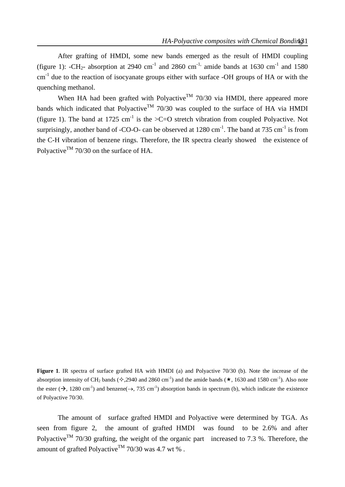After grafting of HMDI, some new bands emerged as the result of HMDI coupling (figure 1): -CH<sub>2</sub>- absorption at 2940 cm<sup>-1</sup> and 2860 cm<sup>-1,</sup> amide bands at 1630 cm<sup>-1</sup> and 1580 cm<sup>-1</sup> due to the reaction of isocyanate groups either with surface -OH groups of HA or with the quenching methanol.

When HA had been grafted with Polyactive<sup>TM</sup> 70/30 via HMDI, there appeared more bands which indicated that Polyactive<sup>TM</sup> 70/30 was coupled to the surface of HA via HMDI (figure 1). The band at 1725 cm<sup>-1</sup> is the  $\geq$ C=O stretch vibration from coupled Polyactive. Not surprisingly, another band of -CO-O- can be observed at  $1280 \text{ cm}^{-1}$ . The band at 735 cm<sup>-1</sup> is from the C-H vibration of benzene rings. Therefore, the IR spectra clearly showed the existence of Polyactive<sup>TM</sup> 70/30 on the surface of HA.

**Figure 1**. IR spectra of surface grafted HA with HMDI (a) and Polyactive 70/30 (b). Note the increase of the absorption intensity of CH<sub>2</sub> bands ( $\diamond$ , 2940 and 2860 cm<sup>-1</sup>) and the amide bands ( $\star$ , 1630 and 1580 cm<sup>-1</sup>). Also note the ester  $(\rightarrow, 1280 \text{ cm}^{-1})$  and benzene $(\rightarrow, 735 \text{ cm}^{-1})$  absorption bands in spectrum (b), which indicate the existence of Polyactive 70/30.

 The amount of surface grafted HMDI and Polyactive were determined by TGA. As seen from figure 2, the amount of grafted HMDI was found to be 2.6% and after Polyactive<sup>TM</sup> 70/30 grafting, the weight of the organic part increased to 7.3 %. Therefore, the amount of grafted Polyactive<sup>TM</sup> 70/30 was 4.7 wt %.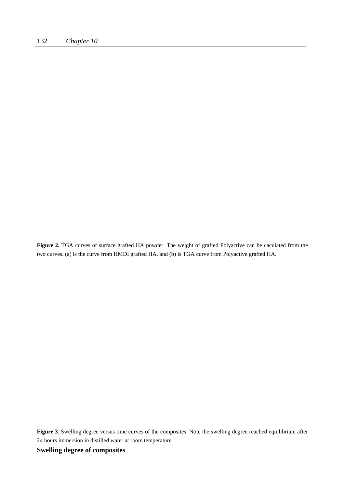**Figure 2.** TGA curves of surface grafted HA powder. The weight of grafted Polyactive can be caculated from the two curves. (a) is the curve from HMDI grafted HA, and (b) is TGA curve from Polyactive grafted HA.

**Figure 3**. Swelling degree versus time curves of the composites. Note the swelling degree reached equilibrium after 24 hours immersion in distilled water at room temperature.

**Swelling degree of composites**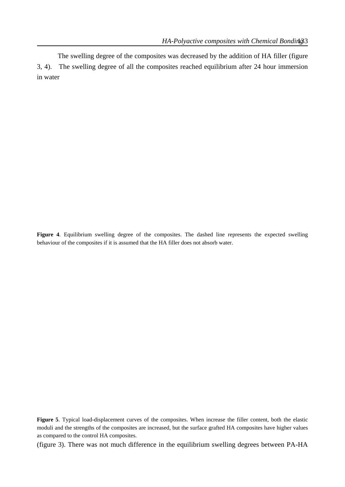The swelling degree of the composites was decreased by the addition of HA filler (figure 3, 4). The swelling degree of all the composites reached equilibrium after 24 hour immersion in water

**Figure 4**. Equilibrium swelling degree of the composites. The dashed line represents the expected swelling behaviour of the composites if it is assumed that the HA filler does not absorb water.

**Figure 5**. Typical load-displacement curves of the composites. When increase the filler content, both the elastic moduli and the strengths of the composites are increased, but the surface grafted HA composites have higher values as compared to the control HA composites.

(figure 3). There was not much difference in the equilibrium swelling degrees between PA-HA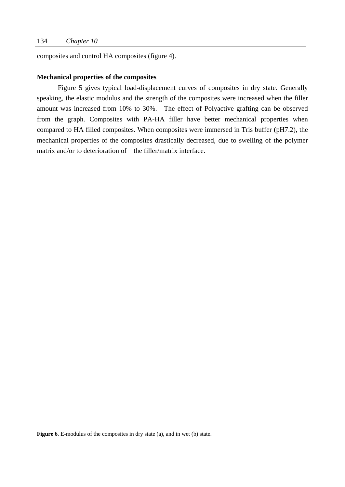composites and control HA composites (figure 4).

# **Mechanical properties of the composites**

 Figure 5 gives typical load-displacement curves of composites in dry state. Generally speaking, the elastic modulus and the strength of the composites were increased when the filler amount was increased from 10% to 30%. The effect of Polyactive grafting can be observed from the graph. Composites with PA-HA filler have better mechanical properties when compared to HA filled composites. When composites were immersed in Tris buffer (pH7.2), the mechanical properties of the composites drastically decreased, due to swelling of the polymer matrix and/or to deterioration of the filler/matrix interface.

**Figure 6**. E-modulus of the composites in dry state (a), and in wet (b) state.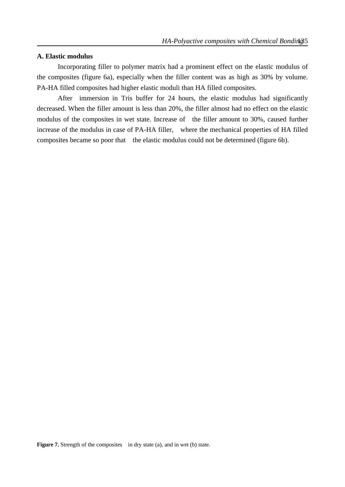#### **A. Elastic modulus**

 Incorporating filler to polymer matrix had a prominent effect on the elastic modulus of the composites (figure 6a), especially when the filler content was as high as 30% by volume. PA-HA filled composites had higher elastic moduli than HA filled composites.

 After immersion in Tris buffer for 24 hours, the elastic modulus had significantly decreased. When the filler amount is less than 20%, the filler almost had no effect on the elastic modulus of the composites in wet state. Increase of the filler amount to 30%, caused further increase of the modulus in case of PA-HA filler, where the mechanical properties of HA filled composites became so poor that the elastic modulus could not be determined (figure 6b).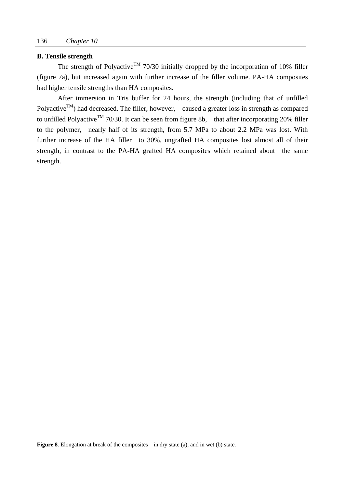#### **B. Tensile strength**

The strength of Polyactive<sup>TM</sup> 70/30 initially dropped by the incorporatinn of 10% filler (figure 7a), but increased again with further increase of the filler volume. PA-HA composites had higher tensile strengths than HA composites.

 After immersion in Tris buffer for 24 hours, the strength (including that of unfilled Polyactive<sup>TM</sup>) had decreased. The filler, however, caused a greater loss in strength as compared to unfilled Polyactive<sup>TM</sup> 70/30. It can be seen from figure 8b, that after incorporating 20% filler to the polymer, nearly half of its strength, from 5.7 MPa to about 2.2 MPa was lost. With further increase of the HA filler to 30%, ungrafted HA composites lost almost all of their strength, in contrast to the PA-HA grafted HA composites which retained about the same strength.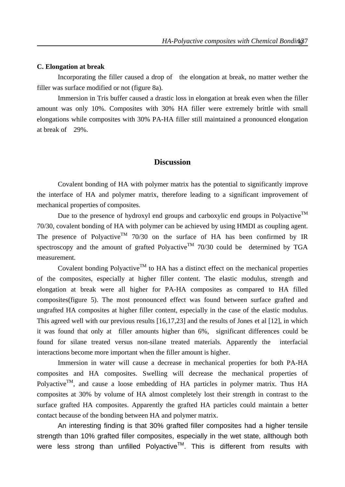#### **C. Elongation at break**

 Incorporating the filler caused a drop of the elongation at break, no matter wether the filler was surface modified or not (figure 8a).

 Immersion in Tris buffer caused a drastic loss in elongation at break even when the filler amount was only 10%. Composites with 30% HA filler were extremely brittle with small elongations while composites with 30% PA-HA filler still maintained a pronounced elongation at break of 29%.

#### **Discussion**

 Covalent bonding of HA with polymer matrix has the potential to significantly improve the interface of HA and polymer matrix, therefore leading to a significant improvement of mechanical properties of composites.

Due to the presence of hydroxyl end groups and carboxylic end groups in Polyactive<sup>TM</sup> 70/30, covalent bonding of HA with polymer can be achieved by using HMDI as coupling agent. The presence of Polyactive<sup>TM</sup> 70/30 on the surface of HA has been confirmed by IR spectroscopy and the amount of grafted Polyactive<sup>TM</sup> 70/30 could be determined by TGA measurement.

Covalent bonding Polyactive<sup>TM</sup> to HA has a distinct effect on the mechanical properties of the composites, especially at higher filler content. The elastic modulus, strength and elongation at break were all higher for PA-HA composites as compared to HA filled composites(figure 5). The most pronounced effect was found between surface grafted and ungrafted HA composites at higher filler content, especially in the case of the elastic modulus. This agreed well with our previous results [16,17,23] and the results of Jones et al [12], in which it was found that only at filler amounts higher than 6%, significant differences could be found for silane treated versus non-silane treated materials. Apparently the interfacial interactions become more important when the filler amount is higher.

 Immersion in water will cause a decrease in mechanical properties for both PA-HA composites and HA composites. Swelling will decrease the mechanical properties of Polyactive<sup>TM</sup>, and cause a loose embedding of HA particles in polymer matrix. Thus HA composites at 30% by volume of HA almost completely lost their strength in contrast to the surface grafted HA composites. Apparently the grafted HA particles could maintain a better contact because of the bonding between HA and polymer matrix.

An interesting finding is that 30% grafted filler composites had a higher tensile strength than 10% grafted filler composites, especially in the wet state, allthough both were less strong than unfilled Polyactive™. This is different from results with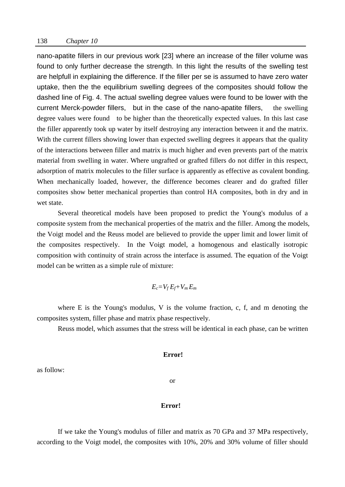#### 138 *Chapter 10*

nano-apatite fillers in our previous work [23] where an increase of the filler volume was found to only further decrease the strength. In this light the results of the swelling test are helpfull in explaining the difference. If the filler per se is assumed to have zero water uptake, then the the equilibrium swelling degrees of the composites should follow the dashed line of Fig. 4. The actual swelling degree values were found to be lower with the current Merck-powder fillers, but in the case of the nano-apatite fillers, the swelling degree values were found to be higher than the theoretically expected values. In this last case the filler apparently took up water by itself destroying any interaction between it and the matrix. With the current fillers showing lower than expected swelling degrees it appears that the quality of the interactions between filler and matrix is much higher and even prevents part of the matrix material from swelling in water. Where ungrafted or grafted fillers do not differ in this respect, adsorption of matrix molecules to the filler surface is apparently as effective as covalent bonding. When mechanically loaded, however, the difference becomes clearer and do grafted filler composites show better mechanical properties than control HA composites, both in dry and in wet state.

 Several theoretical models have been proposed to predict the Young's modulus of a composite system from the mechanical properties of the matrix and the filler. Among the models, the Voigt model and the Reuss model are believed to provide the upper limit and lower limit of the composites respectively. In the Voigt model, a homogenous and elastically isotropic composition with continuity of strain across the interface is assumed. The equation of the Voigt model can be written as a simple rule of mixture:

$$
E_c = V_f E_f + V_m E_m
$$

where E is the Young's modulus, V is the volume fraction, c, f, and m denoting the composites system, filler phase and matrix phase respectively.

Reuss model, which assumes that the stress will be identical in each phase, can be written

#### **Error!**

as follow:

or

#### **Error!**

 If we take the Young's modulus of filler and matrix as 70 GPa and 37 MPa respectively, according to the Voigt model, the composites with 10%, 20% and 30% volume of filler should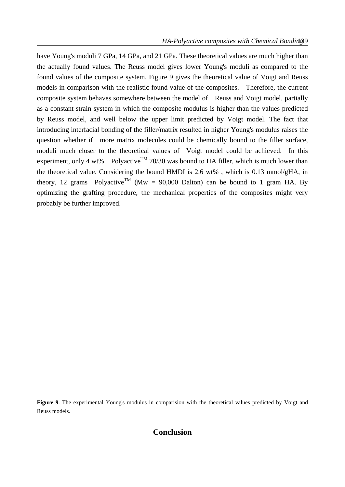have Young's moduli 7 GPa, 14 GPa, and 21 GPa. These theoretical values are much higher than the actually found values. The Reuss model gives lower Young's moduli as compared to the found values of the composite system. Figure 9 gives the theoretical value of Voigt and Reuss models in comparison with the realistic found value of the composites. Therefore, the current composite system behaves somewhere between the model of Reuss and Voigt model, partially as a constant strain system in which the composite modulus is higher than the values predicted by Reuss model, and well below the upper limit predicted by Voigt model. The fact that introducing interfacial bonding of the filler/matrix resulted in higher Young's modulus raises the question whether if more matrix molecules could be chemically bound to the filler surface, moduli much closer to the theoretical values of Voigt model could be achieved. In this experiment, only 4 wt% Polyactive<sup>TM</sup> 70/30 was bound to HA filler, which is much lower than the theoretical value. Considering the bound HMDI is 2.6 wt% , which is 0.13 mmol/gHA, in theory, 12 grams Polyactive<sup>TM</sup> (Mw = 90,000 Dalton) can be bound to 1 gram HA. By optimizing the grafting procedure, the mechanical properties of the composites might very probably be further improved.

**Figure 9**. The experimental Young's modulus in comparision with the theoretical values predicted by Voigt and Reuss models.

# **Conclusion**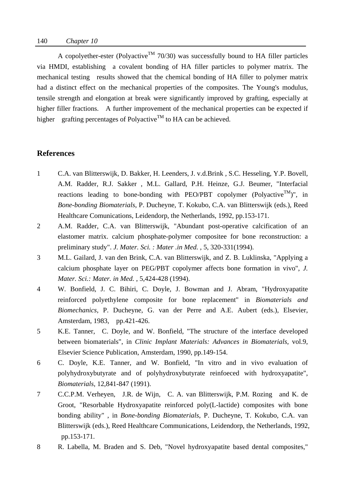# 140 *Chapter 10*

A copolyether-ester (Polyactive<sup>TM</sup> 70/30) was successfully bound to HA filler particles via HMDI, establishing a covalent bonding of HA filler particles to polymer matrix. The mechanical testing results showed that the chemical bonding of HA filler to polymer matrix had a distinct effect on the mechanical properties of the composites. The Young's modulus, tensile strength and elongation at break were significantly improved by grafting, especially at higher filler fractions. A further improvement of the mechanical properties can be expected if higher grafting percentages of Polyactive<sup>TM</sup> to HA can be achieved.

### **References**

- 1 C.A. van Blitterswijk, D. Bakker, H. Leenders, J. v.d.Brink , S.C. Hesseling, Y.P. Bovell, A.M. Radder, R.J. Sakker , M.L. Gallard, P.H. Heinze, G.J. Beumer, "Interfacial reactions leading to bone-bonding with PEO/PBT copolymer (Polyactive<sup>TM</sup>)", in *Bone-bonding Biomaterials*, P. Ducheyne, T. Kokubo, C.A. van Blitterswijk (eds.), Reed Healthcare Comunications, Leidendorp, the Netherlands, 1992, pp.153-171.
- 2 A.M. Radder, C.A. van Blitterswijk, "Abundant post-operative calcification of an elastomer matrix. calcium phosphate-polymer compositee for bone reconstruction: a preliminary study". *J. Mater. Sci. : Mater .in Med.* , 5, 320-331(1994).
- 3 M.L. Gailard, J. van den Brink, C.A. van Blitterswijk, and Z. B. Luklinska, "Applying a calcium phosphate layer on PEG/PBT copolymer affects bone formation in vivo", *J. Mater. Sci.: Mater. in Med.* , 5,424-428 (1994).
- 4 W. Bonfield, J. C. Bihiri, C. Doyle, J. Bowman and J. Abram, "Hydroxyapatite reinforced polyethylene composite for bone replacement" in *Biomaterials and Biomechanics,* P. Ducheyne, G. van der Perre and A.E. Aubert (eds.), Elsevier, Amsterdam, 1983, pp.421-426.
- 5 K.E. Tanner, C. Doyle, and W. Bonfield, "The structure of the interface developed between biomaterials", in *Clinic Implant Materials: Advances in Biomaterials*, vol.9, Elsevier Science Publication, Amsterdam, 1990, pp.149-154.
- 6 C. Doyle, K.E. Tanner, and W. Bonfield, "In vitro and in vivo evaluation of polyhydroxybutyrate and of polyhydroxybutyrate reinfoeced with hydroxyapatite", *Biomaterials*, 12,841-847 (1991).
- 7 C.C.P.M. Verheyen, J.R. de Wijn, C. A. van Blitterswijk, P.M. Rozing and K. de Groot, "Resorbable Hydroxyapatite reinforced poly(L-lactide) composites with bone bonding ability" , in *Bone-bonding Biomaterials*, P. Ducheyne, T. Kokubo, C.A. van Blitterswijk (eds.), Reed Healthcare Communications, Leidendorp, the Netherlands, 1992, pp.153-171.
- 8 R. Labella, M. Braden and S. Deb, "Novel hydroxyapatite based dental composites,"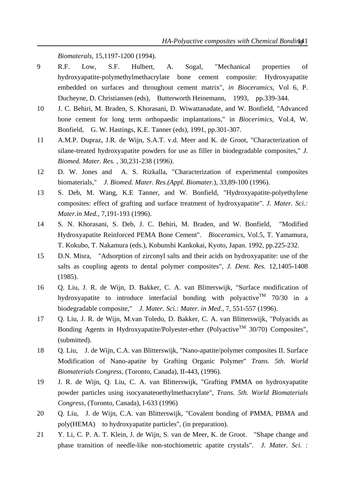*Biomaterals*, 15,1197-1200 (1994).

- 9 R.F. Low, S.F. Hulbert, A. Sogal, "Mechanical properties of hydroxyapatite-polymethylmethacrylate bone cement composite: Hydroxyapatite embedded on surfaces and throughout cement matrix", *in Bioceramics*, Vol 6, P. Ducheyne, D. Christiansen (eds), Butterworth Heinemann, 1993, pp.339-344.
- 10 J. C. Behiri, M. Braden, S. Khorasani, D. Wiwattanadate, and W. Bonfield, "Advanced bone cement for long term orthopaedic implantations," in *Biocerimics*, Vol.4, W. Bonfield, G. W. Hastings, K.E. Tanner (eds), 1991, pp.301-307.
- 11 A.M.P. Dupraz, J.R. de Wijn, S.A.T. v.d. Meer and K. de Groot, "Characterization of silane-treated hydroxyapatite powders for use as filler in biodegradable composites," *J. Biomed. Mater. Res.* , 30,231-238 (1996).
- 12 D. W. Jones and A. S. Rizkalla, "Characterization of experimental composites biomaterials," *J. Biomed. Mater. Res.(Appl. Biomater.*), 33,89-100 (1996).
- 13 S. Deb, M. Wang, K.E Tanner, and W. Bonfield, "Hydroxyapatite-polyethylene composites: effect of grafting and surface treatment of hydroxyapatite". *J. Mater. Sci.: Mater.in Med.,* 7,191-193 (1996).
- 14 S. N. Khorasani, S. Deb, J. C. Behiri, M. Braden, and W. Bonfield, "Modified Hydroxyapatite Reinforced PEMA Bone Cement". *Bioceramics,* Vol.5, T. Yamamura, T. Kokubo, T. Nakamura (eds.), Kobunshi Kankokai, Kyoto, Japan. 1992, pp.225-232.
- 15 D.N. Misra, "Adsorption of zirconyl salts and their acids on hydroxyapatite: use of the salts as coupling agents to dental polymer composites", *J. Dent. Res.* 12,1405-1408 (1985).
- 16 Q. Liu, J. R. de Wijn, D. Bakker, C. A. van Blitterswijk, "Surface modification of hydroxyapatite to introduce interfacial bonding with polyactive<sup>TM</sup> 70/30 in a biodegradable composite," *J. Mater. Sci.: Mater. in Med.,* 7, 551-557 (1996).
- 17 Q. Liu, J. R. de Wijn, M.van Toledo, D. Bakker, C. A. van Blitterswijk, "Polyacids as Bonding Agents in Hydroxyapatite/Polyester-ether (Polyactive<sup>TM</sup> 30/70) Composites", (submitted).
- 18 Q. Liu, J. de Wijn, C.A. van Blitterswijk, "Nano-apatite/polymer composites II. Surface Modification of Nano-apatite by Grafting Organic Polymer" *Trans. 5th. World Biomaterials Congress,* (Toronto, Canada), II-443, (1996).
- 19 J. R. de Wijn, Q. Liu, C. A. van Blitterswijk, "Grafting PMMA on hydroxyapatite powder particles using isocyanateoethylmethacrylate", *Trans. 5th. World Biomaterials Congress*, (Toronto, Canada), I-633 (1996)
- 20 Q. Liu, J. de Wijn, C.A. van Blitterswijk, "Covalent bonding of PMMA, PBMA and poly(HEMA) to hydroxyapatite particles", (in preparation).
- 21 Y. Li, C. P. A. T. Klein, J. de Wijn, S. van de Meer, K. de Groot. "Shape change and phase transition of needle-like non-stochiometric apatite crystals". *J. Mater. Sci. :*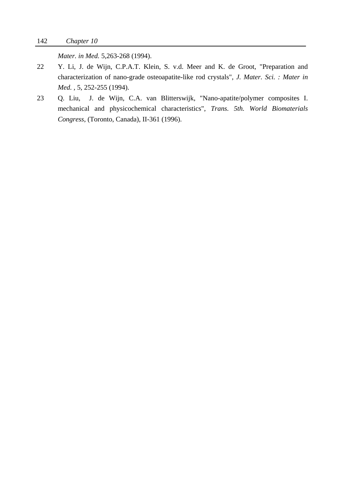*Mater. in Med.* 5,263-268 (1994).

- 22 Y. Li, J. de Wijn, C.P.A.T. Klein, S. v.d. Meer and K. de Groot, "Preparation and characterization of nano-grade osteoapatite-like rod crystals", *J. Mater. Sci. : Mater in Med. ,* 5, 252-255 (1994).
- 23 Q. Liu, J. de Wijn, C.A. van Blitterswijk, "Nano-apatite/polymer composites I. mechanical and physicochemical characteristics", *Trans. 5th. World Biomaterials Congress*, (Toronto, Canada), II-361 (1996).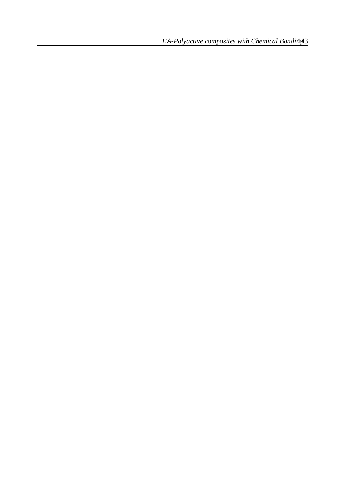*HA-Polyactive composites with Chemical Bonding* 43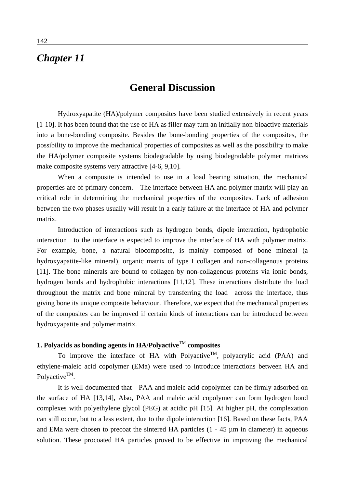# *Chapter 11*

# **General Discussion**

Hydroxyapatite (HA)/polymer composites have been studied extensively in recent years [1-10]. It has been found that the use of HA as filler may turn an initially non-bioactive materials into a bone-bonding composite. Besides the bone-bonding properties of the composites, the possibility to improve the mechanical properties of composites as well as the possibility to make the HA/polymer composite systems biodegradable by using biodegradable polymer matrices make composite systems very attractive [4-6, 9,10].

When a composite is intended to use in a load bearing situation, the mechanical properties are of primary concern. The interface between HA and polymer matrix will play an critical role in determining the mechanical properties of the composites. Lack of adhesion between the two phases usually will result in a early failure at the interface of HA and polymer matrix.

Introduction of interactions such as hydrogen bonds, dipole interaction, hydrophobic interaction to the interface is expected to improve the interface of HA with polymer matrix. For example, bone, a natural biocomposite, is mainly composed of bone mineral (a hydroxyapatite-like mineral), organic matrix of type I collagen and non-collagenous proteins [11]. The bone minerals are bound to collagen by non-collagenous proteins via ionic bonds, hydrogen bonds and hydrophobic interactions [11,12]. These interactions distribute the load throughout the matrix and bone mineral by transferring the load across the interface, thus giving bone its unique composite behaviour. Therefore, we expect that the mechanical properties of the composites can be improved if certain kinds of interactions can be introduced between hydroxyapatite and polymer matrix.

# **1. Polyacids as bonding agents in HA/Polyactive**<sup>TM</sup> composites

To improve the interface of HA with Polyactive<sup>TM</sup>, polyacrylic acid (PAA) and ethylene-maleic acid copolymer (EMa) were used to introduce interactions between HA and Polyactive<sup>TM</sup>.

It is well documented that PAA and maleic acid copolymer can be firmly adsorbed on the surface of HA [13,14], Also, PAA and maleic acid copolymer can form hydrogen bond complexes with polyethylene glycol (PEG) at acidic pH [15]. At higher pH, the complexation can still occur, but to a less extent, due to the dipole interaction [16]. Based on these facts, PAA and EMa were chosen to precoat the sintered HA particles (1 - 45 µm in diameter) in aqueous solution. These procoated HA particles proved to be effective in improving the mechanical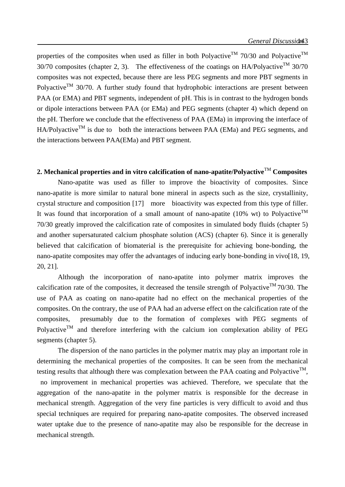properties of the composites when used as filler in both Polyactive<sup>TM</sup> 70/30 and Polyactive<sup>TM</sup> 30/70 composites (chapter 2, 3). The effectiveness of the coatings on HA/Polyactive<sup>TM</sup> 30/70 composites was not expected, because there are less PEG segments and more PBT segments in Polyactive<sup>TM</sup> 30/70. A further study found that hydrophobic interactions are present between PAA (or EMA) and PBT segments, independent of pH. This is in contrast to the hydrogen bonds or dipole interactions between PAA (or EMa) and PEG segments (chapter 4) which depend on the pH. Therfore we conclude that the effectiveness of PAA (EMa) in improving the interface of  $HA/Polyactive^{TM}$  is due to both the interactions between PAA (EMa) and PEG segments, and the interactions between PAA(EMa) and PBT segment.

# **2. Mechanical properties and in vitro calcification of nano-apatite/Polyactive**TM **Composites**

Nano-apatite was used as filler to improve the bioactivity of composites. Since nano-apatite is more similar to natural bone mineral in aspects such as the size, crystallinity, crystal structure and composition [17] more bioactivity was expected from this type of filler. It was found that incorporation of a small amount of nano-apatite (10% wt) to Polyactive<sup>TM</sup> 70/30 greatly improved the calcification rate of composites in simulated body fluids (chapter 5) and another supersaturated calcium phosphate solution (ACS) (chapter 6). Since it is generally believed that calcification of biomaterial is the prerequisite for achieving bone-bonding, the nano-apatite composites may offer the advantages of inducing early bone-bonding in vivo[18, 19, 20, 21].

Although the incorporation of nano-apatite into polymer matrix improves the calcification rate of the composites, it decreased the tensile strength of Polyactive<sup>TM</sup> 70/30. The use of PAA as coating on nano-apatite had no effect on the mechanical properties of the composites. On the contrary, the use of PAA had an adverse effect on the calcification rate of the composites, presumably due to the formation of complexes with PEG segments of Polyactive<sup>TM</sup> and therefore interfering with the calcium ion complexation ability of PEG segments (chapter 5).

The dispersion of the nano particles in the polymer matrix may play an important role in determining the mechanical properties of the composites. It can be seen from the mechanical testing results that although there was complexation between the PAA coating and Polyactive<sup>TM</sup>. no improvement in mechanical properties was achieved. Therefore, we speculate that the aggregation of the nano-apatite in the polymer matrix is responsible for the decrease in mechanical strength. Aggregation of the very fine particles is very difficult to avoid and thus special techniques are required for preparing nano-apatite composites. The observed increased water uptake due to the presence of nano-apatite may also be responsible for the decrease in mechanical strength.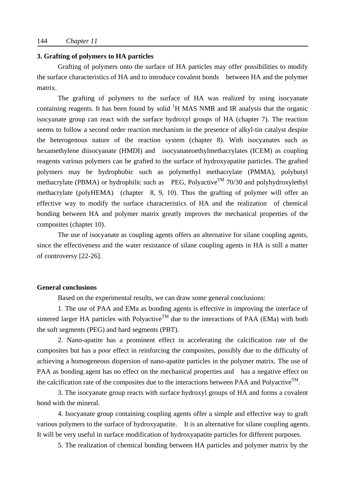#### **3. Grafting of polymers to HA particles**

 Grafting of polymers onto the surface of HA particles may offer possibilities to modify the surface characteristics of HA and to introduce covalent bonds between HA and the polymer matrix.

The grafting of polymers to the surface of HA was realized by using isocyanate containing reagents. It has been found by solid  ${}^{1}H$  MAS NMR and IR analysis that the organic isocyanate group can react with the surface hydroxyl groups of HA (chapter 7). The reaction seems to follow a second order reaction mechanism in the presence of alkyl-tin catalyst despite the heterogenous nature of the reaction system (chapter 8). With isocyanates such as hexamethylene diisocyanate (HMDI) and isocyanateoethylmethacrylates (ICEM) as coupling reagents various polymers can be grafted to the surface of hydroxyapatite particles. The grafted polymers may be hydrophobic such as polymethyl methacrylate (PMMA), polybutyl methacrylate (PBMA) or hydrophilic such as PEG, Polyactive<sup>TM</sup> 70/30 and polyhydroxylethyl methacrylate (polyHEMA) (chapter 8, 9, 10). Thus the grafting of polymer will offer an effective way to modify the surface characteristics of HA and the realization of chemical bonding between HA and polymer matrix greatly improves the mechanical properties of the composites (chapter 10).

The use of isocyanate as coupling agents offers an alternative for silane coupling agents, since the effectiveness and the water resistance of silane coupling agents in HA is still a matter of controversy [22-26].

#### **General conclusions**

Based on the experimental results, we can draw some general conclusions:

1. The use of PAA and EMa as bonding agents is effective in improving the interface of sintered larger HA particles with Polyactive<sup>TM</sup> due to the interactions of PAA (EMa) with both the soft segments (PEG) and hard segments (PBT).

2. Nano-apatite has a prominent effect in accelerating the calcification rate of the composites but has a poor effect in reinforcing the composites, possibly due to the difficulty of achieving a homogeneous dispersion of nano-apatite particles in the polymer matrix. The use of PAA as bonding agent has no effect on the mechanical properties and has a negative effect on the calcification rate of the composites due to the interactions between PAA and Polyactive<sup>TM</sup>.

3. The isocyanate group reacts with surface hydroxyl groups of HA and forms a covalent bond with the mineral.

4. Isocyanate group containing coupling agents offer a simple and effective way to graft various polymers to the surface of hydroxyapatite. It is an alternative for silane coupling agents. It will be very useful in surface modification of hydroxyapatite particles for different purposes.

5. The realization of chemical bonding between HA particles and polymer matrix by the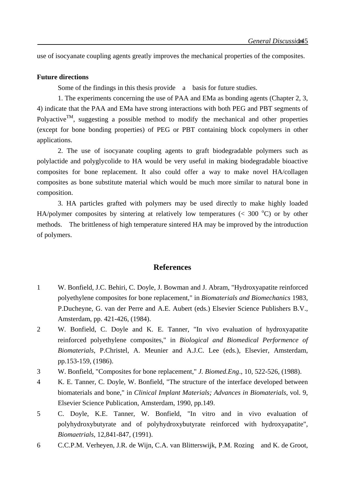use of isocyanate coupling agents greatly improves the mechanical properties of the composites.

#### **Future directions**

Some of the findings in this thesis provide a basis for future studies.

1. The experiments concerning the use of PAA and EMa as bonding agents (Chapter 2, 3, 4) indicate that the PAA and EMa have strong interactions with both PEG and PBT segments of Polyactive<sup>TM</sup>, suggesting a possible method to modify the mechanical and other properties (except for bone bonding properties) of PEG or PBT containing block copolymers in other applications.

2. The use of isocyanate coupling agents to graft biodegradable polymers such as polylactide and polyglycolide to HA would be very useful in making biodegradable bioactive composites for bone replacement. It also could offer a way to make novel HA/collagen composites as bone substitute material which would be much more similar to natural bone in composition.

3. HA particles grafted with polymers may be used directly to make highly loaded HA/polymer composites by sintering at relatively low temperatures  $(< 300 °C)$  or by other methods. The brittleness of high temperature sintered HA may be improved by the introduction of polymers.

#### **References**

- 1 W. Bonfield, J.C. Behiri, C. Doyle, J. Bowman and J. Abram, "Hydroxyapatite reinforced polyethylene composites for bone replacement," in *Biomaterials and Biomechanics* 1983, P.Ducheyne, G. van der Perre and A.E. Aubert (eds.) Elsevier Science Publishers B.V., Amsterdam, pp. 421-426, (1984).
- 2 W. Bonfield, C. Doyle and K. E. Tanner, "In vivo evaluation of hydroxyapatite reinforced polyethylene composites," in *Biological and Biomedical Performence of Biomaterials*, P.Christel, A. Meunier and A.J.C. Lee (eds.), Elsevier, Amsterdam, pp.153-159, (1986).
- 3 W. Bonfield, "Composites for bone replacement," *J. Biomed.Eng*., 10, 522-526, (1988).
- 4 K. E. Tanner, C. Doyle, W. Bonfield, "The structure of the interface developed between biomaterials and bone," in *Clinical Implant Materials; Advances in Biomaterials*, vol. 9, Elsevier Science Publication, Amsterdam, 1990, pp.149.
- 5 C. Doyle, K.E. Tanner, W. Bonfield, "In vitro and in vivo evaluation of polyhydroxybutyrate and of polyhydroxybutyrate reinforced with hydroxyapatite", *Biomaetrials*, 12,841-847, (1991).
- 6 C.C.P.M. Verheyen, J.R. de Wijn, C.A. van Blitterswijk, P.M. Rozing and K. de Groot,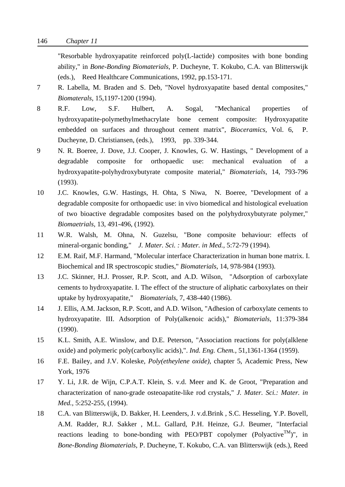"Resorbable hydroxyapatite reinforced poly(L-lactide) composites with bone bonding ability," in *Bone-Bonding Biomaterials*, P. Ducheyne, T. Kokubo, C.A. van Blitterswijk (eds.), Reed Healthcare Communications, 1992, pp.153-171.

- 7 R. Labella, M. Braden and S. Deb, "Novel hydroxyapatite based dental composites," *Biomaterals,* 15,1197-1200 (1994).
- 8 R.F. Low, S.F. Hulbert, A. Sogal, "Mechanical properties of hydroxyapatite-polymethylmethacrylate bone cement composite: Hydroxyapatite embedded on surfaces and throughout cement matrix", *Bioceramics,* Vol. 6, P. Ducheyne, D. Christiansen, (eds.), 1993, pp. 339-344.
- 9 N. R. Boeree, J. Dove, J.J. Cooper, J. Knowles, G. W. Hastings, " Development of a degradable composite for orthopaedic use: mechanical evaluation of a hydroxyapatite-polyhydroxybutyrate composite material," *Biomaterials*, 14, 793-796 (1993).
- 10 J.C. Knowles, G.W. Hastings, H. Ohta, S Niwa, N. Boeree, "Development of a degradable composite for orthopaedic use: in vivo biomedical and histological eveluation of two bioactive degradable composites based on the polyhydroxybutyrate polymer," *Biomaetrials,* 13, 491-496, (1992).
- 11 W.R. Walsh, M. Ohna, N. Guzelsu, "Bone composite behaviour: effects of mineral-organic bonding," *J. Mater. Sci. : Mater. in Med.,* 5:72-79 (1994).
- 12 E.M. Raif, M.F. Harmand, "Molecular interface Characterization in human bone matrix. I. Biochemical and IR spectroscopic studies," *Biomaterials*, 14, 978-984 (1993).
- 13 J.C. Skinner, H.J. Prosser, R.P. Scott, and A.D. Wilson, "Adsorption of carboxylate cements to hydroxyapatite. I. The effect of the structure of aliphatic carboxylates on their uptake by hydroxyapatite," *Biomaterials*, 7, 438-440 (1986).
- 14 J. Ellis, A.M. Jackson, R.P. Scott, and A.D. Wilson, "Adhesion of carboxylate cements to hydroxyapatite. III. Adsorption of Poly(alkenoic acids)," *Biomaterials*, 11:379-384 (1990).
- 15 K.L. Smith, A.E. Winslow, and D.E. Peterson, "Association reactions for poly(alklene oxide) and polymeric poly(carboxylic acids),". *Ind. Eng. Chem.,* 51,1361-1364 (1959).
- 16 F.E. Bailey, and J.V. Koleske, *Poly(etheylene oxide)*, chapter 5, Academic Press, New York, 1976
- 17 Y. Li, J.R. de Wijn, C.P.A.T. Klein, S. v.d. Meer and K. de Groot, "Preparation and characterization of nano-grade osteoapatite-like rod crystals," *J. Mater. Sci.: Mater. in Med.,* 5:252-255, (1994).
- 18 C.A. van Blitterswijk, D. Bakker, H. Leenders, J. v.d.Brink , S.C. Hesseling, Y.P. Bovell, A.M. Radder, R.J. Sakker , M.L. Gallard, P.H. Heinze, G.J. Beumer, "Interfacial reactions leading to bone-bonding with PEO/PBT copolymer (Polyactive<sup>TM</sup>)", in *Bone-Bonding Biomaterials*, P. Ducheyne, T. Kokubo, C.A. van Blitterswijk (eds.), Reed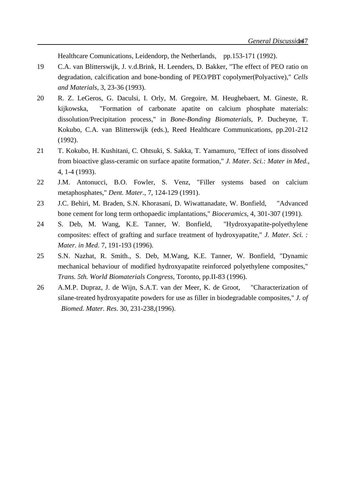Healthcare Comunications, Leidendorp, the Netherlands, pp.153-171 (1992).

- 19 C.A. van Blitterswijk, J. v.d.Brink, H. Leenders, D. Bakker, "The effect of PEO ratio on degradation, calcification and bone-bonding of PEO/PBT copolymer(Polyactive)," *Cells and Materials,* 3, 23-36 (1993).
- 20 R. Z. LeGeros, G. Daculsi, I. Orly, M. Gregoire, M. Heughebaert, M. Gineste, R. kijkowska, "Formation of carbonate apatite on calcium phosphate materials: dissolution/Precipitation process," in *Bone-Bonding Biomaterials*, P. Ducheyne, T. Kokubo, C.A. van Blitterswijk (eds.), Reed Healthcare Communications, pp.201-212 (1992).
- 21 T. Kokubo, H. Kushitani, C. Ohtsuki, S. Sakka, T. Yamamuro, "Effect of ions dissolved from bioactive glass-ceramic on surface apatite formation," *J. Mater. Sci.: Mater in Med.*, 4, 1-4 (1993).
- 22 J.M. Antonucci, B.O. Fowler, S. Venz, "Filler systems based on calcium metaphosphates," *Dent. Mater*., 7, 124-129 (1991).
- 23 J.C. Behiri, M. Braden, S.N. Khorasani, D. Wiwattanadate, W. Bonfield, "Advanced bone cement for long term orthopaedic implantations," *Bioceramics,* 4, 301-307 (1991).
- 24 S. Deb, M. Wang, K.E. Tanner, W. Bonfield, "Hydroxyapatite-polyethylene composites: effect of grafting and surface treatment of hydroxyapatite," *J. Mater. Sci. : Mater. in Med*. 7, 191-193 (1996).
- 25 S.N. Nazhat, R. Smith., S. Deb, M.Wang, K.E. Tanner, W. Bonfield, "Dynamic mechanical behaviour of modified hydroxyapatite reinforced polyethylene composites," *Trans. 5th. World Biomaterials Congress*, Toronto, pp.II-83 (1996).
- 26 A.M.P. Dupraz, J. de Wijn, S.A.T. van der Meer, K. de Groot, "Characterization of silane-treated hydroxyapatite powders for use as filler in biodegradable composites," *J. of Biomed. Mater. Res*. 30, 231-238,(1996).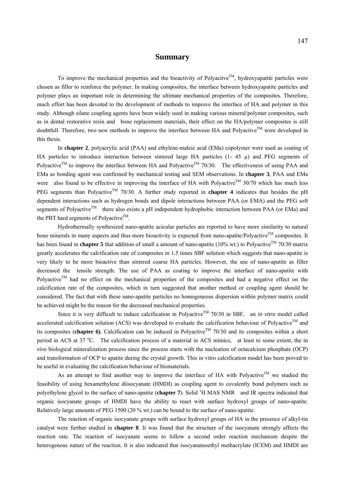#### **Summary**

To improve the mechanical properties and the bioactivity of Polyacitve<sup>TM</sup>, hydroxyapatite particles were chosen as filler to reinforce the polymer. In making composites, the interface between hydroxyapatite particles and polymer plays an important role in determining the ultimate mechanical properties of the composites. Therefore, much effort has been devoted to the development of methods to improve the interface of HA and polymer in this study. Although silane coupling agents have been widely used in making various mineral/polymer composites, such as in dental restorative resin and bone replacement materials, their effect on the HA/polymer composites is still doubtfull. Therefore, two new methods to improve the interface between HA and Polyactive<sup>TM</sup> were developed in this thesis.

In **chapter 2**, polyacrylic acid (PAA) and ethylene-maleic acid (EMa) copolymer were used as coating of HA particles to introduce interaction between sintered large HA particles (1-45 µ) and PEG segments of Polyactive<sup>TM</sup> to improve the interface between HA and Polyactive<sup>TM</sup> 70/30. The effectiveness of using PAA and EMa as bonding agent was confirmed by mechanical testing and SEM observations. In **chapter 3**, PAA and EMa were also found to be effective in improving the interface of HA with Polyactive<sup>TM</sup> 30/70 which has much less PEG segments than Polyactive<sup>TM</sup> 70/30. A further study reported in **chapter 4** indicates that besides the pH dependent interactions such as hydrogen bonds and dipole interactions between PAA (or EMA) and the PEG soft segments of Polyactive<sup>TM</sup> there also exists a pH independent hydrophobic interaction between PAA (or EMa) and the PBT hard segments of Polyactive<sup>TM</sup>.

Hydrothermally synthesized nano-apatite acicular particles are reported to have more similarity to natural bone minerals in many aspects and thus more bioactivity is expected from nano-apatite/Polyactive<sup>TM</sup> composites. It has been found in **chapter 5** that addition of small a amount of nano-apatite (10% wt.) to Polyactive<sup>TM</sup> 70/30 matrix greatly accelerates the calcification rate of composites in 1.5 times SBF solution which suggests that nano-apatite is very likely to be more bioactive than sintered coarse HA particles. However, the use of nano-apatite as filler decreased the tensile strength. The use of PAA as coating to improve the interface of nano-apatite with Polyactive<sup>TM</sup> had no effect on the mechanical properties of the composites and had a negative effect on the calcification rate of the composites, which in turn suggested that another method or coupling agent should be considered. The fact that with these nano-apatite particles no homogeneous dispersion within polymer matrix could be achieved might be the reason for the decreased mechanical properties.

Since it is very difficult to induce calcification in Polyactive<sup>TM</sup> 70/30 in SBF, an *in vitro* model called accelerated calcification solution (ACS) was developed to evaluate the calcification behaviour of Polyactive<sup>TM</sup> and its composites (**chapter 6**). Calcification can be induced in Polyactive<sup>TM</sup> 70/30 and its composites within a short period in ACS at 37 °C. The calcification process of a material in ACS mimics, at least to some extent, the in *vivo* biological mineralization process since the process starts with the nucleation of octacalcium phosphate (OCP) and transformation of OCP to apatite during the crystal growth. This in vitro calcification model has been proved to be useful in evaluating the calcification behaviour of biomaterials.

As an attempt to find another way to improve the interface of HA with Polyactive<sup>TM</sup> we studied the feasibility of using hexamethylene diisocyanate (HMDI) as coupling agent to covalently bond polymers such as polyethylene glycol to the surface of nano-apatite (chapter 7). Solid <sup>1</sup>H MAS NMR and IR spectra indicated that organic isocyanate groups of HMDI have the ability to react with surface hydroxyl groups of nano-apatite. Relatively large amounts of PEG 1500 (20 % wt.) can be bound to the surface of nano-apatite.

The reaction of organic isocyanate groups with surface hydroxyl groups of HA in the presence of alkyl-tin catalyst were further studied in **chapter 8**. It was found that the structure of the isocyanate strongly affects the reaction rate. The reaction of isocyanate seems to follow a second order reaction mechanism despite the heterogenous nature of the reaction. It is also indicated that isocyanateoethyl methacrylate (ICEM) and HMDI are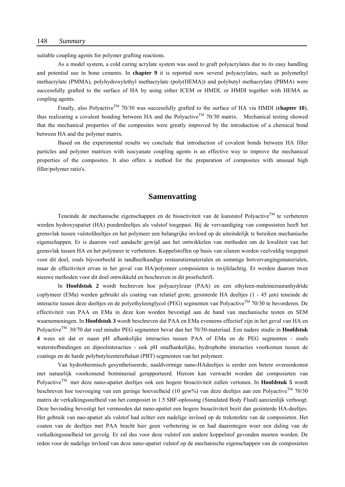suitable coupling agents for polymer grafting reactions.

As a model system, a cold curing acrylate system was used to graft polyacrylates due to its easy handling and potential use in bone cements. In **chapter 9** it is reported now several polyacrylates, such as polymethyl methacrylate (PMMA), polyhydroxylethyl methacrylate (poly(HEMA)) and polybutyl methacrylate (PBMA) were successfully grafted to the surface of HA by using either ICEM or HMDI, or HMDI together with HEMA as coupling agents.

Finally, also Polyactive<sup>TM</sup> 70/30 was successfully grafted to the surface of HA via HMDI (**chapter 10**), thus realizating a covalent bonding between HA and the Polyactive<sup>TM</sup> 70/30 matrix. Mechanical testing showed that the mechanical properties of the composites were greatly improved by the introduction of a chemical bond between HA and the polymer matrix.

Based on the experimental results we conclude that introduction of covalent bonds between HA filler particles and polymer matrices with isocyanate coupling agents is an effective way to improve the mechanical properties of the composites. It also offers a method for the preparation of composites with unusual high filler/polymer ratio's.

#### **Samenvatting**

Teneinde de mechanische eigenschappen en de bioactiviteit van de kunststof Polyactive<sup>TM</sup> te verbeteren werden hydroxyapatiet (HA) poederdeeltjes als vulstof toegepast. Bij de vervaardiging van composieten heeft het grensvlak tussen vulstofdeeltjes en het polymeer een belangrijke invloed op de uiteindelijk te bereiken mechanische eigenschappen. Er is daarom veel aandacht gewijd aan het ontwikkelen van methoden om de kwaliteit van het grensvlak tussen HA en het polymeer te verbeteren. Koppelstoffen op basis van silanen worden veelvuldig toegepast voor dit doel, zoals bijvoorbeeld in tandheelkundige restauratiematerialen en sommige botvervangingsmaterialen, maar de effectiviteit ervan in het geval van HA/polymeer composieten is twijfelachtig. Er werden daarom twee nieuwe methoden voor dit doel ontwikkeld en beschreven in dit proefschrift.

In **Hoofdstuk 2** wordt bechreven hoe polyacrylzuur (PAA) en een ethyleen-maleinezuuranhydride coplymeer (EMa) werden gebruikt als coating van relatief grote, gesinterde HA deeltjes (1 - 45 μm) teneinde de interactie tussen deze deeltjes en de polyethyleenglycol (PEG) segmenten van Polyactive™ 70/30 te bevorderen. De effectiviteit van PAA en EMa in deze kon worden bevestigd aan de hand van mechanische testen en SEM waarnemeningen. In **Hoofdstuk 3** wordt beschreven dat PAA en EMa eveneens effectief zijn in het geval van HA en PolyactiveTM 30/70 dat veel minder PEG segmenten bevat dan het 70/30-materiaal. Een nadere studie in **Hoofdstuk 4** wees uit dat er naast pH afhankelijke interacties tussen PAA of EMa en de PEG segmenten - zoals waterstofbindingen en dipoolinteracties - ook pH onafhankelijke, hydrophobe interacties voorkomen tussen de coatings en de harde polybutyleentereftalaat (PBT) segmenten van het polymeer.

Van hydrothermisch gesynthetiseerde, naaldvormige nano-HAdeeltjes is eerder een betere overeenkomst met natuurlijk voorkomend botmineraal gerapporteerd. Hierom kan verwacht worden dat composieten van Polyactive<sup>™</sup> met deze nano-apatiet deeltjes ook een hogere bioactiviteit zullen vertonen. In **Hoofdstuk 5** wordt beschreven hoe toevoeging van een geringe hoeveelheid (10 gew%) van deze deelties aan een Polyactive<sup>TM</sup> 70/30 matrix de verkalkingssnelheid van het composiet in 1.5 SBF-oplossing (Simulated Body Fluid) aanzienlijk verhoogt. Deze bevinding bevestigt het vermoeden dat nano-apatiet een hogere bioactiviteit bezit dan gesinterde HA-deeltjes. Het gebruik van nao-apatiet als vulstof had echter een nadelige invloed op de treksterkte van de composieten. Het coaten van de deeltjes met PAA bracht hier geen verbetering in en had daarentegen weer een daling van de verkalkingssnelheid tot gevolg. Er zal dus voor deze vulstof een andere koppelstof gevonden moeten worden. De reden voor de nadelige invloed van deze nano-apatiet vulstof op de mechanische eigenschappen van de composieten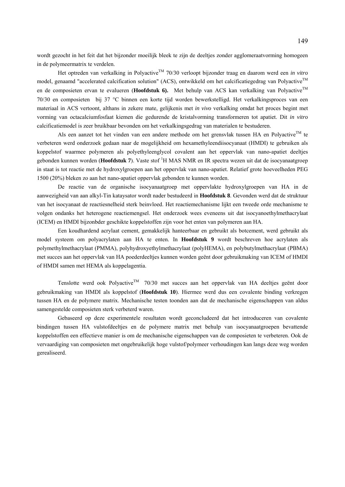wordt gezocht in het feit dat het bijzonder moeilijk bleek te zijn de deeltjes zonder agglomeraatvorming homogeen in de polymeermatrix te verdelen.

Het optreden van verkalking in Polyactive<sup>™</sup> 70/30 verloopt bijzonder traag en daarom werd een *in vitro* model, genaamd "accelerated calcification solution" (ACS), ontwikkeld om het calcificatiegedrag van Polyactive<sup>TM</sup> en de composieten ervan te evalueren (**Hoofdstuk 6**). Met behulp van ACS kan verkalking van Polyactive™ 70/30 en composieten bij 37 °C binnen een korte tijd worden bewerkstelligd. Het verkalkingsproces van een materiaal in ACS vertoont, althans in zekere mate, gelijkenis met *in vivo* verkalking omdat het proces begint met vorming van octacalciumfosfaat kiemen die gedurende de kristalvorming transformeren tot apatiet. Dit *in vitro*  calcificatiemodel is zeer bruikbaar bevonden om het verkalkingsgedrag van materialen te bestuderen.

Als een aanzet tot het vinden van een andere methode om het grensvlak tussen HA en Polyactive<sup>TM</sup> te verbeteren werd onderzoek gedaan naar de mogelijkheid om hexamethyleendiisocyanaat (HMDI) te gebruiken als koppelstof waarmee polymeren als polyethyleenglycol covalent aan het oppervlak van nano-apatiet deeltjes gebonden kunnen worden (**Hoofdstuk 7**). Vaste stof <sup>1</sup>H MAS NMR en IR spectra wezen uit dat de isocyanaatgroep in staat is tot reactie met de hydroxylgroepen aan het oppervlak van nano-apatiet. Relatief grote hoeveelheden PEG 1500 (20%) bleken zo aan het nano-apatiet oppervlak gebonden te kunnen worden.

De reactie van de organische isocyanaatgroep met oppervlakte hydroxylgroepen van HA in de aanwezigheid van aan alkyl-Tin kataysator wordt nader bestudeerd in **Hoofdstuk 8**. Gevonden werd dat de struktuur van het isocyanaat de reactiesnelheid sterk beinvloed. Het reactiemechanisme lijkt een tweede orde mechanisme te volgen ondanks het heterogene reactiemengsel. Het onderzoek wees eveneens uit dat isocyanoethylmethacrylaat (ICEM) en HMDI bijzonbder geschikte koppelstoffen zijn voor het enten van polymeren aan HA.

Een koudhardend acrylaat cement, gemakkelijk hanteerbaar en gebruikt als botcement, werd gebruikt als model systeem om polyacrylaten aan HA te enten. In **Hoofdstuk 9** wordt beschreven hoe acrylaten als polymethylmethacrylaat (PMMA), polyhydroxyethylmethacrylaat (polyHEMA), en polybutylmethacrylaat (PBMA) met succes aan het oppervlak van HA poederdeeltjes kunnen worden geënt door gebruikmaking van ICEM of HMDI of HMDI samen met HEMA als koppelagentia.

Tenslotte werd ook Polyactive<sup>TM</sup> 70/30 met succes aan het oppervlak van HA deeltjes geënt door gebruikmaking van HMDI als koppelstof (**Hoofdstuk 10**). Hiermee werd dus een covalente binding verkregen tussen HA en de polymere matrix. Mechanische testen toonden aan dat de mechanische eigenschappen van aldus samengestelde composieten sterk verbeterd waren.

Gebaseerd op deze experimentele resultaten wordt geconcludeerd dat het introduceren van covalente bindingen tussen HA vulstofdeeltjes en de polymere matrix met behulp van isocyanaatgroepen bevattende koppelstoffen een effectieve manier is om de mechanische eigenschappen van de composieten te verbeteren. Ook de vervaardiging van composieten met ongebruikelijk hoge vulstof/polymeer verhoudingen kan langs deze weg worden gerealiseerd.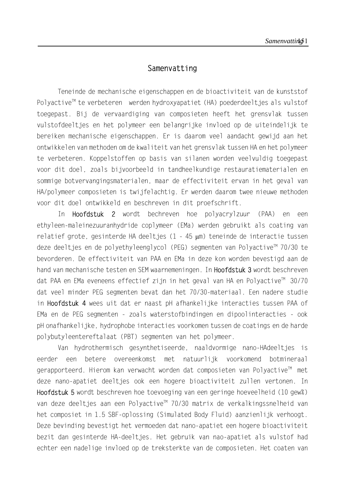# Samenvatting

Teneinde de mechanische eigenschappen en de bioactiviteit van de kunststof Polyactive<sup>™</sup> te verbeteren werden hydroxyapatiet (HA) poederdeeltjes als vulstof toegepast. Bij de vervaardiging van composieten heeft het grensvlak tussen vulstofdeeltjes en het polymeer een belangrijke invloed op de uiteindelijk te bereiken mechanische eigenschappen. Er is daarom veel aandacht gewijd aan het ontwikkelen van methoden om de kwaliteit van het grensvlak tussen HA en het polymeer te verbeteren. Koppelstoffen op basis van silanen worden veelvuldig toegepast voor dit doel, zoals bijvoorbeeld in tandheelkundige restauratiematerialen en sommige botvervangingsmaterialen, maar de effectiviteit ervan in het geval van HA/polymeer composieten is twijfelachtig. Er werden daarom twee nieuwe methoden voor dit doel ontwikkeld en beschreven in dit proefschrift.

In Hoofdstuk 2 wordt bechreven hoe polyacrylzuur (PAA) en een ethyleen−maleinezuuranhydride coplymeer (EMa) werden gebruikt als coating van relatief grote, gesinterde HA deeltjes (1 − 45 μm) teneinde de interactie tussen deze deeltjes en de polyethyleenglycol (PEG) segmenten van Polyactive<sup>™</sup> 70/30 te bevorderen. De effectiviteit van PAA en EMa in deze kon worden bevestigd aan de hand van mechanische testen en SEM waarnemeningen. In Hoofdstuk 3 wordt beschreven dat PAA en EMa eveneens effectief zijn in het geval van HA en Polyactive<sup>™</sup> 30/70 dat veel minder PEG segmenten bevat dan het 70/30−materiaal. Een nadere studie in Hoofdstuk 4 wees uit dat er naast pH afhankelijke interacties tussen PAA of EMa en de PEG segmenten − zoals waterstofbindingen en dipoolinteracties − ook pH onafhankelijke, hydrophobe interacties voorkomen tussen de coatings en de harde polybutyleentereftalaat (PBT) segmenten van het polymeer.

Van hydrothermisch gesynthetiseerde, naaldvormige nano−HAdeeltjes is eerder een betere overeenkomst met natuurlijk voorkomend botmineraal gerapporteerd. Hierom kan verwacht worden dat composieten van Polyactive<sup>™</sup> met deze nano−apatiet deeltjes ook een hogere bioactiviteit zullen vertonen. In Hoofdstuk 5 wordt beschreven hoe toevoeging van een geringe hoeveelheid (10 gew%) van deze deeltjes aan een Polyactive<sup>™</sup> 70/30 matrix de verkalkingssnelheid van het composiet in 1.5 SBF−oplossing (Simulated Body Fluid) aanzienlijk verhoogt. Deze bevinding bevestigt het vermoeden dat nano−apatiet een hogere bioactiviteit bezit dan gesinterde HA−deeltjes. Het gebruik van nao−apatiet als vulstof had echter een nadelige invloed op de treksterkte van de composieten. Het coaten van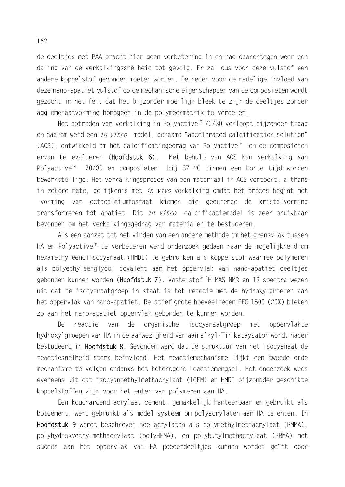de deeltjes met PAA bracht hier geen verbetering in en had daarentegen weer een daling van de verkalkingssnelheid tot gevolg. Er zal dus voor deze vulstof een andere koppelstof gevonden moeten worden. De reden voor de nadelige invloed van deze nano−apatiet vulstof op de mechanische eigenschappen van de composieten wordt gezocht in het feit dat het bijzonder moeilijk bleek te zijn de deeltjes zonder agglomeraatvorming homogeen in de polymeermatrix te verdelen.

Het optreden van verkalking in Polyactive<sup>™</sup> 70/30 verloopt bijzonder traag en daarom werd een *in vitro* model, genaamd "accelerated calcification solution" (ACS), ontwikkeld om het calcificatiegedrag van Polyactive<sup>™</sup> en de composieten ervan te evalueren (Hoofdstuk 6). Met behulp van ACS kan verkalking van Polyactive<sup>™</sup> 70/30 en composieten bij 37 °C binnen een korte tijd worden bewerkstelligd. Het verkalkingsproces van een materiaal in ACS vertoont, althans in zekere mate, gelijkenis met *in vivo* verkalking omdat het proces begint met vorming van octacalciumfosfaat kiemen die gedurende de kristalvorming transformeren tot apatiet. Dit *in vitro* calcificatiemodel is zeer bruikbaar bevonden om het verkalkingsgedrag van materialen te bestuderen.

Als een aanzet tot het vinden van een andere methode om het grensvlak tussen HA en Polyactive<sup>™</sup> te verbeteren werd onderzoek gedaan naar de mogelijkheid om hexamethyleendiisocyanaat (HMDI) te gebruiken als koppelstof waarmee polymeren als polyethyleenglycol covalent aan het oppervlak van nano−apatiet deeltjes gebonden kunnen worden (Hoofdstuk 7). Vaste stof <sup>1</sup>H MAS NMR en IR spectra wezen uit dat de isocyanaatgroep in staat is tot reactie met de hydroxylgroepen aan het oppervlak van nano−apatiet. Relatief grote hoeveelheden PEG 1500 (20%) bleken zo aan het nano−apatiet oppervlak gebonden te kunnen worden.

De reactie van de organische isocyanaatgroep met oppervlakte hydroxylgroepen van HA in de aanwezigheid van aan alkyl−Tin kataysator wordt nader bestudeerd in Hoofdstuk 8. Gevonden werd dat de struktuur van het isocyanaat de reactiesnelheid sterk beinvloed. Het reactiemechanisme lijkt een tweede orde mechanisme te volgen ondanks het heterogene reactiemengsel. Het onderzoek wees eveneens uit dat isocyanoethylmethacrylaat (ICEM) en HMDI bijzonbder geschikte koppelstoffen zijn voor het enten van polymeren aan HA.

Een koudhardend acrylaat cement, gemakkelijk hanteerbaar en gebruikt als botcement, werd gebruikt als model systeem om polyacrylaten aan HA te enten. In Hoofdstuk 9 wordt beschreven hoe acrylaten als polymethylmethacrylaat (PMMA), polyhydroxyethylmethacrylaat (polyHEMA), en polybutylmethacrylaat (PBMA) met succes aan het oppervlak van HA poederdeeltjes kunnen worden ge<sup>e</sup>nt door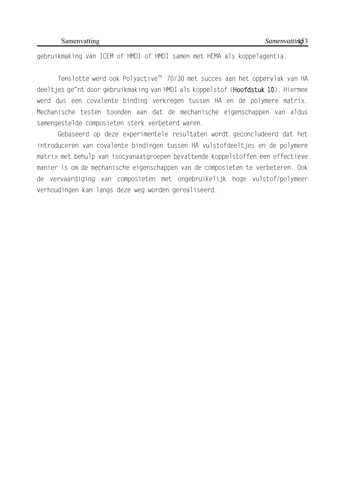gebruikmaking van ICEM of HMDI of HMDI samen met HEMA als koppelagentia.

Tenslotte werd ook Polyactive<sup>™</sup> 70/30 met succes aan het oppervlak van HA deeltjes ge<sup>r</sup>nt door gebruikmaking van HMDI als koppelstof (Hoofdstuk 10). Hiermee werd dus een covalente binding verkregen tussen HA en de polymere matrix. Mechanische testen toonden aan dat de mechanische eigenschappen van aldus samengestelde composieten sterk verbeterd waren.

Gebaseerd op deze experimentele resultaten wordt geconcludeerd dat het introduceren van covalente bindingen tussen HA vulstofdeeltjes en de polymere matrix met behulp van isocyanaatgroepen bevattende koppelstoffen een effectieve manier is om de mechanische eigenschappen van de composieten te verbeteren. Ook de vervaardiging van composieten met ongebruikelijk hoge vulstof/polymeer verhoudingen kan langs deze weg worden gerealiseerd.